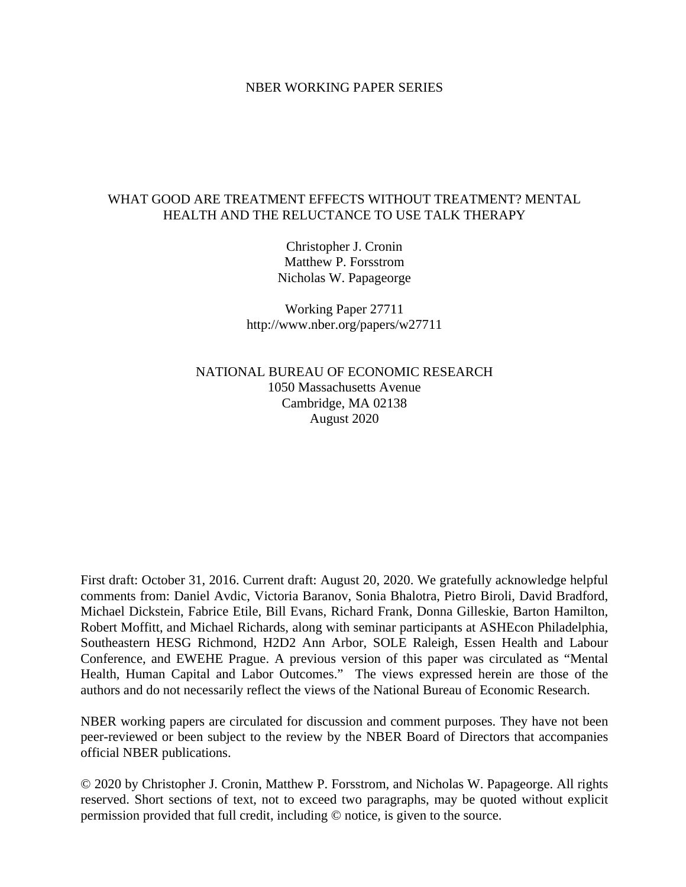#### NBER WORKING PAPER SERIES

## WHAT GOOD ARE TREATMENT EFFECTS WITHOUT TREATMENT? MENTAL HEALTH AND THE RELUCTANCE TO USE TALK THERAPY

Christopher J. Cronin Matthew P. Forsstrom Nicholas W. Papageorge

Working Paper 27711 http://www.nber.org/papers/w27711

NATIONAL BUREAU OF ECONOMIC RESEARCH 1050 Massachusetts Avenue Cambridge, MA 02138 August 2020

First draft: October 31, 2016. Current draft: August 20, 2020. We gratefully acknowledge helpful comments from: Daniel Avdic, Victoria Baranov, Sonia Bhalotra, Pietro Biroli, David Bradford, Michael Dickstein, Fabrice Etile, Bill Evans, Richard Frank, Donna Gilleskie, Barton Hamilton, Robert Moffitt, and Michael Richards, along with seminar participants at ASHEcon Philadelphia, Southeastern HESG Richmond, H2D2 Ann Arbor, SOLE Raleigh, Essen Health and Labour Conference, and EWEHE Prague. A previous version of this paper was circulated as "Mental Health, Human Capital and Labor Outcomes." The views expressed herein are those of the authors and do not necessarily reflect the views of the National Bureau of Economic Research.

NBER working papers are circulated for discussion and comment purposes. They have not been peer-reviewed or been subject to the review by the NBER Board of Directors that accompanies official NBER publications.

© 2020 by Christopher J. Cronin, Matthew P. Forsstrom, and Nicholas W. Papageorge. All rights reserved. Short sections of text, not to exceed two paragraphs, may be quoted without explicit permission provided that full credit, including © notice, is given to the source.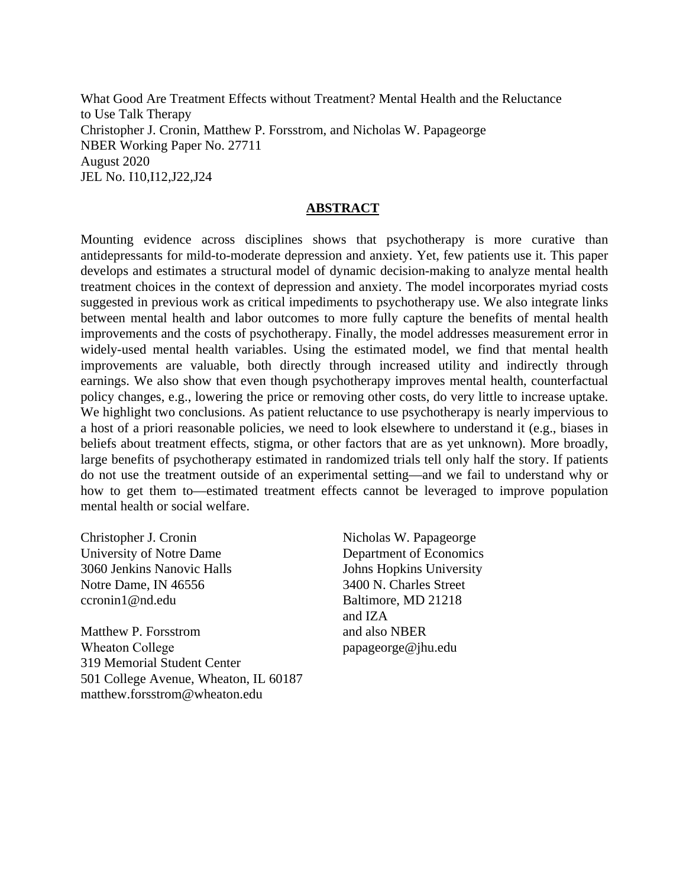What Good Are Treatment Effects without Treatment? Mental Health and the Reluctance to Use Talk Therapy Christopher J. Cronin, Matthew P. Forsstrom, and Nicholas W. Papageorge NBER Working Paper No. 27711 August 2020 JEL No. I10,I12,J22,J24

#### **ABSTRACT**

Mounting evidence across disciplines shows that psychotherapy is more curative than antidepressants for mild-to-moderate depression and anxiety. Yet, few patients use it. This paper develops and estimates a structural model of dynamic decision-making to analyze mental health treatment choices in the context of depression and anxiety. The model incorporates myriad costs suggested in previous work as critical impediments to psychotherapy use. We also integrate links between mental health and labor outcomes to more fully capture the benefits of mental health improvements and the costs of psychotherapy. Finally, the model addresses measurement error in widely-used mental health variables. Using the estimated model, we find that mental health improvements are valuable, both directly through increased utility and indirectly through earnings. We also show that even though psychotherapy improves mental health, counterfactual policy changes, e.g., lowering the price or removing other costs, do very little to increase uptake. We highlight two conclusions. As patient reluctance to use psychotherapy is nearly impervious to a host of a priori reasonable policies, we need to look elsewhere to understand it (e.g., biases in beliefs about treatment effects, stigma, or other factors that are as yet unknown). More broadly, large benefits of psychotherapy estimated in randomized trials tell only half the story. If patients do not use the treatment outside of an experimental setting—and we fail to understand why or how to get them to—estimated treatment effects cannot be leveraged to improve population mental health or social welfare.

Christopher J. Cronin University of Notre Dame 3060 Jenkins Nanovic Halls Notre Dame, IN 46556 ccronin1@nd.edu

Matthew P. Forsstrom Wheaton College 319 Memorial Student Center 501 College Avenue, Wheaton, IL 60187 matthew.forsstrom@wheaton.edu

Nicholas W. Papageorge Department of Economics Johns Hopkins University 3400 N. Charles Street Baltimore, MD 21218 and IZA and also NBER papageorge@jhu.edu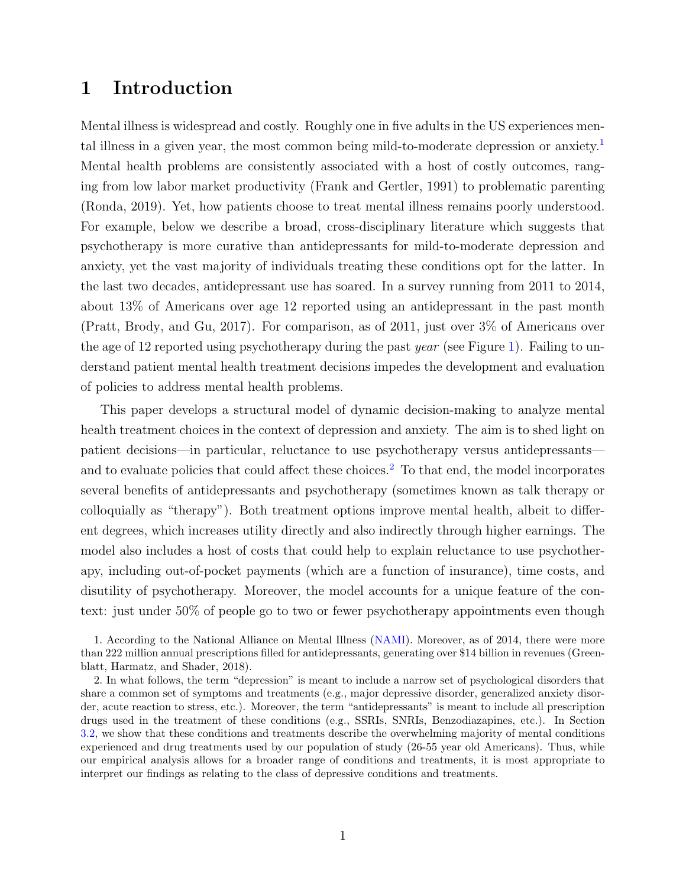# 1 Introduction

Mental illness is widespread and costly. Roughly one in five adults in the US experiences mental illness in a given year, the most common being mild-to-moderate depression or anxiety.[1](#page-2-0) Mental health problems are consistently associated with a host of costly outcomes, ranging from low labor market productivity (Frank and Gertler, [1991\)](#page-49-0) to problematic parenting (Ronda, [2019\)](#page-52-0). Yet, how patients choose to treat mental illness remains poorly understood. For example, below we describe a broad, cross-disciplinary literature which suggests that psychotherapy is more curative than antidepressants for mild-to-moderate depression and anxiety, yet the vast majority of individuals treating these conditions opt for the latter. In the last two decades, antidepressant use has soared. In a survey running from 2011 to 2014, about 13% of Americans over age 12 reported using an antidepressant in the past month (Pratt, Brody, and Gu, [2017\)](#page-52-1). For comparison, as of 2011, just over 3% of Americans over the age of 12 reported using psychotherapy during the past year (see Figure [1\)](#page-62-0). Failing to understand patient mental health treatment decisions impedes the development and evaluation of policies to address mental health problems.

This paper develops a structural model of dynamic decision-making to analyze mental health treatment choices in the context of depression and anxiety. The aim is to shed light on patient decisions—in particular, reluctance to use psychotherapy versus antidepressants— and to evaluate policies that could affect these choices.<sup>[2](#page-2-1)</sup> To that end, the model incorporates several benefits of antidepressants and psychotherapy (sometimes known as talk therapy or colloquially as "therapy"). Both treatment options improve mental health, albeit to different degrees, which increases utility directly and also indirectly through higher earnings. The model also includes a host of costs that could help to explain reluctance to use psychotherapy, including out-of-pocket payments (which are a function of insurance), time costs, and disutility of psychotherapy. Moreover, the model accounts for a unique feature of the context: just under 50% of people go to two or fewer psychotherapy appointments even though

<span id="page-2-0"></span><sup>1.</sup> According to the National Alliance on Mental Illness [\(NAMI\)](http://www.nami.org/Learn-More/Mental-Health-By-the-Numbers). Moreover, as of 2014, there were more than 222 million annual prescriptions filled for antidepressants, generating over \$14 billion in revenues (Greenblatt, Harmatz, and Shader, [2018\)](#page-50-0).

<span id="page-2-1"></span><sup>2.</sup> In what follows, the term "depression" is meant to include a narrow set of psychological disorders that share a common set of symptoms and treatments (e.g., major depressive disorder, generalized anxiety disorder, acute reaction to stress, etc.). Moreover, the term "antidepressants" is meant to include all prescription drugs used in the treatment of these conditions (e.g., SSRIs, SNRIs, Benzodiazapines, etc.). In Section [3.2,](#page-11-0) we show that these conditions and treatments describe the overwhelming majority of mental conditions experienced and drug treatments used by our population of study (26-55 year old Americans). Thus, while our empirical analysis allows for a broader range of conditions and treatments, it is most appropriate to interpret our findings as relating to the class of depressive conditions and treatments.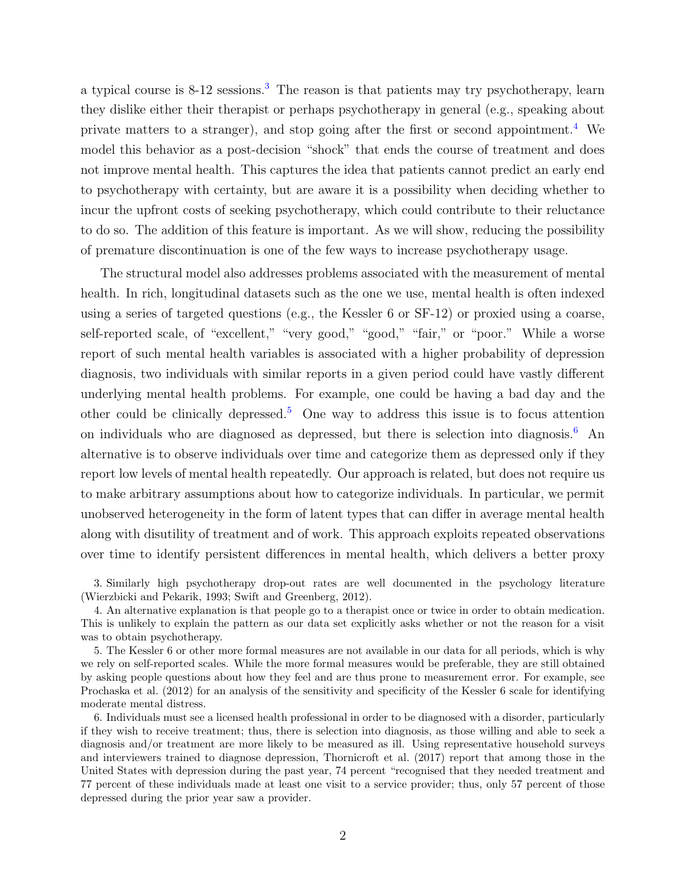a typical course is  $8-12$  sessions.<sup>[3](#page-3-0)</sup> The reason is that patients may try psychotherapy, learn they dislike either their therapist or perhaps psychotherapy in general (e.g., speaking about private matters to a stranger), and stop going after the first or second appointment.[4](#page-3-1) We model this behavior as a post-decision "shock" that ends the course of treatment and does not improve mental health. This captures the idea that patients cannot predict an early end to psychotherapy with certainty, but are aware it is a possibility when deciding whether to incur the upfront costs of seeking psychotherapy, which could contribute to their reluctance to do so. The addition of this feature is important. As we will show, reducing the possibility of premature discontinuation is one of the few ways to increase psychotherapy usage.

The structural model also addresses problems associated with the measurement of mental health. In rich, longitudinal datasets such as the one we use, mental health is often indexed using a series of targeted questions (e.g., the Kessler 6 or SF-12) or proxied using a coarse, self-reported scale, of "excellent," "very good," "good," "fair," or "poor." While a worse report of such mental health variables is associated with a higher probability of depression diagnosis, two individuals with similar reports in a given period could have vastly different underlying mental health problems. For example, one could be having a bad day and the other could be clinically depressed.<sup>[5](#page-3-2)</sup> One way to address this issue is to focus attention on individuals who are diagnosed as depressed, but there is selection into diagnosis.<sup>[6](#page-3-3)</sup> An alternative is to observe individuals over time and categorize them as depressed only if they report low levels of mental health repeatedly. Our approach is related, but does not require us to make arbitrary assumptions about how to categorize individuals. In particular, we permit unobserved heterogeneity in the form of latent types that can differ in average mental health along with disutility of treatment and of work. This approach exploits repeated observations over time to identify persistent differences in mental health, which delivers a better proxy

<span id="page-3-0"></span>3. Similarly high psychotherapy drop-out rates are well documented in the psychology literature (Wierzbicki and Pekarik, [1993;](#page-53-0) Swift and Greenberg, [2012\)](#page-53-1).

<span id="page-3-1"></span>4. An alternative explanation is that people go to a therapist once or twice in order to obtain medication. This is unlikely to explain the pattern as our data set explicitly asks whether or not the reason for a visit was to obtain psychotherapy.

<span id="page-3-2"></span>5. The Kessler 6 or other more formal measures are not available in our data for all periods, which is why we rely on self-reported scales. While the more formal measures would be preferable, they are still obtained by asking people questions about how they feel and are thus prone to measurement error. For example, see Prochaska et al. [\(2012\)](#page-52-2) for an analysis of the sensitivity and specificity of the Kessler 6 scale for identifying moderate mental distress.

<span id="page-3-3"></span>6. Individuals must see a licensed health professional in order to be diagnosed with a disorder, particularly if they wish to receive treatment; thus, there is selection into diagnosis, as those willing and able to seek a diagnosis and/or treatment are more likely to be measured as ill. Using representative household surveys and interviewers trained to diagnose depression, Thornicroft et al. [\(2017\)](#page-53-2) report that among those in the United States with depression during the past year, 74 percent "recognised that they needed treatment and 77 percent of these individuals made at least one visit to a service provider; thus, only 57 percent of those depressed during the prior year saw a provider.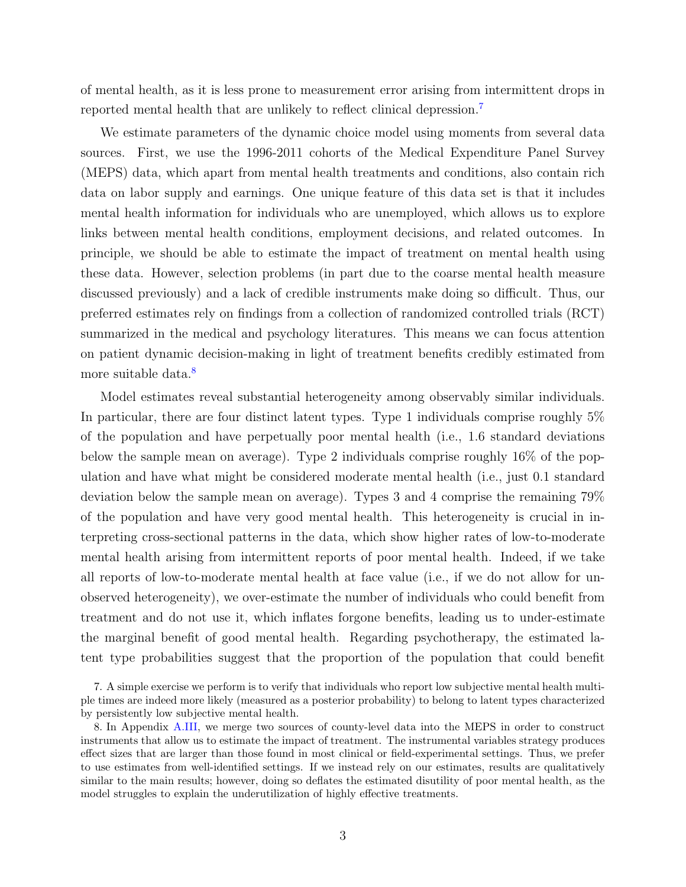of mental health, as it is less prone to measurement error arising from intermittent drops in reported mental health that are unlikely to reflect clinical depression.[7](#page-4-0)

We estimate parameters of the dynamic choice model using moments from several data sources. First, we use the 1996-2011 cohorts of the Medical Expenditure Panel Survey (MEPS) data, which apart from mental health treatments and conditions, also contain rich data on labor supply and earnings. One unique feature of this data set is that it includes mental health information for individuals who are unemployed, which allows us to explore links between mental health conditions, employment decisions, and related outcomes. In principle, we should be able to estimate the impact of treatment on mental health using these data. However, selection problems (in part due to the coarse mental health measure discussed previously) and a lack of credible instruments make doing so difficult. Thus, our preferred estimates rely on findings from a collection of randomized controlled trials (RCT) summarized in the medical and psychology literatures. This means we can focus attention on patient dynamic decision-making in light of treatment benefits credibly estimated from more suitable data.<sup>[8](#page-4-1)</sup>

Model estimates reveal substantial heterogeneity among observably similar individuals. In particular, there are four distinct latent types. Type 1 individuals comprise roughly 5% of the population and have perpetually poor mental health (i.e., 1.6 standard deviations below the sample mean on average). Type 2 individuals comprise roughly 16% of the population and have what might be considered moderate mental health (i.e., just 0.1 standard deviation below the sample mean on average). Types 3 and 4 comprise the remaining 79% of the population and have very good mental health. This heterogeneity is crucial in interpreting cross-sectional patterns in the data, which show higher rates of low-to-moderate mental health arising from intermittent reports of poor mental health. Indeed, if we take all reports of low-to-moderate mental health at face value (i.e., if we do not allow for unobserved heterogeneity), we over-estimate the number of individuals who could benefit from treatment and do not use it, which inflates forgone benefits, leading us to under-estimate the marginal benefit of good mental health. Regarding psychotherapy, the estimated latent type probabilities suggest that the proportion of the population that could benefit

<span id="page-4-0"></span><sup>7.</sup> A simple exercise we perform is to verify that individuals who report low subjective mental health multiple times are indeed more likely (measured as a posterior probability) to belong to latent types characterized by persistently low subjective mental health.

<span id="page-4-1"></span><sup>8.</sup> In Appendix [A.III,](#page-70-0) we merge two sources of county-level data into the MEPS in order to construct instruments that allow us to estimate the impact of treatment. The instrumental variables strategy produces effect sizes that are larger than those found in most clinical or field-experimental settings. Thus, we prefer to use estimates from well-identified settings. If we instead rely on our estimates, results are qualitatively similar to the main results; however, doing so deflates the estimated disutility of poor mental health, as the model struggles to explain the underutilization of highly effective treatments.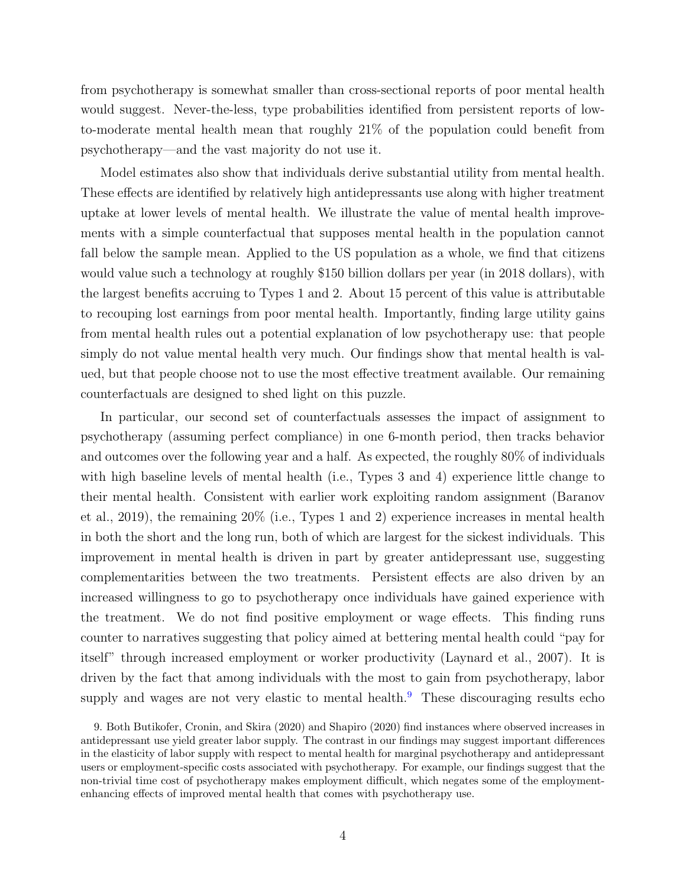from psychotherapy is somewhat smaller than cross-sectional reports of poor mental health would suggest. Never-the-less, type probabilities identified from persistent reports of lowto-moderate mental health mean that roughly 21% of the population could benefit from psychotherapy—and the vast majority do not use it.

Model estimates also show that individuals derive substantial utility from mental health. These effects are identified by relatively high antidepressants use along with higher treatment uptake at lower levels of mental health. We illustrate the value of mental health improvements with a simple counterfactual that supposes mental health in the population cannot fall below the sample mean. Applied to the US population as a whole, we find that citizens would value such a technology at roughly \$150 billion dollars per year (in 2018 dollars), with the largest benefits accruing to Types 1 and 2. About 15 percent of this value is attributable to recouping lost earnings from poor mental health. Importantly, finding large utility gains from mental health rules out a potential explanation of low psychotherapy use: that people simply do not value mental health very much. Our findings show that mental health is valued, but that people choose not to use the most effective treatment available. Our remaining counterfactuals are designed to shed light on this puzzle.

In particular, our second set of counterfactuals assesses the impact of assignment to psychotherapy (assuming perfect compliance) in one 6-month period, then tracks behavior and outcomes over the following year and a half. As expected, the roughly 80% of individuals with high baseline levels of mental health (i.e., Types 3 and 4) experience little change to their mental health. Consistent with earlier work exploiting random assignment (Baranov et al., [2019\)](#page-46-0), the remaining 20% (i.e., Types 1 and 2) experience increases in mental health in both the short and the long run, both of which are largest for the sickest individuals. This improvement in mental health is driven in part by greater antidepressant use, suggesting complementarities between the two treatments. Persistent effects are also driven by an increased willingness to go to psychotherapy once individuals have gained experience with the treatment. We do not find positive employment or wage effects. This finding runs counter to narratives suggesting that policy aimed at bettering mental health could "pay for itself" through increased employment or worker productivity (Laynard et al., [2007\)](#page-51-0). It is driven by the fact that among individuals with the most to gain from psychotherapy, labor supply and wages are not very elastic to mental health.<sup>[9](#page-5-0)</sup> These discouraging results echo

<span id="page-5-0"></span><sup>9.</sup> Both Butikofer, Cronin, and Skira [\(2020\)](#page-46-1) and Shapiro [\(2020\)](#page-52-3) find instances where observed increases in antidepressant use yield greater labor supply. The contrast in our findings may suggest important differences in the elasticity of labor supply with respect to mental health for marginal psychotherapy and antidepressant users or employment-specific costs associated with psychotherapy. For example, our findings suggest that the non-trivial time cost of psychotherapy makes employment difficult, which negates some of the employmentenhancing effects of improved mental health that comes with psychotherapy use.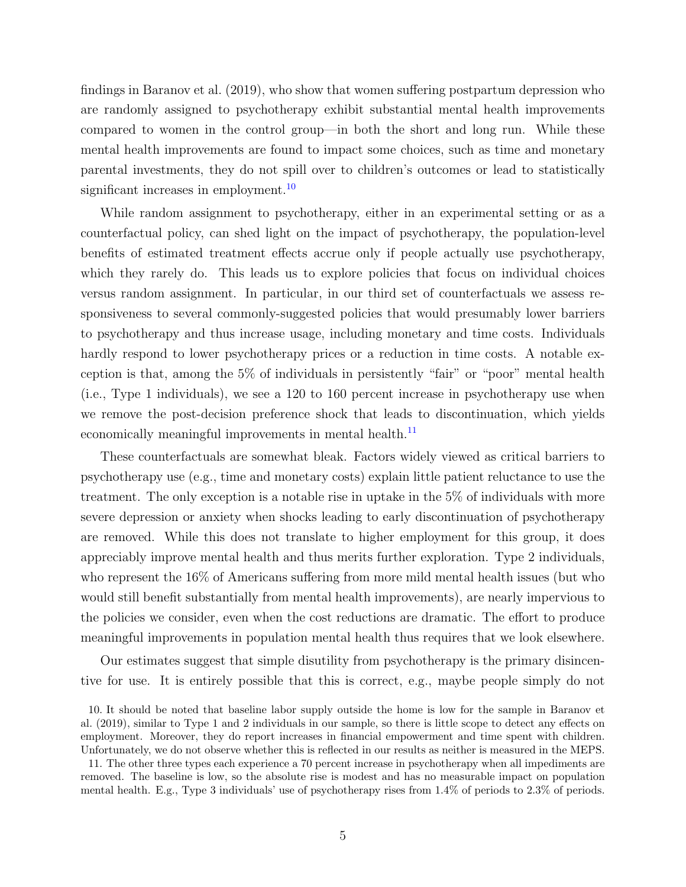findings in Baranov et al. [\(2019\)](#page-46-0), who show that women suffering postpartum depression who are randomly assigned to psychotherapy exhibit substantial mental health improvements compared to women in the control group—in both the short and long run. While these mental health improvements are found to impact some choices, such as time and monetary parental investments, they do not spill over to children's outcomes or lead to statistically significant increases in employment.<sup>[10](#page-6-0)</sup>

While random assignment to psychotherapy, either in an experimental setting or as a counterfactual policy, can shed light on the impact of psychotherapy, the population-level benefits of estimated treatment effects accrue only if people actually use psychotherapy, which they rarely do. This leads us to explore policies that focus on individual choices versus random assignment. In particular, in our third set of counterfactuals we assess responsiveness to several commonly-suggested policies that would presumably lower barriers to psychotherapy and thus increase usage, including monetary and time costs. Individuals hardly respond to lower psychotherapy prices or a reduction in time costs. A notable exception is that, among the 5% of individuals in persistently "fair" or "poor" mental health (i.e., Type 1 individuals), we see a 120 to 160 percent increase in psychotherapy use when we remove the post-decision preference shock that leads to discontinuation, which yields economically meaningful improvements in mental health.<sup>[11](#page-6-1)</sup>

These counterfactuals are somewhat bleak. Factors widely viewed as critical barriers to psychotherapy use (e.g., time and monetary costs) explain little patient reluctance to use the treatment. The only exception is a notable rise in uptake in the 5% of individuals with more severe depression or anxiety when shocks leading to early discontinuation of psychotherapy are removed. While this does not translate to higher employment for this group, it does appreciably improve mental health and thus merits further exploration. Type 2 individuals, who represent the 16% of Americans suffering from more mild mental health issues (but who would still benefit substantially from mental health improvements), are nearly impervious to the policies we consider, even when the cost reductions are dramatic. The effort to produce meaningful improvements in population mental health thus requires that we look elsewhere.

Our estimates suggest that simple disutility from psychotherapy is the primary disincentive for use. It is entirely possible that this is correct, e.g., maybe people simply do not

<span id="page-6-0"></span><sup>10.</sup> It should be noted that baseline labor supply outside the home is low for the sample in Baranov et al. [\(2019\)](#page-46-0), similar to Type 1 and 2 individuals in our sample, so there is little scope to detect any effects on employment. Moreover, they do report increases in financial empowerment and time spent with children. Unfortunately, we do not observe whether this is reflected in our results as neither is measured in the MEPS.

<span id="page-6-1"></span><sup>11.</sup> The other three types each experience a 70 percent increase in psychotherapy when all impediments are removed. The baseline is low, so the absolute rise is modest and has no measurable impact on population mental health. E.g., Type 3 individuals' use of psychotherapy rises from 1.4% of periods to 2.3% of periods.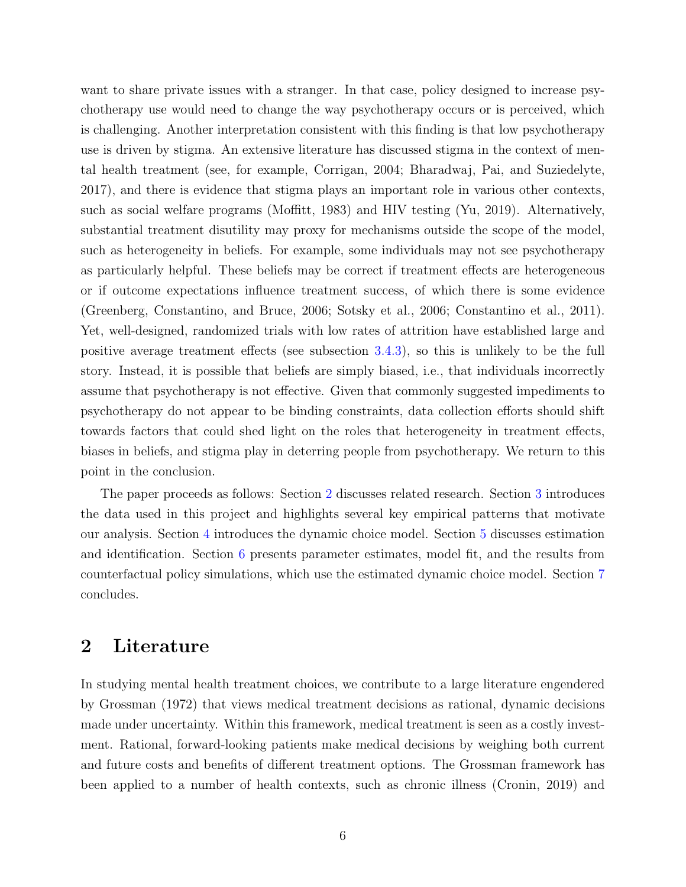want to share private issues with a stranger. In that case, policy designed to increase psychotherapy use would need to change the way psychotherapy occurs or is perceived, which is challenging. Another interpretation consistent with this finding is that low psychotherapy use is driven by stigma. An extensive literature has discussed stigma in the context of mental health treatment (see, for example, Corrigan, [2004;](#page-47-0) Bharadwaj, Pai, and Suziedelyte, [2017\)](#page-46-2), and there is evidence that stigma plays an important role in various other contexts, such as social welfare programs (Moffitt, [1983\)](#page-51-1) and HIV testing (Yu, [2019\)](#page-53-3). Alternatively, substantial treatment disutility may proxy for mechanisms outside the scope of the model, such as heterogeneity in beliefs. For example, some individuals may not see psychotherapy as particularly helpful. These beliefs may be correct if treatment effects are heterogeneous or if outcome expectations influence treatment success, of which there is some evidence (Greenberg, Constantino, and Bruce, [2006;](#page-50-1) Sotsky et al., [2006;](#page-52-4) Constantino et al., [2011\)](#page-47-1). Yet, well-designed, randomized trials with low rates of attrition have established large and positive average treatment effects (see subsection [3.4.3\)](#page-17-0), so this is unlikely to be the full story. Instead, it is possible that beliefs are simply biased, i.e., that individuals incorrectly assume that psychotherapy is not effective. Given that commonly suggested impediments to psychotherapy do not appear to be binding constraints, data collection efforts should shift towards factors that could shed light on the roles that heterogeneity in treatment effects, biases in beliefs, and stigma play in deterring people from psychotherapy. We return to this point in the conclusion.

The paper proceeds as follows: Section [2](#page-7-0) discusses related research. Section [3](#page-10-0) introduces the data used in this project and highlights several key empirical patterns that motivate our analysis. Section [4](#page-19-0) introduces the dynamic choice model. Section [5](#page-25-0) discusses estimation and identification. Section [6](#page-32-0) presents parameter estimates, model fit, and the results from counterfactual policy simulations, which use the estimated dynamic choice model. Section [7](#page-44-0) concludes.

## <span id="page-7-0"></span>2 Literature

In studying mental health treatment choices, we contribute to a large literature engendered by Grossman [\(1972\)](#page-50-2) that views medical treatment decisions as rational, dynamic decisions made under uncertainty. Within this framework, medical treatment is seen as a costly investment. Rational, forward-looking patients make medical decisions by weighing both current and future costs and benefits of different treatment options. The Grossman framework has been applied to a number of health contexts, such as chronic illness (Cronin, [2019\)](#page-47-2) and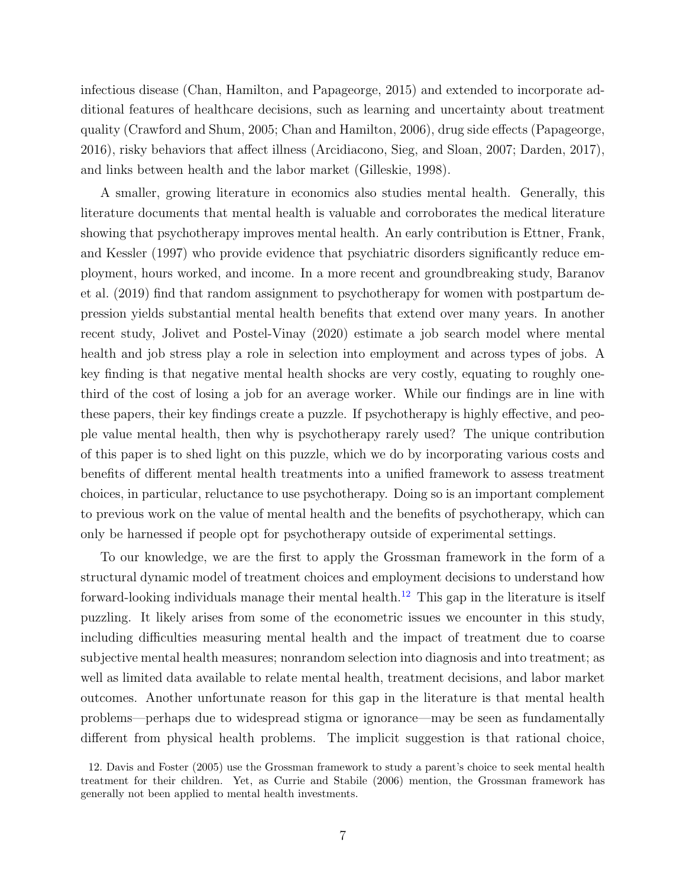infectious disease (Chan, Hamilton, and Papageorge, [2015\)](#page-47-3) and extended to incorporate additional features of healthcare decisions, such as learning and uncertainty about treatment quality (Crawford and Shum, [2005;](#page-47-4) Chan and Hamilton, [2006\)](#page-47-5), drug side effects (Papageorge, [2016\)](#page-51-2), risky behaviors that affect illness (Arcidiacono, Sieg, and Sloan, [2007;](#page-46-3) Darden, [2017\)](#page-48-0), and links between health and the labor market (Gilleskie, [1998\)](#page-49-1).

A smaller, growing literature in economics also studies mental health. Generally, this literature documents that mental health is valuable and corroborates the medical literature showing that psychotherapy improves mental health. An early contribution is Ettner, Frank, and Kessler [\(1997\)](#page-49-2) who provide evidence that psychiatric disorders significantly reduce employment, hours worked, and income. In a more recent and groundbreaking study, Baranov et al. [\(2019\)](#page-46-0) find that random assignment to psychotherapy for women with postpartum depression yields substantial mental health benefits that extend over many years. In another recent study, Jolivet and Postel-Vinay [\(2020\)](#page-50-3) estimate a job search model where mental health and job stress play a role in selection into employment and across types of jobs. A key finding is that negative mental health shocks are very costly, equating to roughly onethird of the cost of losing a job for an average worker. While our findings are in line with these papers, their key findings create a puzzle. If psychotherapy is highly effective, and people value mental health, then why is psychotherapy rarely used? The unique contribution of this paper is to shed light on this puzzle, which we do by incorporating various costs and benefits of different mental health treatments into a unified framework to assess treatment choices, in particular, reluctance to use psychotherapy. Doing so is an important complement to previous work on the value of mental health and the benefits of psychotherapy, which can only be harnessed if people opt for psychotherapy outside of experimental settings.

To our knowledge, we are the first to apply the Grossman framework in the form of a structural dynamic model of treatment choices and employment decisions to understand how forward-looking individuals manage their mental health.<sup>[12](#page-8-0)</sup> This gap in the literature is itself puzzling. It likely arises from some of the econometric issues we encounter in this study, including difficulties measuring mental health and the impact of treatment due to coarse subjective mental health measures; nonrandom selection into diagnosis and into treatment; as well as limited data available to relate mental health, treatment decisions, and labor market outcomes. Another unfortunate reason for this gap in the literature is that mental health problems—perhaps due to widespread stigma or ignorance—may be seen as fundamentally different from physical health problems. The implicit suggestion is that rational choice,

<span id="page-8-0"></span><sup>12.</sup> Davis and Foster [\(2005\)](#page-48-1) use the Grossman framework to study a parent's choice to seek mental health treatment for their children. Yet, as Currie and Stabile [\(2006\)](#page-48-2) mention, the Grossman framework has generally not been applied to mental health investments.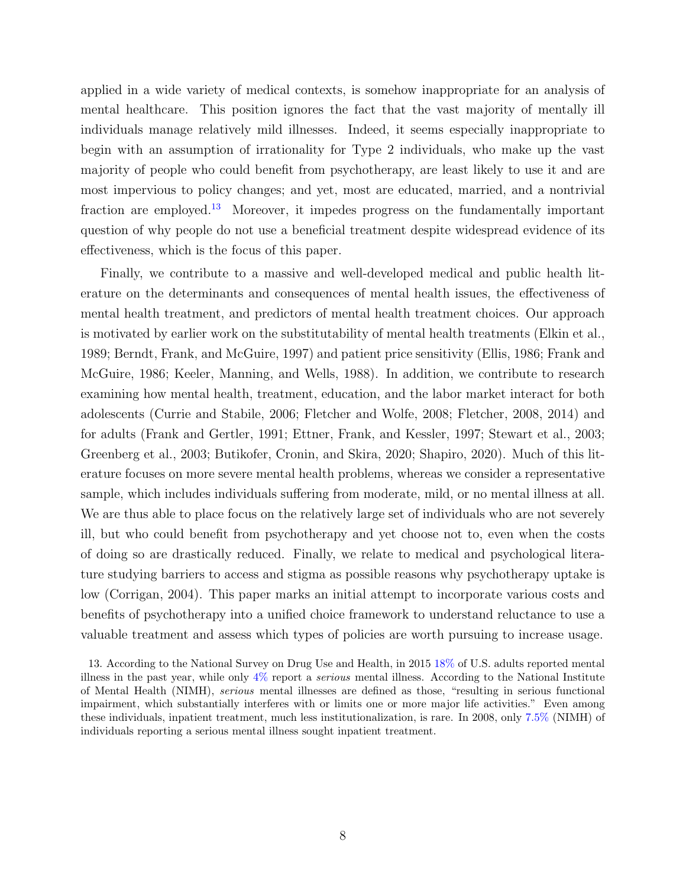applied in a wide variety of medical contexts, is somehow inappropriate for an analysis of mental healthcare. This position ignores the fact that the vast majority of mentally ill individuals manage relatively mild illnesses. Indeed, it seems especially inappropriate to begin with an assumption of irrationality for Type 2 individuals, who make up the vast majority of people who could benefit from psychotherapy, are least likely to use it and are most impervious to policy changes; and yet, most are educated, married, and a nontrivial fraction are employed.[13](#page-9-0) Moreover, it impedes progress on the fundamentally important question of why people do not use a beneficial treatment despite widespread evidence of its effectiveness, which is the focus of this paper.

Finally, we contribute to a massive and well-developed medical and public health literature on the determinants and consequences of mental health issues, the effectiveness of mental health treatment, and predictors of mental health treatment choices. Our approach is motivated by earlier work on the substitutability of mental health treatments (Elkin et al., [1989;](#page-48-3) Berndt, Frank, and McGuire, [1997\)](#page-46-4) and patient price sensitivity (Ellis, [1986;](#page-48-4) Frank and McGuire, [1986;](#page-49-3) Keeler, Manning, and Wells, [1988\)](#page-51-3). In addition, we contribute to research examining how mental health, treatment, education, and the labor market interact for both adolescents (Currie and Stabile, [2006;](#page-48-2) Fletcher and Wolfe, [2008;](#page-49-4) Fletcher, [2008,](#page-49-5) [2014\)](#page-49-6) and for adults (Frank and Gertler, [1991;](#page-49-0) Ettner, Frank, and Kessler, [1997;](#page-49-2) Stewart et al., [2003;](#page-53-4) Greenberg et al., [2003;](#page-49-7) Butikofer, Cronin, and Skira, [2020;](#page-46-1) Shapiro, [2020\)](#page-52-3). Much of this literature focuses on more severe mental health problems, whereas we consider a representative sample, which includes individuals suffering from moderate, mild, or no mental illness at all. We are thus able to place focus on the relatively large set of individuals who are not severely ill, but who could benefit from psychotherapy and yet choose not to, even when the costs of doing so are drastically reduced. Finally, we relate to medical and psychological literature studying barriers to access and stigma as possible reasons why psychotherapy uptake is low (Corrigan, [2004\)](#page-47-0). This paper marks an initial attempt to incorporate various costs and benefits of psychotherapy into a unified choice framework to understand reluctance to use a valuable treatment and assess which types of policies are worth pursuing to increase usage.

<span id="page-9-0"></span><sup>13.</sup> According to the National Survey on Drug Use and Health, in 2015 [18%](https://www.nimh.nih.gov/health/statistics/prevalence/any-mental-illness-ami-among-us-adults.shtml) of U.S. adults reported mental illness in the past year, while only  $4\%$  report a *serious* mental illness. According to the National Institute of Mental Health (NIMH), serious mental illnesses are defined as those, "resulting in serious functional impairment, which substantially interferes with or limits one or more major life activities." Even among these individuals, inpatient treatment, much less institutionalization, is rare. In 2008, only [7.5%](https://www.nimh.nih.gov/health/statistics/prevalence/use-of-mental-health-services-and-treatment-among-adults.shtml) (NIMH) of individuals reporting a serious mental illness sought inpatient treatment.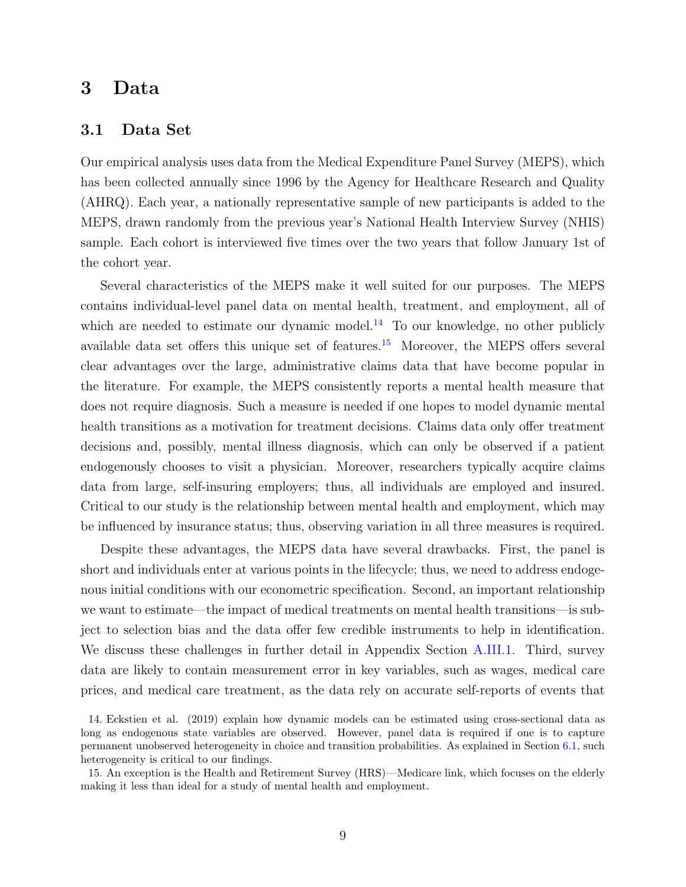## <span id="page-10-0"></span>3 Data

### 3.1 Data Set

Our empirical analysis uses data from the Medical Expenditure Panel Survey (MEPS), which has been collected annually since 1996 by the Agency for Healthcare Research and Quality (AHRQ). Each year, a nationally representative sample of new participants is added to the MEPS, drawn randomly from the previous year's National Health Interview Survey (NHIS) sample. Each cohort is interviewed five times over the two years that follow January 1st of the cohort year.

Several characteristics of the MEPS make it well suited for our purposes. The MEPS contains individual-level panel data on mental health, treatment, and employment, all of which are needed to estimate our dynamic model.<sup>[14](#page-10-1)</sup> To our knowledge, no other publicly available data set offers this unique set of features.[15](#page-10-2) Moreover, the MEPS offers several clear advantages over the large, administrative claims data that have become popular in the literature. For example, the MEPS consistently reports a mental health measure that does not require diagnosis. Such a measure is needed if one hopes to model dynamic mental health transitions as a motivation for treatment decisions. Claims data only offer treatment decisions and, possibly, mental illness diagnosis, which can only be observed if a patient endogenously chooses to visit a physician. Moreover, researchers typically acquire claims data from large, self-insuring employers; thus, all individuals are employed and insured. Critical to our study is the relationship between mental health and employment, which may be influenced by insurance status; thus, observing variation in all three measures is required.

Despite these advantages, the MEPS data have several drawbacks. First, the panel is short and individuals enter at various points in the lifecycle; thus, we need to address endogenous initial conditions with our econometric specification. Second, an important relationship we want to estimate—the impact of medical treatments on mental health transitions—is subject to selection bias and the data offer few credible instruments to help in identification. We discuss these challenges in further detail in Appendix Section [A.III.1.](#page-71-0) Third, survey data are likely to contain measurement error in key variables, such as wages, medical care prices, and medical care treatment, as the data rely on accurate self-reports of events that

<span id="page-10-1"></span><sup>14.</sup> Eckstien et al. (2019) explain how dynamic models can be estimated using cross-sectional data as long as endogenous state variables are observed. However, panel data is required if one is to capture permanent unobserved heterogeneity in choice and transition probabilities. As explained in Section [6.1,](#page-32-1) such heterogeneity is critical to our findings.

<span id="page-10-2"></span><sup>15.</sup> An exception is the Health and Retirement Survey (HRS)—Medicare link, which focuses on the elderly making it less than ideal for a study of mental health and employment.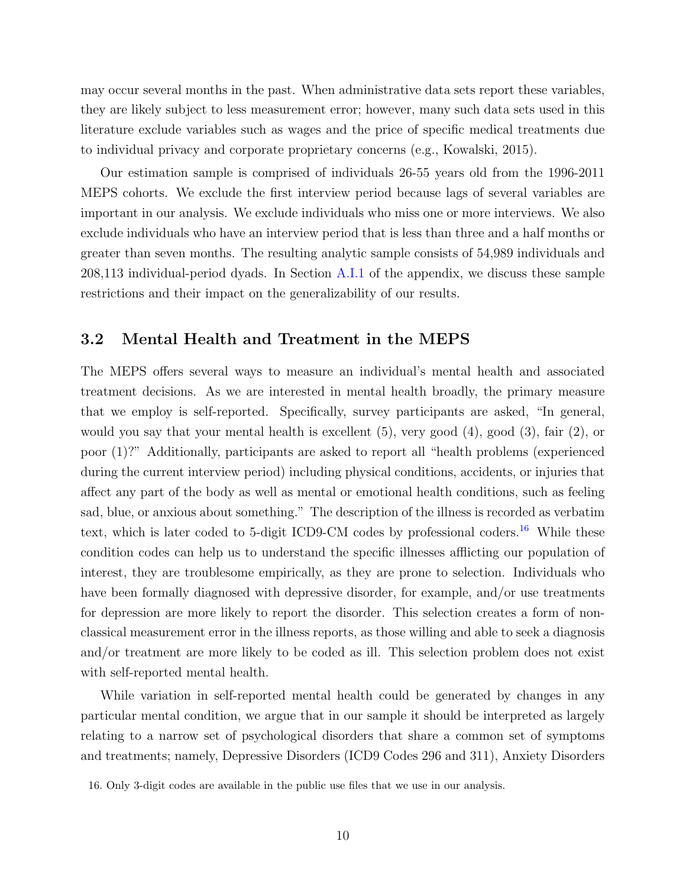may occur several months in the past. When administrative data sets report these variables, they are likely subject to less measurement error; however, many such data sets used in this literature exclude variables such as wages and the price of specific medical treatments due to individual privacy and corporate proprietary concerns (e.g., Kowalski, [2015\)](#page-51-4).

Our estimation sample is comprised of individuals 26-55 years old from the 1996-2011 MEPS cohorts. We exclude the first interview period because lags of several variables are important in our analysis. We exclude individuals who miss one or more interviews. We also exclude individuals who have an interview period that is less than three and a half months or greater than seven months. The resulting analytic sample consists of 54,989 individuals and 208,113 individual-period dyads. In Section [A.I.1](#page-64-0) of the appendix, we discuss these sample restrictions and their impact on the generalizability of our results.

## <span id="page-11-0"></span>3.2 Mental Health and Treatment in the MEPS

The MEPS offers several ways to measure an individual's mental health and associated treatment decisions. As we are interested in mental health broadly, the primary measure that we employ is self-reported. Specifically, survey participants are asked, "In general, would you say that your mental health is excellent  $(5)$ , very good  $(4)$ , good  $(3)$ , fair  $(2)$ , or poor (1)?" Additionally, participants are asked to report all "health problems (experienced during the current interview period) including physical conditions, accidents, or injuries that affect any part of the body as well as mental or emotional health conditions, such as feeling sad, blue, or anxious about something." The description of the illness is recorded as verbatim text, which is later coded to 5-digit ICD9-CM codes by professional coders.<sup>[16](#page-11-1)</sup> While these condition codes can help us to understand the specific illnesses afflicting our population of interest, they are troublesome empirically, as they are prone to selection. Individuals who have been formally diagnosed with depressive disorder, for example, and/or use treatments for depression are more likely to report the disorder. This selection creates a form of nonclassical measurement error in the illness reports, as those willing and able to seek a diagnosis and/or treatment are more likely to be coded as ill. This selection problem does not exist with self-reported mental health.

While variation in self-reported mental health could be generated by changes in any particular mental condition, we argue that in our sample it should be interpreted as largely relating to a narrow set of psychological disorders that share a common set of symptoms and treatments; namely, Depressive Disorders (ICD9 Codes 296 and 311), Anxiety Disorders

<span id="page-11-1"></span><sup>16.</sup> Only 3-digit codes are available in the public use files that we use in our analysis.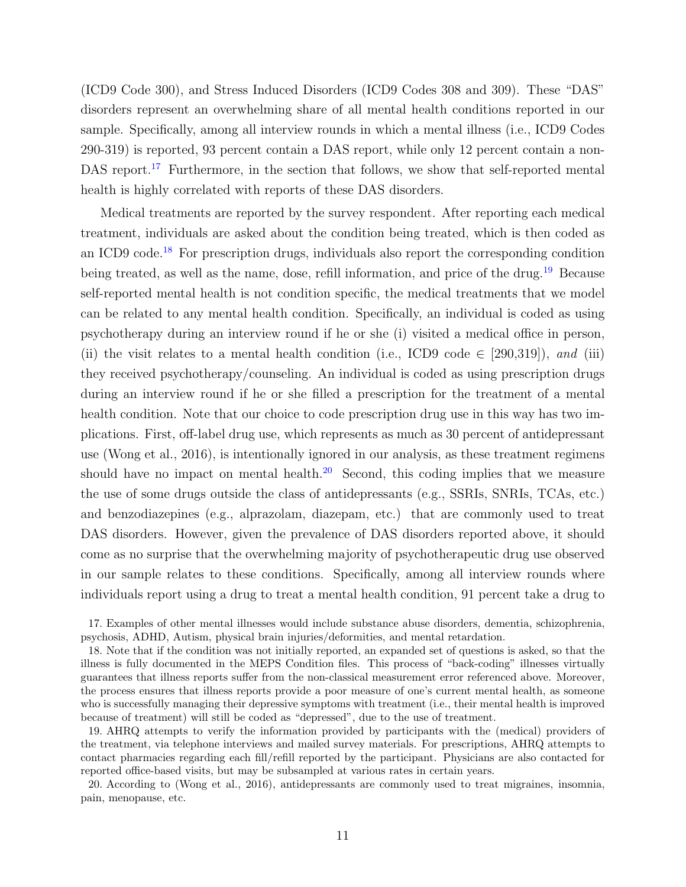(ICD9 Code 300), and Stress Induced Disorders (ICD9 Codes 308 and 309). These "DAS" disorders represent an overwhelming share of all mental health conditions reported in our sample. Specifically, among all interview rounds in which a mental illness (i.e., ICD9 Codes 290-319) is reported, 93 percent contain a DAS report, while only 12 percent contain a non-DAS report.<sup>[17](#page-12-0)</sup> Furthermore, in the section that follows, we show that self-reported mental health is highly correlated with reports of these DAS disorders.

Medical treatments are reported by the survey respondent. After reporting each medical treatment, individuals are asked about the condition being treated, which is then coded as an ICD9 code.<sup>[18](#page-12-1)</sup> For prescription drugs, individuals also report the corresponding condition being treated, as well as the name, dose, refill information, and price of the drug.<sup>[19](#page-12-2)</sup> Because self-reported mental health is not condition specific, the medical treatments that we model can be related to any mental health condition. Specifically, an individual is coded as using psychotherapy during an interview round if he or she (i) visited a medical office in person, (ii) the visit relates to a mental health condition (i.e., ICD9 code  $\in$  [290,319]), and (iii) they received psychotherapy/counseling. An individual is coded as using prescription drugs during an interview round if he or she filled a prescription for the treatment of a mental health condition. Note that our choice to code prescription drug use in this way has two implications. First, off-label drug use, which represents as much as 30 percent of antidepressant use (Wong et al., [2016\)](#page-53-5), is intentionally ignored in our analysis, as these treatment regimens should have no impact on mental health.<sup>[20](#page-12-3)</sup> Second, this coding implies that we measure the use of some drugs outside the class of antidepressants (e.g., SSRIs, SNRIs, TCAs, etc.) and benzodiazepines (e.g., alprazolam, diazepam, etc.) that are commonly used to treat DAS disorders. However, given the prevalence of DAS disorders reported above, it should come as no surprise that the overwhelming majority of psychotherapeutic drug use observed in our sample relates to these conditions. Specifically, among all interview rounds where individuals report using a drug to treat a mental health condition, 91 percent take a drug to

<span id="page-12-0"></span><sup>17.</sup> Examples of other mental illnesses would include substance abuse disorders, dementia, schizophrenia, psychosis, ADHD, Autism, physical brain injuries/deformities, and mental retardation.

<span id="page-12-1"></span><sup>18.</sup> Note that if the condition was not initially reported, an expanded set of questions is asked, so that the illness is fully documented in the MEPS Condition files. This process of "back-coding" illnesses virtually guarantees that illness reports suffer from the non-classical measurement error referenced above. Moreover, the process ensures that illness reports provide a poor measure of one's current mental health, as someone who is successfully managing their depressive symptoms with treatment (i.e., their mental health is improved because of treatment) will still be coded as "depressed", due to the use of treatment.

<span id="page-12-2"></span><sup>19.</sup> AHRQ attempts to verify the information provided by participants with the (medical) providers of the treatment, via telephone interviews and mailed survey materials. For prescriptions, AHRQ attempts to contact pharmacies regarding each fill/refill reported by the participant. Physicians are also contacted for reported office-based visits, but may be subsampled at various rates in certain years.

<span id="page-12-3"></span><sup>20.</sup> According to (Wong et al., [2016\)](#page-53-5), antidepressants are commonly used to treat migraines, insomnia, pain, menopause, etc.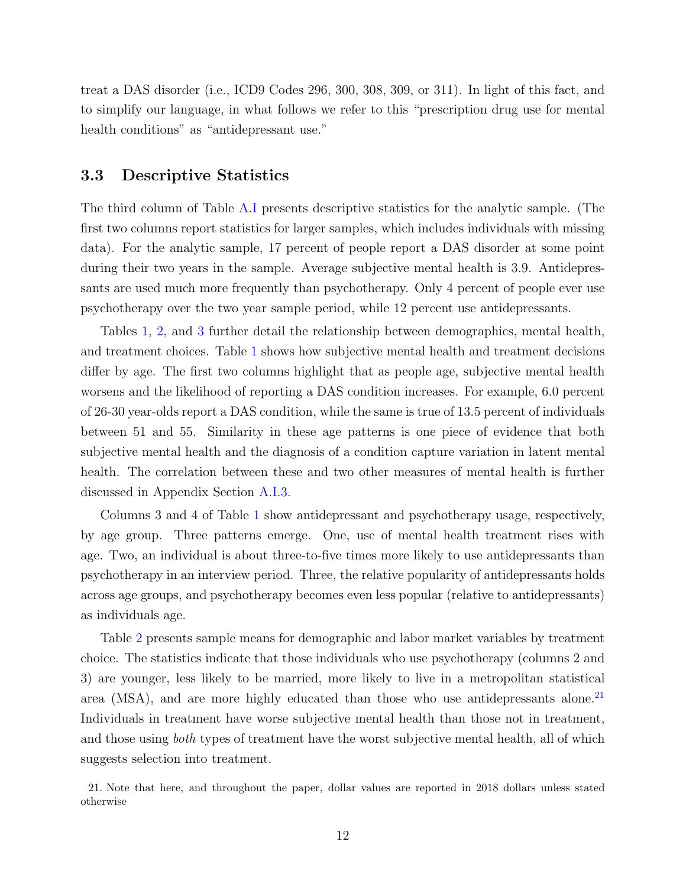treat a DAS disorder (i.e., ICD9 Codes 296, 300, 308, 309, or 311). In light of this fact, and to simplify our language, in what follows we refer to this "prescription drug use for mental health conditions" as "antidepressant use."

### <span id="page-13-1"></span>3.3 Descriptive Statistics

The third column of Table [A.I](#page-65-0) presents descriptive statistics for the analytic sample. (The first two columns report statistics for larger samples, which includes individuals with missing data). For the analytic sample, 17 percent of people report a DAS disorder at some point during their two years in the sample. Average subjective mental health is 3.9. Antidepressants are used much more frequently than psychotherapy. Only 4 percent of people ever use psychotherapy over the two year sample period, while 12 percent use antidepressants.

Tables [1,](#page-54-0) [2,](#page-54-1) and [3](#page-55-0) further detail the relationship between demographics, mental health, and treatment choices. Table [1](#page-54-0) shows how subjective mental health and treatment decisions differ by age. The first two columns highlight that as people age, subjective mental health worsens and the likelihood of reporting a DAS condition increases. For example, 6.0 percent of 26-30 year-olds report a DAS condition, while the same is true of 13.5 percent of individuals between 51 and 55. Similarity in these age patterns is one piece of evidence that both subjective mental health and the diagnosis of a condition capture variation in latent mental health. The correlation between these and two other measures of mental health is further discussed in Appendix Section [A.I.3.](#page-69-0)

Columns 3 and 4 of Table [1](#page-54-0) show antidepressant and psychotherapy usage, respectively, by age group. Three patterns emerge. One, use of mental health treatment rises with age. Two, an individual is about three-to-five times more likely to use antidepressants than psychotherapy in an interview period. Three, the relative popularity of antidepressants holds across age groups, and psychotherapy becomes even less popular (relative to antidepressants) as individuals age.

Table [2](#page-54-1) presents sample means for demographic and labor market variables by treatment choice. The statistics indicate that those individuals who use psychotherapy (columns 2 and 3) are younger, less likely to be married, more likely to live in a metropolitan statistical area (MSA), and are more highly educated than those who use antidepressants alone.<sup>[21](#page-13-0)</sup> Individuals in treatment have worse subjective mental health than those not in treatment, and those using both types of treatment have the worst subjective mental health, all of which suggests selection into treatment.

<span id="page-13-0"></span><sup>21.</sup> Note that here, and throughout the paper, dollar values are reported in 2018 dollars unless stated otherwise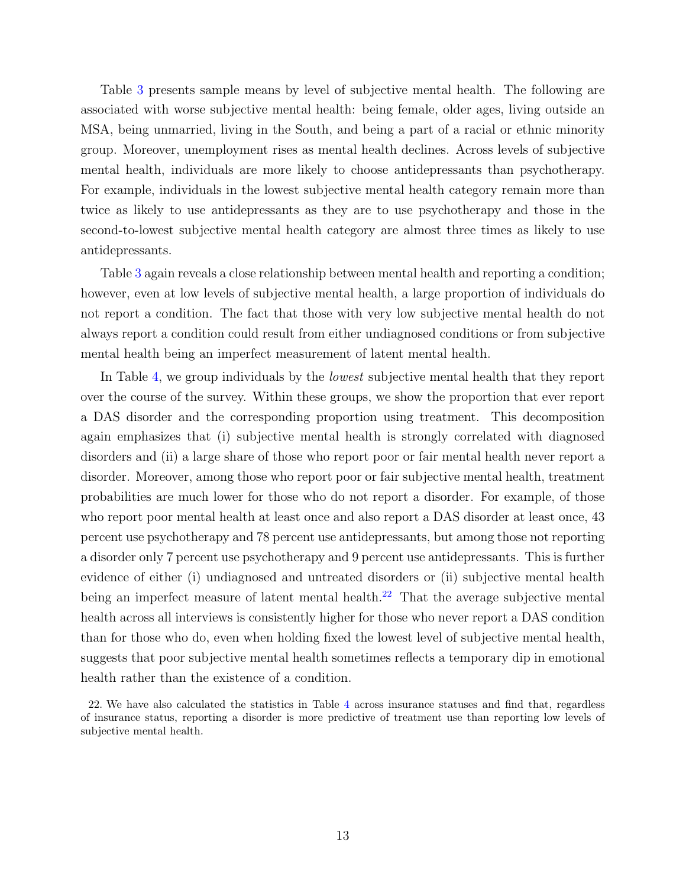Table [3](#page-55-0) presents sample means by level of subjective mental health. The following are associated with worse subjective mental health: being female, older ages, living outside an MSA, being unmarried, living in the South, and being a part of a racial or ethnic minority group. Moreover, unemployment rises as mental health declines. Across levels of subjective mental health, individuals are more likely to choose antidepressants than psychotherapy. For example, individuals in the lowest subjective mental health category remain more than twice as likely to use antidepressants as they are to use psychotherapy and those in the second-to-lowest subjective mental health category are almost three times as likely to use antidepressants.

Table [3](#page-55-0) again reveals a close relationship between mental health and reporting a condition; however, even at low levels of subjective mental health, a large proportion of individuals do not report a condition. The fact that those with very low subjective mental health do not always report a condition could result from either undiagnosed conditions or from subjective mental health being an imperfect measurement of latent mental health.

In Table [4,](#page-56-0) we group individuals by the lowest subjective mental health that they report over the course of the survey. Within these groups, we show the proportion that ever report a DAS disorder and the corresponding proportion using treatment. This decomposition again emphasizes that (i) subjective mental health is strongly correlated with diagnosed disorders and (ii) a large share of those who report poor or fair mental health never report a disorder. Moreover, among those who report poor or fair subjective mental health, treatment probabilities are much lower for those who do not report a disorder. For example, of those who report poor mental health at least once and also report a DAS disorder at least once, 43 percent use psychotherapy and 78 percent use antidepressants, but among those not reporting a disorder only 7 percent use psychotherapy and 9 percent use antidepressants. This is further evidence of either (i) undiagnosed and untreated disorders or (ii) subjective mental health being an imperfect measure of latent mental health.<sup>[22](#page-14-0)</sup> That the average subjective mental health across all interviews is consistently higher for those who never report a DAS condition than for those who do, even when holding fixed the lowest level of subjective mental health, suggests that poor subjective mental health sometimes reflects a temporary dip in emotional health rather than the existence of a condition.

<span id="page-14-0"></span><sup>22.</sup> We have also calculated the statistics in Table [4](#page-56-0) across insurance statuses and find that, regardless of insurance status, reporting a disorder is more predictive of treatment use than reporting low levels of subjective mental health.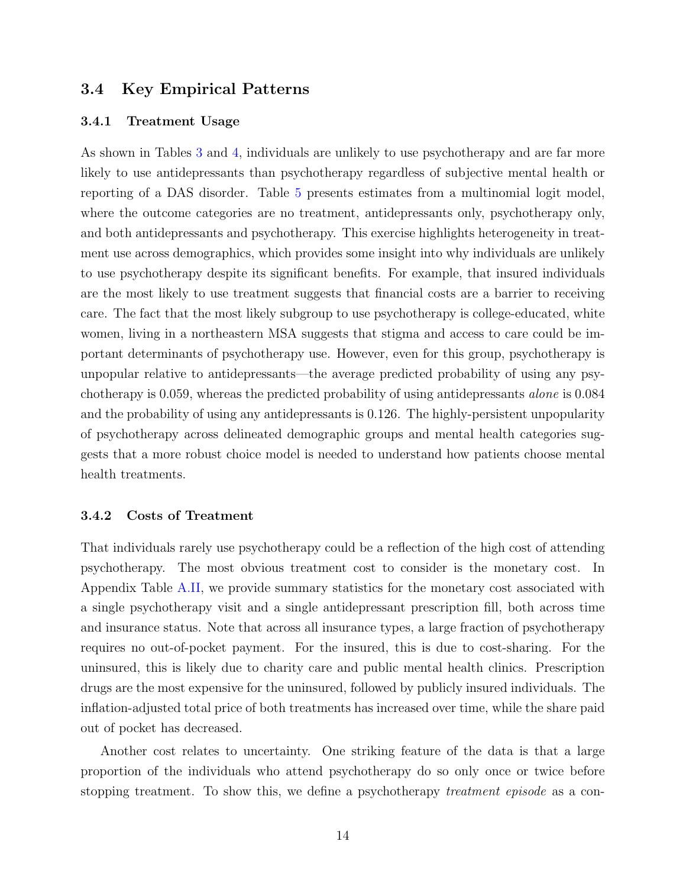## <span id="page-15-0"></span>3.4 Key Empirical Patterns

#### 3.4.1 Treatment Usage

As shown in Tables [3](#page-55-0) and [4,](#page-56-0) individuals are unlikely to use psychotherapy and are far more likely to use antidepressants than psychotherapy regardless of subjective mental health or reporting of a DAS disorder. Table [5](#page-57-0) presents estimates from a multinomial logit model, where the outcome categories are no treatment, antidepressants only, psychotherapy only, and both antidepressants and psychotherapy. This exercise highlights heterogeneity in treatment use across demographics, which provides some insight into why individuals are unlikely to use psychotherapy despite its significant benefits. For example, that insured individuals are the most likely to use treatment suggests that financial costs are a barrier to receiving care. The fact that the most likely subgroup to use psychotherapy is college-educated, white women, living in a northeastern MSA suggests that stigma and access to care could be important determinants of psychotherapy use. However, even for this group, psychotherapy is unpopular relative to antidepressants—the average predicted probability of using any psychotherapy is 0.059, whereas the predicted probability of using antidepressants alone is 0.084 and the probability of using any antidepressants is 0.126. The highly-persistent unpopularity of psychotherapy across delineated demographic groups and mental health categories suggests that a more robust choice model is needed to understand how patients choose mental health treatments.

#### 3.4.2 Costs of Treatment

That individuals rarely use psychotherapy could be a reflection of the high cost of attending psychotherapy. The most obvious treatment cost to consider is the monetary cost. In Appendix Table [A.II,](#page-68-0) we provide summary statistics for the monetary cost associated with a single psychotherapy visit and a single antidepressant prescription fill, both across time and insurance status. Note that across all insurance types, a large fraction of psychotherapy requires no out-of-pocket payment. For the insured, this is due to cost-sharing. For the uninsured, this is likely due to charity care and public mental health clinics. Prescription drugs are the most expensive for the uninsured, followed by publicly insured individuals. The inflation-adjusted total price of both treatments has increased over time, while the share paid out of pocket has decreased.

Another cost relates to uncertainty. One striking feature of the data is that a large proportion of the individuals who attend psychotherapy do so only once or twice before stopping treatment. To show this, we define a psychotherapy *treatment episode* as a con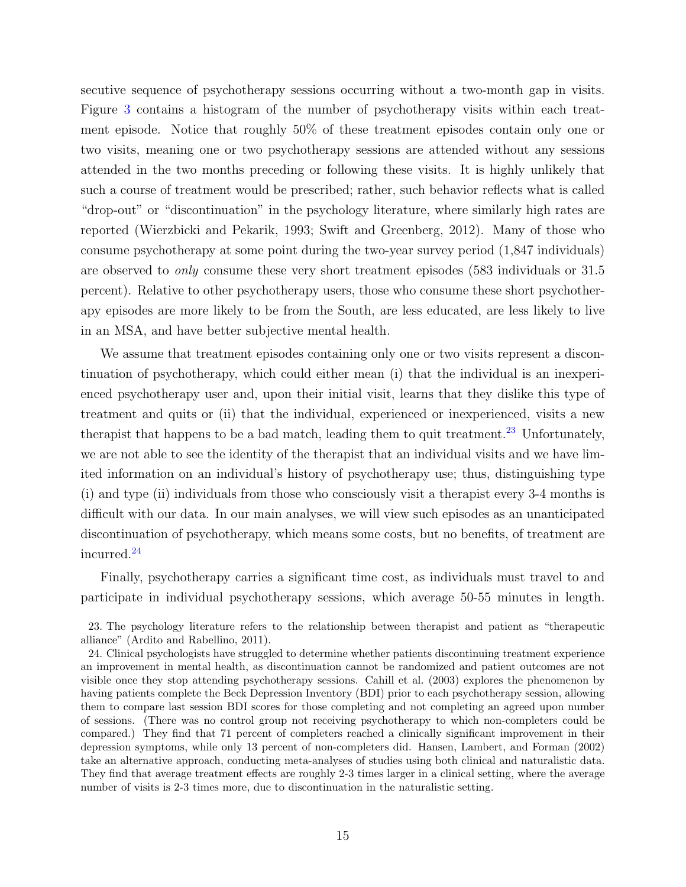secutive sequence of psychotherapy sessions occurring without a two-month gap in visits. Figure [3](#page-63-0) contains a histogram of the number of psychotherapy visits within each treatment episode. Notice that roughly 50% of these treatment episodes contain only one or two visits, meaning one or two psychotherapy sessions are attended without any sessions attended in the two months preceding or following these visits. It is highly unlikely that such a course of treatment would be prescribed; rather, such behavior reflects what is called "drop-out" or "discontinuation" in the psychology literature, where similarly high rates are reported (Wierzbicki and Pekarik, [1993;](#page-53-0) Swift and Greenberg, [2012\)](#page-53-1). Many of those who consume psychotherapy at some point during the two-year survey period (1,847 individuals) are observed to only consume these very short treatment episodes (583 individuals or 31.5 percent). Relative to other psychotherapy users, those who consume these short psychotherapy episodes are more likely to be from the South, are less educated, are less likely to live in an MSA, and have better subjective mental health.

We assume that treatment episodes containing only one or two visits represent a discontinuation of psychotherapy, which could either mean (i) that the individual is an inexperienced psychotherapy user and, upon their initial visit, learns that they dislike this type of treatment and quits or (ii) that the individual, experienced or inexperienced, visits a new therapist that happens to be a bad match, leading them to quit treatment.<sup>[23](#page-16-0)</sup> Unfortunately, we are not able to see the identity of the therapist that an individual visits and we have limited information on an individual's history of psychotherapy use; thus, distinguishing type (i) and type (ii) individuals from those who consciously visit a therapist every 3-4 months is difficult with our data. In our main analyses, we will view such episodes as an unanticipated discontinuation of psychotherapy, which means some costs, but no benefits, of treatment are incurred.[24](#page-16-1)

Finally, psychotherapy carries a significant time cost, as individuals must travel to and participate in individual psychotherapy sessions, which average 50-55 minutes in length.

<span id="page-16-0"></span>23. The psychology literature refers to the relationship between therapist and patient as "therapeutic alliance" (Ardito and Rabellino, [2011\)](#page-46-5).

<span id="page-16-1"></span>24. Clinical psychologists have struggled to determine whether patients discontinuing treatment experience an improvement in mental health, as discontinuation cannot be randomized and patient outcomes are not visible once they stop attending psychotherapy sessions. Cahill et al. [\(2003\)](#page-47-6) explores the phenomenon by having patients complete the Beck Depression Inventory (BDI) prior to each psychotherapy session, allowing them to compare last session BDI scores for those completing and not completing an agreed upon number of sessions. (There was no control group not receiving psychotherapy to which non-completers could be compared.) They find that 71 percent of completers reached a clinically significant improvement in their depression symptoms, while only 13 percent of non-completers did. Hansen, Lambert, and Forman [\(2002\)](#page-50-4) take an alternative approach, conducting meta-analyses of studies using both clinical and naturalistic data. They find that average treatment effects are roughly 2-3 times larger in a clinical setting, where the average number of visits is 2-3 times more, due to discontinuation in the naturalistic setting.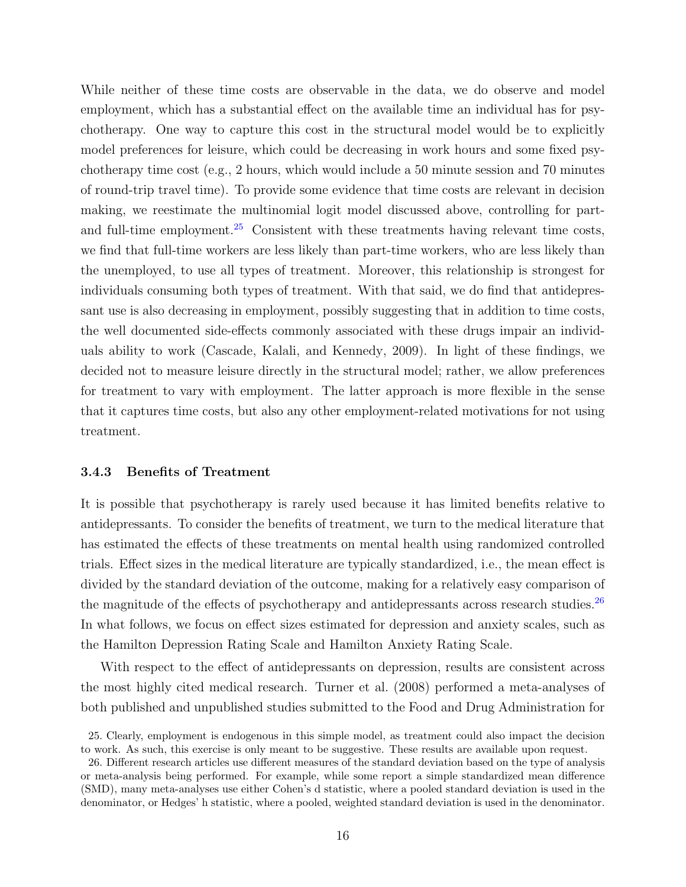While neither of these time costs are observable in the data, we do observe and model employment, which has a substantial effect on the available time an individual has for psychotherapy. One way to capture this cost in the structural model would be to explicitly model preferences for leisure, which could be decreasing in work hours and some fixed psychotherapy time cost (e.g., 2 hours, which would include a 50 minute session and 70 minutes of round-trip travel time). To provide some evidence that time costs are relevant in decision making, we reestimate the multinomial logit model discussed above, controlling for part-and full-time employment.<sup>[25](#page-17-1)</sup> Consistent with these treatments having relevant time costs, we find that full-time workers are less likely than part-time workers, who are less likely than the unemployed, to use all types of treatment. Moreover, this relationship is strongest for individuals consuming both types of treatment. With that said, we do find that antidepressant use is also decreasing in employment, possibly suggesting that in addition to time costs, the well documented side-effects commonly associated with these drugs impair an individuals ability to work (Cascade, Kalali, and Kennedy, [2009\)](#page-47-7). In light of these findings, we decided not to measure leisure directly in the structural model; rather, we allow preferences for treatment to vary with employment. The latter approach is more flexible in the sense that it captures time costs, but also any other employment-related motivations for not using treatment.

#### <span id="page-17-0"></span>3.4.3 Benefits of Treatment

It is possible that psychotherapy is rarely used because it has limited benefits relative to antidepressants. To consider the benefits of treatment, we turn to the medical literature that has estimated the effects of these treatments on mental health using randomized controlled trials. Effect sizes in the medical literature are typically standardized, i.e., the mean effect is divided by the standard deviation of the outcome, making for a relatively easy comparison of the magnitude of the effects of psychotherapy and antidepressants across research studies.<sup>[26](#page-17-2)</sup> In what follows, we focus on effect sizes estimated for depression and anxiety scales, such as the Hamilton Depression Rating Scale and Hamilton Anxiety Rating Scale.

With respect to the effect of antidepressants on depression, results are consistent across the most highly cited medical research. Turner et al. [\(2008\)](#page-53-6) performed a meta-analyses of both published and unpublished studies submitted to the Food and Drug Administration for

<span id="page-17-1"></span><sup>25.</sup> Clearly, employment is endogenous in this simple model, as treatment could also impact the decision to work. As such, this exercise is only meant to be suggestive. These results are available upon request.

<span id="page-17-2"></span><sup>26.</sup> Different research articles use different measures of the standard deviation based on the type of analysis or meta-analysis being performed. For example, while some report a simple standardized mean difference (SMD), many meta-analyses use either Cohen's d statistic, where a pooled standard deviation is used in the denominator, or Hedges' h statistic, where a pooled, weighted standard deviation is used in the denominator.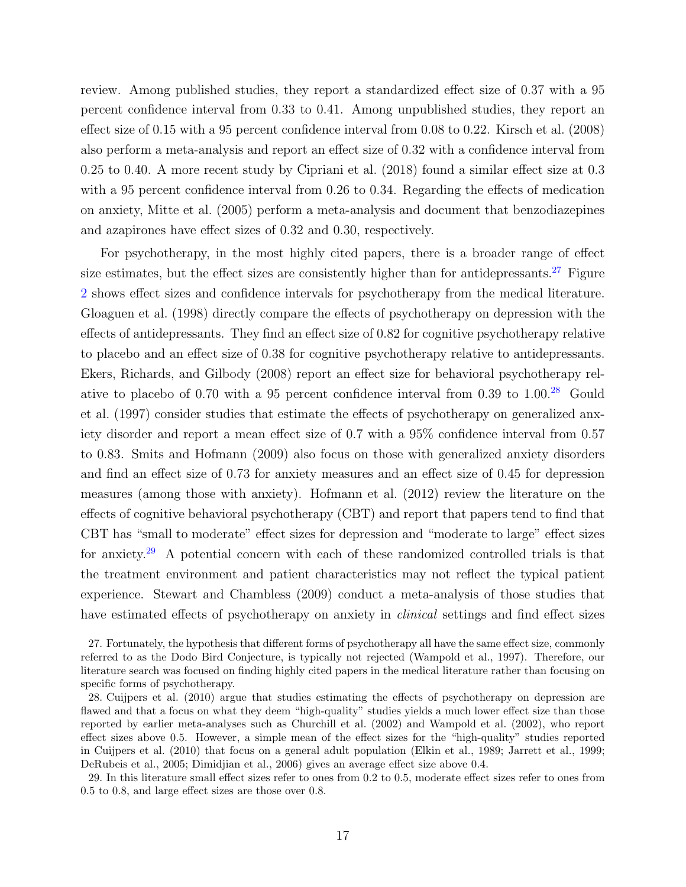review. Among published studies, they report a standardized effect size of 0.37 with a 95 percent confidence interval from 0.33 to 0.41. Among unpublished studies, they report an effect size of 0.15 with a 95 percent confidence interval from 0.08 to 0.22. Kirsch et al. [\(2008\)](#page-51-5) also perform a meta-analysis and report an effect size of 0.32 with a confidence interval from 0.25 to 0.40. A more recent study by Cipriani et al. [\(2018\)](#page-47-8) found a similar effect size at 0.3 with a 95 percent confidence interval from 0.26 to 0.34. Regarding the effects of medication on anxiety, Mitte et al. [\(2005\)](#page-51-6) perform a meta-analysis and document that benzodiazepines and azapirones have effect sizes of 0.32 and 0.30, respectively.

For psychotherapy, in the most highly cited papers, there is a broader range of effect size estimates, but the effect sizes are consistently higher than for antidepressants.<sup>[27](#page-18-0)</sup> Figure [2](#page-62-1) shows effect sizes and confidence intervals for psychotherapy from the medical literature. Gloaguen et al. [\(1998\)](#page-49-8) directly compare the effects of psychotherapy on depression with the effects of antidepressants. They find an effect size of 0.82 for cognitive psychotherapy relative to placebo and an effect size of 0.38 for cognitive psychotherapy relative to antidepressants. Ekers, Richards, and Gilbody [\(2008\)](#page-48-5) report an effect size for behavioral psychotherapy relative to placebo of 0.70 with a 95 percent confidence interval from 0.39 to  $1.00<sup>28</sup>$  $1.00<sup>28</sup>$  $1.00<sup>28</sup>$  Gould et al. [\(1997\)](#page-49-9) consider studies that estimate the effects of psychotherapy on generalized anxiety disorder and report a mean effect size of 0.7 with a 95% confidence interval from 0.57 to 0.83. Smits and Hofmann [\(2009\)](#page-52-5) also focus on those with generalized anxiety disorders and find an effect size of 0.73 for anxiety measures and an effect size of 0.45 for depression measures (among those with anxiety). Hofmann et al. [\(2012\)](#page-50-5) review the literature on the effects of cognitive behavioral psychotherapy (CBT) and report that papers tend to find that CBT has "small to moderate" effect sizes for depression and "moderate to large" effect sizes for anxiety.[29](#page-18-2) A potential concern with each of these randomized controlled trials is that the treatment environment and patient characteristics may not reflect the typical patient experience. Stewart and Chambless [\(2009\)](#page-52-6) conduct a meta-analysis of those studies that have estimated effects of psychotherapy on anxiety in *clinical* settings and find effect sizes

<span id="page-18-2"></span>29. In this literature small effect sizes refer to ones from 0.2 to 0.5, moderate effect sizes refer to ones from 0.5 to 0.8, and large effect sizes are those over 0.8.

<span id="page-18-0"></span><sup>27.</sup> Fortunately, the hypothesis that different forms of psychotherapy all have the same effect size, commonly referred to as the Dodo Bird Conjecture, is typically not rejected (Wampold et al., [1997\)](#page-53-7). Therefore, our literature search was focused on finding highly cited papers in the medical literature rather than focusing on specific forms of psychotherapy.

<span id="page-18-1"></span><sup>28.</sup> Cuijpers et al. [\(2010\)](#page-48-6) argue that studies estimating the effects of psychotherapy on depression are flawed and that a focus on what they deem "high-quality" studies yields a much lower effect size than those reported by earlier meta-analyses such as Churchill et al. [\(2002\)](#page-47-9) and Wampold et al. [\(2002\)](#page-53-8), who report effect sizes above 0.5. However, a simple mean of the effect sizes for the "high-quality" studies reported in Cuijpers et al. [\(2010\)](#page-48-6) that focus on a general adult population (Elkin et al., [1989;](#page-48-3) Jarrett et al., [1999;](#page-50-6) DeRubeis et al., [2005;](#page-48-7) Dimidjian et al., [2006\)](#page-48-8) gives an average effect size above 0.4.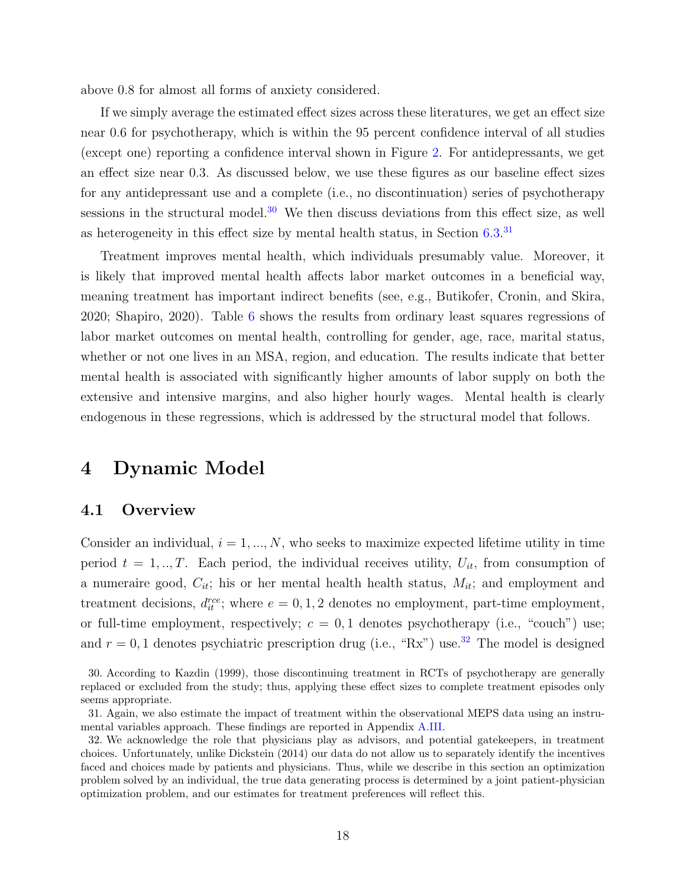above 0.8 for almost all forms of anxiety considered.

If we simply average the estimated effect sizes across these literatures, we get an effect size near 0.6 for psychotherapy, which is within the 95 percent confidence interval of all studies (except one) reporting a confidence interval shown in Figure [2.](#page-62-1) For antidepressants, we get an effect size near 0.3. As discussed below, we use these figures as our baseline effect sizes for any antidepressant use and a complete (i.e., no discontinuation) series of psychotherapy sessions in the structural model. $30$  We then discuss deviations from this effect size, as well as heterogeneity in this effect size by mental health status, in Section [6.3.](#page-42-0)<sup>[31](#page-19-2)</sup>

Treatment improves mental health, which individuals presumably value. Moreover, it is likely that improved mental health affects labor market outcomes in a beneficial way, meaning treatment has important indirect benefits (see, e.g., Butikofer, Cronin, and Skira, [2020;](#page-46-1) Shapiro, [2020\)](#page-52-3). Table [6](#page-57-1) shows the results from ordinary least squares regressions of labor market outcomes on mental health, controlling for gender, age, race, marital status, whether or not one lives in an MSA, region, and education. The results indicate that better mental health is associated with significantly higher amounts of labor supply on both the extensive and intensive margins, and also higher hourly wages. Mental health is clearly endogenous in these regressions, which is addressed by the structural model that follows.

## <span id="page-19-0"></span>4 Dynamic Model

### 4.1 Overview

Consider an individual,  $i = 1, ..., N$ , who seeks to maximize expected lifetime utility in time period  $t = 1, \ldots, T$ . Each period, the individual receives utility,  $U_{it}$ , from consumption of a numeraire good,  $C_{it}$ ; his or her mental health health status,  $M_{it}$ ; and employment and treatment decisions,  $d_{it}^{rec}$ ; where  $e = 0, 1, 2$  denotes no employment, part-time employment, or full-time employment, respectively;  $c = 0, 1$  denotes psychotherapy (i.e., "couch") use; and  $r = 0, 1$  denotes psychiatric prescription drug (i.e., "Rx") use.<sup>[32](#page-19-3)</sup> The model is designed

<span id="page-19-1"></span><sup>30.</sup> According to Kazdin [\(1999\)](#page-50-7), those discontinuing treatment in RCTs of psychotherapy are generally replaced or excluded from the study; thus, applying these effect sizes to complete treatment episodes only seems appropriate.

<span id="page-19-2"></span><sup>31.</sup> Again, we also estimate the impact of treatment within the observational MEPS data using an instrumental variables approach. These findings are reported in Appendix [A.III.](#page-70-0)

<span id="page-19-3"></span><sup>32.</sup> We acknowledge the role that physicians play as advisors, and potential gatekeepers, in treatment choices. Unfortunately, unlike Dickstein [\(2014\)](#page-48-9) our data do not allow us to separately identify the incentives faced and choices made by patients and physicians. Thus, while we describe in this section an optimization problem solved by an individual, the true data generating process is determined by a joint patient-physician optimization problem, and our estimates for treatment preferences will reflect this.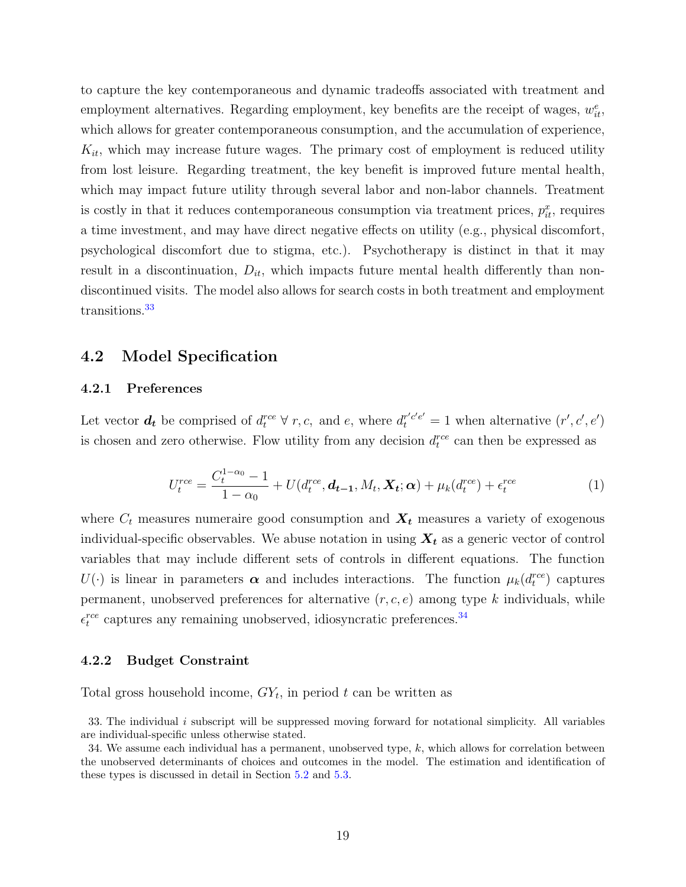to capture the key contemporaneous and dynamic tradeoffs associated with treatment and employment alternatives. Regarding employment, key benefits are the receipt of wages,  $w_{it}^e$ , which allows for greater contemporaneous consumption, and the accumulation of experience,  $K_{it}$ , which may increase future wages. The primary cost of employment is reduced utility from lost leisure. Regarding treatment, the key benefit is improved future mental health, which may impact future utility through several labor and non-labor channels. Treatment is costly in that it reduces contemporaneous consumption via treatment prices,  $p_{it}^x$ , requires a time investment, and may have direct negative effects on utility (e.g., physical discomfort, psychological discomfort due to stigma, etc.). Psychotherapy is distinct in that it may result in a discontinuation,  $D_{it}$ , which impacts future mental health differently than nondiscontinued visits. The model also allows for search costs in both treatment and employment transitions.<sup>[33](#page-20-0)</sup>

### 4.2 Model Specification

#### 4.2.1 Preferences

Let vector  $d_t$  be comprised of  $d_t^{rce} \forall r, c$ , and e, where  $d_t^{r'c'e'} = 1$  when alternative  $(r', c', e')$ is chosen and zero otherwise. Flow utility from any decision  $d_t^{rce}$  can then be expressed as

<span id="page-20-2"></span>
$$
U_t^{rce} = \frac{C_t^{1-\alpha_0} - 1}{1 - \alpha_0} + U(d_t^{rce}, \mathbf{d_{t-1}}, M_t, \mathbf{X_t}; \alpha) + \mu_k(d_t^{rce}) + \epsilon_t^{rce}
$$
(1)

where  $C_t$  measures numeraire good consumption and  $\mathbf{X}_t$  measures a variety of exogenous individual-specific observables. We abuse notation in using  $X_t$  as a generic vector of control variables that may include different sets of controls in different equations. The function  $U(\cdot)$  is linear in parameters  $\boldsymbol{\alpha}$  and includes interactions. The function  $\mu_k(d_t^{rec})$  captures permanent, unobserved preferences for alternative  $(r, c, e)$  among type k individuals, while  $\epsilon_t^{rce}$  captures any remaining unobserved, idiosyncratic preferences.<sup>[34](#page-20-1)</sup>

#### 4.2.2 Budget Constraint

Total gross household income,  $GY_t$ , in period t can be written as

<span id="page-20-0"></span><sup>33.</sup> The individual  $i$  subscript will be suppressed moving forward for notational simplicity. All variables are individual-specific unless otherwise stated.

<span id="page-20-1"></span><sup>34.</sup> We assume each individual has a permanent, unobserved type, k, which allows for correlation between the unobserved determinants of choices and outcomes in the model. The estimation and identification of these types is discussed in detail in Section [5.2](#page-26-0) and [5.3.](#page-27-0)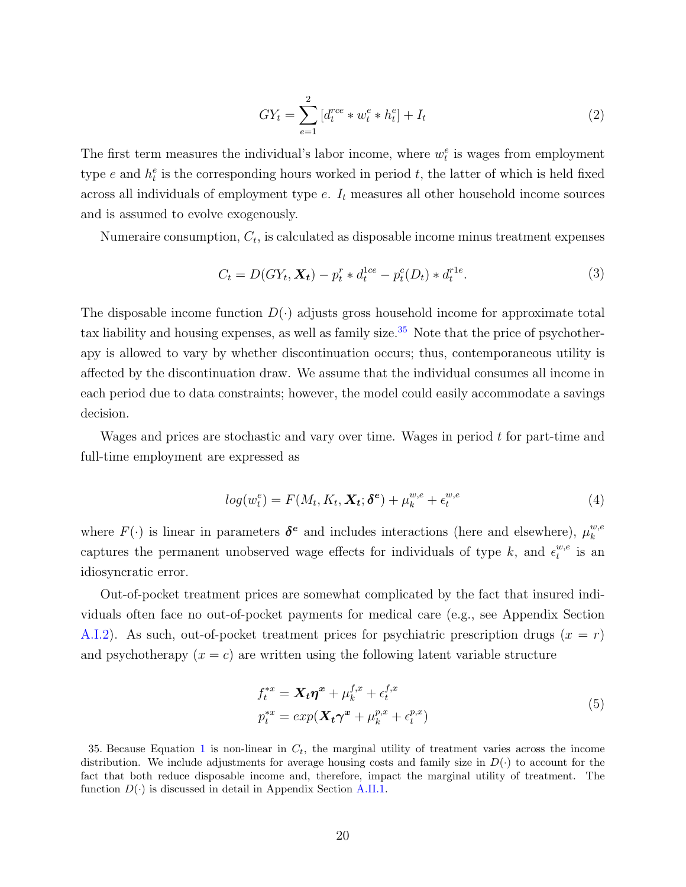<span id="page-21-1"></span>
$$
GY_t = \sum_{e=1}^{2} \left[ d_t^{rce} * w_t^e * h_t^e \right] + I_t \tag{2}
$$

The first term measures the individual's labor income, where  $w_t^e$  is wages from employment type e and  $h_t^e$  is the corresponding hours worked in period t, the latter of which is held fixed across all individuals of employment type  $e$ .  $I_t$  measures all other household income sources and is assumed to evolve exogenously.

Numeraire consumption,  $C_t$ , is calculated as disposable income minus treatment expenses

<span id="page-21-2"></span>
$$
C_t = D(GY_t, \mathbf{X_t}) - p_t^r * d_t^{1ce} - p_t^c(D_t) * d_t^{r1e}.
$$
\n(3)

The disposable income function  $D(\cdot)$  adjusts gross household income for approximate total tax liability and housing expenses, as well as family size. $35$  Note that the price of psychotherapy is allowed to vary by whether discontinuation occurs; thus, contemporaneous utility is affected by the discontinuation draw. We assume that the individual consumes all income in each period due to data constraints; however, the model could easily accommodate a savings decision.

Wages and prices are stochastic and vary over time. Wages in period t for part-time and full-time employment are expressed as

$$
log(w_t^e) = F(M_t, K_t, \mathbf{X}_t; \delta^e) + \mu_k^{w,e} + \epsilon_t^{w,e}
$$
\n
$$
\tag{4}
$$

where  $F(\cdot)$  is linear in parameters  $\delta^e$  and includes interactions (here and elsewhere),  $\mu_k^{w,e}$ k captures the permanent unobserved wage effects for individuals of type k, and  $\epsilon_t^{w,e}$  $u,e$  is an idiosyncratic error.

Out-of-pocket treatment prices are somewhat complicated by the fact that insured individuals often face no out-of-pocket payments for medical care (e.g., see Appendix Section [A.I.2\)](#page-64-1). As such, out-of-pocket treatment prices for psychiatric prescription drugs  $(x = r)$ and psychotherapy  $(x = c)$  are written using the following latent variable structure

$$
f_t^{*x} = \mathbf{X}_t \boldsymbol{\eta}^x + \mu_k^{f,x} + \epsilon_t^{f,x}
$$
  
\n
$$
p_t^{*x} = \exp(\mathbf{X}_t \boldsymbol{\gamma}^x + \mu_k^{p,x} + \epsilon_t^{p,x})
$$
\n(5)

<span id="page-21-0"></span>35. Because Equation [1](#page-20-2) is non-linear in  $C_t$ , the marginal utility of treatment varies across the income distribution. We include adjustments for average housing costs and family size in  $D(\cdot)$  to account for the fact that both reduce disposable income and, therefore, impact the marginal utility of treatment. The function  $D(\cdot)$  is discussed in detail in Appendix Section [A.II.1.](#page-70-1)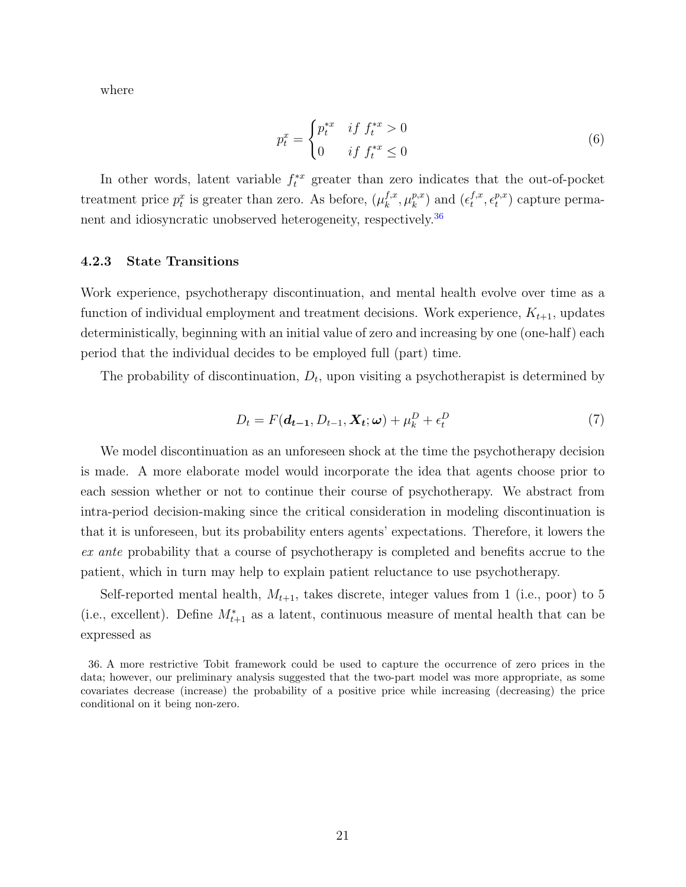where

$$
p_t^x = \begin{cases} p_t^{*x} & \text{if } f_t^{*x} > 0\\ 0 & \text{if } f_t^{*x} \le 0 \end{cases} \tag{6}
$$

In other words, latent variable  $f_t^{*x}$  greater than zero indicates that the out-of-pocket treatment price  $p_t^x$  is greater than zero. As before,  $(\mu_k^{f,x})$  $_{k}^{f,x},\mu _{k}^{p,x}$  $_k^{p,x}$ ) and  $(\epsilon_t^{f,x})$  $f,x \atop t ,\epsilon^{p,x}_t$  $_t^{p,x}$ ) capture perma-nent and idiosyncratic unobserved heterogeneity, respectively.<sup>[36](#page-22-0)</sup>

#### 4.2.3 State Transitions

Work experience, psychotherapy discontinuation, and mental health evolve over time as a function of individual employment and treatment decisions. Work experience,  $K_{t+1}$ , updates deterministically, beginning with an initial value of zero and increasing by one (one-half) each period that the individual decides to be employed full (part) time.

The probability of discontinuation,  $D_t$ , upon visiting a psychotherapist is determined by

$$
D_t = F(\boldsymbol{d}_{t-1}, D_{t-1}, \boldsymbol{X}_t; \boldsymbol{\omega}) + \mu_k^D + \epsilon_t^D
$$
\n<sup>(7)</sup>

We model discontinuation as an unforeseen shock at the time the psychotherapy decision is made. A more elaborate model would incorporate the idea that agents choose prior to each session whether or not to continue their course of psychotherapy. We abstract from intra-period decision-making since the critical consideration in modeling discontinuation is that it is unforeseen, but its probability enters agents' expectations. Therefore, it lowers the ex ante probability that a course of psychotherapy is completed and benefits accrue to the patient, which in turn may help to explain patient reluctance to use psychotherapy.

Self-reported mental health,  $M_{t+1}$ , takes discrete, integer values from 1 (i.e., poor) to 5 (i.e., excellent). Define  $M^*_{t+1}$  as a latent, continuous measure of mental health that can be expressed as

<span id="page-22-0"></span><sup>36.</sup> A more restrictive Tobit framework could be used to capture the occurrence of zero prices in the data; however, our preliminary analysis suggested that the two-part model was more appropriate, as some covariates decrease (increase) the probability of a positive price while increasing (decreasing) the price conditional on it being non-zero.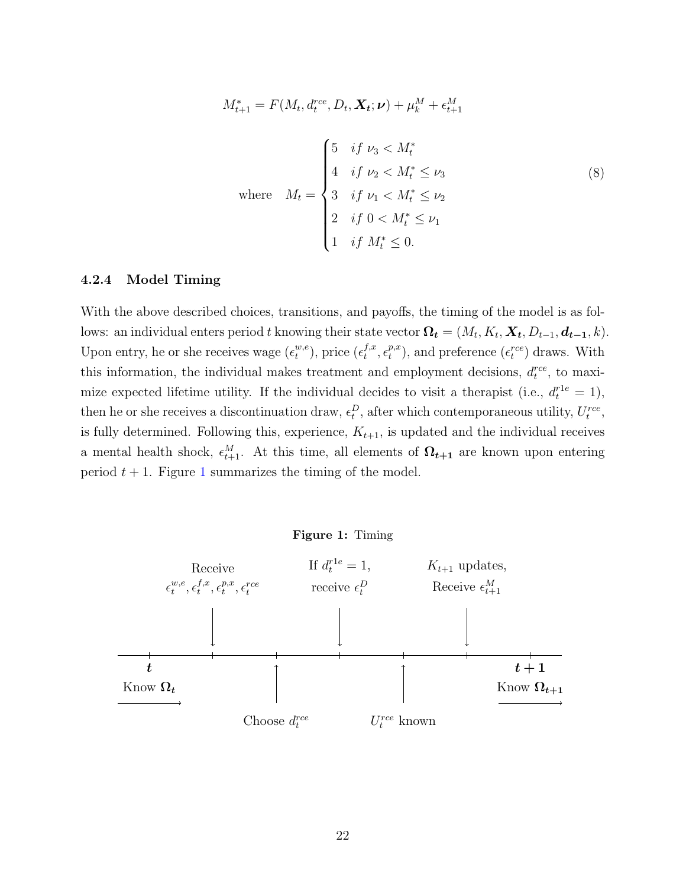<span id="page-23-1"></span>
$$
M_{t+1}^{*} = F(M_t, d_t^{rce}, D_t, \mathbf{X}_t; \nu) + \mu_k^M + \epsilon_{t+1}^M
$$
  

$$
= \begin{cases} 5 & \text{if } \nu_3 < M_t^* \\ 4 & \text{if } \nu_2 < M_t^* \le \nu_3 \\ 3 & \text{if } \nu_1 < M_t^* \le \nu_2 \\ 2 & \text{if } 0 < M_t^* \le \nu_1 \\ 1 & \text{if } M_t^* \le 0. \end{cases} \tag{8}
$$

#### 4.2.4 Model Timing

With the above described choices, transitions, and payoffs, the timing of the model is as follows: an individual enters period t knowing their state vector  $\mathbf{\Omega_t} = (M_t, K_t, \mathbf{X_t}, D_{t-1}, \mathbf{d_{t-1}}, k)$ . Upon entry, he or she receives wage  $(\epsilon_t^{w,e})$  $_t^{w,e}$ ), price  $(\epsilon_t^{f,x})$  $_{t}^{f,x},\epsilon_{t}^{p,x}$  $_t^{p,x}$ ), and preference  $(\epsilon_t^{rce})$  draws. With this information, the individual makes treatment and employment decisions,  $d_t^{rce}$ , to maximize expected lifetime utility. If the individual decides to visit a therapist (i.e.,  $d_t^{r1e} = 1$ ), then he or she receives a discontinuation draw,  $\epsilon_t^D$ , after which contemporaneous utility,  $U_t^{rec}$ , is fully determined. Following this, experience,  $K_{t+1}$ , is updated and the individual receives a mental health shock,  $\epsilon_{t+1}^M$ . At this time, all elements of  $\Omega_{t+1}$  are known upon entering period  $t + 1$  $t + 1$ . Figure 1 summarizes the timing of the model.

<span id="page-23-0"></span>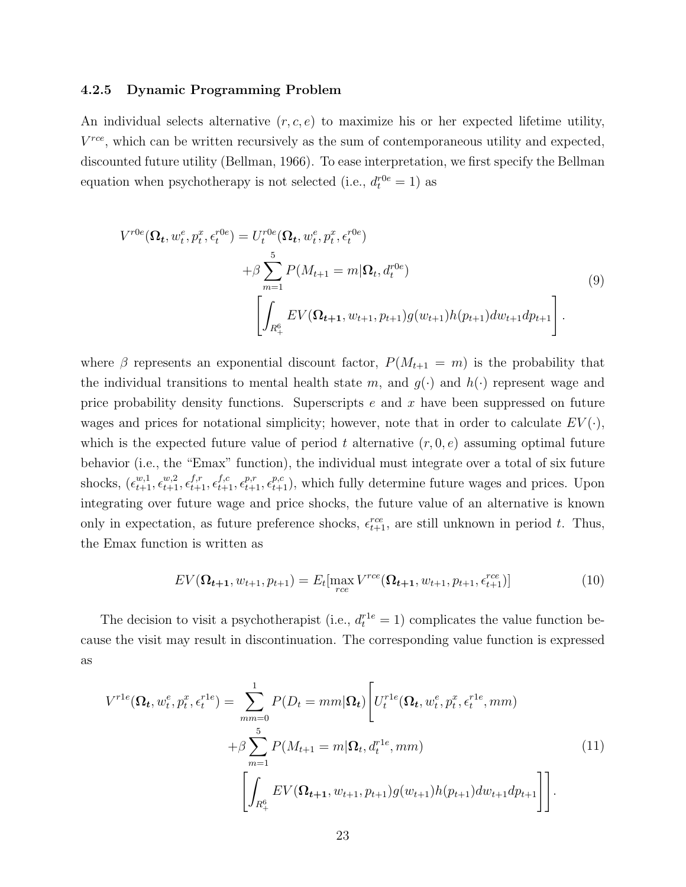#### <span id="page-24-2"></span>4.2.5 Dynamic Programming Problem

An individual selects alternative  $(r, c, e)$  to maximize his or her expected lifetime utility,  $V^{rce}$ , which can be written recursively as the sum of contemporaneous utility and expected, discounted future utility (Bellman, [1966\)](#page-46-6). To ease interpretation, we first specify the Bellman equation when psychotherapy is not selected (i.e.,  $d_t^{r0e} = 1$ ) as

<span id="page-24-0"></span>
$$
V^{r0e}(\Omega_t, w_t^e, p_t^x, \epsilon_t^{r0e}) = U_t^{r0e}(\Omega_t, w_t^e, p_t^x, \epsilon_t^{r0e})
$$
  
+  $\beta \sum_{m=1}^5 P(M_{t+1} = m | \Omega_t, d_t^{r0e})$   

$$
\left[ \int_{R_+^6} EV(\Omega_{t+1}, w_{t+1}, p_{t+1}) g(w_{t+1}) h(p_{t+1}) dw_{t+1} dp_{t+1} \right].
$$
  
(9)

where  $\beta$  represents an exponential discount factor,  $P(M_{t+1} = m)$  is the probability that the individual transitions to mental health state m, and  $g(\cdot)$  and  $h(\cdot)$  represent wage and price probability density functions. Superscripts  $e$  and  $x$  have been suppressed on future wages and prices for notational simplicity; however, note that in order to calculate  $EV(\cdot)$ , which is the expected future value of period t alternative  $(r, 0, e)$  assuming optimal future behavior (i.e., the "Emax" function), the individual must integrate over a total of six future shocks,  $(\epsilon_{t+1}^{w,1}, \epsilon_{t+1}^{w,2}, \epsilon_{t+1}^{f,r}, \epsilon_{t+1}^{f,c}, \epsilon_{t+1}^{p,r}, \epsilon_{t+1}^{p,c})$ , which fully determine future wages and prices. Upon integrating over future wage and price shocks, the future value of an alternative is known only in expectation, as future preference shocks,  $\epsilon_{t+1}^{rce}$ , are still unknown in period t. Thus, the Emax function is written as

<span id="page-24-3"></span>
$$
EV(\Omega_{t+1}, w_{t+1}, p_{t+1}) = E_t[\max_{rce} V^{rce}(\Omega_{t+1}, w_{t+1}, p_{t+1}, \epsilon_{t+1}^{rce})]
$$
(10)

The decision to visit a psychotherapist (i.e.,  $d_t^{r1e} = 1$ ) complicates the value function because the visit may result in discontinuation. The corresponding value function is expressed as

<span id="page-24-1"></span>
$$
V^{rle}(\Omega_t, w_t^e, p_t^x, \epsilon_t^{rle}) = \sum_{mm=0}^1 P(D_t = mm | \Omega_t) \left[ U_t^{rle}(\Omega_t, w_t^e, p_t^x, \epsilon_t^{rle}, mm) + \beta \sum_{m=1}^5 P(M_{t+1} = m | \Omega_t, d_t^{rle}, mm) \right]
$$
\n
$$
\left[ \int_{R_+^6} EV(\Omega_{t+1}, w_{t+1}, p_{t+1}) g(w_{t+1}) h(p_{t+1}) dw_{t+1} dp_{t+1} \right] \right].
$$
\n(11)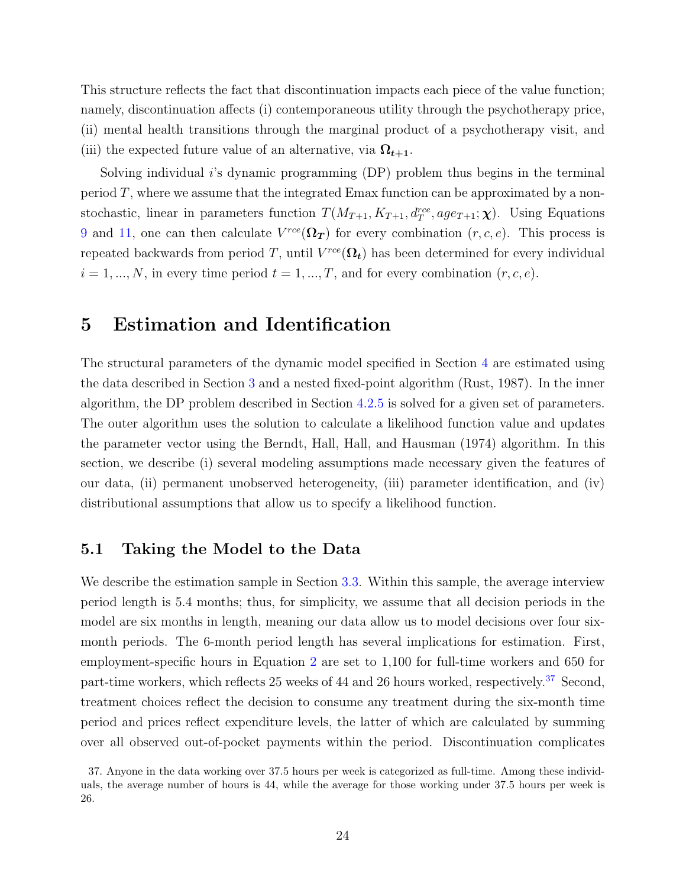This structure reflects the fact that discontinuation impacts each piece of the value function; namely, discontinuation affects (i) contemporaneous utility through the psychotherapy price, (ii) mental health transitions through the marginal product of a psychotherapy visit, and (iii) the expected future value of an alternative, via  $\Omega_{t+1}$ .

Solving individual  $i$ 's dynamic programming  $(DP)$  problem thus begins in the terminal period T, where we assume that the integrated Emax function can be approximated by a nonstochastic, linear in parameters function  $T(M_{T+1}, K_{T+1}, d_T^{rec}, age_{T+1}; \chi)$ . Using Equations [9](#page-24-0) and [11,](#page-24-1) one can then calculate  $V^{rce}(\mathbf{\Omega_T})$  for every combination  $(r, c, e)$ . This process is repeated backwards from period T, until  $V^{rce}(\Omega_t)$  has been determined for every individual  $i = 1, ..., N$ , in every time period  $t = 1, ..., T$ , and for every combination  $(r, c, e)$ .

## <span id="page-25-0"></span>5 Estimation and Identification

The structural parameters of the dynamic model specified in Section [4](#page-19-0) are estimated using the data described in Section [3](#page-10-0) and a nested fixed-point algorithm (Rust, [1987\)](#page-52-7). In the inner algorithm, the DP problem described in Section [4.2.5](#page-24-2) is solved for a given set of parameters. The outer algorithm uses the solution to calculate a likelihood function value and updates the parameter vector using the Berndt, Hall, Hall, and Hausman [\(1974\)](#page-46-7) algorithm. In this section, we describe (i) several modeling assumptions made necessary given the features of our data, (ii) permanent unobserved heterogeneity, (iii) parameter identification, and (iv) distributional assumptions that allow us to specify a likelihood function.

### 5.1 Taking the Model to the Data

We describe the estimation sample in Section [3.3.](#page-13-1) Within this sample, the average interview period length is 5.4 months; thus, for simplicity, we assume that all decision periods in the model are six months in length, meaning our data allow us to model decisions over four sixmonth periods. The 6-month period length has several implications for estimation. First, employment-specific hours in Equation [2](#page-21-1) are set to 1,100 for full-time workers and 650 for part-time workers, which reflects 25 weeks of 44 and 26 hours worked, respectively.<sup>[37](#page-25-1)</sup> Second, treatment choices reflect the decision to consume any treatment during the six-month time period and prices reflect expenditure levels, the latter of which are calculated by summing over all observed out-of-pocket payments within the period. Discontinuation complicates

<span id="page-25-1"></span><sup>37.</sup> Anyone in the data working over 37.5 hours per week is categorized as full-time. Among these individuals, the average number of hours is 44, while the average for those working under 37.5 hours per week is 26.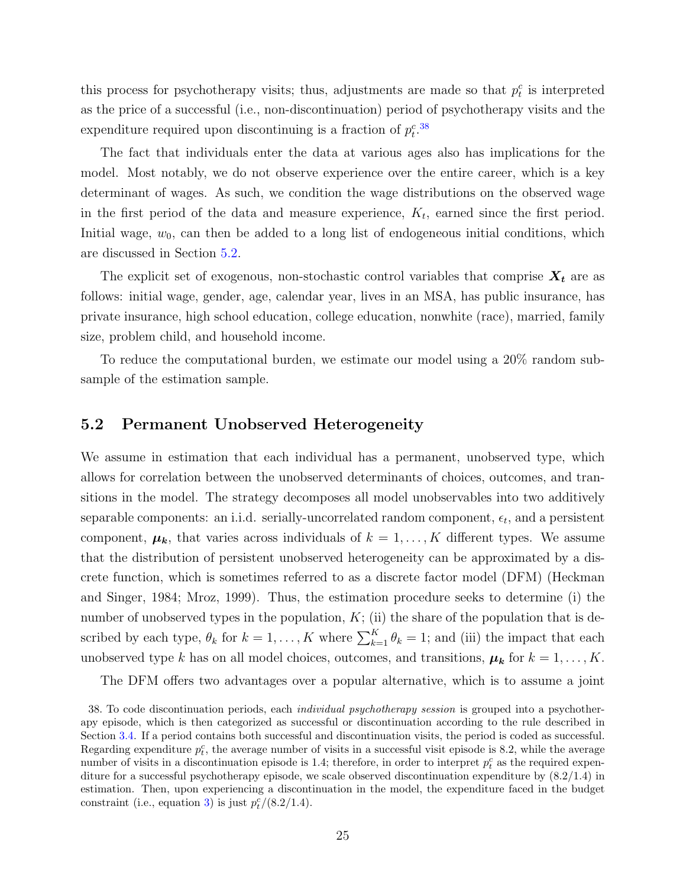this process for psychotherapy visits; thus, adjustments are made so that  $p_t^c$  is interpreted as the price of a successful (i.e., non-discontinuation) period of psychotherapy visits and the expenditure required upon discontinuing is a fraction of  $p_t^c$ .<sup>[38](#page-26-1)</sup>

The fact that individuals enter the data at various ages also has implications for the model. Most notably, we do not observe experience over the entire career, which is a key determinant of wages. As such, we condition the wage distributions on the observed wage in the first period of the data and measure experience,  $K_t$ , earned since the first period. Initial wage,  $w_0$ , can then be added to a long list of endogeneous initial conditions, which are discussed in Section [5.2.](#page-26-0)

The explicit set of exogenous, non-stochastic control variables that comprise  $X_t$  are as follows: initial wage, gender, age, calendar year, lives in an MSA, has public insurance, has private insurance, high school education, college education, nonwhite (race), married, family size, problem child, and household income.

To reduce the computational burden, we estimate our model using a 20% random subsample of the estimation sample.

#### <span id="page-26-0"></span>5.2 Permanent Unobserved Heterogeneity

We assume in estimation that each individual has a permanent, unobserved type, which allows for correlation between the unobserved determinants of choices, outcomes, and transitions in the model. The strategy decomposes all model unobservables into two additively separable components: an i.i.d. serially-uncorrelated random component,  $\epsilon_t$ , and a persistent component,  $\mu_k$ , that varies across individuals of  $k = 1, ..., K$  different types. We assume that the distribution of persistent unobserved heterogeneity can be approximated by a discrete function, which is sometimes referred to as a discrete factor model (DFM) (Heckman and Singer, [1984;](#page-50-8) Mroz, [1999\)](#page-51-7). Thus, the estimation procedure seeks to determine (i) the number of unobserved types in the population,  $K$ ; (ii) the share of the population that is described by each type,  $\theta_k$  for  $k = 1, ..., K$  where  $\sum_{k=1}^{K} \theta_k = 1$ ; and (iii) the impact that each unobserved type k has on all model choices, outcomes, and transitions,  $\mu_k$  for  $k = 1, ..., K$ .

<span id="page-26-1"></span>The DFM offers two advantages over a popular alternative, which is to assume a joint

<sup>38.</sup> To code discontinuation periods, each individual psychotherapy session is grouped into a psychotherapy episode, which is then categorized as successful or discontinuation according to the rule described in Section [3.4.](#page-15-0) If a period contains both successful and discontinuation visits, the period is coded as successful. Regarding expenditure  $p_t^c$ , the average number of visits in a successful visit episode is 8.2, while the average number of visits in a discontinuation episode is 1.4; therefore, in order to interpret  $p_t^c$  as the required expenditure for a successful psychotherapy episode, we scale observed discontinuation expenditure by (8.2/1.4) in estimation. Then, upon experiencing a discontinuation in the model, the expenditure faced in the budget constraint (i.e., equation [3\)](#page-21-2) is just  $p_t^c/(8.2/1.4)$ .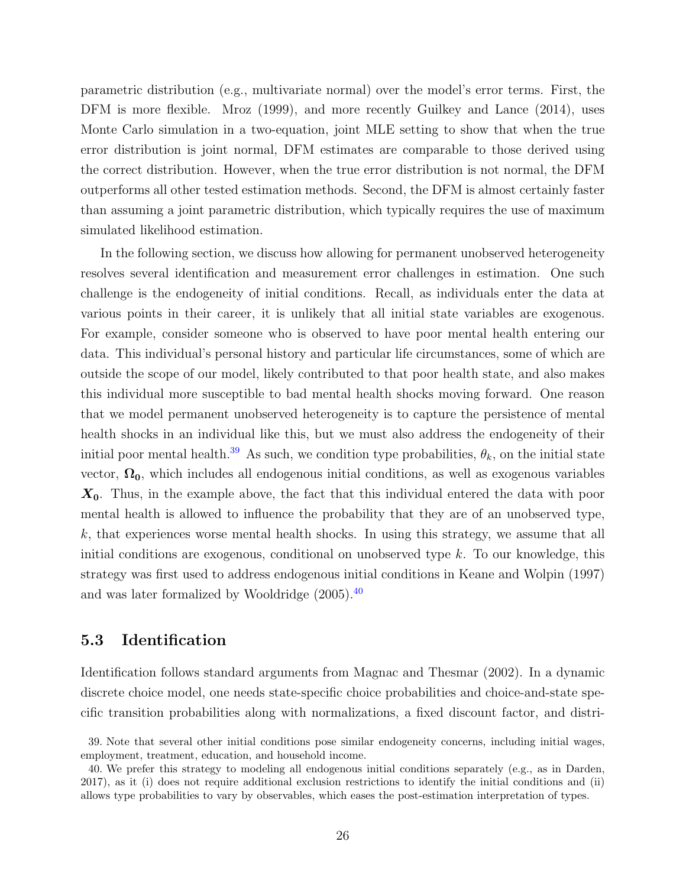parametric distribution (e.g., multivariate normal) over the model's error terms. First, the DFM is more flexible. Mroz [\(1999\)](#page-51-7), and more recently Guilkey and Lance [\(2014\)](#page-50-9), uses Monte Carlo simulation in a two-equation, joint MLE setting to show that when the true error distribution is joint normal, DFM estimates are comparable to those derived using the correct distribution. However, when the true error distribution is not normal, the DFM outperforms all other tested estimation methods. Second, the DFM is almost certainly faster than assuming a joint parametric distribution, which typically requires the use of maximum simulated likelihood estimation.

In the following section, we discuss how allowing for permanent unobserved heterogeneity resolves several identification and measurement error challenges in estimation. One such challenge is the endogeneity of initial conditions. Recall, as individuals enter the data at various points in their career, it is unlikely that all initial state variables are exogenous. For example, consider someone who is observed to have poor mental health entering our data. This individual's personal history and particular life circumstances, some of which are outside the scope of our model, likely contributed to that poor health state, and also makes this individual more susceptible to bad mental health shocks moving forward. One reason that we model permanent unobserved heterogeneity is to capture the persistence of mental health shocks in an individual like this, but we must also address the endogeneity of their initial poor mental health.<sup>[39](#page-27-1)</sup> As such, we condition type probabilities,  $\theta_k$ , on the initial state vector,  $\Omega_0$ , which includes all endogenous initial conditions, as well as exogenous variables  $X_0$ . Thus, in the example above, the fact that this individual entered the data with poor mental health is allowed to influence the probability that they are of an unobserved type, k, that experiences worse mental health shocks. In using this strategy, we assume that all initial conditions are exogenous, conditional on unobserved type  $k$ . To our knowledge, this strategy was first used to address endogenous initial conditions in Keane and Wolpin [\(1997\)](#page-51-8) and was later formalized by Wooldridge [\(2005\)](#page-53-9).[40](#page-27-2)

## <span id="page-27-0"></span>5.3 Identification

Identification follows standard arguments from Magnac and Thesmar [\(2002\)](#page-51-9). In a dynamic discrete choice model, one needs state-specific choice probabilities and choice-and-state specific transition probabilities along with normalizations, a fixed discount factor, and distri-

<span id="page-27-1"></span><sup>39.</sup> Note that several other initial conditions pose similar endogeneity concerns, including initial wages, employment, treatment, education, and household income.

<span id="page-27-2"></span><sup>40.</sup> We prefer this strategy to modeling all endogenous initial conditions separately (e.g., as in Darden, [2017\)](#page-48-0), as it (i) does not require additional exclusion restrictions to identify the initial conditions and (ii) allows type probabilities to vary by observables, which eases the post-estimation interpretation of types.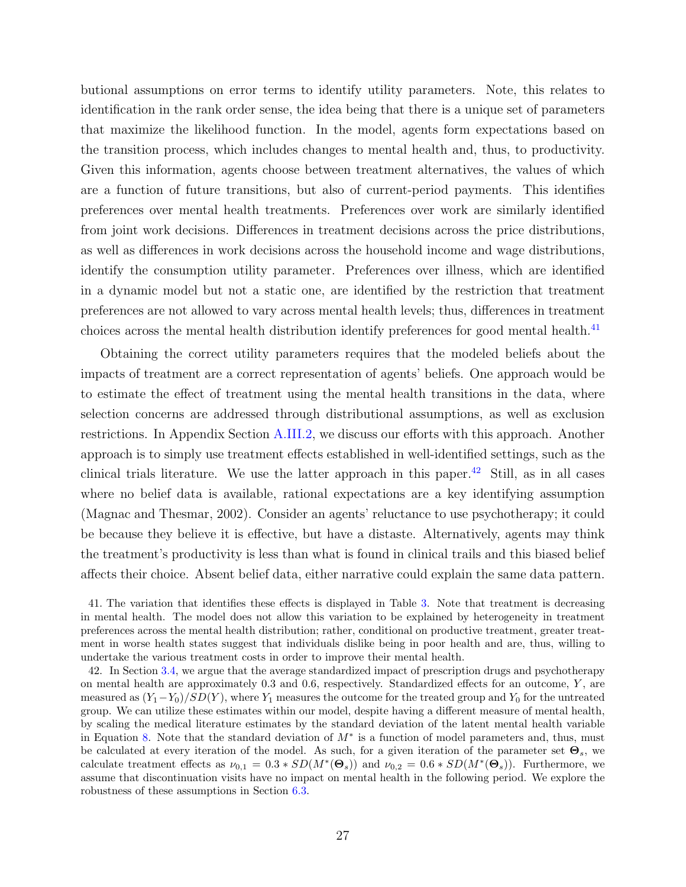butional assumptions on error terms to identify utility parameters. Note, this relates to identification in the rank order sense, the idea being that there is a unique set of parameters that maximize the likelihood function. In the model, agents form expectations based on the transition process, which includes changes to mental health and, thus, to productivity. Given this information, agents choose between treatment alternatives, the values of which are a function of future transitions, but also of current-period payments. This identifies preferences over mental health treatments. Preferences over work are similarly identified from joint work decisions. Differences in treatment decisions across the price distributions, as well as differences in work decisions across the household income and wage distributions, identify the consumption utility parameter. Preferences over illness, which are identified in a dynamic model but not a static one, are identified by the restriction that treatment preferences are not allowed to vary across mental health levels; thus, differences in treatment choices across the mental health distribution identify preferences for good mental health.<sup>[41](#page-28-0)</sup>

Obtaining the correct utility parameters requires that the modeled beliefs about the impacts of treatment are a correct representation of agents' beliefs. One approach would be to estimate the effect of treatment using the mental health transitions in the data, where selection concerns are addressed through distributional assumptions, as well as exclusion restrictions. In Appendix Section [A.III.2,](#page-77-0) we discuss our efforts with this approach. Another approach is to simply use treatment effects established in well-identified settings, such as the clinical trials literature. We use the latter approach in this paper.<sup>[42](#page-28-1)</sup> Still, as in all cases where no belief data is available, rational expectations are a key identifying assumption (Magnac and Thesmar, [2002\)](#page-51-9). Consider an agents' reluctance to use psychotherapy; it could be because they believe it is effective, but have a distaste. Alternatively, agents may think the treatment's productivity is less than what is found in clinical trails and this biased belief affects their choice. Absent belief data, either narrative could explain the same data pattern.

<span id="page-28-0"></span><sup>41.</sup> The variation that identifies these effects is displayed in Table [3.](#page-55-0) Note that treatment is decreasing in mental health. The model does not allow this variation to be explained by heterogeneity in treatment preferences across the mental health distribution; rather, conditional on productive treatment, greater treatment in worse health states suggest that individuals dislike being in poor health and are, thus, willing to undertake the various treatment costs in order to improve their mental health.

<span id="page-28-1"></span><sup>42.</sup> In Section [3.4,](#page-15-0) we argue that the average standardized impact of prescription drugs and psychotherapy on mental health are approximately  $0.3$  and  $0.6$ , respectively. Standardized effects for an outcome,  $Y$ , are measured as  $(Y_1-Y_0)/SD(Y)$ , where Y<sub>1</sub> measures the outcome for the treated group and Y<sub>0</sub> for the untreated group. We can utilize these estimates within our model, despite having a different measure of mental health, by scaling the medical literature estimates by the standard deviation of the latent mental health variable in Equation [8.](#page-23-1) Note that the standard deviation of  $M^*$  is a function of model parameters and, thus, must be calculated at every iteration of the model. As such, for a given iteration of the parameter set  $\Theta_s$ , we calculate treatment effects as  $\nu_{0,1} = 0.3 * SD(M^*(\Theta_s))$  and  $\nu_{0,2} = 0.6 * SD(M^*(\Theta_s))$ . Furthermore, we assume that discontinuation visits have no impact on mental health in the following period. We explore the robustness of these assumptions in Section [6.3.](#page-42-0)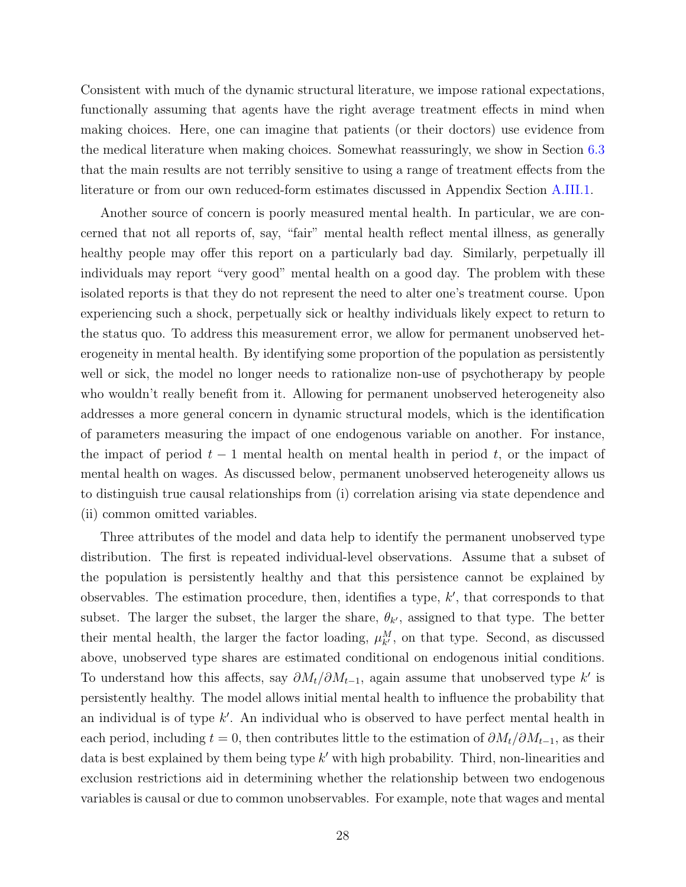Consistent with much of the dynamic structural literature, we impose rational expectations, functionally assuming that agents have the right average treatment effects in mind when making choices. Here, one can imagine that patients (or their doctors) use evidence from the medical literature when making choices. Somewhat reassuringly, we show in Section [6.3](#page-42-0) that the main results are not terribly sensitive to using a range of treatment effects from the literature or from our own reduced-form estimates discussed in Appendix Section [A.III.1.](#page-71-0)

Another source of concern is poorly measured mental health. In particular, we are concerned that not all reports of, say, "fair" mental health reflect mental illness, as generally healthy people may offer this report on a particularly bad day. Similarly, perpetually ill individuals may report "very good" mental health on a good day. The problem with these isolated reports is that they do not represent the need to alter one's treatment course. Upon experiencing such a shock, perpetually sick or healthy individuals likely expect to return to the status quo. To address this measurement error, we allow for permanent unobserved heterogeneity in mental health. By identifying some proportion of the population as persistently well or sick, the model no longer needs to rationalize non-use of psychotherapy by people who wouldn't really benefit from it. Allowing for permanent unobserved heterogeneity also addresses a more general concern in dynamic structural models, which is the identification of parameters measuring the impact of one endogenous variable on another. For instance, the impact of period  $t-1$  mental health on mental health in period t, or the impact of mental health on wages. As discussed below, permanent unobserved heterogeneity allows us to distinguish true causal relationships from (i) correlation arising via state dependence and (ii) common omitted variables.

Three attributes of the model and data help to identify the permanent unobserved type distribution. The first is repeated individual-level observations. Assume that a subset of the population is persistently healthy and that this persistence cannot be explained by observables. The estimation procedure, then, identifies a type,  $k'$ , that corresponds to that subset. The larger the subset, the larger the share,  $\theta_{k'}$ , assigned to that type. The better their mental health, the larger the factor loading,  $\mu_{k'}^M$ , on that type. Second, as discussed above, unobserved type shares are estimated conditional on endogenous initial conditions. To understand how this affects, say  $\partial M_t/\partial M_{t-1}$ , again assume that unobserved type k' is persistently healthy. The model allows initial mental health to influence the probability that an individual is of type  $k'$ . An individual who is observed to have perfect mental health in each period, including  $t = 0$ , then contributes little to the estimation of  $\partial M_t / \partial M_{t-1}$ , as their data is best explained by them being type  $k'$  with high probability. Third, non-linearities and exclusion restrictions aid in determining whether the relationship between two endogenous variables is causal or due to common unobservables. For example, note that wages and mental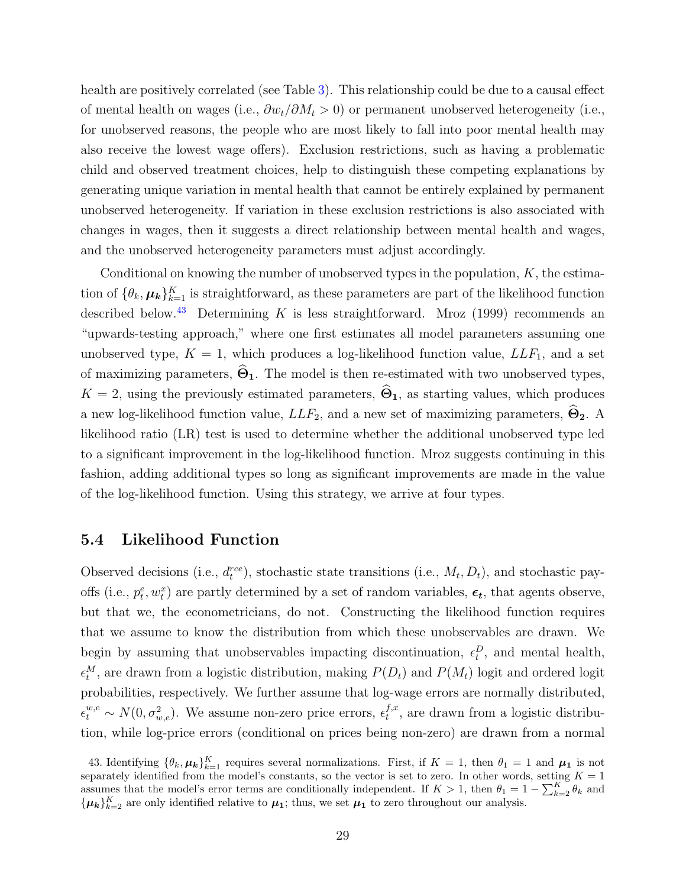health are positively correlated (see Table [3\)](#page-55-0). This relationship could be due to a causal effect of mental health on wages (i.e.,  $\partial w_t / \partial M_t > 0$ ) or permanent unobserved heterogeneity (i.e., for unobserved reasons, the people who are most likely to fall into poor mental health may also receive the lowest wage offers). Exclusion restrictions, such as having a problematic child and observed treatment choices, help to distinguish these competing explanations by generating unique variation in mental health that cannot be entirely explained by permanent unobserved heterogeneity. If variation in these exclusion restrictions is also associated with changes in wages, then it suggests a direct relationship between mental health and wages, and the unobserved heterogeneity parameters must adjust accordingly.

Conditional on knowing the number of unobserved types in the population,  $K$ , the estimation of  $\{\theta_k, \mu_k\}_{k=1}^K$  is straightforward, as these parameters are part of the likelihood function described below.<sup>[43](#page-30-0)</sup> Determining K is less straightforward. Mroz [\(1999\)](#page-51-7) recommends an "upwards-testing approach," where one first estimates all model parameters assuming one unobserved type,  $K = 1$ , which produces a log-likelihood function value,  $LLF_1$ , and a set of maximizing parameters,  $\hat{\Theta}_1$ . The model is then re-estimated with two unobserved types,  $K = 2$ , using the previously estimated parameters,  $\hat{\Theta}_1$ , as starting values, which produces a new log-likelihood function value,  $LLF_2$ , and a new set of maximizing parameters,  $\widehat{\Theta}_2$ . A likelihood ratio (LR) test is used to determine whether the additional unobserved type led to a significant improvement in the log-likelihood function. Mroz suggests continuing in this fashion, adding additional types so long as significant improvements are made in the value of the log-likelihood function. Using this strategy, we arrive at four types.

#### 5.4 Likelihood Function

Observed decisions (i.e.,  $d_t^{rce}$ ), stochastic state transitions (i.e.,  $M_t, D_t$ ), and stochastic payoffs (i.e.,  $p_t^e, w_t^x$ ) are partly determined by a set of random variables,  $\epsilon_t$ , that agents observe, but that we, the econometricians, do not. Constructing the likelihood function requires that we assume to know the distribution from which these unobservables are drawn. We begin by assuming that unobservables impacting discontinuation,  $\epsilon_t^D$ , and mental health,  $\epsilon_t^M$ , are drawn from a logistic distribution, making  $P(D_t)$  and  $P(M_t)$  logit and ordered logit probabilities, respectively. We further assume that log-wage errors are normally distributed,  $\epsilon_t^{w,e} \sim N(0, \sigma_{w,e}^2)$ . We assume non-zero price errors,  $\epsilon_t^{f,x}$  $t^{J,x}$ , are drawn from a logistic distribution, while log-price errors (conditional on prices being non-zero) are drawn from a normal

<span id="page-30-0"></span>43. Identifying  $\{\theta_k, \mu_k\}_{k=1}^K$  requires several normalizations. First, if  $K = 1$ , then  $\theta_1 = 1$  and  $\mu_1$  is not separately identified from the model's constants, so the vector is set to zero. In other words, setting  $K = 1$ assumes that the model's error terms are conditionally independent. If  $K > 1$ , then  $\theta_1 = 1 - \sum_{k=2}^{K} \theta_k$  and  $\{\mu_k\}_{k=2}^K$  are only identified relative to  $\mu_1$ ; thus, we set  $\mu_1$  to zero throughout our analysis.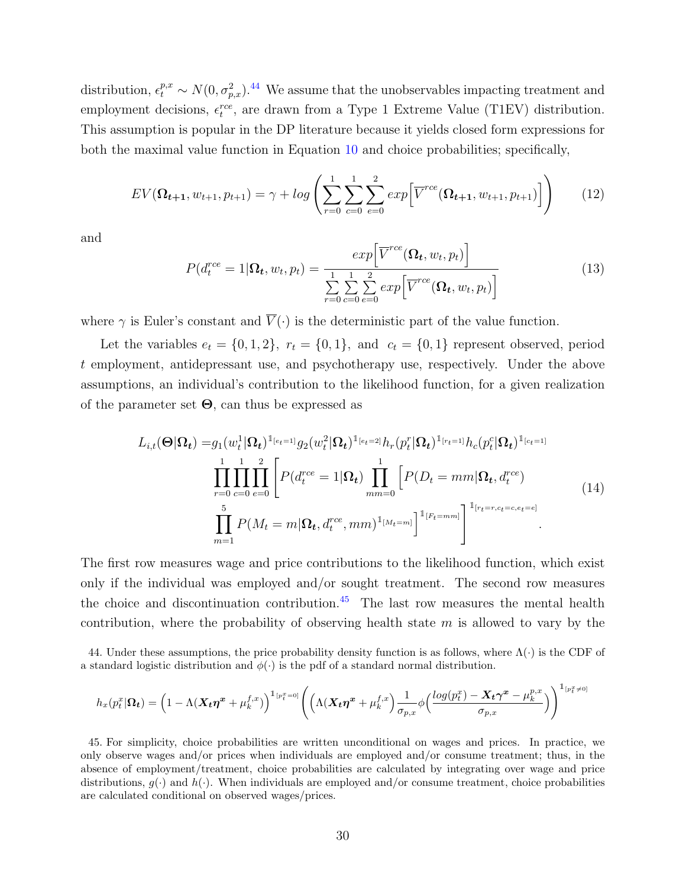distribution,  $\epsilon_t^{p,x} \sim N(0, \sigma_{p,x}^2)$ .<sup>[44](#page-31-0)</sup> We assume that the unobservables impacting treatment and employment decisions,  $\epsilon_t^{rce}$ , are drawn from a Type 1 Extreme Value (T1EV) distribution. This assumption is popular in the DP literature because it yields closed form expressions for both the maximal value function in Equation [10](#page-24-3) and choice probabilities; specifically,

$$
EV(\Omega_{t+1}, w_{t+1}, p_{t+1}) = \gamma + \log \left( \sum_{r=0}^{1} \sum_{c=0}^{1} \sum_{e=0}^{2} exp \Big[ \overline{V}^{rce} (\Omega_{t+1}, w_{t+1}, p_{t+1}) \Big] \right) \tag{12}
$$

and

$$
P(d_t^{ree} = 1 | \mathbf{\Omega}_t, w_t, p_t) = \frac{exp\left[\overline{V}^{ree}(\mathbf{\Omega}_t, w_t, p_t)\right]}{\sum\limits_{r=0}^{1} \sum\limits_{c=0}^{1} \sum\limits_{e=0}^{2} exp\left[\overline{V}^{ree}(\mathbf{\Omega}_t, w_t, p_t)\right]}
$$
(13)

where  $\gamma$  is Euler's constant and  $V(\cdot)$  is the deterministic part of the value function.

Let the variables  $e_t = \{0, 1, 2\}$ ,  $r_t = \{0, 1\}$ , and  $c_t = \{0, 1\}$  represent observed, period t employment, antidepressant use, and psychotherapy use, respectively. Under the above assumptions, an individual's contribution to the likelihood function, for a given realization of the parameter set  $\Theta$ , can thus be expressed as

$$
L_{i,t}(\Theta|\Omega_t) = g_1(w_t^1|\Omega_t)^{\mathbb{I}_{[e_t=1]}} g_2(w_t^2|\Omega_t)^{\mathbb{I}_{[e_t=2]}} h_r(p_t^r|\Omega_t)^{\mathbb{I}_{[r_t=1]}} h_c(p_t^c|\Omega_t)^{\mathbb{I}_{[c_t=1]}} \n\prod_{r=0}^1 \prod_{c=0}^1 \prod_{e=0}^2 \left[ P(d_t^{rce} = 1|\Omega_t) \prod_{mm=0}^1 \left[ P(D_t = mm|\Omega_t, d_t^{rce}) \right] \right] \n\prod_{m=1}^5 P(M_t = m|\Omega_t, d_t^{rce}, mm)^{\mathbb{I}_{[M_t=m]}} \left[ \prod_{r=t-m}^{\mathbb{I}_{[r_t=r,c_t=c,e_t=e]}} (14) \right]
$$

The first row measures wage and price contributions to the likelihood function, which exist only if the individual was employed and/or sought treatment. The second row measures the choice and discontinuation contribution.[45](#page-31-1) The last row measures the mental health contribution, where the probability of observing health state  $m$  is allowed to vary by the

<span id="page-31-0"></span>44. Under these assumptions, the price probability density function is as follows, where  $\Lambda(\cdot)$  is the CDF of a standard logistic distribution and  $\phi(\cdot)$  is the pdf of a standard normal distribution.

$$
h_x(p_t^x|\pmb{\Omega_t})=\Big(1-\Lambda(\pmb{X_t}\pmb{\eta^x}+\mu_k^{f,x})\Big)^{1_{[p_t^x=0]}}\Bigg(\Big(\Lambda(\pmb{X_t}\pmb{\eta^x}+\mu_k^{f,x}\Big)\frac{1}{\sigma_{p,x}}\phi\Big(\frac{log(p_t^x)-\pmb{X_t}\pmb{\gamma^x}-\mu_k^{p,x}}{\sigma_{p,x}}\Big)\Bigg)^{1_{[p_t^x\neq 0]}}
$$

<span id="page-31-1"></span>45. For simplicity, choice probabilities are written unconditional on wages and prices. In practice, we only observe wages and/or prices when individuals are employed and/or consume treatment; thus, in the absence of employment/treatment, choice probabilities are calculated by integrating over wage and price distributions,  $g(\cdot)$  and  $h(\cdot)$ . When individuals are employed and/or consume treatment, choice probabilities are calculated conditional on observed wages/prices.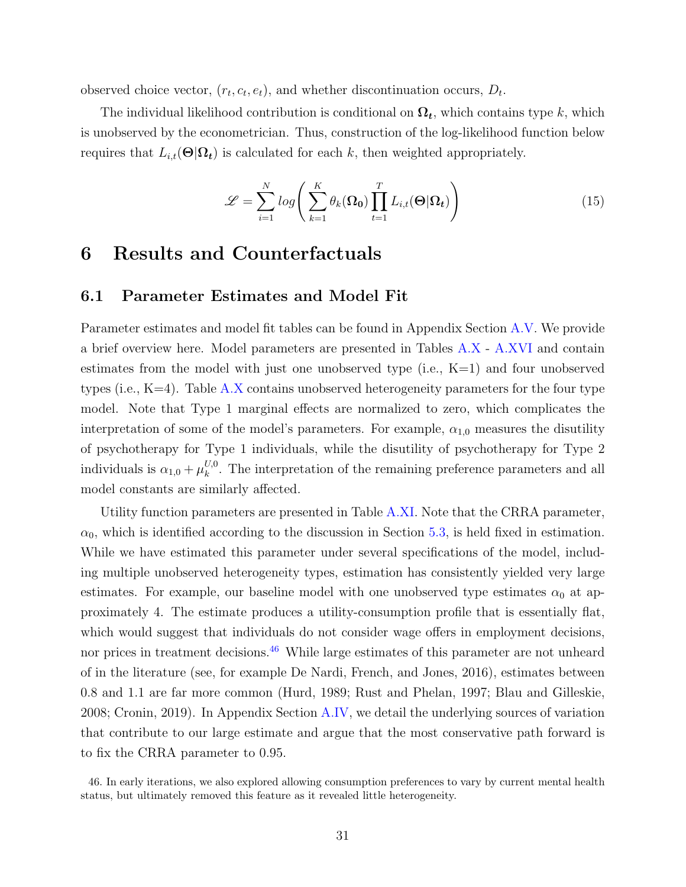observed choice vector,  $(r_t, c_t, e_t)$ , and whether discontinuation occurs,  $D_t$ .

The individual likelihood contribution is conditional on  $\Omega_t$ , which contains type k, which is unobserved by the econometrician. Thus, construction of the log-likelihood function below requires that  $L_{i,t}(\Theta|\Omega_t)$  is calculated for each k, then weighted appropriately.

$$
\mathcal{L} = \sum_{i=1}^{N} \log \left( \sum_{k=1}^{K} \theta_k(\Omega_0) \prod_{t=1}^{T} L_{i,t}(\Theta | \Omega_t) \right) \tag{15}
$$

# <span id="page-32-0"></span>6 Results and Counterfactuals

#### <span id="page-32-1"></span>6.1 Parameter Estimates and Model Fit

Parameter estimates and model fit tables can be found in Appendix Section [A.V.](#page-82-0) We provide a brief overview here. Model parameters are presented in Tables [A.X](#page-83-0) - [A.XVI](#page-88-0) and contain estimates from the model with just one unobserved type (i.e.,  $K=1$ ) and four unobserved types (i.e.,  $K=4$ ). Table [A.X](#page-83-0) contains unobserved heterogeneity parameters for the four type model. Note that Type 1 marginal effects are normalized to zero, which complicates the interpretation of some of the model's parameters. For example,  $\alpha_{1,0}$  measures the disutility of psychotherapy for Type 1 individuals, while the disutility of psychotherapy for Type 2 individuals is  $\alpha_{1,0} + \mu_k^{U,0}$  $k<sub>k</sub>$ <sup> $U,0$ </sup>. The interpretation of the remaining preference parameters and all model constants are similarly affected.

Utility function parameters are presented in Table [A.XI.](#page-84-0) Note that the CRRA parameter,  $\alpha_0$ , which is identified according to the discussion in Section [5.3,](#page-27-0) is held fixed in estimation. While we have estimated this parameter under several specifications of the model, including multiple unobserved heterogeneity types, estimation has consistently yielded very large estimates. For example, our baseline model with one unobserved type estimates  $\alpha_0$  at approximately 4. The estimate produces a utility-consumption profile that is essentially flat, which would suggest that individuals do not consider wage offers in employment decisions, nor prices in treatment decisions.<sup>[46](#page-32-2)</sup> While large estimates of this parameter are not unheard of in the literature (see, for example De Nardi, French, and Jones, [2016\)](#page-48-10), estimates between 0.8 and 1.1 are far more common (Hurd, [1989;](#page-50-10) Rust and Phelan, [1997;](#page-52-8) Blau and Gilleskie, [2008;](#page-46-8) Cronin, [2019\)](#page-47-2). In Appendix Section [A.IV,](#page-78-0) we detail the underlying sources of variation that contribute to our large estimate and argue that the most conservative path forward is to fix the CRRA parameter to 0.95.

<span id="page-32-2"></span><sup>46.</sup> In early iterations, we also explored allowing consumption preferences to vary by current mental health status, but ultimately removed this feature as it revealed little heterogeneity.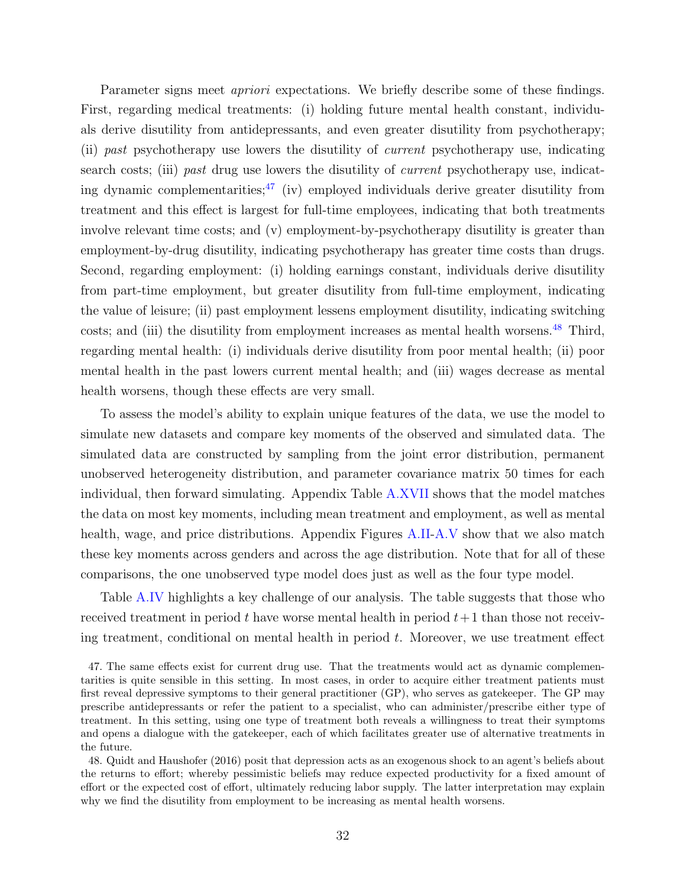Parameter signs meet *apriori* expectations. We briefly describe some of these findings. First, regarding medical treatments: (i) holding future mental health constant, individuals derive disutility from antidepressants, and even greater disutility from psychotherapy; (ii) past psychotherapy use lowers the disutility of current psychotherapy use, indicating search costs; (iii) past drug use lowers the disutility of *current* psychotherapy use, indicating dynamic complementarities;  $\frac{47}{1}$  $\frac{47}{1}$  $\frac{47}{1}$  (iv) employed individuals derive greater disutility from treatment and this effect is largest for full-time employees, indicating that both treatments involve relevant time costs; and (v) employment-by-psychotherapy disutility is greater than employment-by-drug disutility, indicating psychotherapy has greater time costs than drugs. Second, regarding employment: (i) holding earnings constant, individuals derive disutility from part-time employment, but greater disutility from full-time employment, indicating the value of leisure; (ii) past employment lessens employment disutility, indicating switching costs; and (iii) the disutility from employment increases as mental health worsens.<sup>[48](#page-33-1)</sup> Third, regarding mental health: (i) individuals derive disutility from poor mental health; (ii) poor mental health in the past lowers current mental health; and (iii) wages decrease as mental health worsens, though these effects are very small.

To assess the model's ability to explain unique features of the data, we use the model to simulate new datasets and compare key moments of the observed and simulated data. The simulated data are constructed by sampling from the joint error distribution, permanent unobserved heterogeneity distribution, and parameter covariance matrix 50 times for each individual, then forward simulating. Appendix Table [A.XVII](#page-89-0) shows that the model matches the data on most key moments, including mean treatment and employment, as well as mental health, wage, and price distributions. Appendix Figures [A.II](#page-90-0)[-A.V](#page-91-0) show that we also match these key moments across genders and across the age distribution. Note that for all of these comparisons, the one unobserved type model does just as well as the four type model.

Table [A.IV](#page-74-0) highlights a key challenge of our analysis. The table suggests that those who received treatment in period t have worse mental health in period  $t+1$  than those not receiving treatment, conditional on mental health in period  $t$ . Moreover, we use treatment effect

<span id="page-33-0"></span>47. The same effects exist for current drug use. That the treatments would act as dynamic complementarities is quite sensible in this setting. In most cases, in order to acquire either treatment patients must first reveal depressive symptoms to their general practitioner (GP), who serves as gatekeeper. The GP may prescribe antidepressants or refer the patient to a specialist, who can administer/prescribe either type of treatment. In this setting, using one type of treatment both reveals a willingness to treat their symptoms and opens a dialogue with the gatekeeper, each of which facilitates greater use of alternative treatments in the future.

<span id="page-33-1"></span>48. Quidt and Haushofer [\(2016\)](#page-52-9) posit that depression acts as an exogenous shock to an agent's beliefs about the returns to effort; whereby pessimistic beliefs may reduce expected productivity for a fixed amount of effort or the expected cost of effort, ultimately reducing labor supply. The latter interpretation may explain why we find the disutility from employment to be increasing as mental health worsens.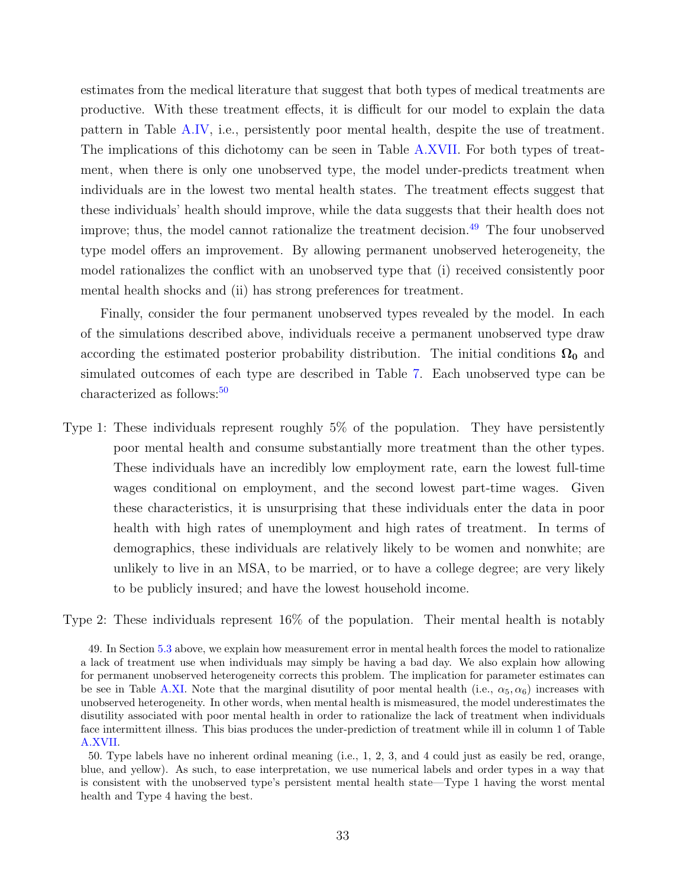estimates from the medical literature that suggest that both types of medical treatments are productive. With these treatment effects, it is difficult for our model to explain the data pattern in Table [A.IV,](#page-74-0) i.e., persistently poor mental health, despite the use of treatment. The implications of this dichotomy can be seen in Table [A.XVII.](#page-89-0) For both types of treatment, when there is only one unobserved type, the model under-predicts treatment when individuals are in the lowest two mental health states. The treatment effects suggest that these individuals' health should improve, while the data suggests that their health does not improve; thus, the model cannot rationalize the treatment decision.<sup>[49](#page-34-0)</sup> The four unobserved type model offers an improvement. By allowing permanent unobserved heterogeneity, the model rationalizes the conflict with an unobserved type that (i) received consistently poor mental health shocks and (ii) has strong preferences for treatment.

Finally, consider the four permanent unobserved types revealed by the model. In each of the simulations described above, individuals receive a permanent unobserved type draw according the estimated posterior probability distribution. The initial conditions  $\Omega_0$  and simulated outcomes of each type are described in Table [7.](#page-58-0) Each unobserved type can be characterized as follows:<sup>[50](#page-34-1)</sup>

Type 1: These individuals represent roughly 5% of the population. They have persistently poor mental health and consume substantially more treatment than the other types. These individuals have an incredibly low employment rate, earn the lowest full-time wages conditional on employment, and the second lowest part-time wages. Given these characteristics, it is unsurprising that these individuals enter the data in poor health with high rates of unemployment and high rates of treatment. In terms of demographics, these individuals are relatively likely to be women and nonwhite; are unlikely to live in an MSA, to be married, or to have a college degree; are very likely to be publicly insured; and have the lowest household income.

Type 2: These individuals represent 16% of the population. Their mental health is notably

<span id="page-34-0"></span><sup>49.</sup> In Section [5.3](#page-27-0) above, we explain how measurement error in mental health forces the model to rationalize a lack of treatment use when individuals may simply be having a bad day. We also explain how allowing for permanent unobserved heterogeneity corrects this problem. The implication for parameter estimates can be see in Table [A.XI.](#page-84-0) Note that the marginal disutility of poor mental health (i.e.,  $\alpha_5, \alpha_6$ ) increases with unobserved heterogeneity. In other words, when mental health is mismeasured, the model underestimates the disutility associated with poor mental health in order to rationalize the lack of treatment when individuals face intermittent illness. This bias produces the under-prediction of treatment while ill in column 1 of Table [A.XVII.](#page-89-0)

<span id="page-34-1"></span><sup>50.</sup> Type labels have no inherent ordinal meaning (i.e., 1, 2, 3, and 4 could just as easily be red, orange, blue, and yellow). As such, to ease interpretation, we use numerical labels and order types in a way that is consistent with the unobserved type's persistent mental health state—Type 1 having the worst mental health and Type 4 having the best.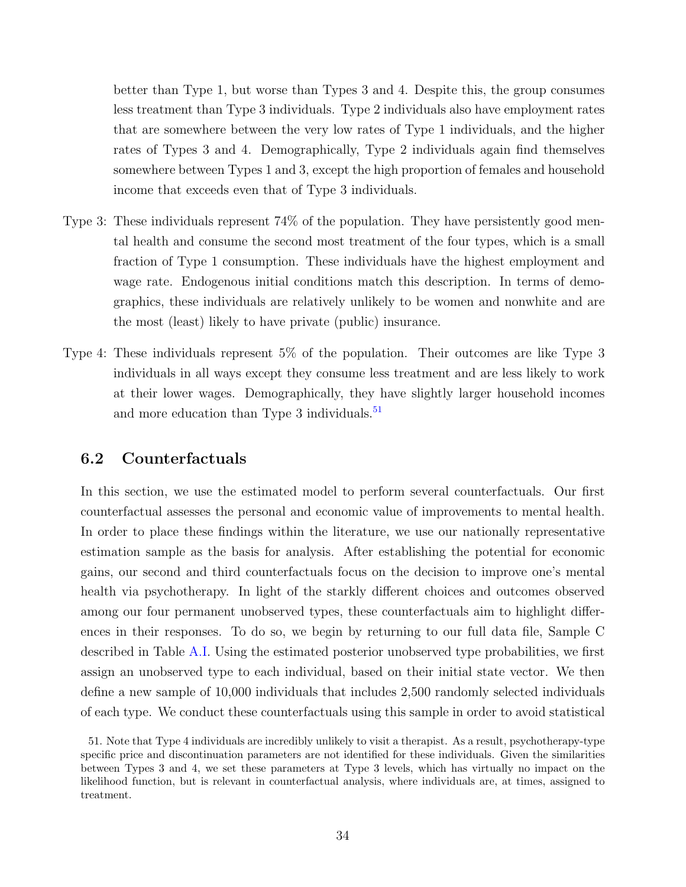better than Type 1, but worse than Types 3 and 4. Despite this, the group consumes less treatment than Type 3 individuals. Type 2 individuals also have employment rates that are somewhere between the very low rates of Type 1 individuals, and the higher rates of Types 3 and 4. Demographically, Type 2 individuals again find themselves somewhere between Types 1 and 3, except the high proportion of females and household income that exceeds even that of Type 3 individuals.

- Type 3: These individuals represent 74% of the population. They have persistently good mental health and consume the second most treatment of the four types, which is a small fraction of Type 1 consumption. These individuals have the highest employment and wage rate. Endogenous initial conditions match this description. In terms of demographics, these individuals are relatively unlikely to be women and nonwhite and are the most (least) likely to have private (public) insurance.
- Type 4: These individuals represent 5% of the population. Their outcomes are like Type 3 individuals in all ways except they consume less treatment and are less likely to work at their lower wages. Demographically, they have slightly larger household incomes and more education than Type 3 individuals.<sup>[51](#page-35-0)</sup>

## 6.2 Counterfactuals

In this section, we use the estimated model to perform several counterfactuals. Our first counterfactual assesses the personal and economic value of improvements to mental health. In order to place these findings within the literature, we use our nationally representative estimation sample as the basis for analysis. After establishing the potential for economic gains, our second and third counterfactuals focus on the decision to improve one's mental health via psychotherapy. In light of the starkly different choices and outcomes observed among our four permanent unobserved types, these counterfactuals aim to highlight differences in their responses. To do so, we begin by returning to our full data file, Sample C described in Table [A.I.](#page-65-0) Using the estimated posterior unobserved type probabilities, we first assign an unobserved type to each individual, based on their initial state vector. We then define a new sample of 10,000 individuals that includes 2,500 randomly selected individuals of each type. We conduct these counterfactuals using this sample in order to avoid statistical

<span id="page-35-0"></span><sup>51.</sup> Note that Type 4 individuals are incredibly unlikely to visit a therapist. As a result, psychotherapy-type specific price and discontinuation parameters are not identified for these individuals. Given the similarities between Types 3 and 4, we set these parameters at Type 3 levels, which has virtually no impact on the likelihood function, but is relevant in counterfactual analysis, where individuals are, at times, assigned to treatment.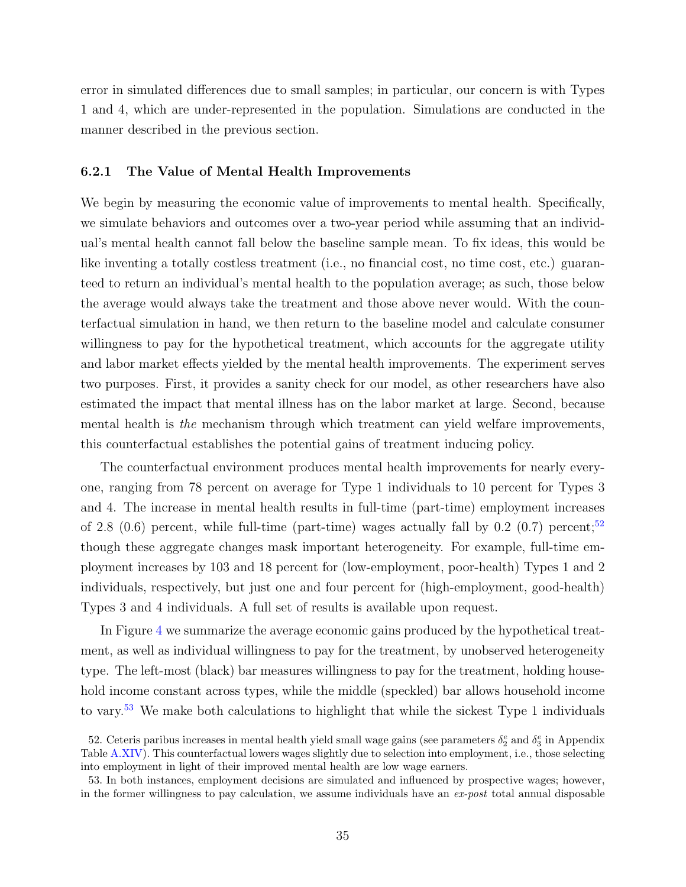error in simulated differences due to small samples; in particular, our concern is with Types 1 and 4, which are under-represented in the population. Simulations are conducted in the manner described in the previous section.

#### <span id="page-36-2"></span>6.2.1 The Value of Mental Health Improvements

We begin by measuring the economic value of improvements to mental health. Specifically, we simulate behaviors and outcomes over a two-year period while assuming that an individual's mental health cannot fall below the baseline sample mean. To fix ideas, this would be like inventing a totally costless treatment (i.e., no financial cost, no time cost, etc.) guaranteed to return an individual's mental health to the population average; as such, those below the average would always take the treatment and those above never would. With the counterfactual simulation in hand, we then return to the baseline model and calculate consumer willingness to pay for the hypothetical treatment, which accounts for the aggregate utility and labor market effects yielded by the mental health improvements. The experiment serves two purposes. First, it provides a sanity check for our model, as other researchers have also estimated the impact that mental illness has on the labor market at large. Second, because mental health is the mechanism through which treatment can yield welfare improvements, this counterfactual establishes the potential gains of treatment inducing policy.

The counterfactual environment produces mental health improvements for nearly everyone, ranging from 78 percent on average for Type 1 individuals to 10 percent for Types 3 and 4. The increase in mental health results in full-time (part-time) employment increases of 2.8 (0.6) percent, while full-time (part-time) wages actually fall by 0.2 (0.7) percent;<sup>[52](#page-36-0)</sup> though these aggregate changes mask important heterogeneity. For example, full-time employment increases by 103 and 18 percent for (low-employment, poor-health) Types 1 and 2 individuals, respectively, but just one and four percent for (high-employment, good-health) Types 3 and 4 individuals. A full set of results is available upon request.

In Figure [4](#page-63-0) we summarize the average economic gains produced by the hypothetical treatment, as well as individual willingness to pay for the treatment, by unobserved heterogeneity type. The left-most (black) bar measures willingness to pay for the treatment, holding household income constant across types, while the middle (speckled) bar allows household income to vary.<sup>[53](#page-36-1)</sup> We make both calculations to highlight that while the sickest Type 1 individuals

<span id="page-36-0"></span><sup>52.</sup> Ceteris paribus increases in mental health yield small wage gains (see parameters  $\delta_2^e$  and  $\delta_3^e$  in Appendix Table [A.XIV\)](#page-86-0). This counterfactual lowers wages slightly due to selection into employment, i.e., those selecting into employment in light of their improved mental health are low wage earners.

<span id="page-36-1"></span><sup>53.</sup> In both instances, employment decisions are simulated and influenced by prospective wages; however, in the former willingness to pay calculation, we assume individuals have an  $ex\text{-}post$  total annual disposable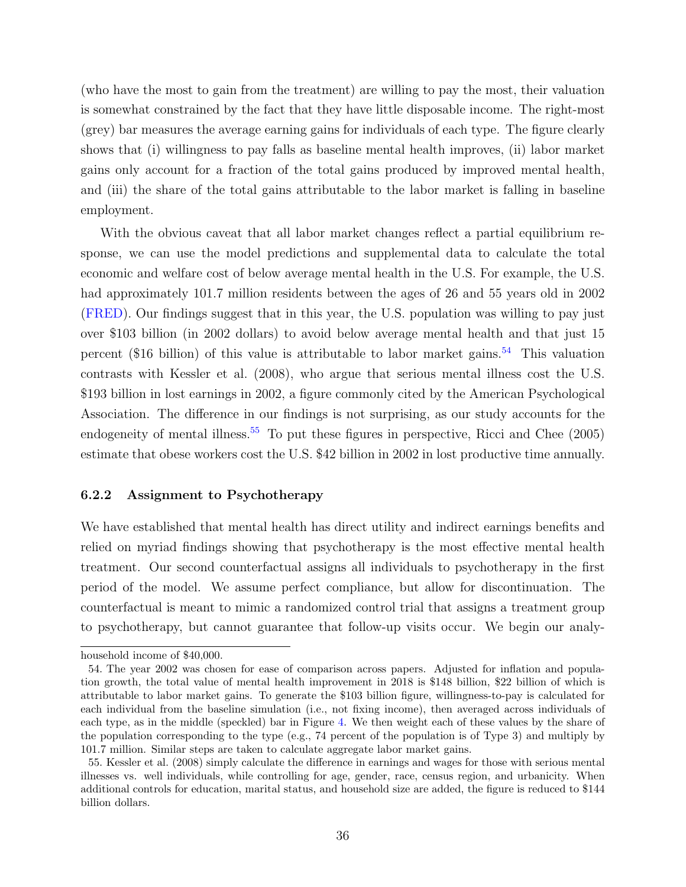(who have the most to gain from the treatment) are willing to pay the most, their valuation is somewhat constrained by the fact that they have little disposable income. The right-most (grey) bar measures the average earning gains for individuals of each type. The figure clearly shows that (i) willingness to pay falls as baseline mental health improves, (ii) labor market gains only account for a fraction of the total gains produced by improved mental health, and (iii) the share of the total gains attributable to the labor market is falling in baseline employment.

With the obvious caveat that all labor market changes reflect a partial equilibrium response, we can use the model predictions and supplemental data to calculate the total economic and welfare cost of below average mental health in the U.S. For example, the U.S. had approximately 101.7 million residents between the ages of 26 and 55 years old in 2002 [\(FRED\)](https://fred.stlouisfed.org/series/LFAC25TTUSA647S). Our findings suggest that in this year, the U.S. population was willing to pay just over \$103 billion (in 2002 dollars) to avoid below average mental health and that just 15 percent (\$16 billion) of this value is attributable to labor market gains.<sup>[54](#page-37-0)</sup> This valuation contrasts with Kessler et al. [\(2008\)](#page-51-0), who argue that serious mental illness cost the U.S. \$193 billion in lost earnings in 2002, a figure commonly cited by the American Psychological Association. The difference in our findings is not surprising, as our study accounts for the endogeneity of mental illness.<sup>[55](#page-37-1)</sup> To put these figures in perspective, Ricci and Chee  $(2005)$ estimate that obese workers cost the U.S. \$42 billion in 2002 in lost productive time annually.

#### <span id="page-37-2"></span>6.2.2 Assignment to Psychotherapy

We have established that mental health has direct utility and indirect earnings benefits and relied on myriad findings showing that psychotherapy is the most effective mental health treatment. Our second counterfactual assigns all individuals to psychotherapy in the first period of the model. We assume perfect compliance, but allow for discontinuation. The counterfactual is meant to mimic a randomized control trial that assigns a treatment group to psychotherapy, but cannot guarantee that follow-up visits occur. We begin our analy-

household income of \$40,000.

<span id="page-37-0"></span><sup>54.</sup> The year 2002 was chosen for ease of comparison across papers. Adjusted for inflation and population growth, the total value of mental health improvement in 2018 is \$148 billion, \$22 billion of which is attributable to labor market gains. To generate the \$103 billion figure, willingness-to-pay is calculated for each individual from the baseline simulation (i.e., not fixing income), then averaged across individuals of each type, as in the middle (speckled) bar in Figure [4.](#page-63-0) We then weight each of these values by the share of the population corresponding to the type (e.g., 74 percent of the population is of Type 3) and multiply by 101.7 million. Similar steps are taken to calculate aggregate labor market gains.

<span id="page-37-1"></span><sup>55.</sup> Kessler et al. [\(2008\)](#page-51-0) simply calculate the difference in earnings and wages for those with serious mental illnesses vs. well individuals, while controlling for age, gender, race, census region, and urbanicity. When additional controls for education, marital status, and household size are added, the figure is reduced to \$144 billion dollars.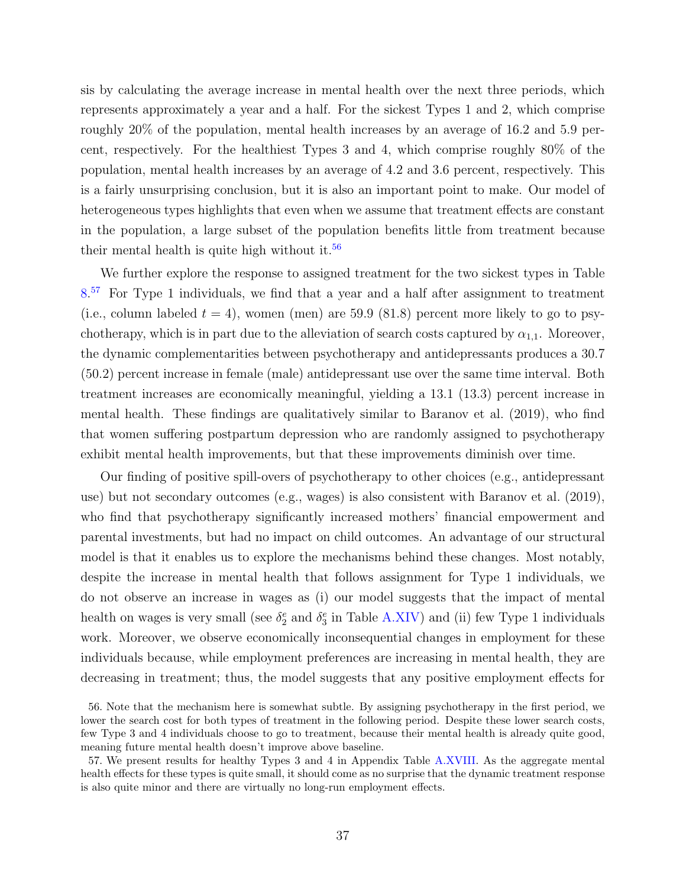sis by calculating the average increase in mental health over the next three periods, which represents approximately a year and a half. For the sickest Types 1 and 2, which comprise roughly 20% of the population, mental health increases by an average of 16.2 and 5.9 percent, respectively. For the healthiest Types 3 and 4, which comprise roughly 80% of the population, mental health increases by an average of 4.2 and 3.6 percent, respectively. This is a fairly unsurprising conclusion, but it is also an important point to make. Our model of heterogeneous types highlights that even when we assume that treatment effects are constant in the population, a large subset of the population benefits little from treatment because their mental health is quite high without it.<sup>[56](#page-38-0)</sup>

We further explore the response to assigned treatment for the two sickest types in Table [8.](#page-59-0)<sup>[57](#page-38-1)</sup> For Type 1 individuals, we find that a year and a half after assignment to treatment (i.e., column labeled  $t = 4$ ), women (men) are 59.9 (81.8) percent more likely to go to psychotherapy, which is in part due to the alleviation of search costs captured by  $\alpha_{1,1}$ . Moreover, the dynamic complementarities between psychotherapy and antidepressants produces a 30.7 (50.2) percent increase in female (male) antidepressant use over the same time interval. Both treatment increases are economically meaningful, yielding a 13.1 (13.3) percent increase in mental health. These findings are qualitatively similar to Baranov et al. [\(2019\)](#page-46-0), who find that women suffering postpartum depression who are randomly assigned to psychotherapy exhibit mental health improvements, but that these improvements diminish over time.

Our finding of positive spill-overs of psychotherapy to other choices (e.g., antidepressant use) but not secondary outcomes (e.g., wages) is also consistent with Baranov et al. [\(2019\)](#page-46-0), who find that psychotherapy significantly increased mothers' financial empowerment and parental investments, but had no impact on child outcomes. An advantage of our structural model is that it enables us to explore the mechanisms behind these changes. Most notably, despite the increase in mental health that follows assignment for Type 1 individuals, we do not observe an increase in wages as (i) our model suggests that the impact of mental health on wages is very small (see  $\delta_2^e$  and  $\delta_3^e$  in Table [A.XIV\)](#page-86-0) and (ii) few Type 1 individuals work. Moreover, we observe economically inconsequential changes in employment for these individuals because, while employment preferences are increasing in mental health, they are decreasing in treatment; thus, the model suggests that any positive employment effects for

<span id="page-38-0"></span><sup>56.</sup> Note that the mechanism here is somewhat subtle. By assigning psychotherapy in the first period, we lower the search cost for both types of treatment in the following period. Despite these lower search costs, few Type 3 and 4 individuals choose to go to treatment, because their mental health is already quite good, meaning future mental health doesn't improve above baseline.

<span id="page-38-1"></span><sup>57.</sup> We present results for healthy Types 3 and 4 in Appendix Table [A.XVIII.](#page-92-0) As the aggregate mental health effects for these types is quite small, it should come as no surprise that the dynamic treatment response is also quite minor and there are virtually no long-run employment effects.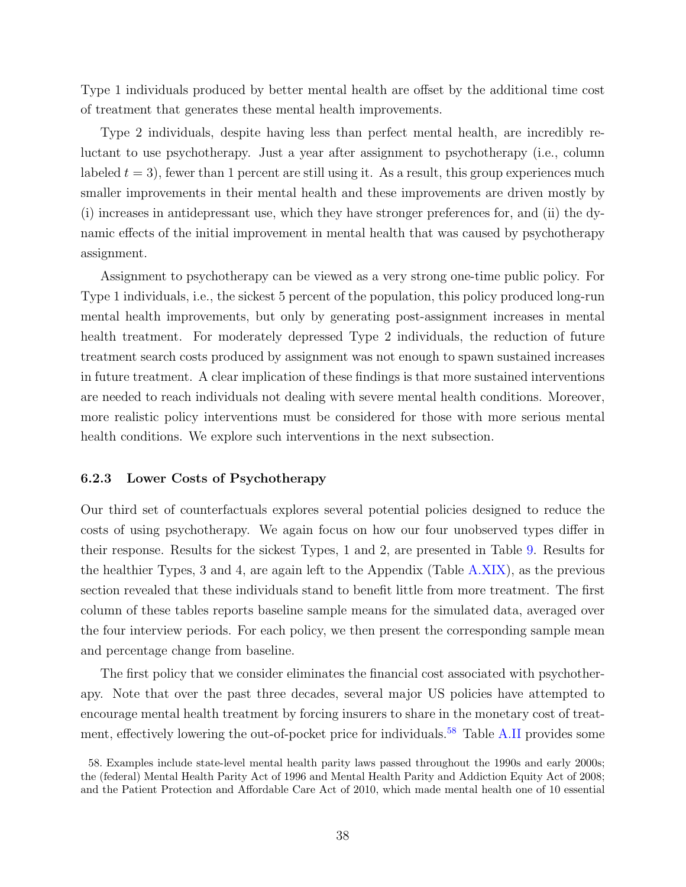Type 1 individuals produced by better mental health are offset by the additional time cost of treatment that generates these mental health improvements.

Type 2 individuals, despite having less than perfect mental health, are incredibly reluctant to use psychotherapy. Just a year after assignment to psychotherapy (i.e., column labeled  $t = 3$ , fewer than 1 percent are still using it. As a result, this group experiences much smaller improvements in their mental health and these improvements are driven mostly by (i) increases in antidepressant use, which they have stronger preferences for, and (ii) the dynamic effects of the initial improvement in mental health that was caused by psychotherapy assignment.

Assignment to psychotherapy can be viewed as a very strong one-time public policy. For Type 1 individuals, i.e., the sickest 5 percent of the population, this policy produced long-run mental health improvements, but only by generating post-assignment increases in mental health treatment. For moderately depressed Type 2 individuals, the reduction of future treatment search costs produced by assignment was not enough to spawn sustained increases in future treatment. A clear implication of these findings is that more sustained interventions are needed to reach individuals not dealing with severe mental health conditions. Moreover, more realistic policy interventions must be considered for those with more serious mental health conditions. We explore such interventions in the next subsection.

#### 6.2.3 Lower Costs of Psychotherapy

Our third set of counterfactuals explores several potential policies designed to reduce the costs of using psychotherapy. We again focus on how our four unobserved types differ in their response. Results for the sickest Types, 1 and 2, are presented in Table [9.](#page-60-0) Results for the healthier Types, 3 and 4, are again left to the Appendix (Table [A.XIX\)](#page-93-0), as the previous section revealed that these individuals stand to benefit little from more treatment. The first column of these tables reports baseline sample means for the simulated data, averaged over the four interview periods. For each policy, we then present the corresponding sample mean and percentage change from baseline.

The first policy that we consider eliminates the financial cost associated with psychotherapy. Note that over the past three decades, several major US policies have attempted to encourage mental health treatment by forcing insurers to share in the monetary cost of treat-ment, effectively lowering the out-of-pocket price for individuals.<sup>[58](#page-39-0)</sup> Table [A.II](#page-68-0) provides some

<span id="page-39-0"></span><sup>58.</sup> Examples include state-level mental health parity laws passed throughout the 1990s and early 2000s; the (federal) Mental Health Parity Act of 1996 and Mental Health Parity and Addiction Equity Act of 2008; and the Patient Protection and Affordable Care Act of 2010, which made mental health one of 10 essential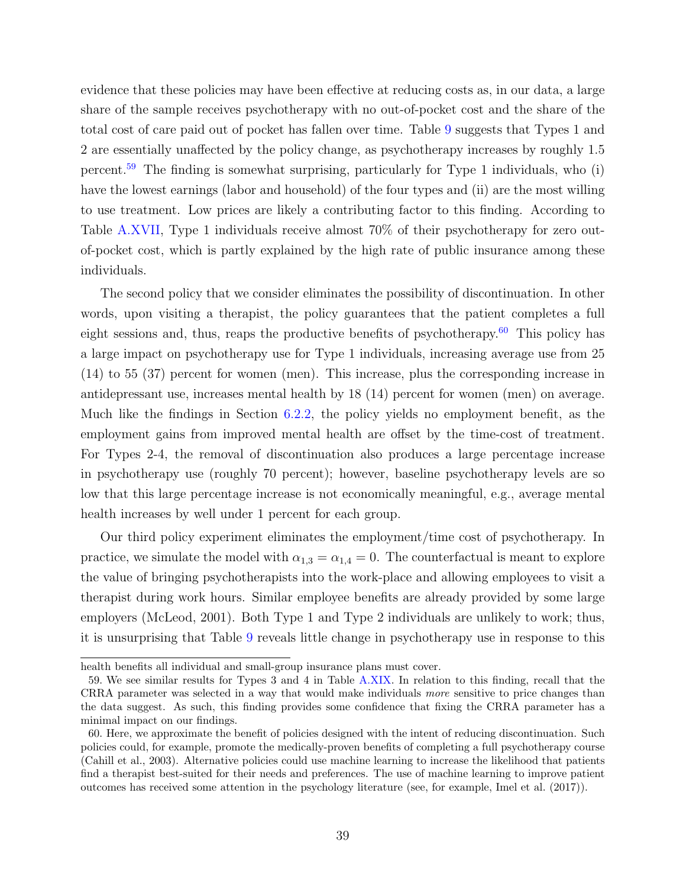evidence that these policies may have been effective at reducing costs as, in our data, a large share of the sample receives psychotherapy with no out-of-pocket cost and the share of the total cost of care paid out of pocket has fallen over time. Table [9](#page-60-0) suggests that Types 1 and 2 are essentially unaffected by the policy change, as psychotherapy increases by roughly 1.5 percent.[59](#page-40-0) The finding is somewhat surprising, particularly for Type 1 individuals, who (i) have the lowest earnings (labor and household) of the four types and (ii) are the most willing to use treatment. Low prices are likely a contributing factor to this finding. According to Table [A.XVII,](#page-89-0) Type 1 individuals receive almost 70% of their psychotherapy for zero outof-pocket cost, which is partly explained by the high rate of public insurance among these individuals.

The second policy that we consider eliminates the possibility of discontinuation. In other words, upon visiting a therapist, the policy guarantees that the patient completes a full eight sessions and, thus, reaps the productive benefits of psychotherapy. $60$  This policy has a large impact on psychotherapy use for Type 1 individuals, increasing average use from 25 (14) to 55 (37) percent for women (men). This increase, plus the corresponding increase in antidepressant use, increases mental health by 18 (14) percent for women (men) on average. Much like the findings in Section [6.2.2,](#page-37-2) the policy yields no employment benefit, as the employment gains from improved mental health are offset by the time-cost of treatment. For Types 2-4, the removal of discontinuation also produces a large percentage increase in psychotherapy use (roughly 70 percent); however, baseline psychotherapy levels are so low that this large percentage increase is not economically meaningful, e.g., average mental health increases by well under 1 percent for each group.

Our third policy experiment eliminates the employment/time cost of psychotherapy. In practice, we simulate the model with  $\alpha_{1,3} = \alpha_{1,4} = 0$ . The counterfactual is meant to explore the value of bringing psychotherapists into the work-place and allowing employees to visit a therapist during work hours. Similar employee benefits are already provided by some large employers (McLeod, [2001\)](#page-51-1). Both Type 1 and Type 2 individuals are unlikely to work; thus, it is unsurprising that Table [9](#page-60-0) reveals little change in psychotherapy use in response to this

health benefits all individual and small-group insurance plans must cover.

<span id="page-40-0"></span><sup>59.</sup> We see similar results for Types 3 and 4 in Table [A.XIX.](#page-93-0) In relation to this finding, recall that the CRRA parameter was selected in a way that would make individuals more sensitive to price changes than the data suggest. As such, this finding provides some confidence that fixing the CRRA parameter has a minimal impact on our findings.

<span id="page-40-1"></span><sup>60.</sup> Here, we approximate the benefit of policies designed with the intent of reducing discontinuation. Such policies could, for example, promote the medically-proven benefits of completing a full psychotherapy course (Cahill et al., [2003\)](#page-47-0). Alternative policies could use machine learning to increase the likelihood that patients find a therapist best-suited for their needs and preferences. The use of machine learning to improve patient outcomes has received some attention in the psychology literature (see, for example, Imel et al. [\(2017\)](#page-50-0)).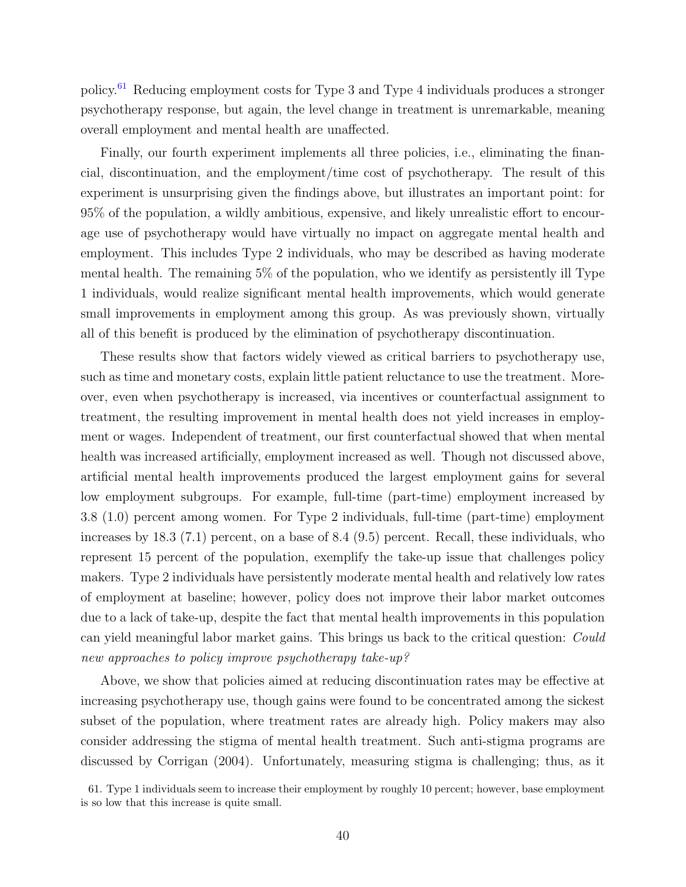policy.[61](#page-41-0) Reducing employment costs for Type 3 and Type 4 individuals produces a stronger psychotherapy response, but again, the level change in treatment is unremarkable, meaning overall employment and mental health are unaffected.

Finally, our fourth experiment implements all three policies, i.e., eliminating the financial, discontinuation, and the employment/time cost of psychotherapy. The result of this experiment is unsurprising given the findings above, but illustrates an important point: for 95% of the population, a wildly ambitious, expensive, and likely unrealistic effort to encourage use of psychotherapy would have virtually no impact on aggregate mental health and employment. This includes Type 2 individuals, who may be described as having moderate mental health. The remaining 5% of the population, who we identify as persistently ill Type 1 individuals, would realize significant mental health improvements, which would generate small improvements in employment among this group. As was previously shown, virtually all of this benefit is produced by the elimination of psychotherapy discontinuation.

These results show that factors widely viewed as critical barriers to psychotherapy use, such as time and monetary costs, explain little patient reluctance to use the treatment. Moreover, even when psychotherapy is increased, via incentives or counterfactual assignment to treatment, the resulting improvement in mental health does not yield increases in employment or wages. Independent of treatment, our first counterfactual showed that when mental health was increased artificially, employment increased as well. Though not discussed above, artificial mental health improvements produced the largest employment gains for several low employment subgroups. For example, full-time (part-time) employment increased by 3.8 (1.0) percent among women. For Type 2 individuals, full-time (part-time) employment increases by 18.3 (7.1) percent, on a base of 8.4 (9.5) percent. Recall, these individuals, who represent 15 percent of the population, exemplify the take-up issue that challenges policy makers. Type 2 individuals have persistently moderate mental health and relatively low rates of employment at baseline; however, policy does not improve their labor market outcomes due to a lack of take-up, despite the fact that mental health improvements in this population can yield meaningful labor market gains. This brings us back to the critical question: Could new approaches to policy improve psychotherapy take-up?

Above, we show that policies aimed at reducing discontinuation rates may be effective at increasing psychotherapy use, though gains were found to be concentrated among the sickest subset of the population, where treatment rates are already high. Policy makers may also consider addressing the stigma of mental health treatment. Such anti-stigma programs are discussed by Corrigan [\(2004\)](#page-47-1). Unfortunately, measuring stigma is challenging; thus, as it

<span id="page-41-0"></span><sup>61.</sup> Type 1 individuals seem to increase their employment by roughly 10 percent; however, base employment is so low that this increase is quite small.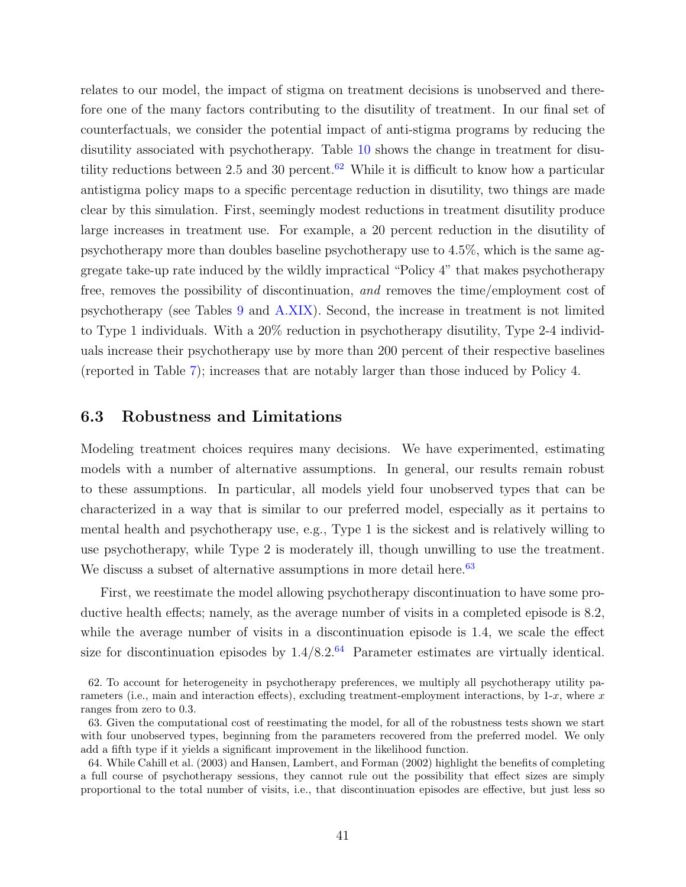relates to our model, the impact of stigma on treatment decisions is unobserved and therefore one of the many factors contributing to the disutility of treatment. In our final set of counterfactuals, we consider the potential impact of anti-stigma programs by reducing the disutility associated with psychotherapy. Table [10](#page-61-0) shows the change in treatment for disu-tility reductions between 2.5 and 30 percent.<sup>[62](#page-42-0)</sup> While it is difficult to know how a particular antistigma policy maps to a specific percentage reduction in disutility, two things are made clear by this simulation. First, seemingly modest reductions in treatment disutility produce large increases in treatment use. For example, a 20 percent reduction in the disutility of psychotherapy more than doubles baseline psychotherapy use to 4.5%, which is the same aggregate take-up rate induced by the wildly impractical "Policy 4" that makes psychotherapy free, removes the possibility of discontinuation, and removes the time/employment cost of psychotherapy (see Tables [9](#page-60-0) and [A.XIX\)](#page-93-0). Second, the increase in treatment is not limited to Type 1 individuals. With a 20% reduction in psychotherapy disutility, Type 2-4 individuals increase their psychotherapy use by more than 200 percent of their respective baselines (reported in Table [7\)](#page-58-0); increases that are notably larger than those induced by Policy 4.

### 6.3 Robustness and Limitations

Modeling treatment choices requires many decisions. We have experimented, estimating models with a number of alternative assumptions. In general, our results remain robust to these assumptions. In particular, all models yield four unobserved types that can be characterized in a way that is similar to our preferred model, especially as it pertains to mental health and psychotherapy use, e.g., Type 1 is the sickest and is relatively willing to use psychotherapy, while Type 2 is moderately ill, though unwilling to use the treatment. We discuss a subset of alternative assumptions in more detail here. $63$ 

First, we reestimate the model allowing psychotherapy discontinuation to have some productive health effects; namely, as the average number of visits in a completed episode is 8.2, while the average number of visits in a discontinuation episode is 1.4, we scale the effect size for discontinuation episodes by  $1.4/8.2<sup>64</sup>$  $1.4/8.2<sup>64</sup>$  $1.4/8.2<sup>64</sup>$  Parameter estimates are virtually identical.

<span id="page-42-0"></span><sup>62.</sup> To account for heterogeneity in psychotherapy preferences, we multiply all psychotherapy utility parameters (i.e., main and interaction effects), excluding treatment-employment interactions, by  $1-x$ , where x ranges from zero to 0.3.

<span id="page-42-1"></span><sup>63.</sup> Given the computational cost of reestimating the model, for all of the robustness tests shown we start with four unobserved types, beginning from the parameters recovered from the preferred model. We only add a fifth type if it yields a significant improvement in the likelihood function.

<span id="page-42-2"></span><sup>64.</sup> While Cahill et al. [\(2003\)](#page-47-0) and Hansen, Lambert, and Forman [\(2002\)](#page-50-1) highlight the benefits of completing a full course of psychotherapy sessions, they cannot rule out the possibility that effect sizes are simply proportional to the total number of visits, i.e., that discontinuation episodes are effective, but just less so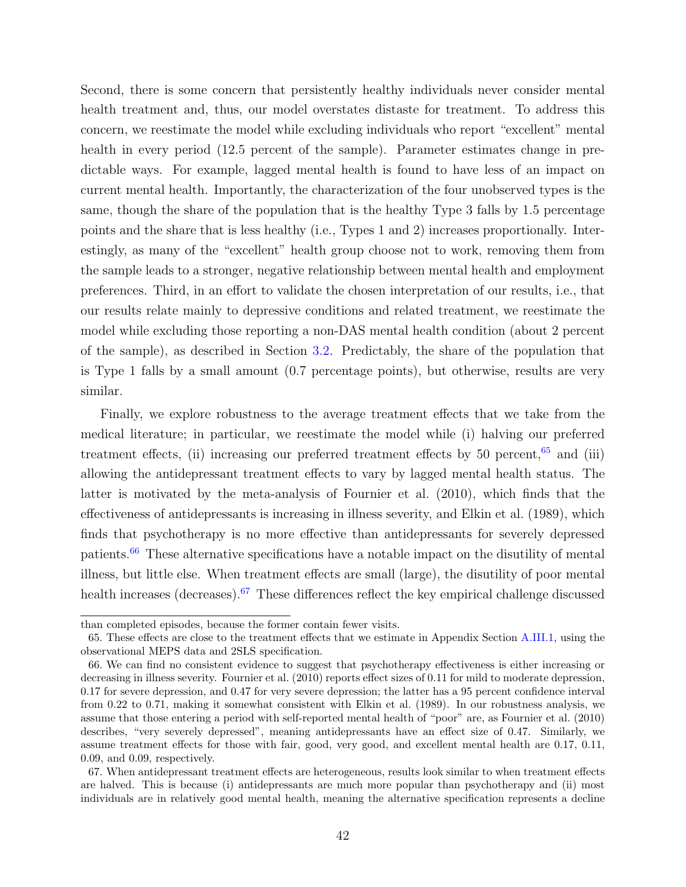Second, there is some concern that persistently healthy individuals never consider mental health treatment and, thus, our model overstates distaste for treatment. To address this concern, we reestimate the model while excluding individuals who report "excellent" mental health in every period (12.5 percent of the sample). Parameter estimates change in predictable ways. For example, lagged mental health is found to have less of an impact on current mental health. Importantly, the characterization of the four unobserved types is the same, though the share of the population that is the healthy Type 3 falls by 1.5 percentage points and the share that is less healthy (i.e., Types 1 and 2) increases proportionally. Interestingly, as many of the "excellent" health group choose not to work, removing them from the sample leads to a stronger, negative relationship between mental health and employment preferences. Third, in an effort to validate the chosen interpretation of our results, i.e., that our results relate mainly to depressive conditions and related treatment, we reestimate the model while excluding those reporting a non-DAS mental health condition (about 2 percent of the sample), as described in Section [3.2.](#page-11-0) Predictably, the share of the population that is Type 1 falls by a small amount (0.7 percentage points), but otherwise, results are very similar.

Finally, we explore robustness to the average treatment effects that we take from the medical literature; in particular, we reestimate the model while (i) halving our preferred treatment effects, (ii) increasing our preferred treatment effects by  $50$  percent,  $65$  and (iii) allowing the antidepressant treatment effects to vary by lagged mental health status. The latter is motivated by the meta-analysis of Fournier et al. [\(2010\)](#page-49-0), which finds that the effectiveness of antidepressants is increasing in illness severity, and Elkin et al. [\(1989\)](#page-48-0), which finds that psychotherapy is no more effective than antidepressants for severely depressed patients.[66](#page-43-1) These alternative specifications have a notable impact on the disutility of mental illness, but little else. When treatment effects are small (large), the disutility of poor mental health increases (decreases).<sup>[67](#page-43-2)</sup> These differences reflect the key empirical challenge discussed

than completed episodes, because the former contain fewer visits.

<span id="page-43-0"></span><sup>65.</sup> These effects are close to the treatment effects that we estimate in Appendix Section [A.III.1,](#page-71-0) using the observational MEPS data and 2SLS specification.

<span id="page-43-1"></span><sup>66.</sup> We can find no consistent evidence to suggest that psychotherapy effectiveness is either increasing or decreasing in illness severity. Fournier et al. [\(2010\)](#page-49-0) reports effect sizes of 0.11 for mild to moderate depression, 0.17 for severe depression, and 0.47 for very severe depression; the latter has a 95 percent confidence interval from 0.22 to 0.71, making it somewhat consistent with Elkin et al. [\(1989\)](#page-48-0). In our robustness analysis, we assume that those entering a period with self-reported mental health of "poor" are, as Fournier et al. [\(2010\)](#page-49-0) describes, "very severely depressed", meaning antidepressants have an effect size of 0.47. Similarly, we assume treatment effects for those with fair, good, very good, and excellent mental health are 0.17, 0.11, 0.09, and 0.09, respectively.

<span id="page-43-2"></span><sup>67.</sup> When antidepressant treatment effects are heterogeneous, results look similar to when treatment effects are halved. This is because (i) antidepressants are much more popular than psychotherapy and (ii) most individuals are in relatively good mental health, meaning the alternative specification represents a decline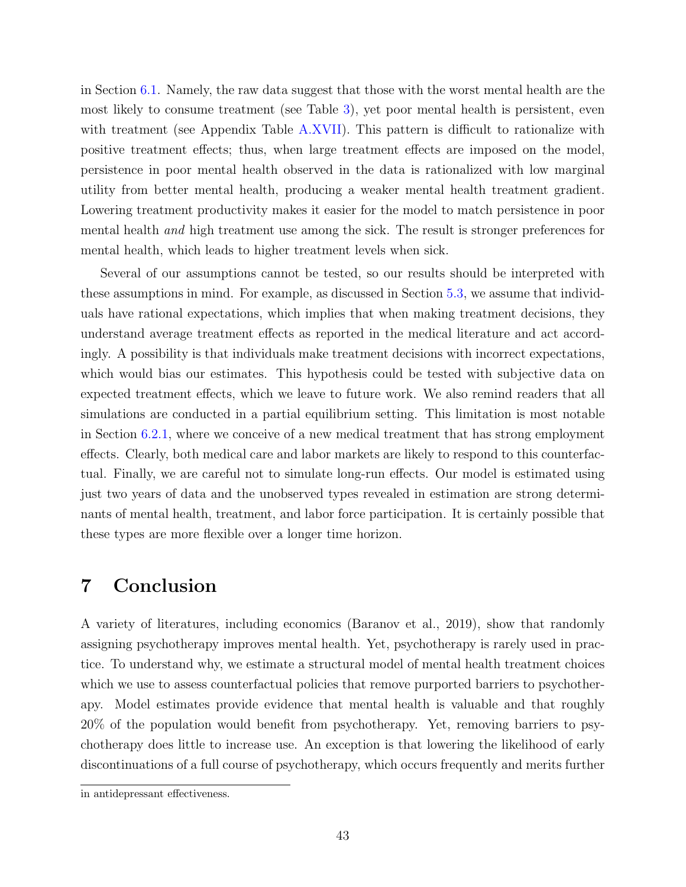in Section [6.1.](#page-32-0) Namely, the raw data suggest that those with the worst mental health are the most likely to consume treatment (see Table [3\)](#page-55-0), yet poor mental health is persistent, even with treatment (see Appendix Table [A.XVII\)](#page-89-0). This pattern is difficult to rationalize with positive treatment effects; thus, when large treatment effects are imposed on the model, persistence in poor mental health observed in the data is rationalized with low marginal utility from better mental health, producing a weaker mental health treatment gradient. Lowering treatment productivity makes it easier for the model to match persistence in poor mental health and high treatment use among the sick. The result is stronger preferences for mental health, which leads to higher treatment levels when sick.

Several of our assumptions cannot be tested, so our results should be interpreted with these assumptions in mind. For example, as discussed in Section [5.3,](#page-27-0) we assume that individuals have rational expectations, which implies that when making treatment decisions, they understand average treatment effects as reported in the medical literature and act accordingly. A possibility is that individuals make treatment decisions with incorrect expectations, which would bias our estimates. This hypothesis could be tested with subjective data on expected treatment effects, which we leave to future work. We also remind readers that all simulations are conducted in a partial equilibrium setting. This limitation is most notable in Section [6.2.1,](#page-36-2) where we conceive of a new medical treatment that has strong employment effects. Clearly, both medical care and labor markets are likely to respond to this counterfactual. Finally, we are careful not to simulate long-run effects. Our model is estimated using just two years of data and the unobserved types revealed in estimation are strong determinants of mental health, treatment, and labor force participation. It is certainly possible that these types are more flexible over a longer time horizon.

## 7 Conclusion

A variety of literatures, including economics (Baranov et al., [2019\)](#page-46-0), show that randomly assigning psychotherapy improves mental health. Yet, psychotherapy is rarely used in practice. To understand why, we estimate a structural model of mental health treatment choices which we use to assess counterfactual policies that remove purported barriers to psychotherapy. Model estimates provide evidence that mental health is valuable and that roughly 20% of the population would benefit from psychotherapy. Yet, removing barriers to psychotherapy does little to increase use. An exception is that lowering the likelihood of early discontinuations of a full course of psychotherapy, which occurs frequently and merits further

in antidepressant effectiveness.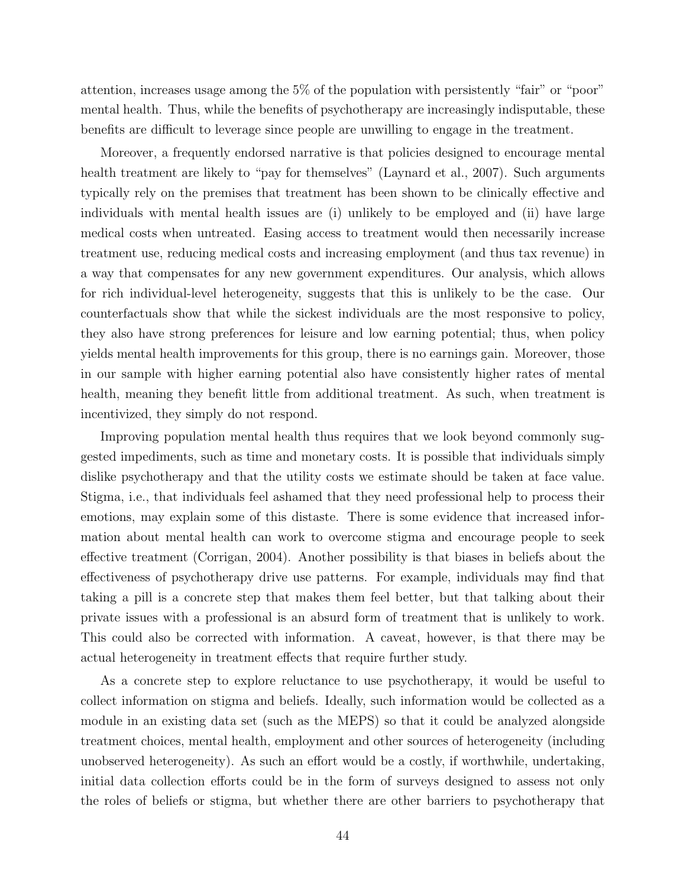attention, increases usage among the 5% of the population with persistently "fair" or "poor" mental health. Thus, while the benefits of psychotherapy are increasingly indisputable, these benefits are difficult to leverage since people are unwilling to engage in the treatment.

Moreover, a frequently endorsed narrative is that policies designed to encourage mental health treatment are likely to "pay for themselves" (Laynard et al., [2007\)](#page-51-2). Such arguments typically rely on the premises that treatment has been shown to be clinically effective and individuals with mental health issues are (i) unlikely to be employed and (ii) have large medical costs when untreated. Easing access to treatment would then necessarily increase treatment use, reducing medical costs and increasing employment (and thus tax revenue) in a way that compensates for any new government expenditures. Our analysis, which allows for rich individual-level heterogeneity, suggests that this is unlikely to be the case. Our counterfactuals show that while the sickest individuals are the most responsive to policy, they also have strong preferences for leisure and low earning potential; thus, when policy yields mental health improvements for this group, there is no earnings gain. Moreover, those in our sample with higher earning potential also have consistently higher rates of mental health, meaning they benefit little from additional treatment. As such, when treatment is incentivized, they simply do not respond.

Improving population mental health thus requires that we look beyond commonly suggested impediments, such as time and monetary costs. It is possible that individuals simply dislike psychotherapy and that the utility costs we estimate should be taken at face value. Stigma, i.e., that individuals feel ashamed that they need professional help to process their emotions, may explain some of this distaste. There is some evidence that increased information about mental health can work to overcome stigma and encourage people to seek effective treatment (Corrigan, [2004\)](#page-47-1). Another possibility is that biases in beliefs about the effectiveness of psychotherapy drive use patterns. For example, individuals may find that taking a pill is a concrete step that makes them feel better, but that talking about their private issues with a professional is an absurd form of treatment that is unlikely to work. This could also be corrected with information. A caveat, however, is that there may be actual heterogeneity in treatment effects that require further study.

As a concrete step to explore reluctance to use psychotherapy, it would be useful to collect information on stigma and beliefs. Ideally, such information would be collected as a module in an existing data set (such as the MEPS) so that it could be analyzed alongside treatment choices, mental health, employment and other sources of heterogeneity (including unobserved heterogeneity). As such an effort would be a costly, if worthwhile, undertaking, initial data collection efforts could be in the form of surveys designed to assess not only the roles of beliefs or stigma, but whether there are other barriers to psychotherapy that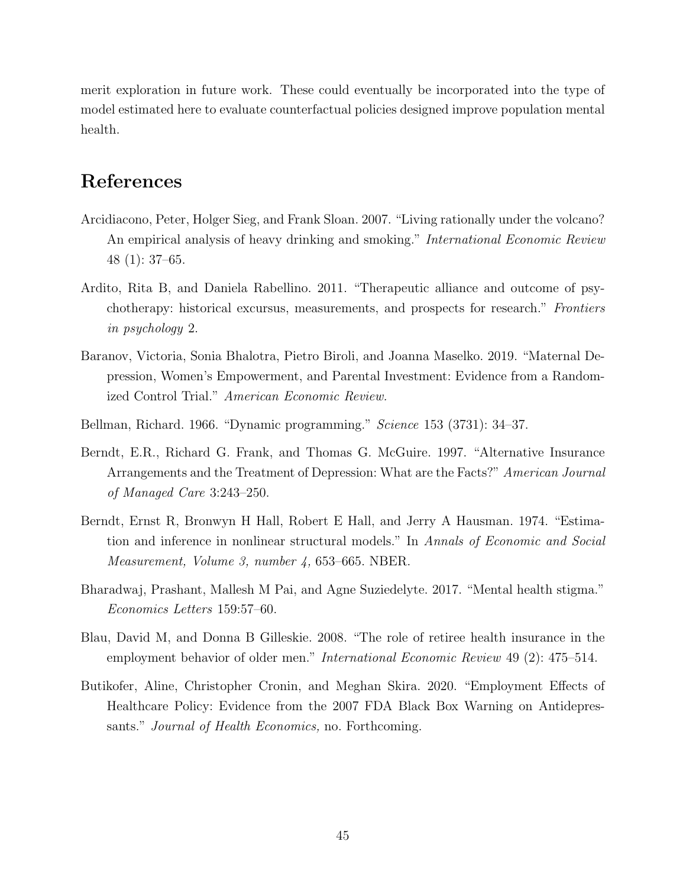merit exploration in future work. These could eventually be incorporated into the type of model estimated here to evaluate counterfactual policies designed improve population mental health.

## References

- Arcidiacono, Peter, Holger Sieg, and Frank Sloan. 2007. "Living rationally under the volcano? An empirical analysis of heavy drinking and smoking." *International Economic Review* 48 (1): 37–65.
- Ardito, Rita B, and Daniela Rabellino. 2011. "Therapeutic alliance and outcome of psychotherapy: historical excursus, measurements, and prospects for research." Frontiers in psychology 2.
- <span id="page-46-0"></span>Baranov, Victoria, Sonia Bhalotra, Pietro Biroli, and Joanna Maselko. 2019. "Maternal Depression, Women's Empowerment, and Parental Investment: Evidence from a Randomized Control Trial." American Economic Review.
- Bellman, Richard. 1966. "Dynamic programming." Science 153 (3731): 34–37.
- Berndt, E.R., Richard G. Frank, and Thomas G. McGuire. 1997. "Alternative Insurance Arrangements and the Treatment of Depression: What are the Facts?" American Journal of Managed Care 3:243–250.
- Berndt, Ernst R, Bronwyn H Hall, Robert E Hall, and Jerry A Hausman. 1974. "Estimation and inference in nonlinear structural models." In Annals of Economic and Social Measurement, Volume 3, number 4, 653–665. NBER.
- Bharadwaj, Prashant, Mallesh M Pai, and Agne Suziedelyte. 2017. "Mental health stigma." Economics Letters 159:57–60.
- Blau, David M, and Donna B Gilleskie. 2008. "The role of retiree health insurance in the employment behavior of older men." International Economic Review 49 (2): 475–514.
- Butikofer, Aline, Christopher Cronin, and Meghan Skira. 2020. "Employment Effects of Healthcare Policy: Evidence from the 2007 FDA Black Box Warning on Antidepressants." *Journal of Health Economics*, no. Forthcoming.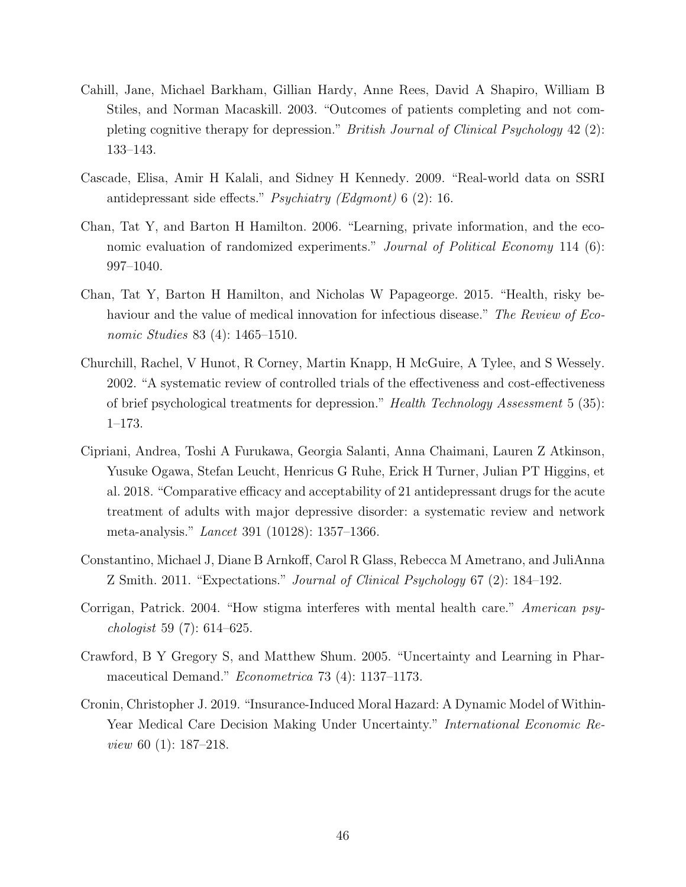- <span id="page-47-0"></span>Cahill, Jane, Michael Barkham, Gillian Hardy, Anne Rees, David A Shapiro, William B Stiles, and Norman Macaskill. 2003. "Outcomes of patients completing and not completing cognitive therapy for depression." British Journal of Clinical Psychology 42 (2): 133–143.
- Cascade, Elisa, Amir H Kalali, and Sidney H Kennedy. 2009. "Real-world data on SSRI antidepressant side effects." Psychiatry (Edgmont) 6 (2): 16.
- Chan, Tat Y, and Barton H Hamilton. 2006. "Learning, private information, and the economic evaluation of randomized experiments." Journal of Political Economy 114 (6): 997–1040.
- Chan, Tat Y, Barton H Hamilton, and Nicholas W Papageorge. 2015. "Health, risky behaviour and the value of medical innovation for infectious disease." The Review of Economic Studies 83 (4): 1465–1510.
- Churchill, Rachel, V Hunot, R Corney, Martin Knapp, H McGuire, A Tylee, and S Wessely. 2002. "A systematic review of controlled trials of the effectiveness and cost-effectiveness of brief psychological treatments for depression." Health Technology Assessment 5 (35): 1–173.
- Cipriani, Andrea, Toshi A Furukawa, Georgia Salanti, Anna Chaimani, Lauren Z Atkinson, Yusuke Ogawa, Stefan Leucht, Henricus G Ruhe, Erick H Turner, Julian PT Higgins, et al. 2018. "Comparative efficacy and acceptability of 21 antidepressant drugs for the acute treatment of adults with major depressive disorder: a systematic review and network meta-analysis." Lancet 391 (10128): 1357–1366.
- Constantino, Michael J, Diane B Arnkoff, Carol R Glass, Rebecca M Ametrano, and JuliAnna Z Smith. 2011. "Expectations." Journal of Clinical Psychology 67 (2): 184–192.
- <span id="page-47-1"></span>Corrigan, Patrick. 2004. "How stigma interferes with mental health care." American psychologist 59 (7): 614–625.
- Crawford, B Y Gregory S, and Matthew Shum. 2005. "Uncertainty and Learning in Pharmaceutical Demand." Econometrica 73 (4): 1137–1173.
- Cronin, Christopher J. 2019. "Insurance-Induced Moral Hazard: A Dynamic Model of Within-Year Medical Care Decision Making Under Uncertainty." *International Economic Re*view 60 (1): 187–218.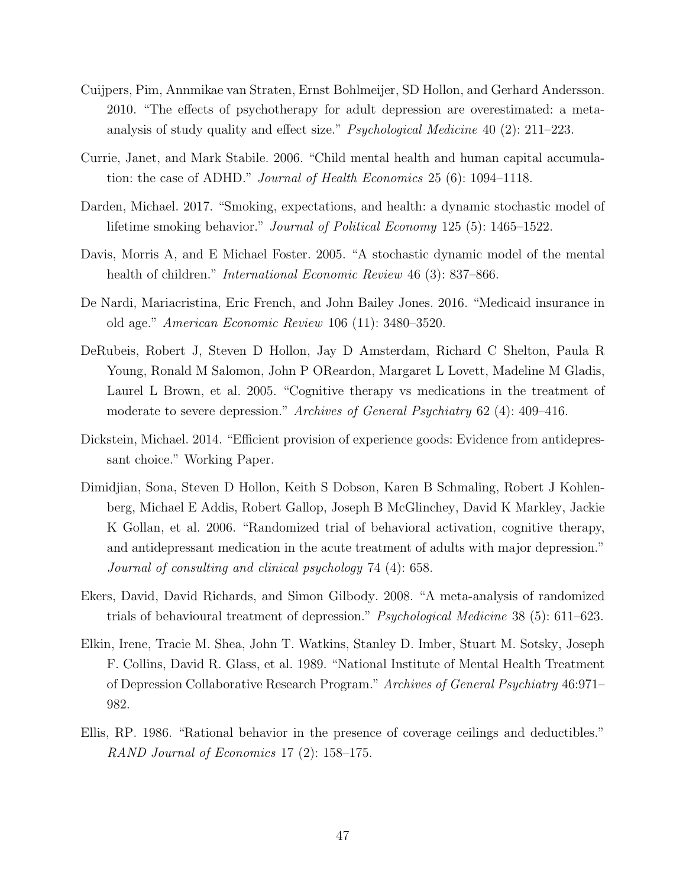- Cuijpers, Pim, Annmikae van Straten, Ernst Bohlmeijer, SD Hollon, and Gerhard Andersson. 2010. "The effects of psychotherapy for adult depression are overestimated: a metaanalysis of study quality and effect size." Psychological Medicine 40 (2): 211–223.
- Currie, Janet, and Mark Stabile. 2006. "Child mental health and human capital accumulation: the case of ADHD." Journal of Health Economics 25 (6): 1094–1118.
- Darden, Michael. 2017. "Smoking, expectations, and health: a dynamic stochastic model of lifetime smoking behavior." Journal of Political Economy 125 (5): 1465–1522.
- Davis, Morris A, and E Michael Foster. 2005. "A stochastic dynamic model of the mental health of children." *International Economic Review* 46 (3): 837–866.
- De Nardi, Mariacristina, Eric French, and John Bailey Jones. 2016. "Medicaid insurance in old age." American Economic Review 106 (11): 3480–3520.
- DeRubeis, Robert J, Steven D Hollon, Jay D Amsterdam, Richard C Shelton, Paula R Young, Ronald M Salomon, John P OReardon, Margaret L Lovett, Madeline M Gladis, Laurel L Brown, et al. 2005. "Cognitive therapy vs medications in the treatment of moderate to severe depression." Archives of General Psychiatry 62 (4): 409–416.
- Dickstein, Michael. 2014. "Efficient provision of experience goods: Evidence from antidepressant choice." Working Paper.
- Dimidjian, Sona, Steven D Hollon, Keith S Dobson, Karen B Schmaling, Robert J Kohlenberg, Michael E Addis, Robert Gallop, Joseph B McGlinchey, David K Markley, Jackie K Gollan, et al. 2006. "Randomized trial of behavioral activation, cognitive therapy, and antidepressant medication in the acute treatment of adults with major depression." Journal of consulting and clinical psychology 74 (4): 658.
- Ekers, David, David Richards, and Simon Gilbody. 2008. "A meta-analysis of randomized trials of behavioural treatment of depression." Psychological Medicine 38 (5): 611–623.
- <span id="page-48-0"></span>Elkin, Irene, Tracie M. Shea, John T. Watkins, Stanley D. Imber, Stuart M. Sotsky, Joseph F. Collins, David R. Glass, et al. 1989. "National Institute of Mental Health Treatment of Depression Collaborative Research Program." Archives of General Psychiatry 46:971– 982.
- Ellis, RP. 1986. "Rational behavior in the presence of coverage ceilings and deductibles." RAND Journal of Economics 17 (2): 158–175.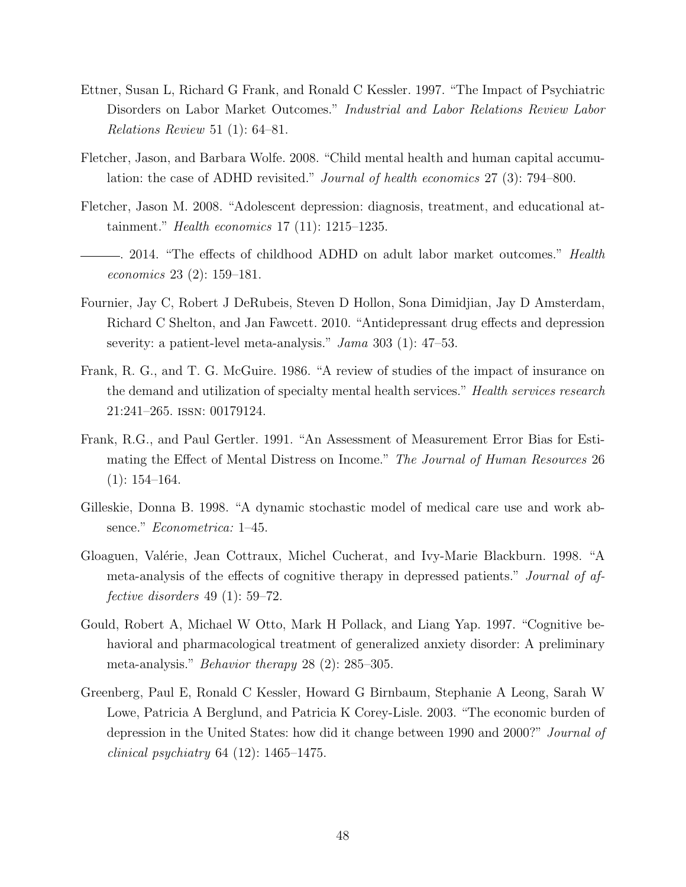- Ettner, Susan L, Richard G Frank, and Ronald C Kessler. 1997. "The Impact of Psychiatric Disorders on Labor Market Outcomes." Industrial and Labor Relations Review Labor Relations Review 51 (1): 64–81.
- Fletcher, Jason, and Barbara Wolfe. 2008. "Child mental health and human capital accumulation: the case of ADHD revisited." Journal of health economics 27 (3): 794–800.
- Fletcher, Jason M. 2008. "Adolescent depression: diagnosis, treatment, and educational attainment." Health economics 17 (11): 1215–1235.
- . 2014. "The effects of childhood ADHD on adult labor market outcomes." Health economics 23 (2): 159–181.
- <span id="page-49-0"></span>Fournier, Jay C, Robert J DeRubeis, Steven D Hollon, Sona Dimidjian, Jay D Amsterdam, Richard C Shelton, and Jan Fawcett. 2010. "Antidepressant drug effects and depression severity: a patient-level meta-analysis." Jama 303 (1): 47–53.
- Frank, R. G., and T. G. McGuire. 1986. "A review of studies of the impact of insurance on the demand and utilization of specialty mental health services." Health services research 21:241–265. issn: 00179124.
- Frank, R.G., and Paul Gertler. 1991. "An Assessment of Measurement Error Bias for Estimating the Effect of Mental Distress on Income." The Journal of Human Resources 26  $(1): 154-164.$
- Gilleskie, Donna B. 1998. "A dynamic stochastic model of medical care use and work absence." Econometrica: 1–45.
- Gloaguen, Valérie, Jean Cottraux, Michel Cucherat, and Ivy-Marie Blackburn. 1998. "A meta-analysis of the effects of cognitive therapy in depressed patients." Journal of affective disorders 49 (1): 59–72.
- Gould, Robert A, Michael W Otto, Mark H Pollack, and Liang Yap. 1997. "Cognitive behavioral and pharmacological treatment of generalized anxiety disorder: A preliminary meta-analysis." Behavior therapy 28 (2): 285–305.
- Greenberg, Paul E, Ronald C Kessler, Howard G Birnbaum, Stephanie A Leong, Sarah W Lowe, Patricia A Berglund, and Patricia K Corey-Lisle. 2003. "The economic burden of depression in the United States: how did it change between 1990 and 2000?" Journal of *clinical psychiatry* 64  $(12)$ : 1465–1475.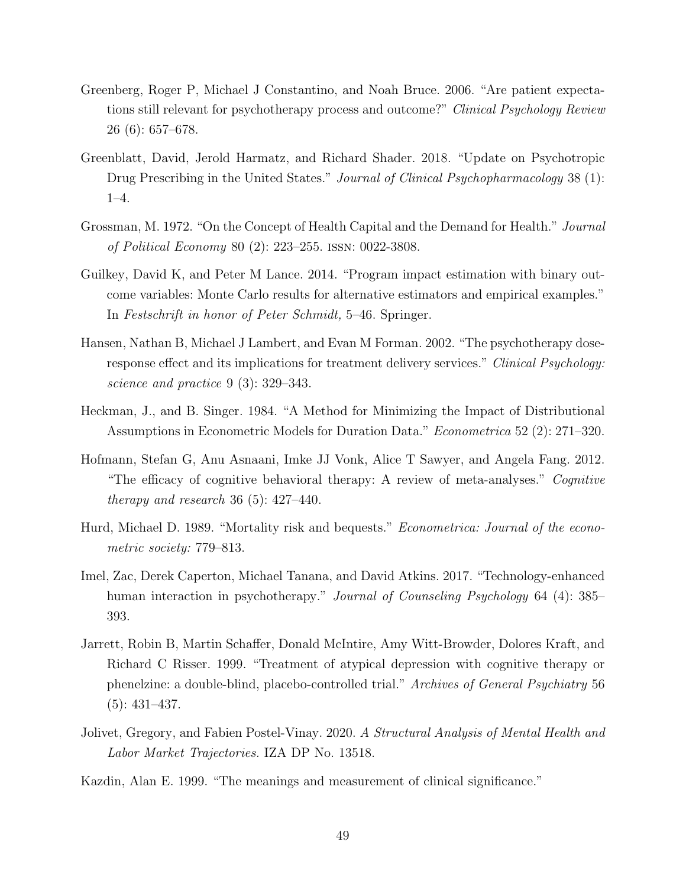- Greenberg, Roger P, Michael J Constantino, and Noah Bruce. 2006. "Are patient expectations still relevant for psychotherapy process and outcome?" Clinical Psychology Review 26 (6): 657–678.
- Greenblatt, David, Jerold Harmatz, and Richard Shader. 2018. "Update on Psychotropic Drug Prescribing in the United States." Journal of Clinical Psychopharmacology 38 (1): 1–4.
- Grossman, M. 1972. "On the Concept of Health Capital and the Demand for Health." Journal of Political Economy 80 (2): 223–255. issn: 0022-3808.
- Guilkey, David K, and Peter M Lance. 2014. "Program impact estimation with binary outcome variables: Monte Carlo results for alternative estimators and empirical examples." In Festschrift in honor of Peter Schmidt, 5–46. Springer.
- <span id="page-50-1"></span>Hansen, Nathan B, Michael J Lambert, and Evan M Forman. 2002. "The psychotherapy doseresponse effect and its implications for treatment delivery services." Clinical Psychology: science and practice 9 (3): 329–343.
- Heckman, J., and B. Singer. 1984. "A Method for Minimizing the Impact of Distributional Assumptions in Econometric Models for Duration Data." Econometrica 52 (2): 271–320.
- Hofmann, Stefan G, Anu Asnaani, Imke JJ Vonk, Alice T Sawyer, and Angela Fang. 2012. "The efficacy of cognitive behavioral therapy: A review of meta-analyses." Cognitive therapy and research 36  $(5)$ : 427–440.
- Hurd, Michael D. 1989. "Mortality risk and bequests." Econometrica: Journal of the econometric society: 779–813.
- <span id="page-50-0"></span>Imel, Zac, Derek Caperton, Michael Tanana, and David Atkins. 2017. "Technology-enhanced human interaction in psychotherapy." *Journal of Counseling Psychology* 64 (4): 385– 393.
- Jarrett, Robin B, Martin Schaffer, Donald McIntire, Amy Witt-Browder, Dolores Kraft, and Richard C Risser. 1999. "Treatment of atypical depression with cognitive therapy or phenelzine: a double-blind, placebo-controlled trial." Archives of General Psychiatry 56 (5): 431–437.
- Jolivet, Gregory, and Fabien Postel-Vinay. 2020. A Structural Analysis of Mental Health and Labor Market Trajectories. IZA DP No. 13518.
- Kazdin, Alan E. 1999. "The meanings and measurement of clinical significance."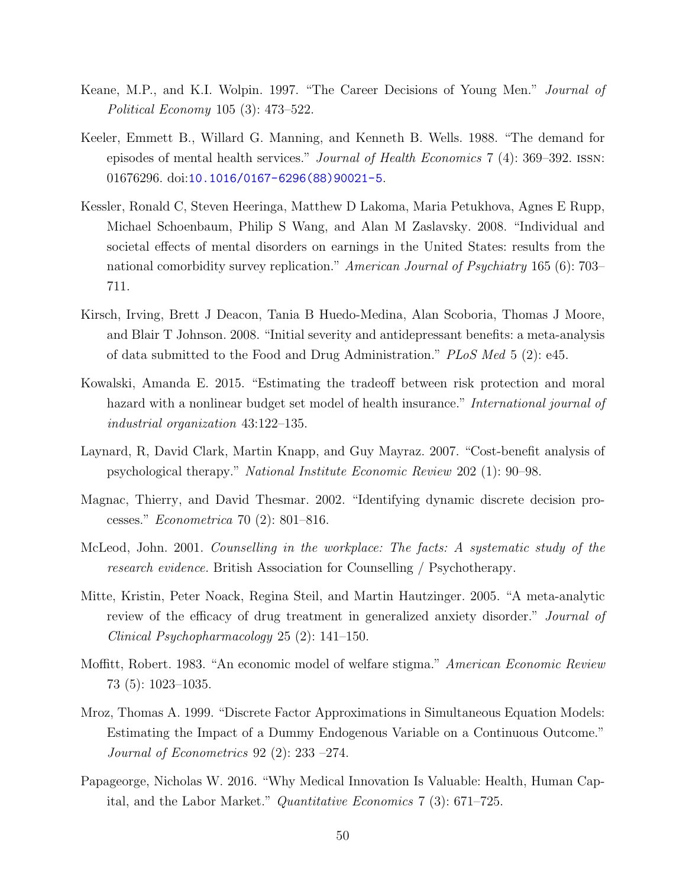- Keane, M.P., and K.I. Wolpin. 1997. "The Career Decisions of Young Men." Journal of Political Economy 105 (3): 473–522.
- Keeler, Emmett B., Willard G. Manning, and Kenneth B. Wells. 1988. "The demand for episodes of mental health services." Journal of Health Economics 7 (4): 369–392. issn: 01676296. doi:[10.1016/0167-6296\(88\)90021-5](http://dx.doi.org/10.1016/0167-6296(88)90021-5).
- <span id="page-51-0"></span>Kessler, Ronald C, Steven Heeringa, Matthew D Lakoma, Maria Petukhova, Agnes E Rupp, Michael Schoenbaum, Philip S Wang, and Alan M Zaslavsky. 2008. "Individual and societal effects of mental disorders on earnings in the United States: results from the national comorbidity survey replication." American Journal of Psychiatry 165 (6): 703– 711.
- Kirsch, Irving, Brett J Deacon, Tania B Huedo-Medina, Alan Scoboria, Thomas J Moore, and Blair T Johnson. 2008. "Initial severity and antidepressant benefits: a meta-analysis of data submitted to the Food and Drug Administration." PLoS Med 5 (2): e45.
- Kowalski, Amanda E. 2015. "Estimating the tradeoff between risk protection and moral hazard with a nonlinear budget set model of health insurance." International journal of industrial organization 43:122–135.
- <span id="page-51-2"></span>Laynard, R, David Clark, Martin Knapp, and Guy Mayraz. 2007. "Cost-benefit analysis of psychological therapy." National Institute Economic Review 202 (1): 90–98.
- Magnac, Thierry, and David Thesmar. 2002. "Identifying dynamic discrete decision processes." Econometrica 70 (2): 801–816.
- <span id="page-51-1"></span>McLeod, John. 2001. Counselling in the workplace: The facts: A systematic study of the research evidence. British Association for Counselling / Psychotherapy.
- Mitte, Kristin, Peter Noack, Regina Steil, and Martin Hautzinger. 2005. "A meta-analytic review of the efficacy of drug treatment in generalized anxiety disorder." Journal of Clinical Psychopharmacology 25 (2): 141–150.
- Moffitt, Robert. 1983. "An economic model of welfare stigma." American Economic Review 73 (5): 1023–1035.
- Mroz, Thomas A. 1999. "Discrete Factor Approximations in Simultaneous Equation Models: Estimating the Impact of a Dummy Endogenous Variable on a Continuous Outcome." Journal of Econometrics 92 (2): 233 –274.
- Papageorge, Nicholas W. 2016. "Why Medical Innovation Is Valuable: Health, Human Capital, and the Labor Market." Quantitative Economics 7 (3): 671–725.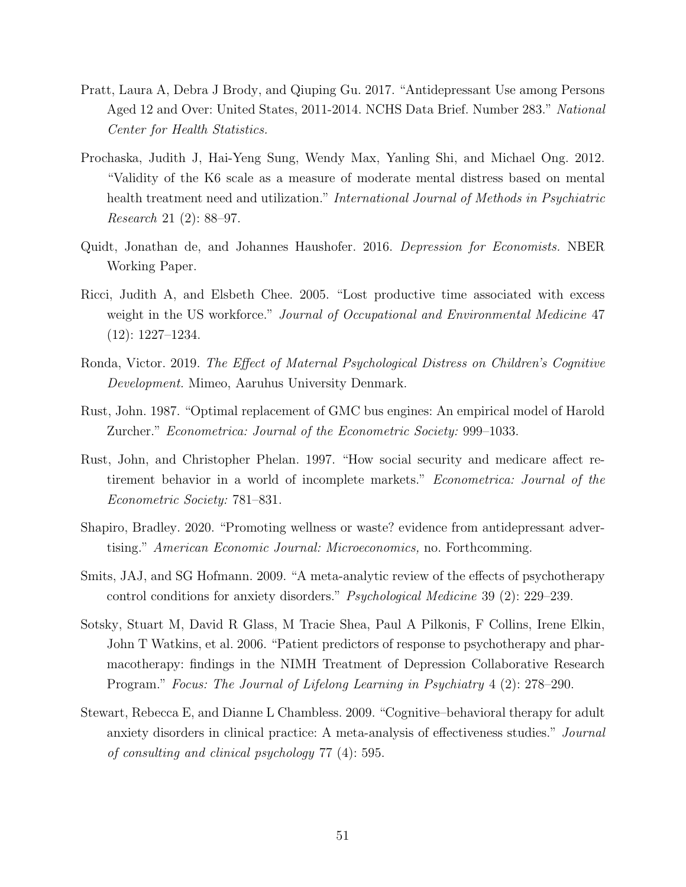- Pratt, Laura A, Debra J Brody, and Qiuping Gu. 2017. "Antidepressant Use among Persons Aged 12 and Over: United States, 2011-2014. NCHS Data Brief. Number 283." National Center for Health Statistics.
- Prochaska, Judith J, Hai-Yeng Sung, Wendy Max, Yanling Shi, and Michael Ong. 2012. "Validity of the K6 scale as a measure of moderate mental distress based on mental health treatment need and utilization." International Journal of Methods in Psychiatric Research 21 (2): 88–97.
- Quidt, Jonathan de, and Johannes Haushofer. 2016. Depression for Economists. NBER Working Paper.
- <span id="page-52-0"></span>Ricci, Judith A, and Elsbeth Chee. 2005. "Lost productive time associated with excess weight in the US workforce." Journal of Occupational and Environmental Medicine 47 (12): 1227–1234.
- Ronda, Victor. 2019. The Effect of Maternal Psychological Distress on Children's Cognitive Development. Mimeo, Aaruhus University Denmark.
- Rust, John. 1987. "Optimal replacement of GMC bus engines: An empirical model of Harold Zurcher." Econometrica: Journal of the Econometric Society: 999–1033.
- Rust, John, and Christopher Phelan. 1997. "How social security and medicare affect retirement behavior in a world of incomplete markets." Econometrica: Journal of the Econometric Society: 781–831.
- Shapiro, Bradley. 2020. "Promoting wellness or waste? evidence from antidepressant advertising." American Economic Journal: Microeconomics, no. Forthcomming.
- Smits, JAJ, and SG Hofmann. 2009. "A meta-analytic review of the effects of psychotherapy control conditions for anxiety disorders." Psychological Medicine 39 (2): 229–239.
- Sotsky, Stuart M, David R Glass, M Tracie Shea, Paul A Pilkonis, F Collins, Irene Elkin, John T Watkins, et al. 2006. "Patient predictors of response to psychotherapy and pharmacotherapy: findings in the NIMH Treatment of Depression Collaborative Research Program." Focus: The Journal of Lifelong Learning in Psychiatry 4 (2): 278–290.
- Stewart, Rebecca E, and Dianne L Chambless. 2009. "Cognitive–behavioral therapy for adult anxiety disorders in clinical practice: A meta-analysis of effectiveness studies." Journal of consulting and clinical psychology 77 (4): 595.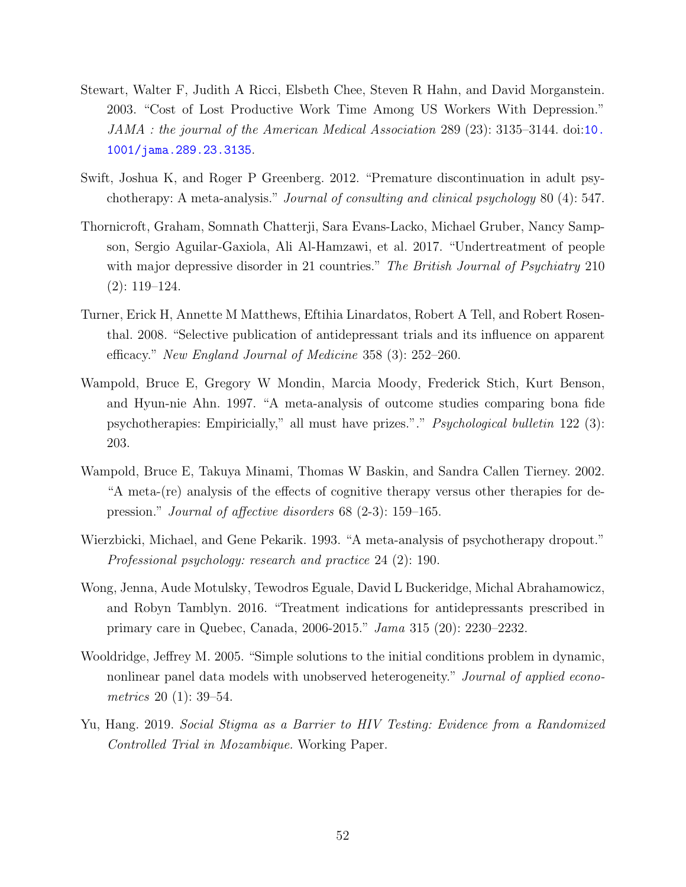- Stewart, Walter F, Judith A Ricci, Elsbeth Chee, Steven R Hahn, and David Morganstein. 2003. "Cost of Lost Productive Work Time Among US Workers With Depression." JAMA : the journal of the American Medical Association 289 (23): 3135–3144. doi:[10.](http://dx.doi.org/10.1001/jama.289.23.3135) [1001/jama.289.23.3135](http://dx.doi.org/10.1001/jama.289.23.3135).
- Swift, Joshua K, and Roger P Greenberg. 2012. "Premature discontinuation in adult psychotherapy: A meta-analysis." Journal of consulting and clinical psychology 80 (4): 547.
- Thornicroft, Graham, Somnath Chatterji, Sara Evans-Lacko, Michael Gruber, Nancy Sampson, Sergio Aguilar-Gaxiola, Ali Al-Hamzawi, et al. 2017. "Undertreatment of people with major depressive disorder in 21 countries." The British Journal of Psychiatry 210 (2): 119–124.
- Turner, Erick H, Annette M Matthews, Eftihia Linardatos, Robert A Tell, and Robert Rosenthal. 2008. "Selective publication of antidepressant trials and its influence on apparent efficacy." New England Journal of Medicine 358 (3): 252–260.
- Wampold, Bruce E, Gregory W Mondin, Marcia Moody, Frederick Stich, Kurt Benson, and Hyun-nie Ahn. 1997. "A meta-analysis of outcome studies comparing bona fide psychotherapies: Empiricially," all must have prizes."." Psychological bulletin 122 (3): 203.
- Wampold, Bruce E, Takuya Minami, Thomas W Baskin, and Sandra Callen Tierney. 2002. "A meta-(re) analysis of the effects of cognitive therapy versus other therapies for depression." Journal of affective disorders 68 (2-3): 159–165.
- Wierzbicki, Michael, and Gene Pekarik. 1993. "A meta-analysis of psychotherapy dropout." Professional psychology: research and practice 24 (2): 190.
- Wong, Jenna, Aude Motulsky, Tewodros Eguale, David L Buckeridge, Michal Abrahamowicz, and Robyn Tamblyn. 2016. "Treatment indications for antidepressants prescribed in primary care in Quebec, Canada, 2006-2015." Jama 315 (20): 2230–2232.
- Wooldridge, Jeffrey M. 2005. "Simple solutions to the initial conditions problem in dynamic, nonlinear panel data models with unobserved heterogeneity." Journal of applied econometrics 20 (1): 39–54.
- Yu, Hang. 2019. Social Stigma as a Barrier to HIV Testing: Evidence from a Randomized Controlled Trial in Mozambique. Working Paper.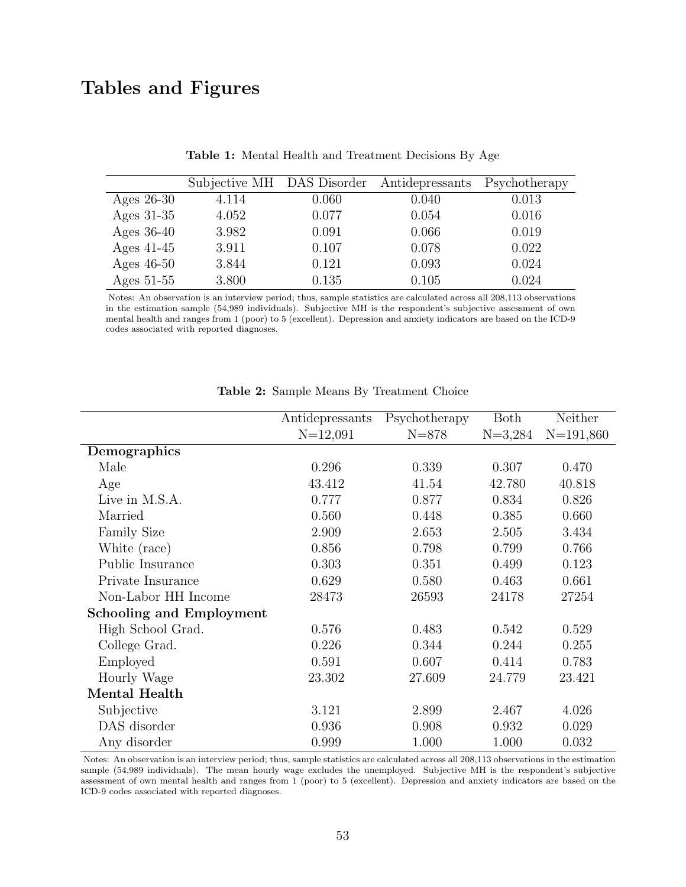# Tables and Figures

|              | Subjective MH DAS Disorder |       | Antidepressants | Psychotherapy |
|--------------|----------------------------|-------|-----------------|---------------|
| Ages $26-30$ | 4.114                      | 0.060 | 0.040           | 0.013         |
| Ages $31-35$ | 4.052                      | 0.077 | 0.054           | 0.016         |
| Ages $36-40$ | 3.982                      | 0.091 | 0.066           | 0.019         |
| Ages $41-45$ | 3.911                      | 0.107 | 0.078           | 0.022         |
| Ages $46-50$ | 3.844                      | 0.121 | 0.093           | 0.024         |
| Ages $51-55$ | 3.800                      | 0.135 | 0.105           | 0.024         |

Table 1: Mental Health and Treatment Decisions By Age

Notes: An observation is an interview period; thus, sample statistics are calculated across all 208,113 observations in the estimation sample (54,989 individuals). Subjective MH is the respondent's subjective assessment of own mental health and ranges from 1 (poor) to 5 (excellent). Depression and anxiety indicators are based on the ICD-9 codes associated with reported diagnoses.

<span id="page-54-0"></span>

|                                 | Antidepressants | Psychotherapy | <b>Both</b> | Neither     |
|---------------------------------|-----------------|---------------|-------------|-------------|
|                                 | $N=12,091$      | $N = 878$     | $N=3,284$   | $N=191,860$ |
| Demographics                    |                 |               |             |             |
| Male                            | 0.296           | 0.339         | 0.307       | 0.470       |
| Age                             | 43.412          | 41.54         | 42.780      | 40.818      |
| Live in M.S.A.                  | 0.777           | 0.877         | 0.834       | 0.826       |
| Married                         | 0.560           | 0.448         | 0.385       | 0.660       |
| <b>Family Size</b>              | 2.909           | 2.653         | 2.505       | 3.434       |
| White (race)                    | 0.856           | 0.798         | 0.799       | 0.766       |
| Public Insurance                | 0.303           | 0.351         | 0.499       | 0.123       |
| Private Insurance               | 0.629           | 0.580         | 0.463       | 0.661       |
| Non-Labor HH Income             | 28473           | 26593         | 24178       | 27254       |
| <b>Schooling and Employment</b> |                 |               |             |             |
| High School Grad.               | 0.576           | 0.483         | 0.542       | 0.529       |
| College Grad.                   | 0.226           | 0.344         | 0.244       | 0.255       |
| Employed                        | 0.591           | 0.607         | 0.414       | 0.783       |
| Hourly Wage                     | 23.302          | 27.609        | 24.779      | 23.421      |
| Mental Health                   |                 |               |             |             |
| Subjective                      | 3.121           | 2.899         | 2.467       | 4.026       |
| DAS disorder                    | 0.936           | 0.908         | 0.932       | 0.029       |
| Any disorder                    | 0.999           | 1.000         | 1.000       | 0.032       |

|  |  |  |  | Table 2: Sample Means By Treatment Choice |  |
|--|--|--|--|-------------------------------------------|--|
|--|--|--|--|-------------------------------------------|--|

Notes: An observation is an interview period; thus, sample statistics are calculated across all 208,113 observations in the estimation sample (54,989 individuals). The mean hourly wage excludes the unemployed. Subjective MH is the respondent's subjective assessment of own mental health and ranges from 1 (poor) to 5 (excellent). Depression and anxiety indicators are based on the ICD-9 codes associated with reported diagnoses.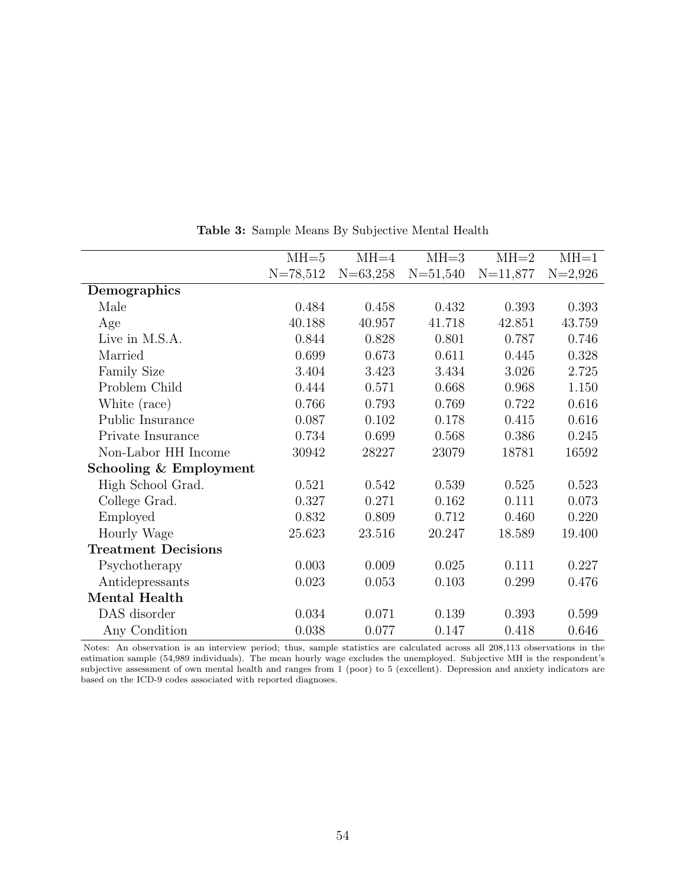<span id="page-55-0"></span>

|                            | $MH=5$     | $MH=4$       | MHz3         | $MH=2$       | $MH=1$    |
|----------------------------|------------|--------------|--------------|--------------|-----------|
|                            | $N=78,512$ | $N = 63,258$ | $N = 51,540$ | $N = 11,877$ | $N=2,926$ |
| Demographics               |            |              |              |              |           |
| Male                       | 0.484      | 0.458        | 0.432        | 0.393        | 0.393     |
| Age                        | 40.188     | 40.957       | 41.718       | 42.851       | 43.759    |
| Live in M.S.A.             | 0.844      | 0.828        | 0.801        | 0.787        | 0.746     |
| Married                    | 0.699      | 0.673        | 0.611        | 0.445        | 0.328     |
| <b>Family Size</b>         | 3.404      | 3.423        | 3.434        | 3.026        | 2.725     |
| Problem Child              | 0.444      | 0.571        | 0.668        | 0.968        | 1.150     |
| White (race)               | 0.766      | 0.793        | 0.769        | 0.722        | 0.616     |
| Public Insurance           | 0.087      | 0.102        | 0.178        | 0.415        | 0.616     |
| Private Insurance          | 0.734      | 0.699        | 0.568        | 0.386        | 0.245     |
| Non-Labor HH Income        | 30942      | 28227        | 23079        | 18781        | 16592     |
| Schooling & Employment     |            |              |              |              |           |
| High School Grad.          | 0.521      | 0.542        | 0.539        | 0.525        | 0.523     |
| College Grad.              | 0.327      | 0.271        | 0.162        | 0.111        | 0.073     |
| Employed                   | 0.832      | 0.809        | 0.712        | 0.460        | 0.220     |
| Hourly Wage                | 25.623     | 23.516       | 20.247       | 18.589       | 19.400    |
| <b>Treatment Decisions</b> |            |              |              |              |           |
| Psychotherapy              | 0.003      | 0.009        | 0.025        | 0.111        | 0.227     |
| Antidepressants            | 0.023      | 0.053        | 0.103        | 0.299        | 0.476     |
| Mental Health              |            |              |              |              |           |
| DAS disorder               | 0.034      | 0.071        | 0.139        | 0.393        | 0.599     |
| Any Condition              | 0.038      | 0.077        | 0.147        | 0.418        | 0.646     |

Table 3: Sample Means By Subjective Mental Health

Notes: An observation is an interview period; thus, sample statistics are calculated across all 208,113 observations in the estimation sample (54,989 individuals). The mean hourly wage excludes the unemployed. Subjective MH is the respondent's subjective assessment of own mental health and ranges from 1 (poor) to 5 (excellent). Depression and anxiety indicators are based on the ICD-9 codes associated with reported diagnoses.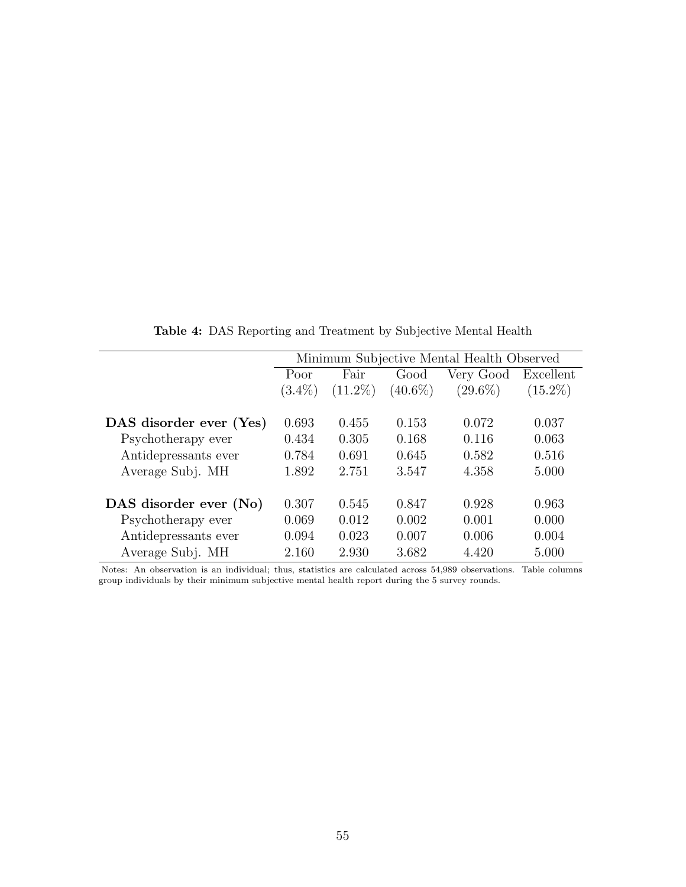|                         |           |            |            | Minimum Subjective Mental Health Observed |            |
|-------------------------|-----------|------------|------------|-------------------------------------------|------------|
|                         | Poor      | Fair       | Good       | Very Good                                 | Excellent  |
|                         | $(3.4\%)$ | $(11.2\%)$ | $(40.6\%)$ | $(29.6\%)$                                | $(15.2\%)$ |
|                         |           |            |            |                                           |            |
| DAS disorder ever (Yes) | 0.693     | 0.455      | 0.153      | 0.072                                     | 0.037      |
| Psychotherapy ever      | 0.434     | 0.305      | 0.168      | 0.116                                     | 0.063      |
| Antidepressants ever    | 0.784     | 0.691      | 0.645      | 0.582                                     | 0.516      |
| Average Subj. MH        | 1.892     | 2.751      | 3.547      | 4.358                                     | 5.000      |
| DAS disorder ever (No)  | 0.307     | 0.545      | 0.847      | 0.928                                     | 0.963      |
| Psychotherapy ever      | 0.069     | 0.012      | 0.002      | 0.001                                     | 0.000      |
| Antidepressants ever    | 0.094     | 0.023      | 0.007      | 0.006                                     | 0.004      |
| Average Subj. MH        | 2.160     | 2.930      | 3.682      | 4.420                                     | 5.000      |

Table 4: DAS Reporting and Treatment by Subjective Mental Health

Notes: An observation is an individual; thus, statistics are calculated across 54,989 observations. Table columns group individuals by their minimum subjective mental health report during the 5 survey rounds.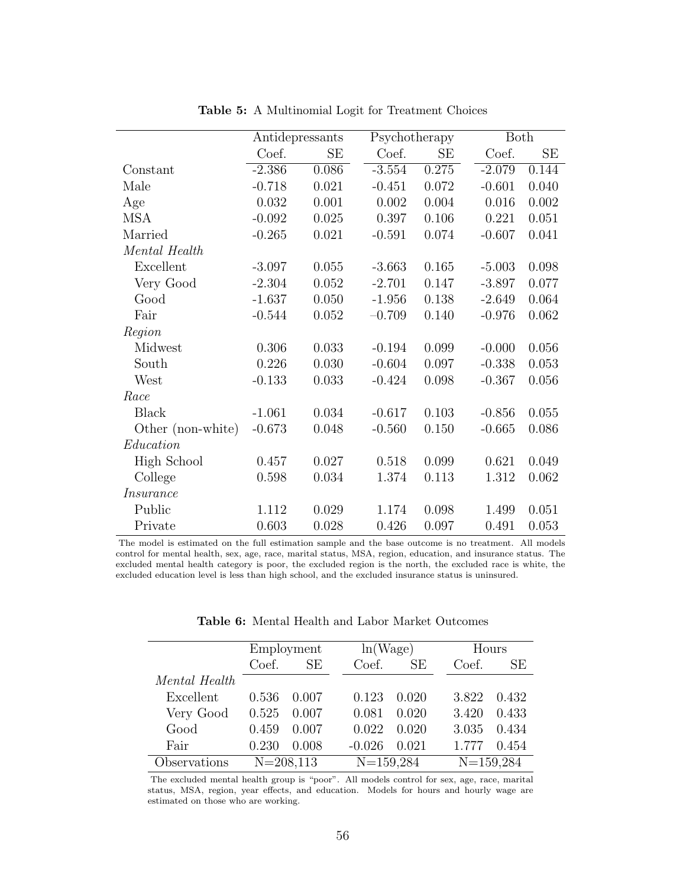|                   |          | Antidepressants | Psychotherapy |       | <b>Both</b> |       |
|-------------------|----------|-----------------|---------------|-------|-------------|-------|
|                   | Coef.    | <b>SE</b>       | Coef.         | SЕ    | Coef.       | SE    |
| Constant          | $-2.386$ | 0.086           | $-3.554$      | 0.275 | $-2.079$    | 0.144 |
| Male              | $-0.718$ | 0.021           | $-0.451$      | 0.072 | $-0.601$    | 0.040 |
| Age               | 0.032    | 0.001           | 0.002         | 0.004 | 0.016       | 0.002 |
| <b>MSA</b>        | $-0.092$ | 0.025           | 0.397         | 0.106 | 0.221       | 0.051 |
| Married           | $-0.265$ | 0.021           | $-0.591$      | 0.074 | $-0.607$    | 0.041 |
| Mental Health     |          |                 |               |       |             |       |
| Excellent         | $-3.097$ | 0.055           | $-3.663$      | 0.165 | $-5.003$    | 0.098 |
| Very Good         | $-2.304$ | 0.052           | $-2.701$      | 0.147 | $-3.897$    | 0.077 |
| Good              | $-1.637$ | 0.050           | $-1.956$      | 0.138 | $-2.649$    | 0.064 |
| Fair              | $-0.544$ | 0.052           | $-0.709$      | 0.140 | $-0.976$    | 0.062 |
| Region            |          |                 |               |       |             |       |
| Midwest           | 0.306    | 0.033           | $-0.194$      | 0.099 | $-0.000$    | 0.056 |
| South             | 0.226    | 0.030           | $-0.604$      | 0.097 | $-0.338$    | 0.053 |
| West              | $-0.133$ | 0.033           | $-0.424$      | 0.098 | $-0.367$    | 0.056 |
| Race              |          |                 |               |       |             |       |
| <b>Black</b>      | $-1.061$ | 0.034           | $-0.617$      | 0.103 | $-0.856$    | 0.055 |
| Other (non-white) | $-0.673$ | 0.048           | $-0.560$      | 0.150 | $-0.665$    | 0.086 |
| Education         |          |                 |               |       |             |       |
| High School       | 0.457    | 0.027           | 0.518         | 0.099 | 0.621       | 0.049 |
| College           | 0.598    | 0.034           | 1.374         | 0.113 | 1.312       | 0.062 |
| <i>Insurance</i>  |          |                 |               |       |             |       |
| Public            | 1.112    | 0.029           | 1.174         | 0.098 | 1.499       | 0.051 |
| Private           | 0.603    | 0.028           | 0.426         | 0.097 | 0.491       | 0.053 |

Table 5: A Multinomial Logit for Treatment Choices

The model is estimated on the full estimation sample and the base outcome is no treatment. All models control for mental health, sex, age, race, marital status, MSA, region, education, and insurance status. The excluded mental health category is poor, the excluded region is the north, the excluded race is white, the excluded education level is less than high school, and the excluded insurance status is uninsured.

Table 6: Mental Health and Labor Market Outcomes

|               |               | Employment |             | ln(Wage) |       | Hours         |
|---------------|---------------|------------|-------------|----------|-------|---------------|
|               | Coef.         | SE         | Coef.       | SE       | Coef. | SE            |
| Mental Health |               |            |             |          |       |               |
| Excellent     | 0.536         | 0.007      | 0.123       | 0.020    | 3.822 | 0.432         |
| Very Good     | 0.525         | 0.007      | 0.081       | 0.020    | 3.420 | 0.433         |
| Good          | 0.459         | 0.007      | 0.022       | 0.020    | 3.035 | 0.434         |
| Fair          | 0.230         | 0.008      | $-0.026$    | 0.021    | 1.777 | 0.454         |
| Observations  | $N = 208,113$ |            | $N=159,284$ |          |       | $N = 159,284$ |

The excluded mental health group is "poor". All models control for sex, age, race, marital status, MSA, region, year effects, and education. Models for hours and hourly wage are estimated on those who are working.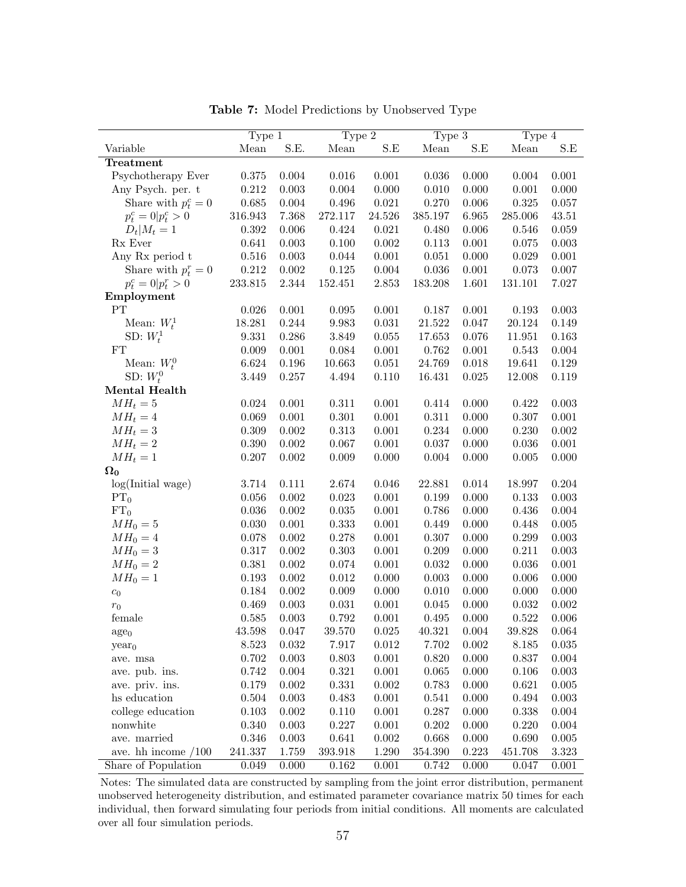<span id="page-58-0"></span>

|                             | Type 1  |           | Type $\overline{2}$  |             | Type $3$   |       | Type 4  |             |
|-----------------------------|---------|-----------|----------------------|-------------|------------|-------|---------|-------------|
| Variable                    | Mean    | S.E.      | Mean                 | S.E         | Mean       | S.E   | Mean    | S.E         |
| Treatment                   |         |           |                      |             |            |       |         |             |
| Psychotherapy Ever          | 0.375   | 0.004     | 0.016                | 0.001       | 0.036      | 0.000 | 0.004   | 0.001       |
| Any Psych. per. t           | 0.212   | $0.003\,$ | 0.004                | 0.000       | 0.010      | 0.000 | 0.001   | 0.000       |
| Share with $p_t^c = 0$      | 0.685   | 0.004     | 0.496                | 0.021       | 0.270      | 0.006 | 0.325   | 0.057       |
| $p_t^c = 0 \vert p_t^c > 0$ | 316.943 | 7.368     | 272.117              | 24.526      | 385.197    | 6.965 | 285.006 | 43.51       |
| $D_t M_t=1$                 | 0.392   | $0.006\,$ | 0.424                | 0.021       | 0.480      | 0.006 | 0.546   | 0.059       |
| Rx Ever                     | 0.641   | 0.003     | 0.100                | 0.002       | 0.113      | 0.001 | 0.075   | 0.003       |
| Any Rx period t             | 0.516   | 0.003     | 0.044                | 0.001       | 0.051      | 0.000 | 0.029   | 0.001       |
| Share with $p_t^r = 0$      | 0.212   | 0.002     | 0.125                | 0.004       | 0.036      | 0.001 | 0.073   | 0.007       |
| $p_t^c = 0 \vert p_t^r > 0$ | 233.815 | 2.344     | 152.451              | 2.853       | 183.208    | 1.601 | 131.101 | 7.027       |
| Employment                  |         |           |                      |             |            |       |         |             |
| PT                          | 0.026   | 0.001     | 0.095                | 0.001       | 0.187      | 0.001 | 0.193   | 0.003       |
| Mean: $W_t^1$               | 18.281  | 0.244     | $\boldsymbol{9.983}$ | 0.031       | 21.522     | 0.047 | 20.124  | 0.149       |
| SD: $W_t^1$                 | 9.331   | 0.286     | 3.849                | 0.055       | 17.653     | 0.076 | 11.951  | 0.163       |
| FT                          | 0.009   | 0.001     | 0.084                | 0.001       | 0.762      | 0.001 | 0.543   | 0.004       |
| Mean: $W_t^0$               | 6.624   | 0.196     | 10.663               | 0.051       | 24.769     | 0.018 | 19.641  | 0.129       |
| SD: $W_t^0$                 | 3.449   | 0.257     | 4.494                | 0.110       | 16.431     | 0.025 | 12.008  | 0.119       |
| Mental Health               |         |           |                      |             |            |       |         |             |
| $MH_t = 5$                  | 0.024   | 0.001     | 0.311                | 0.001       | 0.414      | 0.000 | 0.422   | 0.003       |
| $MH_t = 4$                  | 0.069   | 0.001     | $0.301\,$            | 0.001       | 0.311      | 0.000 | 0.307   | 0.001       |
| $MH_t = 3$                  | 0.309   | 0.002     | 0.313                | 0.001       | 0.234      | 0.000 | 0.230   | $0.002\,$   |
| $MH_t = 2$                  | 0.390   | 0.002     | 0.067                | 0.001       | 0.037      | 0.000 | 0.036   | 0.001       |
| $MH_t = 1$                  | 0.207   | 0.002     | 0.009                | 0.000       | 0.004      | 0.000 | 0.005   | 0.000       |
| $\Omega_0$                  |         |           |                      |             |            |       |         |             |
| log(Initial wage)           | 3.714   | 0.111     | 2.674                | 0.046       | 22.881     | 0.014 | 18.997  | 0.204       |
| PT <sub>0</sub>             | 0.056   | 0.002     | 0.023                | 0.001       | 0.199      | 0.000 | 0.133   | $0.003\,$   |
| FT <sub>0</sub>             | 0.036   | 0.002     | $\,0.035\,$          | 0.001       | 0.786      | 0.000 | 0.436   | 0.004       |
| $MH_0=5$                    | 0.030   | 0.001     | $0.333\,$            | 0.001       | 0.449      | 0.000 | 0.448   | 0.005       |
| $MH_0=4$                    | 0.078   | 0.002     | 0.278                | 0.001       | 0.307      | 0.000 | 0.299   | 0.003       |
| $MH_0=3$                    | 0.317   | 0.002     | $0.303\,$            | 0.001       | 0.209      | 0.000 | 0.211   | $\,0.003\,$ |
| $MH_0=2$                    | 0.381   | 0.002     | 0.074                | 0.001       | 0.032      | 0.000 | 0.036   | 0.001       |
| $MH_0=1$                    | 0.193   | 0.002     | 0.012                | 0.000       | 0.003      | 0.000 | 0.006   | 0.000       |
| $c_0$                       | 0.184   | 0.002     | 0.009                | 0.000       | 0.010      | 0.000 | 0.000   | 0.000       |
| $r_{\rm 0}$                 | 0.469   | 0.003     | 0.031                | 0.001       | 0.045      | 0.000 | 0.032   | 0.002       |
| female                      | 0.585   | 0.003     | 0.792                | 0.001       | 0.495      | 0.000 | 0.522   | 0.006       |
| $\mathrm{age}_{0}$          | 43.598  | 0.047     | $39.570\,$           | $\,0.025\,$ | $40.321\,$ | 0.004 | 39.828  | 0.064       |
| year <sub>0</sub>           | 8.523   | 0.032     | 7.917                | 0.012       | 7.702      | 0.002 | 8.185   | 0.035       |
| ave. msa                    | 0.702   | $0.003\,$ | 0.803                | 0.001       | 0.820      | 0.000 | 0.837   | $0.004\,$   |
| ave. pub. ins.              | 0.742   | 0.004     | 0.321                | 0.001       | 0.065      | 0.000 | 0.106   | 0.003       |
| ave. priv. ins.             | 0.179   | 0.002     | 0.331                | 0.002       | 0.783      | 0.000 | 0.621   | 0.005       |
| hs education                | 0.504   | 0.003     | 0.483                | 0.001       | 0.541      | 0.000 | 0.494   | 0.003       |
| college education           | 0.103   | $0.002\,$ | 0.110                | 0.001       | 0.287      | 0.000 | 0.338   | 0.004       |
| nonwhite                    | 0.340   | 0.003     | 0.227                | 0.001       | 0.202      | 0.000 | 0.220   | 0.004       |
| ave. married                | 0.346   | 0.003     | 0.641                | 0.002       | 0.668      | 0.000 | 0.690   | 0.005       |
| ave. hh income $/100$       | 241.337 | 1.759     | 393.918              | 1.290       | 354.390    | 0.223 | 451.708 | 3.323       |
| Share of Population         | 0.049   | 0.000     | 0.162                | 0.001       | 0.742      | 0.000 | 0.047   | 0.001       |

Table 7: Model Predictions by Unobserved Type

Notes: The simulated data are constructed by sampling from the joint error distribution, permanent unobserved heterogeneity distribution, and estimated parameter covariance matrix 50 times for each individual, then forward simulating four periods from initial conditions. All moments are calculated over all four simulation periods.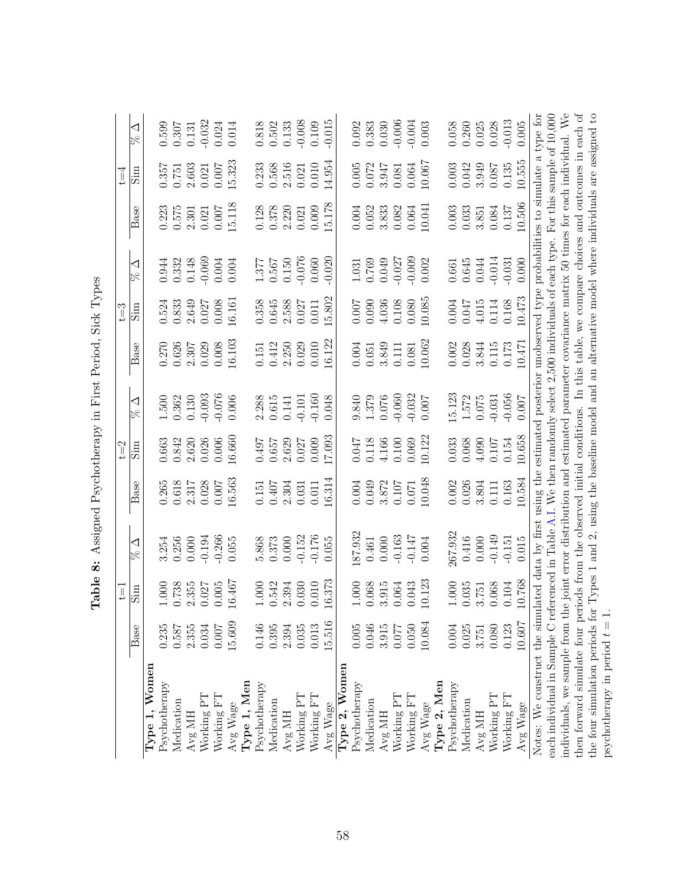<span id="page-59-0"></span>

|                                                                                                                                        |           | $\overline{\mathbb{I}}$ |                                                                                                       |           | $t = 2$                                                                  |                         |                                                        | $t = 3$ |                                                        |        | Ţ         |                |
|----------------------------------------------------------------------------------------------------------------------------------------|-----------|-------------------------|-------------------------------------------------------------------------------------------------------|-----------|--------------------------------------------------------------------------|-------------------------|--------------------------------------------------------|---------|--------------------------------------------------------|--------|-----------|----------------|
|                                                                                                                                        | Base      | mig                     | ◁                                                                                                     | Base      | mig                                                                      | $\triangleleft$         | Base                                                   | mig     | ◁<br>R                                                 | Base   | mig       | ◁<br>$\approx$ |
| Women<br>Type 1,                                                                                                                       |           |                         |                                                                                                       |           |                                                                          |                         |                                                        |         |                                                        |        |           |                |
| Psychotherapy                                                                                                                          | 0.235     | 1.000                   | 3.254                                                                                                 | 0.265     | 0.663                                                                    |                         | 0.270                                                  | 0.524   | 0.944                                                  | 0.223  | 0.357     | 0.599          |
| Medication                                                                                                                             | 0.587     | 0.738                   | 0.256                                                                                                 | $0.618\,$ | 0.842                                                                    | $1.500$<br>$0.362$      | 0.626                                                  | 0.833   | 0.332                                                  | 0.575  | 0.751     | 0.307          |
| Avg MH                                                                                                                                 | 2.355     | 2.355                   | 0.000                                                                                                 | 2.317     | 2.620                                                                    | 0.130                   | 2.307<br>0.029                                         | 2.649   | 0.148                                                  | 2.301  | 2.603     | 0.131          |
| Working PT                                                                                                                             | 0.034     | 0.027                   | $-0.194$                                                                                              | 0.028     | 0.026                                                                    | $-0.093$                |                                                        | 0.027   | $-0.069$                                               | 0.021  | 0.021     | $-0.032$       |
| Working FT                                                                                                                             | 0.007     | 0.005                   | $-0.266$                                                                                              | 0.007     | 0.006                                                                    | $-0.076$                | 0.008                                                  | 0.008   | $0.004$                                                | 0.007  | 0.007     | 0.024          |
| Avg Wage                                                                                                                               | 15.609    | 16.467                  | 0.055                                                                                                 | 16.563    | 16.660                                                                   | 0.006                   | 16.103                                                 | 16.161  | 0.004                                                  | 15.118 | 15.323    | 0.014          |
| Type 1, Men                                                                                                                            |           |                         |                                                                                                       |           |                                                                          |                         |                                                        |         |                                                        |        |           |                |
| Psychotherapy                                                                                                                          | 0.146     | 1.000                   | 5.868                                                                                                 | 0.151     | 0.497                                                                    | 2.288                   | 0.151                                                  | 0.358   | 1.377                                                  | 0.128  | 0.233     | 0.818          |
| Medication                                                                                                                             | 0.395     | 0.542                   | 0.373                                                                                                 | 0.407     | 0.657                                                                    | $0.615$<br>$0.141$      | 0.412                                                  | 0.645   |                                                        | 0.378  | 0.568     | 0.502          |
| Avg MH                                                                                                                                 | 2.394     | 2.394                   | 0.000                                                                                                 | 2.304     | 2.629                                                                    |                         |                                                        | 2.588   | $0.567$<br>$0.150$                                     | 2.220  | 2.516     | 0.133          |
| Working PT                                                                                                                             | 0.035     | 0.030                   | $-0.152$                                                                                              | 0.031     | 0.027                                                                    | $-0.101$                | $\begin{array}{c} 2.250 \\ 0.029 \\ 0.010 \end{array}$ | 0.027   | $-0.076$                                               | 0.021  | 0.021     | $-0.008$       |
| Working FT                                                                                                                             | 0.013     | 0.010                   | $-0.176$                                                                                              | 0.011     | 0.009                                                                    | $-0.160$                |                                                        | 0.011   | 0.060                                                  | 0.009  | $0.010\,$ | 0.109          |
| Avg Wage                                                                                                                               | 15.516    | 16.373                  | 0.055                                                                                                 | 0.314     | 7.093                                                                    | 0.048                   | 6.122                                                  | 5.802   | 0.020                                                  | 5.178  | $-4.954$  | 0.015          |
| Type 2, Women                                                                                                                          |           |                         |                                                                                                       |           |                                                                          |                         |                                                        |         |                                                        |        |           |                |
| Psychotherapy                                                                                                                          | $0.005\,$ | 1.000                   | 87.932                                                                                                | 0.004     |                                                                          |                         | 0.004                                                  | 0.007   | $\begin{array}{c} 1.031 \\ 0.769 \\ 0.049 \end{array}$ | 0.004  | $0.005$   | 0.092          |
| Medication                                                                                                                             | 0.046     | 0.068                   | $0.461\,$                                                                                             | 0.049     |                                                                          | 9.840<br>0.379<br>0.076 | 0.051                                                  | 0.090   |                                                        | 0.052  | 0.072     | 0.383          |
| Avg MH                                                                                                                                 | 3.915     | 3.915                   | 0.000                                                                                                 | 3.872     |                                                                          |                         | 3.849                                                  | 4.036   |                                                        | 3.833  | 3.947     | 0.030          |
| Working PT                                                                                                                             | 0.077     | 0.064                   | $-0.163$                                                                                              | 0.107     | $\begin{array}{c} 0.047 \\ 0.118 \\ 4.166 \\ 0.100 \\ 0.009 \end{array}$ | $-0.060$                | 0.111                                                  | 0.108   | $-0.027$                                               | 0.082  | 0.081     | $-0.006$       |
| Working FT                                                                                                                             | 0.050     | 0.043                   | $-0.147$                                                                                              | 0.071     |                                                                          | $-0.032$                | 0.081                                                  | 0.080   | $-0.009$                                               | 0.064  | 0.064     | $-0.004$       |
| Avg Wage                                                                                                                               | 10.084    | 10.123                  | 0.004                                                                                                 | 0.048     | 10.122                                                                   | $0.007$                 | 10.062                                                 | 10.085  | 0.002                                                  | 10.041 | 10.067    | 0.003          |
| Type 2, Men                                                                                                                            |           |                         |                                                                                                       |           |                                                                          |                         |                                                        |         |                                                        |        |           |                |
| Psychotherapy                                                                                                                          | 0.004     | 1.000                   | 267.932                                                                                               | 0.002     | 0.033                                                                    | 15.123                  | 0.002                                                  | 0.004   | $\!0.661$                                              | 0.003  | 0.003     | 0.058          |
| Medication                                                                                                                             | 0.025     | 0.035                   | 0.416                                                                                                 | 0.026     | 0.068                                                                    | 1.572                   | 0.028                                                  | 0.047   | $\,0.645\,$                                            | 0.033  | 0.042     | 0.260          |
| Avg MH                                                                                                                                 | 3.751     | 3.751                   | 0.000                                                                                                 | 3.804     | 4.090                                                                    | $0.075\,$               | 3.844                                                  | 4.015   | 0.044                                                  | 3.851  | 3.949     | 0.025          |
| Working PT                                                                                                                             | 0.080     | 0.068                   | $-0.149$                                                                                              | 0.111     | 0.107                                                                    | $-0.031$                | 0.115                                                  | 0.114   | $-0.014$                                               | 0.084  | 0.087     | 0.028          |
| Working FT                                                                                                                             | 0.123     | 0.104                   | $-0.151$                                                                                              | 0.163     | 0.154                                                                    | $-0.056$                | 0.173                                                  | 0.168   | $-0.031$                                               | 0.137  | 0.135     | $-0.013$       |
| Avg Wage                                                                                                                               | 10.607    | 10.768                  | 0.015                                                                                                 | 10.584    | 10.658                                                                   | 0.007                   | 10.471                                                 | 10.473  | 0.000                                                  | 10.506 | 10.555    | 0.005          |
| Notes: We construct the simulated data by first using the estimated posterior unobserved type probabilities to simulate a type for     |           |                         |                                                                                                       |           |                                                                          |                         |                                                        |         |                                                        |        |           |                |
| each individual in Sample C referenced in Table A.I. We then randomly select 2,500 individuals of each type. For this sample of 10,000 |           |                         |                                                                                                       |           |                                                                          |                         |                                                        |         |                                                        |        |           |                |
| individuals, we sample from th                                                                                                         |           |                         | e joint error distribution and estimated parameter covariance matrix 50 times for each individual. We |           |                                                                          |                         |                                                        |         |                                                        |        |           |                |
| then forward simulate four periods from the observed initial conditions. In this table, we compare choices and outcomes in each of     |           |                         |                                                                                                       |           |                                                                          |                         |                                                        |         |                                                        |        |           |                |
| the four simulation periods for                                                                                                        |           |                         | Types 1 and 2, using the baseline model and an alternative model where individuals are assigned to    |           |                                                                          |                         |                                                        |         |                                                        |        |           |                |
| psychotherapy in period $t = 1$                                                                                                        |           |                         |                                                                                                       |           |                                                                          |                         |                                                        |         |                                                        |        |           |                |

Table 8: Assigned Psychotherapy in First Period, Sick Types Table 8: Assigned Psychotherapy in First Period, Sick Types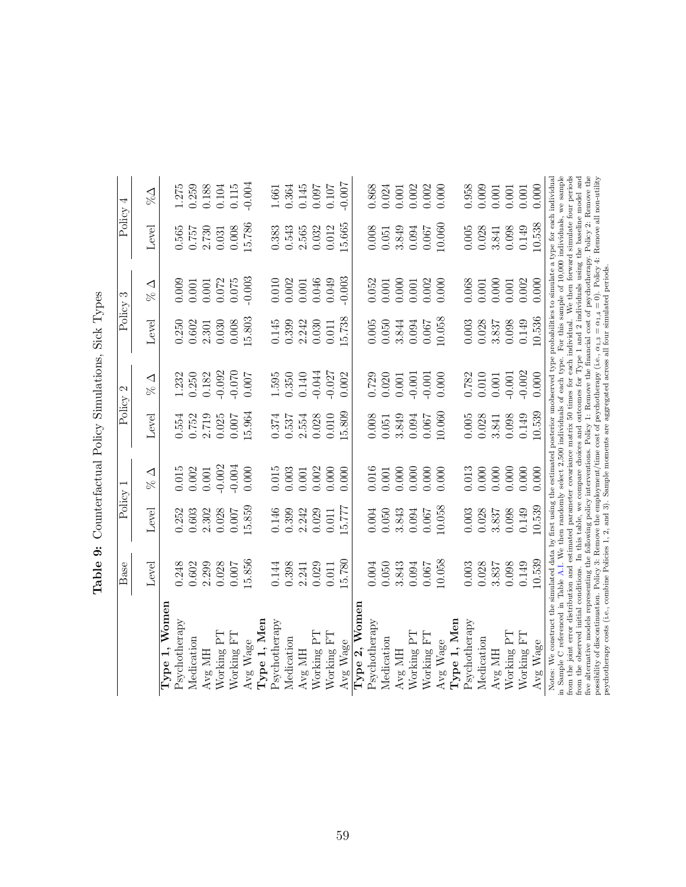<span id="page-60-0"></span>

|                                                                                                                                                                                                                                                                                                                                                                                                                                                                                                                                                                                                                                                                                                                | Base   | Policy    |                             | Policy | $\mathcal{C}$ | Policy             | S             | Policy                                           | 4             |
|----------------------------------------------------------------------------------------------------------------------------------------------------------------------------------------------------------------------------------------------------------------------------------------------------------------------------------------------------------------------------------------------------------------------------------------------------------------------------------------------------------------------------------------------------------------------------------------------------------------------------------------------------------------------------------------------------------------|--------|-----------|-----------------------------|--------|---------------|--------------------|---------------|--------------------------------------------------|---------------|
|                                                                                                                                                                                                                                                                                                                                                                                                                                                                                                                                                                                                                                                                                                                | Level  | Level     | $\triangleleft$<br>$\aleph$ | Level  | ◁<br>Se       | Level              | ◁<br>$\aleph$ | Level                                            | $\frac{1}{2}$ |
| Women<br>Type 1,                                                                                                                                                                                                                                                                                                                                                                                                                                                                                                                                                                                                                                                                                               |        |           |                             |        |               |                    |               |                                                  |               |
| Psychotherapy                                                                                                                                                                                                                                                                                                                                                                                                                                                                                                                                                                                                                                                                                                  | 0.248  | 0.252     | 0.015                       | 0.554  | 1.232         | $0.250$<br>$0.602$ | 0.009         | 0.565                                            | 1.275         |
| Medication                                                                                                                                                                                                                                                                                                                                                                                                                                                                                                                                                                                                                                                                                                     | 0.602  | 0.603     | 0.002                       | 0.752  | 0.250         |                    | 0.001         | 0.757                                            | 0.259         |
| Avg MH                                                                                                                                                                                                                                                                                                                                                                                                                                                                                                                                                                                                                                                                                                         | 2.299  | 2.302     | $0.001\,$                   | 2.719  | 0.182         | 2.301              | 0.001         | 2.730                                            | 0.188         |
| Working PT                                                                                                                                                                                                                                                                                                                                                                                                                                                                                                                                                                                                                                                                                                     | 0.028  | 0.028     | $-0.002$                    | 0.025  | $-0.092$      | 0.030              | 0.072         | 0.031                                            | 0.104         |
| Working FT                                                                                                                                                                                                                                                                                                                                                                                                                                                                                                                                                                                                                                                                                                     | 0.007  | 0.007     | $-0.004$                    | 0.007  | $-0.070$      | 0.008              | 0.075         | 0.008                                            | 0.115         |
| Avg Wage                                                                                                                                                                                                                                                                                                                                                                                                                                                                                                                                                                                                                                                                                                       | 15.856 | 15.859    | 0.000                       | 15.964 | 0.007         | 15.803             | $-0.003$      | 15.786                                           | $-0.004$      |
| Type 1, Men                                                                                                                                                                                                                                                                                                                                                                                                                                                                                                                                                                                                                                                                                                    |        |           |                             |        |               |                    |               |                                                  |               |
| Psychotherapy                                                                                                                                                                                                                                                                                                                                                                                                                                                                                                                                                                                                                                                                                                  | 0.144  | 0.146     | $0.015\,$                   | 0.374  | 1.595         | 0.145              | 0.010         | 0.383                                            | 1.661         |
| Medication                                                                                                                                                                                                                                                                                                                                                                                                                                                                                                                                                                                                                                                                                                     | 0.398  | 0.399     | 0.003                       | 0.537  | 0.350         | 0.399              | 0.002         | 0.543                                            | 0.364         |
| Avg MH                                                                                                                                                                                                                                                                                                                                                                                                                                                                                                                                                                                                                                                                                                         | 2.241  | 2.242     | 0.001                       | 2.554  | 0.140         | 2.242              | 0.001         | 2.565                                            | 0.145         |
| Working PT                                                                                                                                                                                                                                                                                                                                                                                                                                                                                                                                                                                                                                                                                                     | 0.029  | 0.029     | 0.002                       | 0.028  | $-0.044$      | 0.030              | 0.046         | 0.032                                            | 0.097         |
| Working FT                                                                                                                                                                                                                                                                                                                                                                                                                                                                                                                                                                                                                                                                                                     | 0.011  | 0.011     | 0.000                       | 0.010  | $-0.027$      | 0.011              | 0.049         | 0.012                                            | 0.107         |
| Avg Wage                                                                                                                                                                                                                                                                                                                                                                                                                                                                                                                                                                                                                                                                                                       | 5.780  | 5.777     | 0.000                       | 15.809 | 0.002         | 15.738             | $-0.003$      | 15.665                                           | 0.007         |
| Type 2, Womer                                                                                                                                                                                                                                                                                                                                                                                                                                                                                                                                                                                                                                                                                                  |        |           |                             |        |               |                    |               |                                                  |               |
| Psychotherapy                                                                                                                                                                                                                                                                                                                                                                                                                                                                                                                                                                                                                                                                                                  | 0.004  | $0.004\,$ | $0.016\,$                   | 0.008  | 0.729         | 0.005              | 0.052         | $0.008\,$                                        | $0.868\,$     |
| Medication                                                                                                                                                                                                                                                                                                                                                                                                                                                                                                                                                                                                                                                                                                     | 0.050  | 0.050     | 0.001                       | 0.051  | 0.020         | 0.050              | 0.001         | 0.051                                            | 0.024         |
| Avg MH                                                                                                                                                                                                                                                                                                                                                                                                                                                                                                                                                                                                                                                                                                         | 3.843  | 3.843     | 0.000                       | 3.849  | $0.001\,$     | 3.844              | 0.000         | 3.849                                            | 0.001         |
| Working PT                                                                                                                                                                                                                                                                                                                                                                                                                                                                                                                                                                                                                                                                                                     | 0.094  | 0.094     | 0.000                       | 0.094  | $-0.001$      | 0.094              | 0.001         | 0.094                                            | 0.002         |
| Working FT                                                                                                                                                                                                                                                                                                                                                                                                                                                                                                                                                                                                                                                                                                     | 0.067  | $0.067\,$ | 0.000                       | 0.067  | $-0.001$      | 0.067              | 0.002         | 0.067                                            | 0.002         |
| Avg Wage                                                                                                                                                                                                                                                                                                                                                                                                                                                                                                                                                                                                                                                                                                       | 10.058 | 10.058    | 0.000                       | 10.060 | 0.000         | 10.058             | 0.000         | 10.060                                           | 0.000         |
| Type 1, Men                                                                                                                                                                                                                                                                                                                                                                                                                                                                                                                                                                                                                                                                                                    |        |           |                             |        |               |                    |               |                                                  |               |
| Psychotherapy                                                                                                                                                                                                                                                                                                                                                                                                                                                                                                                                                                                                                                                                                                  | 0.003  | 0.003     | 0.013                       | 0.005  | 0.782         | 0.003              | 0.068         | 0.005                                            | 0.958         |
| Medication                                                                                                                                                                                                                                                                                                                                                                                                                                                                                                                                                                                                                                                                                                     | 0.028  | 0.028     | 0.000                       | 0.028  | 0.010         | 0.028              | 0.001         | 0.028                                            | 0.009         |
| Avg MH                                                                                                                                                                                                                                                                                                                                                                                                                                                                                                                                                                                                                                                                                                         | 3.837  | 3.837     | 0.000                       | 3.841  | $0.001\,$     | 3.837              | 0.000         | 3.841                                            | 0.001         |
| Working PT                                                                                                                                                                                                                                                                                                                                                                                                                                                                                                                                                                                                                                                                                                     | 0.098  | 0.098     | 0.000                       | 0.098  | $-0.001$      | 0.098              | 0.001         | 0.098                                            | 0.001         |
| Working FT                                                                                                                                                                                                                                                                                                                                                                                                                                                                                                                                                                                                                                                                                                     | 0.149  | 0.149     | 0.000                       | 0.149  | $-0.002$      | 0.149              | 0.002         | 0.149                                            | 0.001         |
| Avg Wage                                                                                                                                                                                                                                                                                                                                                                                                                                                                                                                                                                                                                                                                                                       | 10.539 | 10.539    | 0.000                       | 10.539 | 0.000         | 10.536             | 0.000         | 10.538                                           | 0.000         |
| five alternative models representing the following policy interventions. Policy 1: Remove the financial cost of psychotherapy. Policy 2: Remove the<br>from the joint error distribution and estimated parameter covariance matrix 50 times for each individual. We then forward simulate four periods<br>from the observed initial conditions. In this table, we compare choices and outcomes for Type 1 and 2 individuals using the baseline model and<br>Notes: We construct the simulated data by first using the estimated posterior unobserved type probabilities to simulate a type for each individual<br>in Sample C referenced in Table A.I. We then randomly select 2,500 individuals of each type. |        |           |                             |        |               |                    |               | For this sample of 10,000 individuals, we sample |               |
| psychotherapy costs (i.e., combine Policies 1, 2, and 3). Sample moments are aggregated across all four simulated periods<br>possibility of discontinuation. Policy 3: Remove the employment/time cost of psychotherapy (i.e., $\alpha_{1,3} = \alpha_{1,4}$                                                                                                                                                                                                                                                                                                                                                                                                                                                   |        |           |                             |        |               |                    |               | $= 0$ ). Policy 4: Remove all non-utility        |               |

Table 9: Counterfactual Policy Simulations, Sick Types **Table 9:** Counterfactual Policy Simulations, Sick Types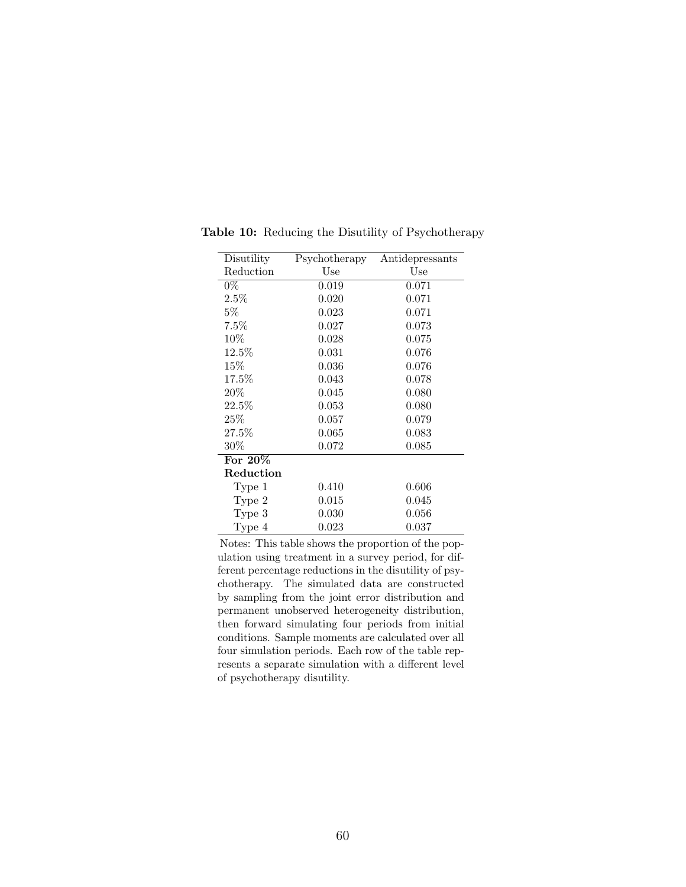| Disutility        | Psychotherapy | Antidepressants |
|-------------------|---------------|-----------------|
| Reduction         | Use           | Use             |
| $0\%$             | 0.019         | 0.071           |
| $2.5\%$           | 0.020         | 0.071           |
| $5\%$             | 0.023         | 0.071           |
| 7.5%              | 0.027         | 0.073           |
| $10\%$            | 0.028         | 0.075           |
| 12.5%             | 0.031         | 0.076           |
| $15\%$            | 0.036         | 0.076           |
| 17.5%             | 0.043         | 0.078           |
| 20%               | 0.045         | 0.080           |
| 22.5%             | 0.053         | 0.080           |
| $25\%$            | 0.057         | 0.079           |
| $27.5\%$          | 0.065         | 0.083           |
| $30\%$            | 0.072         | 0.085           |
| For 20%           |               |                 |
| Reduction         |               |                 |
| Type 1            | 0.410         | 0.606           |
| Type 2            | 0.015         | 0.045           |
| Type <sub>3</sub> | 0.030         | 0.056           |
| Type 4            | 0.023         | 0.037           |

<span id="page-61-0"></span>Table 10: Reducing the Disutility of Psychotherapy

Notes: This table shows the proportion of the population using treatment in a survey period, for different percentage reductions in the disutility of psychotherapy. The simulated data are constructed by sampling from the joint error distribution and permanent unobserved heterogeneity distribution, then forward simulating four periods from initial conditions. Sample moments are calculated over all four simulation periods. Each row of the table represents a separate simulation with a different level of psychotherapy disutility.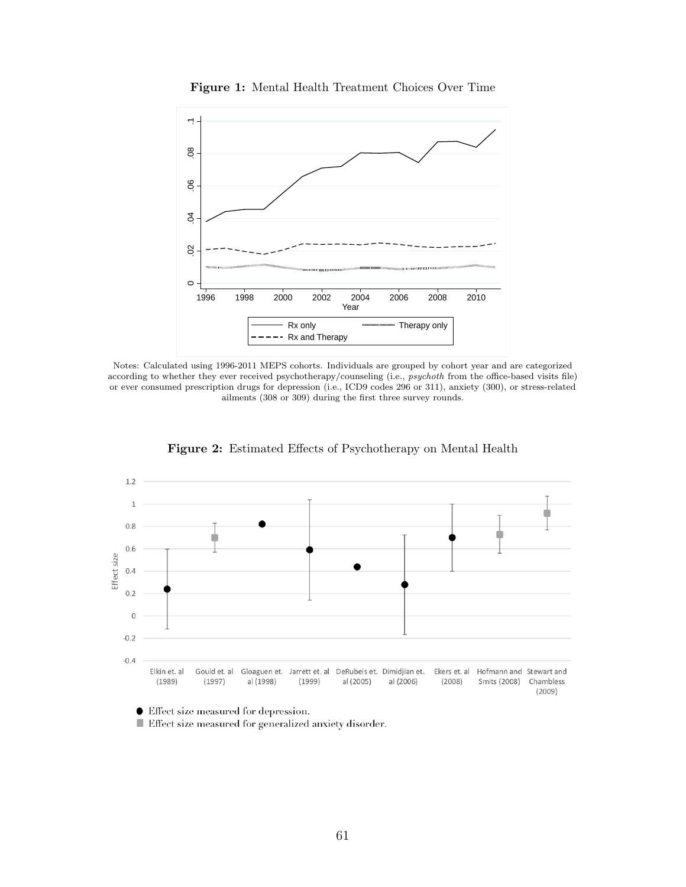

Figure 1: Mental Health Treatment Choices Over Time





Figure 2: Estimated Effects of Psychotherapy on Mental Health

● Effect size measured for depression.

 $\blacksquare$  Effect size measured for generalized anxiety disorder.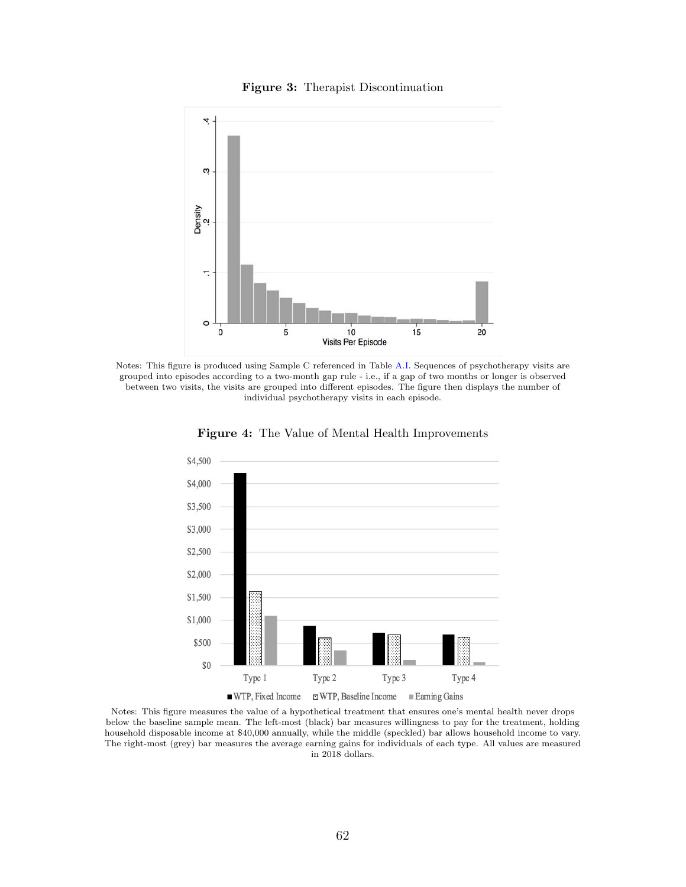#### Figure 3: Therapist Discontinuation



<span id="page-63-0"></span>Notes: This figure is produced using Sample C referenced in Table [A.I.](#page-65-0) Sequences of psychotherapy visits are grouped into episodes according to a two-month gap rule - i.e., if a gap of two months or longer is observed between two visits, the visits are grouped into different episodes. The figure then displays the number of individual psychotherapy visits in each episode.



Figure 4: The Value of Mental Health Improvements

Notes: This figure measures the value of a hypothetical treatment that ensures one's mental health never drops below the baseline sample mean. The left-most (black) bar measures willingness to pay for the treatment, holding household disposable income at \$40,000 annually, while the middle (speckled) bar allows household income to vary. The right-most (grey) bar measures the average earning gains for individuals of each type. All values are measured in 2018 dollars.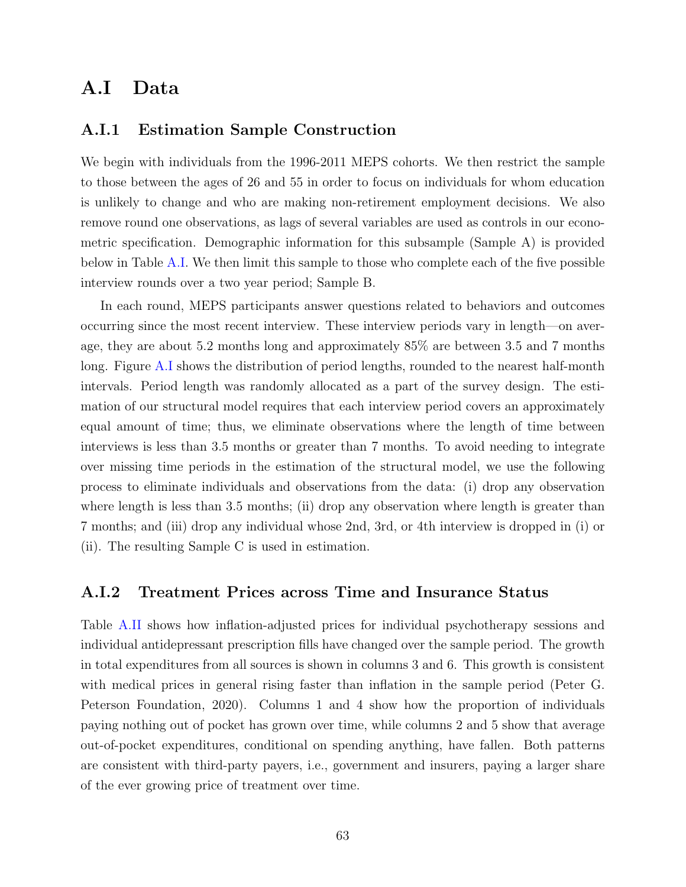## A.I Data

### <span id="page-64-0"></span>A.I.1 Estimation Sample Construction

We begin with individuals from the 1996-2011 MEPS cohorts. We then restrict the sample to those between the ages of 26 and 55 in order to focus on individuals for whom education is unlikely to change and who are making non-retirement employment decisions. We also remove round one observations, as lags of several variables are used as controls in our econometric specification. Demographic information for this subsample (Sample A) is provided below in Table [A.I.](#page-65-0) We then limit this sample to those who complete each of the five possible interview rounds over a two year period; Sample B.

In each round, MEPS participants answer questions related to behaviors and outcomes occurring since the most recent interview. These interview periods vary in length—on average, they are about 5.2 months long and approximately 85% are between 3.5 and 7 months long. Figure [A.I](#page-66-0) shows the distribution of period lengths, rounded to the nearest half-month intervals. Period length was randomly allocated as a part of the survey design. The estimation of our structural model requires that each interview period covers an approximately equal amount of time; thus, we eliminate observations where the length of time between interviews is less than 3.5 months or greater than 7 months. To avoid needing to integrate over missing time periods in the estimation of the structural model, we use the following process to eliminate individuals and observations from the data: (i) drop any observation where length is less than 3.5 months; (ii) drop any observation where length is greater than 7 months; and (iii) drop any individual whose 2nd, 3rd, or 4th interview is dropped in (i) or (ii). The resulting Sample C is used in estimation.

### A.I.2 Treatment Prices across Time and Insurance Status

Table [A.II](#page-68-0) shows how inflation-adjusted prices for individual psychotherapy sessions and individual antidepressant prescription fills have changed over the sample period. The growth in total expenditures from all sources is shown in columns 3 and 6. This growth is consistent with medical prices in general rising faster than inflation in the sample period (Peter G. Peterson Foundation, [2020\)](#page-94-0). Columns 1 and 4 show how the proportion of individuals paying nothing out of pocket has grown over time, while columns 2 and 5 show that average out-of-pocket expenditures, conditional on spending anything, have fallen. Both patterns are consistent with third-party payers, i.e., government and insurers, paying a larger share of the ever growing price of treatment over time.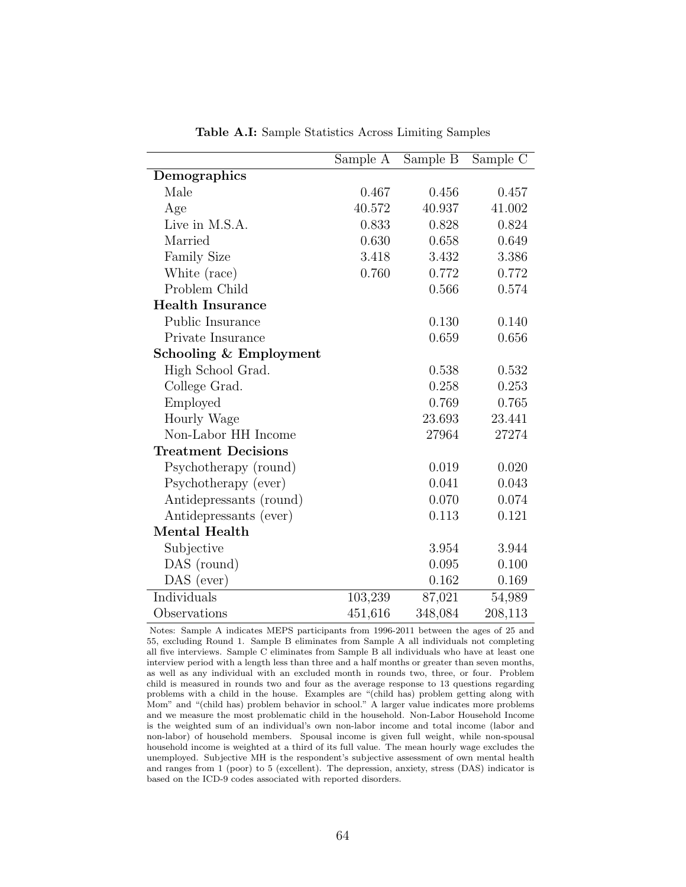<span id="page-65-0"></span>

|                            | Sample A | Sample B | Sample C |
|----------------------------|----------|----------|----------|
| Demographics               |          |          |          |
| Male                       | 0.467    | 0.456    | 0.457    |
| Age                        | 40.572   | 40.937   | 41.002   |
| Live in M.S.A.             | 0.833    | 0.828    | 0.824    |
| Married                    | 0.630    | 0.658    | 0.649    |
| <b>Family Size</b>         | 3.418    | 3.432    | 3.386    |
| White (race)               | 0.760    | 0.772    | 0.772    |
| Problem Child              |          | 0.566    | 0.574    |
| <b>Health Insurance</b>    |          |          |          |
| Public Insurance           |          | 0.130    | 0.140    |
| Private Insurance          |          | 0.659    | 0.656    |
| Schooling & Employment     |          |          |          |
| High School Grad.          |          | 0.538    | 0.532    |
| College Grad.              |          | 0.258    | 0.253    |
| Employed                   |          | 0.769    | 0.765    |
| Hourly Wage                |          | 23.693   | 23.441   |
| Non-Labor HH Income        |          | 27964    | 27274    |
| <b>Treatment Decisions</b> |          |          |          |
| Psychotherapy (round)      |          | 0.019    | 0.020    |
| Psychotherapy (ever)       |          | 0.041    | 0.043    |
| Antidepressants (round)    |          | 0.070    | 0.074    |
| Antidepressants (ever)     |          | 0.113    | 0.121    |
| Mental Health              |          |          |          |
| Subjective                 |          | 3.954    | 3.944    |
| DAS (round)                |          | 0.095    | 0.100    |
| DAS (ever)                 |          | 0.162    | 0.169    |
| Individuals                | 103,239  | 87,021   | 54,989   |
| Observations               | 451,616  | 348,084  | 208,113  |

Table A.I: Sample Statistics Across Limiting Samples

Notes: Sample A indicates MEPS participants from 1996-2011 between the ages of 25 and 55, excluding Round 1. Sample B eliminates from Sample A all individuals not completing all five interviews. Sample C eliminates from Sample B all individuals who have at least one interview period with a length less than three and a half months or greater than seven months, as well as any individual with an excluded month in rounds two, three, or four. Problem child is measured in rounds two and four as the average response to 13 questions regarding problems with a child in the house. Examples are "(child has) problem getting along with Mom" and "(child has) problem behavior in school." A larger value indicates more problems and we measure the most problematic child in the household. Non-Labor Household Income is the weighted sum of an individual's own non-labor income and total income (labor and non-labor) of household members. Spousal income is given full weight, while non-spousal household income is weighted at a third of its full value. The mean hourly wage excludes the unemployed. Subjective MH is the respondent's subjective assessment of own mental health and ranges from 1 (poor) to 5 (excellent). The depression, anxiety, stress (DAS) indicator is based on the ICD-9 codes associated with reported disorders.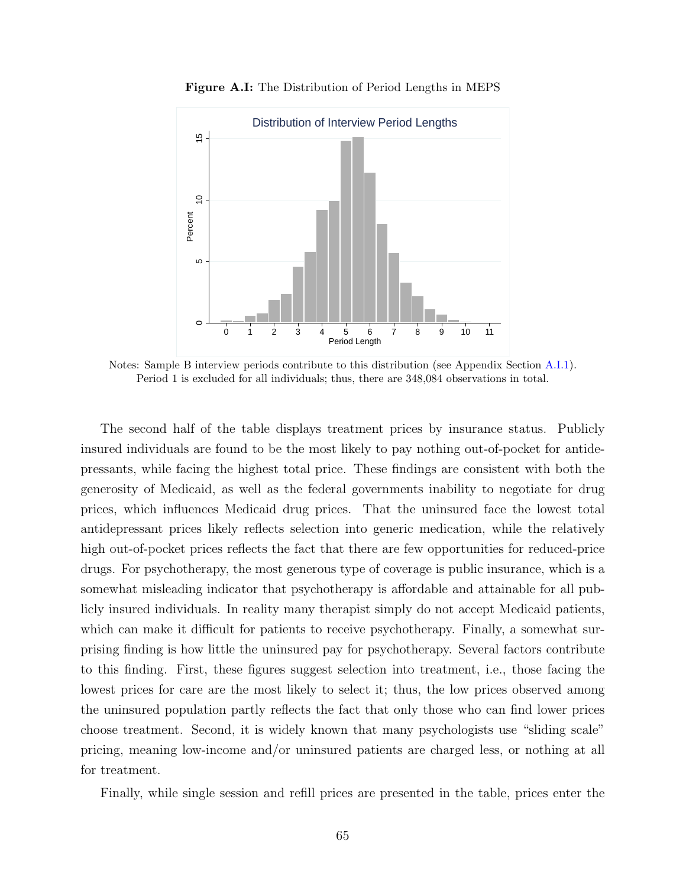<span id="page-66-0"></span>

Figure A.I: The Distribution of Period Lengths in MEPS

Notes: Sample B interview periods contribute to this distribution (see Appendix Section [A.I.1\)](#page-64-0). Period 1 is excluded for all individuals; thus, there are 348,084 observations in total.

The second half of the table displays treatment prices by insurance status. Publicly insured individuals are found to be the most likely to pay nothing out-of-pocket for antidepressants, while facing the highest total price. These findings are consistent with both the generosity of Medicaid, as well as the federal governments inability to negotiate for drug prices, which influences Medicaid drug prices. That the uninsured face the lowest total antidepressant prices likely reflects selection into generic medication, while the relatively high out-of-pocket prices reflects the fact that there are few opportunities for reduced-price drugs. For psychotherapy, the most generous type of coverage is public insurance, which is a somewhat misleading indicator that psychotherapy is affordable and attainable for all publicly insured individuals. In reality many therapist simply do not accept Medicaid patients, which can make it difficult for patients to receive psychotherapy. Finally, a somewhat surprising finding is how little the uninsured pay for psychotherapy. Several factors contribute to this finding. First, these figures suggest selection into treatment, i.e., those facing the lowest prices for care are the most likely to select it; thus, the low prices observed among the uninsured population partly reflects the fact that only those who can find lower prices choose treatment. Second, it is widely known that many psychologists use "sliding scale" pricing, meaning low-income and/or uninsured patients are charged less, or nothing at all for treatment.

Finally, while single session and refill prices are presented in the table, prices enter the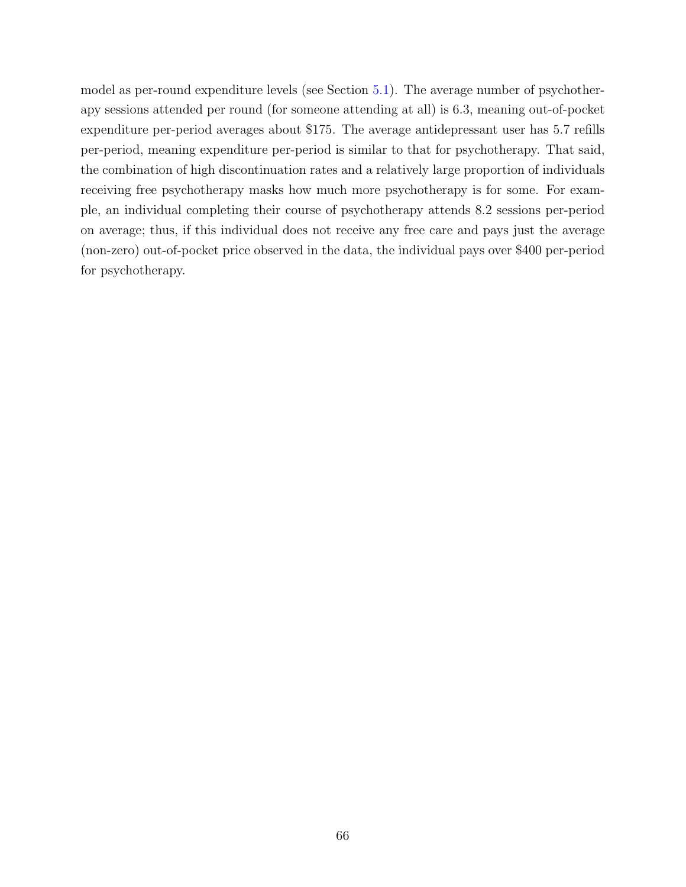model as per-round expenditure levels (see Section [5.1\)](#page-25-0). The average number of psychotherapy sessions attended per round (for someone attending at all) is 6.3, meaning out-of-pocket expenditure per-period averages about \$175. The average antidepressant user has 5.7 refills per-period, meaning expenditure per-period is similar to that for psychotherapy. That said, the combination of high discontinuation rates and a relatively large proportion of individuals receiving free psychotherapy masks how much more psychotherapy is for some. For example, an individual completing their course of psychotherapy attends 8.2 sessions per-period on average; thus, if this individual does not receive any free care and pays just the average (non-zero) out-of-pocket price observed in the data, the individual pays over \$400 per-period for psychotherapy.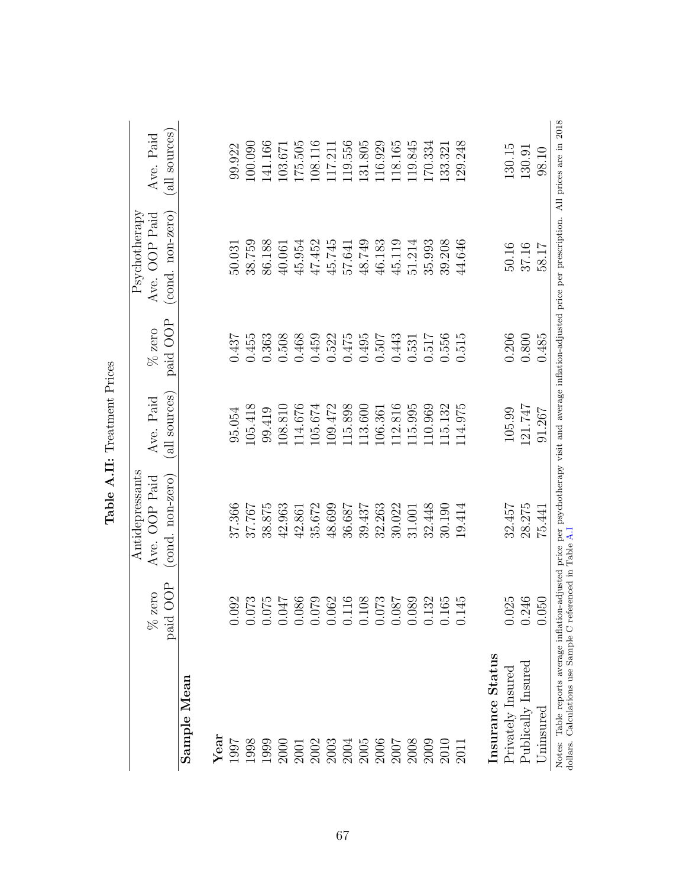|                                                                                                                                                                                                                                                                                                               |                                    | Antidepressants                                                                                                                                      |                            |                      | Psychotherapy                     |                            |
|---------------------------------------------------------------------------------------------------------------------------------------------------------------------------------------------------------------------------------------------------------------------------------------------------------------|------------------------------------|------------------------------------------------------------------------------------------------------------------------------------------------------|----------------------------|----------------------|-----------------------------------|----------------------------|
|                                                                                                                                                                                                                                                                                                               | paid OOP<br>zero<br>8 <sup>o</sup> | (cond. non-zero)<br>Ave. OOP Paid                                                                                                                    | (all sources)<br>Ave. Paid | paid OOP<br>$%$ zero | Ave. OOP Paid<br>(cond. non-zero) | (all sources)<br>Ave. Paid |
| Sample Mean                                                                                                                                                                                                                                                                                                   |                                    |                                                                                                                                                      |                            |                      |                                   |                            |
| $\rm Year$                                                                                                                                                                                                                                                                                                    |                                    |                                                                                                                                                      |                            |                      |                                   |                            |
| 1997                                                                                                                                                                                                                                                                                                          | .092                               | 37.366                                                                                                                                               | 95.054                     | 0.437                | 50.031                            | 99.922                     |
| 1998                                                                                                                                                                                                                                                                                                          | .073                               | 37.767                                                                                                                                               | 105.418                    | 0.455                | 38.759                            | 100.090                    |
| 1999                                                                                                                                                                                                                                                                                                          | 075                                | 38.875                                                                                                                                               | 99.419                     | 0.363                | 86.188                            | 141.166                    |
| $\begin{array}{l} 2000 \\ 2001 \\ 2003 \\ 2003 \\ 2004 \\ 2005 \\ 2006 \\ 2007 \\ 2008 \\ 2000 \\ 2000 \\ 2000 \\ 2011 \\ 2011 \\ 2011 \\ 2011 \\ 2011 \\ 2011 \\ 2011 \\ 2011 \\ 2011 \\ 2011 \\ 2011 \\ 2011 \\ 2011 \\ 2011 \\ 2011 \\ 2012 \\ 2012 \\ 2013 \\ 2013 \\ 2014 \\ 2012 \\ 2013 \\ 2014 \\ 20$ | 170.                               | 42.963                                                                                                                                               | 108.810                    | 0.508                | 40.061                            | 103.671                    |
|                                                                                                                                                                                                                                                                                                               | .086                               | 42.861                                                                                                                                               | 14.676                     | 0.468                | 45.954                            | 175.505                    |
|                                                                                                                                                                                                                                                                                                               | 620                                | 35.672                                                                                                                                               | 105.674                    | 0.459                | 47.452                            | 108.116                    |
|                                                                                                                                                                                                                                                                                                               | .062                               | 48.699                                                                                                                                               | 109.472                    | 0.522                | 45.745                            | 117.211                    |
|                                                                                                                                                                                                                                                                                                               | .116                               | 36.687                                                                                                                                               | 115.898                    | 0.475                | 57.641                            | 119.556                    |
|                                                                                                                                                                                                                                                                                                               | .108                               | 39.437                                                                                                                                               | 13.600                     | 0.495                | 48.749                            | 131.805                    |
|                                                                                                                                                                                                                                                                                                               | .073                               | 32.263                                                                                                                                               | 106.361                    | 0.507                | 46.183                            | 116.929                    |
|                                                                                                                                                                                                                                                                                                               | 780.                               | 30.022                                                                                                                                               | 12.816                     | 0.443                | 45.119                            | 118.165                    |
|                                                                                                                                                                                                                                                                                                               | .089                               | 31.001                                                                                                                                               | 115.995                    | 0.531                | 51.214                            | 119.845                    |
|                                                                                                                                                                                                                                                                                                               | .132                               | 32.448                                                                                                                                               | 110.969                    | 0.517                | 35.993                            | 170.334                    |
|                                                                                                                                                                                                                                                                                                               | .165                               | 30.190                                                                                                                                               | 115.132                    | 0.556                | 39.208                            | 133.321                    |
|                                                                                                                                                                                                                                                                                                               | .145                               | 19.414                                                                                                                                               | 114.975                    | 0.515                | 44.646                            | 129.248                    |
| Insurance Status                                                                                                                                                                                                                                                                                              |                                    |                                                                                                                                                      |                            |                      |                                   |                            |
| Privately Insured                                                                                                                                                                                                                                                                                             | .025                               | 32.457                                                                                                                                               | 105.99                     | 0.206                | 50.16                             | 130.15                     |
| Publically Insured                                                                                                                                                                                                                                                                                            | .246                               | 28.275                                                                                                                                               | 121.747                    | 0.800                | 37.16                             | 130.91                     |
| Uninsured                                                                                                                                                                                                                                                                                                     | 050                                | 75.441                                                                                                                                               | 91.267                     | 0.485                | 58.17                             | 98.10                      |
| Calculations use Sample C referenced in Table A.I<br>dollars.<br>Notes:                                                                                                                                                                                                                                       |                                    | Table reports average inflation-adjusted price per psychotherapy visit and average inflation-adjusted price per prescription. All prices are in 2018 |                            |                      |                                   |                            |

<span id="page-68-0"></span>Table A.II: Treatment Prices Table A.II: Treatment Prices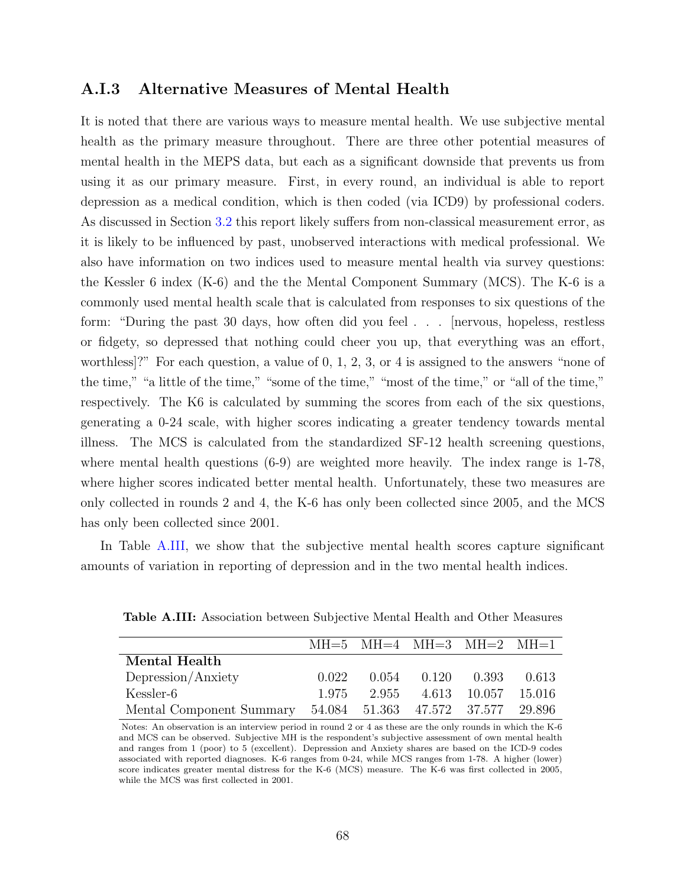### A.I.3 Alternative Measures of Mental Health

It is noted that there are various ways to measure mental health. We use subjective mental health as the primary measure throughout. There are three other potential measures of mental health in the MEPS data, but each as a significant downside that prevents us from using it as our primary measure. First, in every round, an individual is able to report depression as a medical condition, which is then coded (via ICD9) by professional coders. As discussed in Section [3.2](#page-11-0) this report likely suffers from non-classical measurement error, as it is likely to be influenced by past, unobserved interactions with medical professional. We also have information on two indices used to measure mental health via survey questions: the Kessler 6 index (K-6) and the the Mental Component Summary (MCS). The K-6 is a commonly used mental health scale that is calculated from responses to six questions of the form: "During the past 30 days, how often did you feel . . . [nervous, hopeless, restless or fidgety, so depressed that nothing could cheer you up, that everything was an effort, worthless]?" For each question, a value of 0, 1, 2, 3, or 4 is assigned to the answers "none of the time," "a little of the time," "some of the time," "most of the time," or "all of the time," respectively. The K6 is calculated by summing the scores from each of the six questions, generating a 0-24 scale, with higher scores indicating a greater tendency towards mental illness. The MCS is calculated from the standardized SF-12 health screening questions, where mental health questions (6-9) are weighted more heavily. The index range is 1-78, where higher scores indicated better mental health. Unfortunately, these two measures are only collected in rounds 2 and 4, the K-6 has only been collected since 2005, and the MCS has only been collected since 2001.

<span id="page-69-0"></span>In Table [A.III,](#page-69-0) we show that the subjective mental health scores capture significant amounts of variation in reporting of depression and in the two mental health indices.

|                                                             |       |                         | $MH=5$ MH $=4$ MH $=3$ MH $=2$ MH $=1$ |         |
|-------------------------------------------------------------|-------|-------------------------|----------------------------------------|---------|
| Mental Health                                               |       |                         |                                        |         |
| Depression/Anxiety                                          | 0.022 | $0.054$ $0.120$ $0.393$ |                                        | - 0.613 |
| Kessler-6                                                   | 1.975 |                         | 2.955 4.613 10.057 15.016              |         |
| Mental Component Summary 54.084 51.363 47.572 37.577 29.896 |       |                         |                                        |         |

Table A.III: Association between Subjective Mental Health and Other Measures

Notes: An observation is an interview period in round 2 or 4 as these are the only rounds in which the K-6 and MCS can be observed. Subjective MH is the respondent's subjective assessment of own mental health and ranges from 1 (poor) to 5 (excellent). Depression and Anxiety shares are based on the ICD-9 codes associated with reported diagnoses. K-6 ranges from 0-24, while MCS ranges from 1-78. A higher (lower) score indicates greater mental distress for the K-6 (MCS) measure. The K-6 was first collected in 2005, while the MCS was first collected in 2001.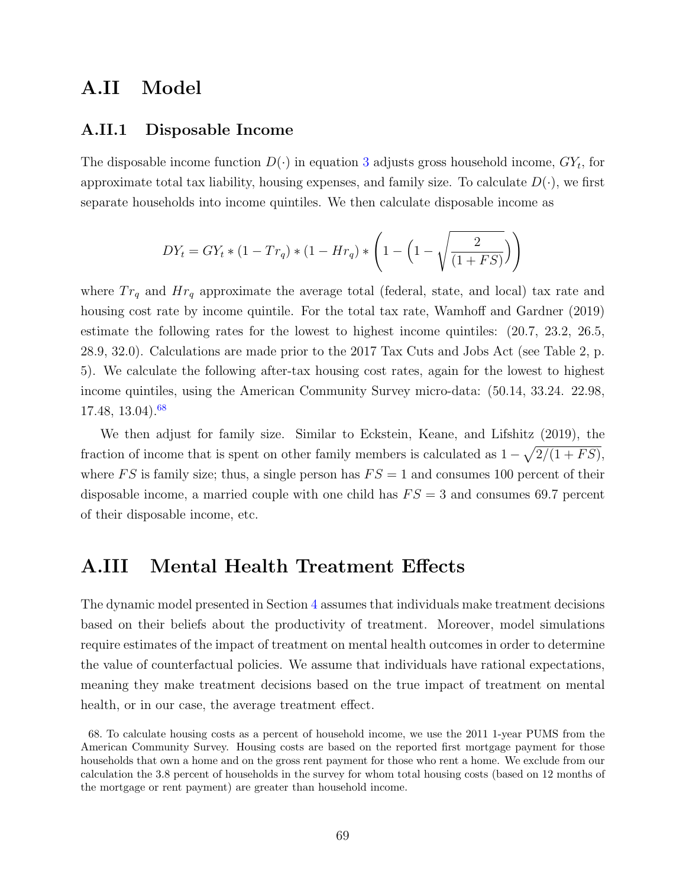## A.II Model

### A.II.1 Disposable Income

The disposable income function  $D(\cdot)$  in equation [3](#page-21-0) adjusts gross household income,  $GY_t$ , for approximate total tax liability, housing expenses, and family size. To calculate  $D(\cdot)$ , we first separate households into income quintiles. We then calculate disposable income as

$$
DY_t = GY_t * (1 - Tr_q) * (1 - Hr_q) * \left(1 - \left(1 - \sqrt{\frac{2}{(1 + FS)}}\right)\right)
$$

where  $Tr_q$  and  $Hr_q$  approximate the average total (federal, state, and local) tax rate and housing cost rate by income quintile. For the total tax rate, Wamhoff and Gardner [\(2019\)](#page-94-1) estimate the following rates for the lowest to highest income quintiles: (20.7, 23.2, 26.5, 28.9, 32.0). Calculations are made prior to the 2017 Tax Cuts and Jobs Act (see Table 2, p. 5). We calculate the following after-tax housing cost rates, again for the lowest to highest income quintiles, using the American Community Survey micro-data: (50.14, 33.24. 22.98,  $17.48, 13.04$ .<sup>[68](#page-70-0)</sup>

We then adjust for family size. Similar to Eckstein, Keane, and Lifshitz [\(2019\)](#page-94-2), the fraction of income that is spent on other family members is calculated as  $1 - \sqrt{2/(1 + FS)}$ , where FS is family size; thus, a single person has  $FS = 1$  and consumes 100 percent of their disposable income, a married couple with one child has  $FS = 3$  and consumes 69.7 percent of their disposable income, etc.

### A.III Mental Health Treatment Effects

The dynamic model presented in Section [4](#page-19-0) assumes that individuals make treatment decisions based on their beliefs about the productivity of treatment. Moreover, model simulations require estimates of the impact of treatment on mental health outcomes in order to determine the value of counterfactual policies. We assume that individuals have rational expectations, meaning they make treatment decisions based on the true impact of treatment on mental health, or in our case, the average treatment effect.

<span id="page-70-0"></span><sup>68.</sup> To calculate housing costs as a percent of household income, we use the 2011 1-year PUMS from the American Community Survey. Housing costs are based on the reported first mortgage payment for those households that own a home and on the gross rent payment for those who rent a home. We exclude from our calculation the 3.8 percent of households in the survey for whom total housing costs (based on 12 months of the mortgage or rent payment) are greater than household income.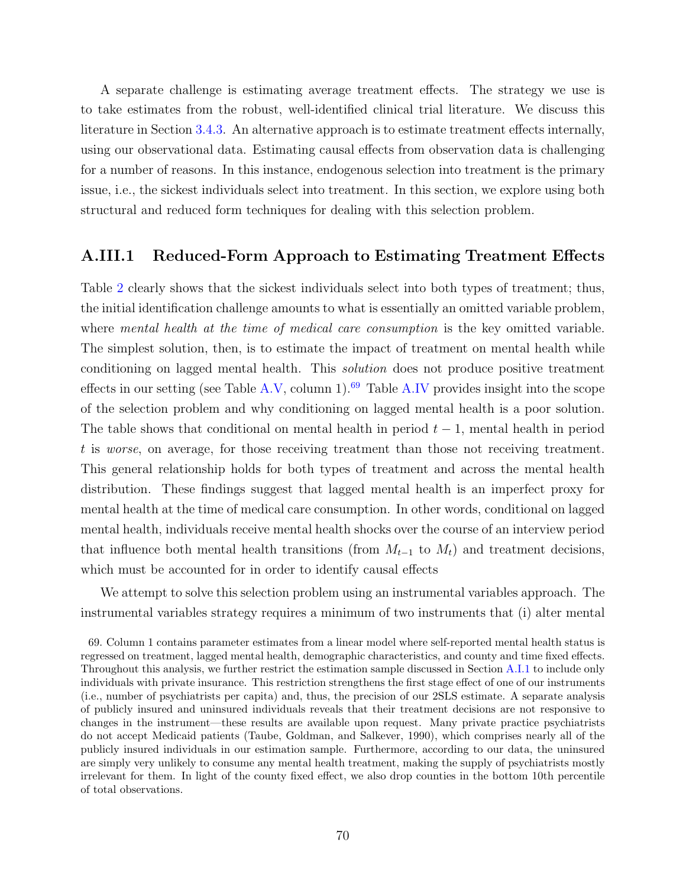A separate challenge is estimating average treatment effects. The strategy we use is to take estimates from the robust, well-identified clinical trial literature. We discuss this literature in Section [3.4.3.](#page-17-0) An alternative approach is to estimate treatment effects internally, using our observational data. Estimating causal effects from observation data is challenging for a number of reasons. In this instance, endogenous selection into treatment is the primary issue, i.e., the sickest individuals select into treatment. In this section, we explore using both structural and reduced form techniques for dealing with this selection problem.

### <span id="page-71-0"></span>A.III.1 Reduced-Form Approach to Estimating Treatment Effects

Table [2](#page-54-0) clearly shows that the sickest individuals select into both types of treatment; thus, the initial identification challenge amounts to what is essentially an omitted variable problem, where *mental health at the time of medical care consumption* is the key omitted variable. The simplest solution, then, is to estimate the impact of treatment on mental health while conditioning on lagged mental health. This solution does not produce positive treatment effects in our setting (see Table [A.V,](#page-75-0) column 1).<sup>[69](#page-71-1)</sup> Table [A.IV](#page-74-0) provides insight into the scope of the selection problem and why conditioning on lagged mental health is a poor solution. The table shows that conditional on mental health in period  $t - 1$ , mental health in period t is worse, on average, for those receiving treatment than those not receiving treatment. This general relationship holds for both types of treatment and across the mental health distribution. These findings suggest that lagged mental health is an imperfect proxy for mental health at the time of medical care consumption. In other words, conditional on lagged mental health, individuals receive mental health shocks over the course of an interview period that influence both mental health transitions (from  $M_{t-1}$  to  $M_t$ ) and treatment decisions, which must be accounted for in order to identify causal effects

We attempt to solve this selection problem using an instrumental variables approach. The instrumental variables strategy requires a minimum of two instruments that (i) alter mental

<span id="page-71-1"></span><sup>69.</sup> Column 1 contains parameter estimates from a linear model where self-reported mental health status is regressed on treatment, lagged mental health, demographic characteristics, and county and time fixed effects. Throughout this analysis, we further restrict the estimation sample discussed in Section [A.I.1](#page-64-0) to include only individuals with private insurance. This restriction strengthens the first stage effect of one of our instruments (i.e., number of psychiatrists per capita) and, thus, the precision of our 2SLS estimate. A separate analysis of publicly insured and uninsured individuals reveals that their treatment decisions are not responsive to changes in the instrument—these results are available upon request. Many private practice psychiatrists do not accept Medicaid patients (Taube, Goldman, and Salkever, [1990\)](#page-94-3), which comprises nearly all of the publicly insured individuals in our estimation sample. Furthermore, according to our data, the uninsured are simply very unlikely to consume any mental health treatment, making the supply of psychiatrists mostly irrelevant for them. In light of the county fixed effect, we also drop counties in the bottom 10th percentile of total observations.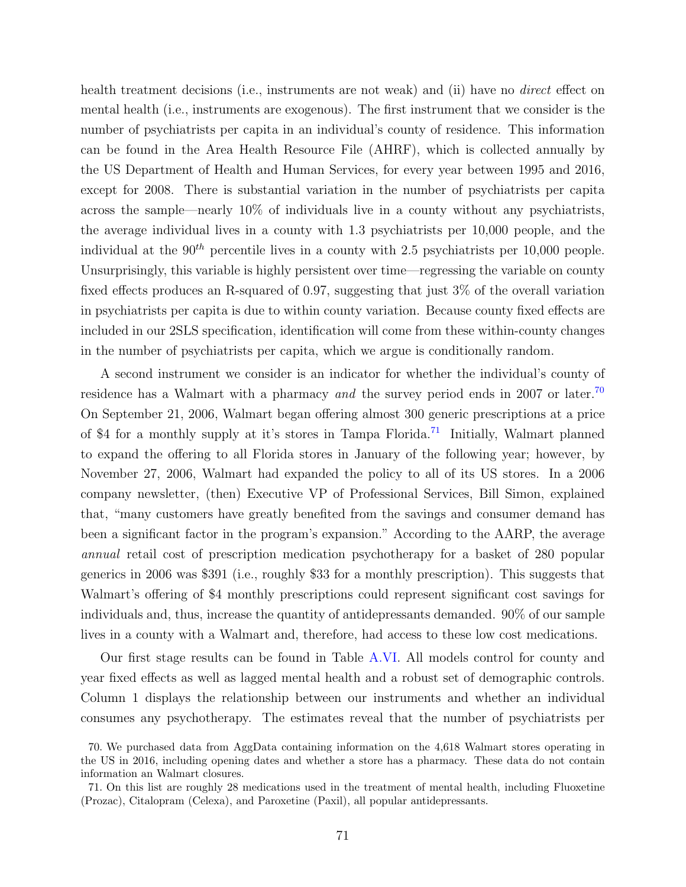health treatment decisions (i.e., instruments are not weak) and (ii) have no *direct* effect on mental health (i.e., instruments are exogenous). The first instrument that we consider is the number of psychiatrists per capita in an individual's county of residence. This information can be found in the Area Health Resource File (AHRF), which is collected annually by the US Department of Health and Human Services, for every year between 1995 and 2016, except for 2008. There is substantial variation in the number of psychiatrists per capita across the sample—nearly 10% of individuals live in a county without any psychiatrists, the average individual lives in a county with 1.3 psychiatrists per 10,000 people, and the individual at the  $90<sup>th</sup>$  percentile lives in a county with 2.5 psychiatrists per 10,000 people. Unsurprisingly, this variable is highly persistent over time—regressing the variable on county fixed effects produces an R-squared of 0.97, suggesting that just 3% of the overall variation in psychiatrists per capita is due to within county variation. Because county fixed effects are included in our 2SLS specification, identification will come from these within-county changes in the number of psychiatrists per capita, which we argue is conditionally random.

A second instrument we consider is an indicator for whether the individual's county of residence has a Walmart with a pharmacy and the survey period ends in 2007 or later.<sup>[70](#page-72-0)</sup> On September 21, 2006, Walmart began offering almost 300 generic prescriptions at a price of \$4 for a monthly supply at it's stores in Tampa Florida.<sup>[71](#page-72-1)</sup> Initially, Walmart planned to expand the offering to all Florida stores in January of the following year; however, by November 27, 2006, Walmart had expanded the policy to all of its US stores. In a 2006 company newsletter, (then) Executive VP of Professional Services, Bill Simon, explained that, "many customers have greatly benefited from the savings and consumer demand has been a significant factor in the program's expansion." According to the AARP, the average annual retail cost of prescription medication psychotherapy for a basket of 280 popular generics in 2006 was \$391 (i.e., roughly \$33 for a monthly prescription). This suggests that Walmart's offering of \$4 monthly prescriptions could represent significant cost savings for individuals and, thus, increase the quantity of antidepressants demanded. 90% of our sample lives in a county with a Walmart and, therefore, had access to these low cost medications.

Our first stage results can be found in Table [A.VI.](#page-76-0) All models control for county and year fixed effects as well as lagged mental health and a robust set of demographic controls. Column 1 displays the relationship between our instruments and whether an individual consumes any psychotherapy. The estimates reveal that the number of psychiatrists per

<span id="page-72-0"></span><sup>70.</sup> We purchased data from AggData containing information on the 4,618 Walmart stores operating in the US in 2016, including opening dates and whether a store has a pharmacy. These data do not contain information an Walmart closures.

<span id="page-72-1"></span><sup>71.</sup> On this list are roughly 28 medications used in the treatment of mental health, including Fluoxetine (Prozac), Citalopram (Celexa), and Paroxetine (Paxil), all popular antidepressants.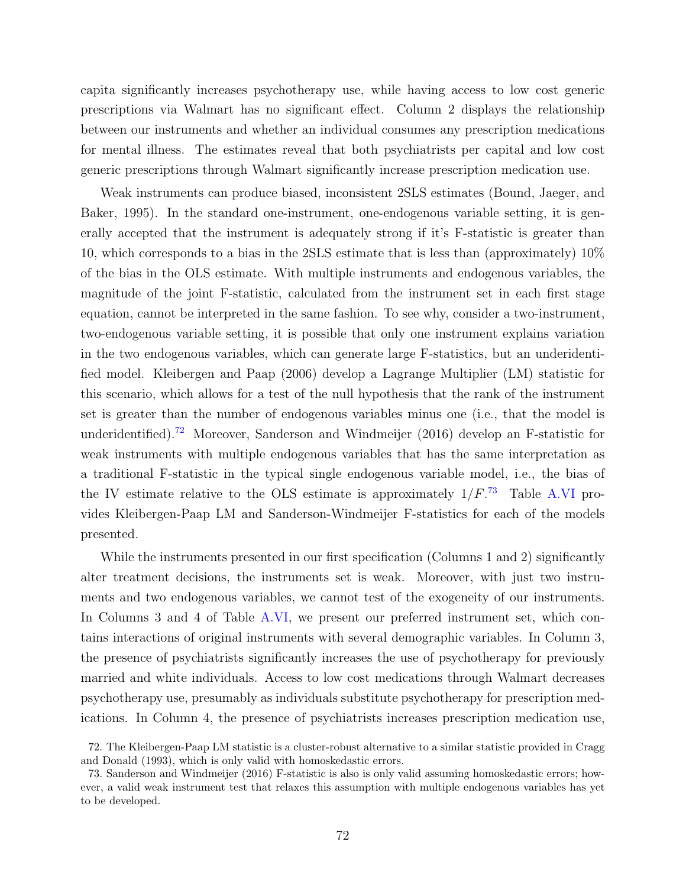capita significantly increases psychotherapy use, while having access to low cost generic prescriptions via Walmart has no significant effect. Column 2 displays the relationship between our instruments and whether an individual consumes any prescription medications for mental illness. The estimates reveal that both psychiatrists per capital and low cost generic prescriptions through Walmart significantly increase prescription medication use.

Weak instruments can produce biased, inconsistent 2SLS estimates (Bound, Jaeger, and Baker, [1995\)](#page-94-0). In the standard one-instrument, one-endogenous variable setting, it is generally accepted that the instrument is adequately strong if it's F-statistic is greater than 10, which corresponds to a bias in the 2SLS estimate that is less than (approximately) 10% of the bias in the OLS estimate. With multiple instruments and endogenous variables, the magnitude of the joint F-statistic, calculated from the instrument set in each first stage equation, cannot be interpreted in the same fashion. To see why, consider a two-instrument, two-endogenous variable setting, it is possible that only one instrument explains variation in the two endogenous variables, which can generate large F-statistics, but an underidentified model. Kleibergen and Paap [\(2006\)](#page-94-1) develop a Lagrange Multiplier (LM) statistic for this scenario, which allows for a test of the null hypothesis that the rank of the instrument set is greater than the number of endogenous variables minus one (i.e., that the model is underidentified).[72](#page-73-0) Moreover, Sanderson and Windmeijer [\(2016\)](#page-94-2) develop an F-statistic for weak instruments with multiple endogenous variables that has the same interpretation as a traditional F-statistic in the typical single endogenous variable model, i.e., the bias of the IV estimate relative to the OLS estimate is approximately  $1/F$ <sup>[73](#page-73-1)</sup>. Table [A.VI](#page-76-0) provides Kleibergen-Paap LM and Sanderson-Windmeijer F-statistics for each of the models presented.

While the instruments presented in our first specification (Columns 1 and 2) significantly alter treatment decisions, the instruments set is weak. Moreover, with just two instruments and two endogenous variables, we cannot test of the exogeneity of our instruments. In Columns 3 and 4 of Table [A.VI,](#page-76-0) we present our preferred instrument set, which contains interactions of original instruments with several demographic variables. In Column 3, the presence of psychiatrists significantly increases the use of psychotherapy for previously married and white individuals. Access to low cost medications through Walmart decreases psychotherapy use, presumably as individuals substitute psychotherapy for prescription medications. In Column 4, the presence of psychiatrists increases prescription medication use,

<span id="page-73-0"></span><sup>72.</sup> The Kleibergen-Paap LM statistic is a cluster-robust alternative to a similar statistic provided in Cragg and Donald [\(1993\)](#page-94-3), which is only valid with homoskedastic errors.

<span id="page-73-1"></span><sup>73.</sup> Sanderson and Windmeijer [\(2016\)](#page-94-2) F-statistic is also is only valid assuming homoskedastic errors; however, a valid weak instrument test that relaxes this assumption with multiple endogenous variables has yet to be developed.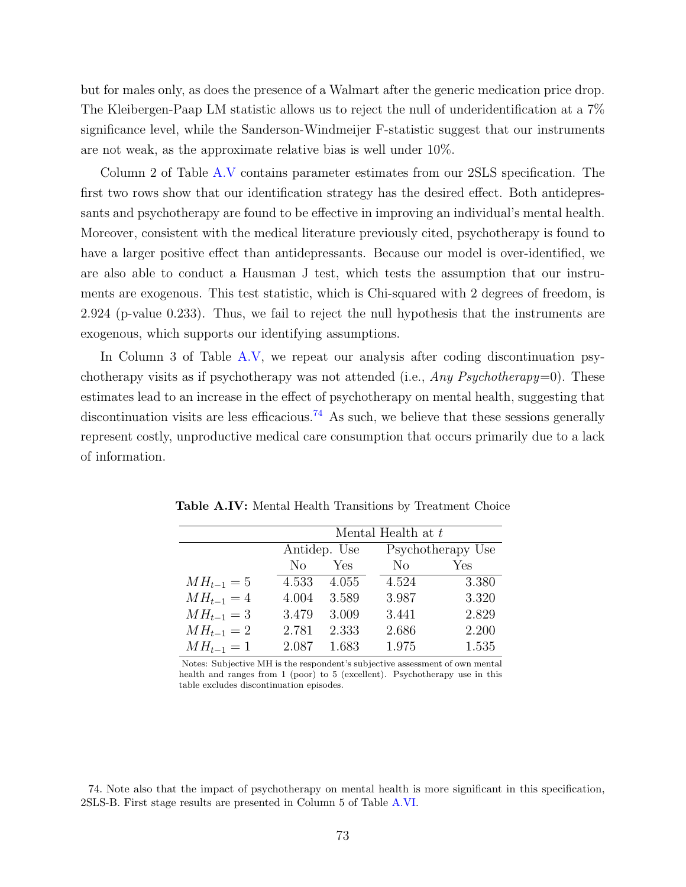but for males only, as does the presence of a Walmart after the generic medication price drop. The Kleibergen-Paap LM statistic allows us to reject the null of underidentification at a 7% significance level, while the Sanderson-Windmeijer F-statistic suggest that our instruments are not weak, as the approximate relative bias is well under 10%.

Column 2 of Table [A.V](#page-75-0) contains parameter estimates from our 2SLS specification. The first two rows show that our identification strategy has the desired effect. Both antidepressants and psychotherapy are found to be effective in improving an individual's mental health. Moreover, consistent with the medical literature previously cited, psychotherapy is found to have a larger positive effect than antidepressants. Because our model is over-identified, we are also able to conduct a Hausman J test, which tests the assumption that our instruments are exogenous. This test statistic, which is Chi-squared with 2 degrees of freedom, is 2.924 (p-value 0.233). Thus, we fail to reject the null hypothesis that the instruments are exogenous, which supports our identifying assumptions.

In Column 3 of Table [A.V,](#page-75-0) we repeat our analysis after coding discontinuation psychotherapy visits as if psychotherapy was not attended (i.e., Any Psychotherapy=0). These estimates lead to an increase in the effect of psychotherapy on mental health, suggesting that discontinuation visits are less efficacious.<sup>[74](#page-74-0)</sup> As such, we believe that these sessions generally represent costly, unproductive medical care consumption that occurs primarily due to a lack of information.

|                |       |              | Mental Health at t |                   |
|----------------|-------|--------------|--------------------|-------------------|
|                |       | Antidep. Use |                    | Psychotherapy Use |
|                | No.   | Yes          | N <sub>o</sub>     | Yes               |
| $MH_{t-1} = 5$ | 4.533 | 4.055        | 4.524              | 3.380             |
| $MH_{t-1} = 4$ | 4.004 | 3.589        | 3.987              | 3.320             |
| $MH_{t-1} = 3$ | 3.479 | 3.009        | 3.441              | 2.829             |
| $MH_{t-1} = 2$ | 2.781 | 2.333        | 2.686              | 2.200             |
| $MH_{t-1} = 1$ | 2.087 | 1.683        | 1.975              | 1.535             |

<span id="page-74-1"></span>Table A.IV: Mental Health Transitions by Treatment Choice

Notes: Subjective MH is the respondent's subjective assessment of own mental health and ranges from 1 (poor) to 5 (excellent). Psychotherapy use in this table excludes discontinuation episodes.

<span id="page-74-0"></span>74. Note also that the impact of psychotherapy on mental health is more significant in this specification, 2SLS-B. First stage results are presented in Column 5 of Table [A.VI.](#page-76-0)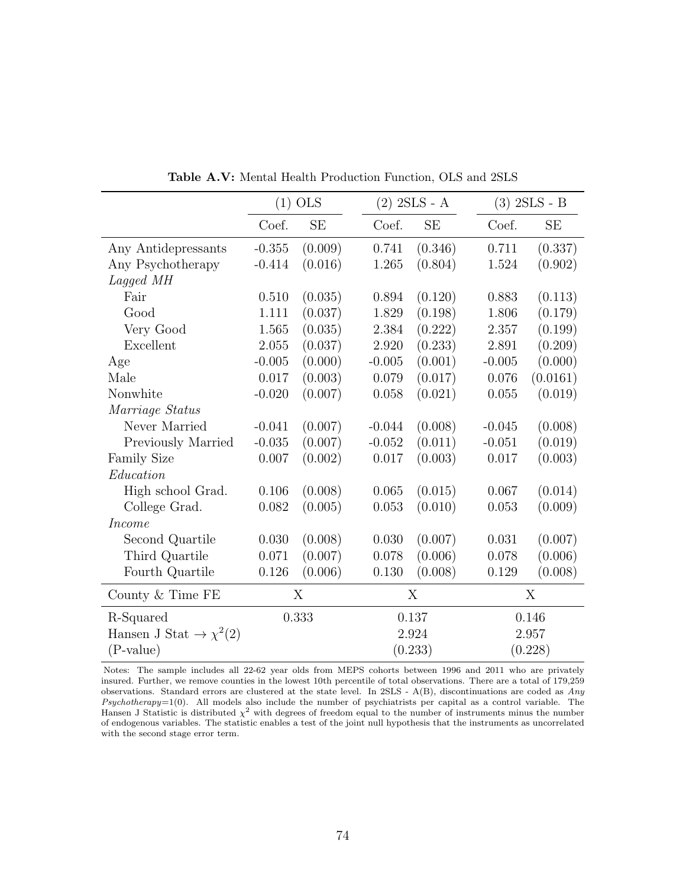<span id="page-75-0"></span>

|                                       |          | $(1)$ OLS |           | $(2)$ 2SLS - A |          | $(3)$ 2SLS - B |
|---------------------------------------|----------|-----------|-----------|----------------|----------|----------------|
|                                       | Coef.    | SE        | Coef.     | <b>SE</b>      | Coef.    | <b>SE</b>      |
| Any Antidepressants                   | $-0.355$ | (0.009)   | 0.741     | (0.346)        | 0.711    | (0.337)        |
| Any Psychotherapy                     | $-0.414$ | (0.016)   | 1.265     | (0.804)        | 1.524    | (0.902)        |
| Lagged MH                             |          |           |           |                |          |                |
| Fair                                  | 0.510    | (0.035)   | 0.894     | (0.120)        | 0.883    | (0.113)        |
| Good                                  | 1.111    | (0.037)   | 1.829     | (0.198)        | 1.806    | (0.179)        |
| Very Good                             | 1.565    | (0.035)   | 2.384     | (0.222)        | 2.357    | (0.199)        |
| Excellent                             | 2.055    | (0.037)   | 2.920     | (0.233)        | 2.891    | (0.209)        |
| Age                                   | $-0.005$ | (0.000)   | $-0.005$  | (0.001)        | $-0.005$ | (0.000)        |
| Male                                  | 0.017    | (0.003)   | 0.079     | (0.017)        | 0.076    | (0.0161)       |
| Nonwhite                              | $-0.020$ | (0.007)   | 0.058     | (0.021)        | 0.055    | (0.019)        |
| Marriage Status                       |          |           |           |                |          |                |
| Never Married                         | $-0.041$ | (0.007)   | $-0.044$  | (0.008)        | $-0.045$ | (0.008)        |
| Previously Married                    | $-0.035$ | (0.007)   | $-0.052$  | (0.011)        | $-0.051$ | (0.019)        |
| <b>Family Size</b>                    | 0.007    | (0.002)   | $0.017\,$ | (0.003)        | 0.017    | (0.003)        |
| Education                             |          |           |           |                |          |                |
| High school Grad.                     | 0.106    | (0.008)   | 0.065     | (0.015)        | 0.067    | (0.014)        |
| College Grad.                         | 0.082    | (0.005)   | 0.053     | (0.010)        | 0.053    | (0.009)        |
| <i>Income</i>                         |          |           |           |                |          |                |
| Second Quartile                       | 0.030    | (0.008)   | 0.030     | (0.007)        | 0.031    | (0.007)        |
| Third Quartile                        | 0.071    | (0.007)   | 0.078     | (0.006)        | 0.078    | (0.006)        |
| Fourth Quartile                       | 0.126    | (0.006)   | 0.130     | (0.008)        | 0.129    | (0.008)        |
| County $&$ Time FE                    |          | X         |           | X              |          | X              |
| R-Squared                             |          | 0.333     |           | 0.137          |          | 0.146          |
| Hansen J Stat $\rightarrow \chi^2(2)$ |          |           |           | 2.924          |          | 2.957          |
| $(P-value)$                           |          |           |           | (0.233)        |          | (0.228)        |

Table A.V: Mental Health Production Function, OLS and 2SLS

Notes: The sample includes all 22-62 year olds from MEPS cohorts between 1996 and 2011 who are privately insured. Further, we remove counties in the lowest 10th percentile of total observations. There are a total of 179,259 observations. Standard errors are clustered at the state level. In 2SLS - A(B), discontinuations are coded as Any  $Psychotherapy=1(0)$ . All models also include the number of psychiatrists per capital as a control variable. The Hansen J Statistic is distributed  $\chi^2$  with degrees of freedom equal to the number of instruments minus the number of endogenous variables. The statistic enables a test of the joint null hypothesis that the instruments as uncorrelated with the second stage error term.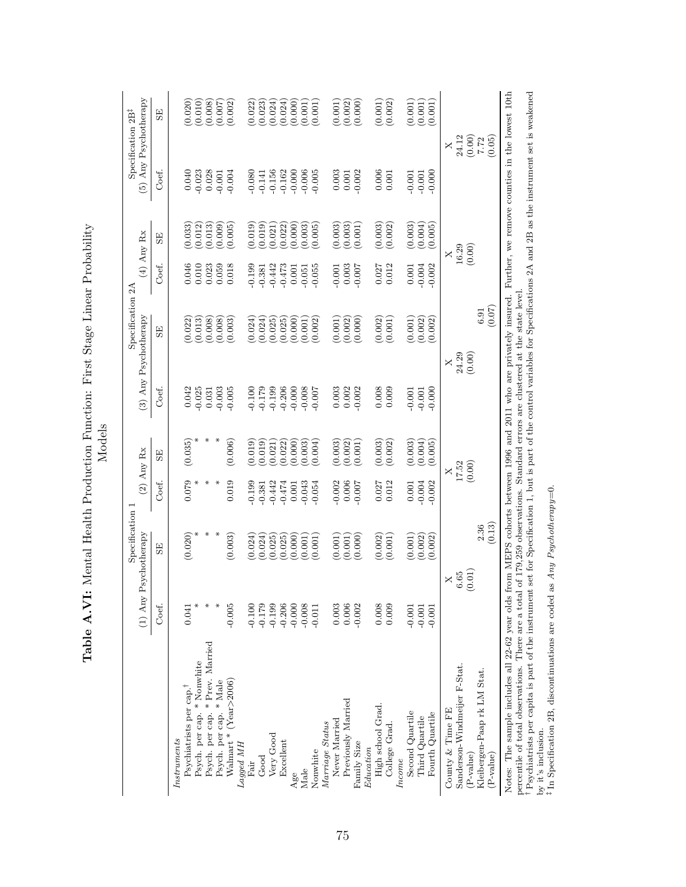<span id="page-76-0"></span>

| (0.001)<br>(0.020)<br>(0.000)<br>(0.002)<br>(0.010)<br>(0.008)<br>(0.022)<br>(0.001)<br>(0.001)<br>(0.001)<br>(0.002)<br>(0.023)<br>(0.024)<br>(0.024)<br>$(0.000)$<br>$(0.001)$<br>$(0.001)$<br>(0.002)<br>(0.001)<br>(0.007)<br>5E)<br>$\begin{array}{c} 24.12 \\ (0.00) \\ 7.72 \\ (0.05) \end{array}$<br>$\times$<br>$\begin{array}{c} 0.040 \\ -0.023 \\ 0.028 \end{array}$<br>0.006<br>Coef.<br>$-0.156$<br>$-0.162$<br>$-0.006$<br>$-0.005$<br>0.003<br>$-0.002$<br>$-0.004$<br>$-0.080$<br>$-0.001$<br>0.000<br>$-0.141$<br>$0.001$<br>0.001<br>$-0.001$<br>$\begin{array}{c} (0.003) \\ (0.004) \\ (0.005) \end{array}$<br>$(0.003)$<br>$(0.003)$<br>$(0.001)$<br>$(0.003)$<br>$(0.002)$<br>$(0.033)$<br>$(0.012)$<br>$(0.013)$<br>(0.009)<br>(0.019)<br>(0.019)<br>$(0.000)$<br>$(0.003)$<br>$(0.005)$<br>(0.005)<br>(0.022)<br>(0.021)<br>$_{\rm{SE}}$<br>(0.00)<br>$\times$<br>0.046<br>0.012<br>0.010<br>0.059<br>0.018<br>0.199<br>$-0.442$<br>0.003<br>0.027<br>$0.001$<br>$-0.004$<br>0.023<br><b>700.0</b><br>$-0.002$<br>Coef.<br>$-0.473$<br>0.001<br>$-0.055$<br>$-0.001$<br>$-0.381$<br>$-0.051$<br>(0.07)<br>6.91<br>$(0.002)$<br>$(0.001)$<br>$(0.022)$<br>$(0.013)$<br>(0.024)<br>(0.000)<br>$(0.001)$<br>$(0.002)$<br>$(0.002)$<br>(0.008)<br>(0.008)<br>(0.003)<br>(0.024)<br>(0.025)<br>$(0.025)$<br>$(0.000)$<br>$(0.002)$<br>$(0.002)$<br>(0.001)<br>(0.002)<br>$\overline{\rm s}$<br>$24.29$<br>$(0.00)$<br>$\times$<br>Coef.<br>$0.008$<br>0.009<br>$\begin{array}{c} 0.042 \\ -0.025 \\ 0.031 \end{array}$<br>700.00.00.00<br>000.00.00.00<br>000.00.00.00<br>0.002<br>$-0.002$<br>$-0.003$<br>$-0.005$<br>$\,0.003\,$<br>$-0.000$<br>$-0.001$<br>$\ast$<br>$\ast$<br>(0.035)<br>(0.006)<br>$(0.003)$<br>$(0.004)$<br>(0.019)<br>(0.004)<br>(0.003)<br>$(0.003)$<br>$(0.002)$<br>(0.019)<br>$(0.022)$<br>$(0.000)$<br>$(0.003)$<br>(0.002)<br>(0.005)<br>(0.001)<br>(0.021)<br>$\overline{\rm s}$<br>17.52<br>(0.00)<br>$\times$<br>0.079<br>0.019<br>⋇<br>$-0.002$<br>0.006<br>0.027<br>0.012<br>Coef.<br>$-0.199$<br>$-0.442$<br>$-0.054$<br>$-0.007$<br>$0.001$<br>$-0.004$<br>$-0.474$<br>$-0.001$<br>$-0.043$<br>$-0.002$<br>$-0.381$<br>$\frac{2.36}{(0.13)}$<br>⋇<br>(0.020)<br>(0.003)<br>(0.002)<br>(0.024)<br>(0.024)<br>(0.025)<br>(0.025)<br>(0.000)<br>(0.000)<br>(0.002)<br>(0.001)<br>(0.002)<br>(0.001)<br>(0.001)<br>(0.001)<br>(0.001)<br>(0.001)<br>SE<br>(0.01)<br>$6.65\,$<br>$\times$<br>$-0.179$<br>$-0.199$<br>0.008<br>0.009<br>Coef.<br>$-0.005$<br>$-0.206$<br>$-0.000$<br>$-0.008$<br>0.006<br>$-0.002$<br>$-0.100$<br>0.003<br>$-0.001$<br>0.041<br>$-0.001$<br>$-0.001$<br>$-0.011$<br>Psych. per cap. * Prev. Married<br>Psych. per cap. * Nonwhite<br>Sanderson-Windmeijer F-Stat.<br>Kleibergen-Paap rk LM Stat.<br>Walmart * (Year>2006)<br>Psych. per cap. * Male<br>Psychiatrists per cap. <sup>†</sup><br>Previously Married<br>High school Grad.<br>County & Time FE<br>Second Quartile<br>Fourth Quartile<br>Third Quartile<br>Never Married<br>Marriage Status<br>College Grad.<br>Very Good<br>Instruments<br>Excellent<br>Family Size<br>Lagged MH<br>Education<br>Nonwhite<br>P-value)<br>(P-value)<br>Good<br>Income<br>Fair<br>Male<br>Age | $(1)$ Any | Specification 1<br>Psychotherapy | $(2)$ Any Rx | Specification 2A<br>(3) Any Psychotherapy | $(4)$ Any Rx | (5) Any Psychotherapy<br>Specification 2B <sup>‡</sup> |
|-------------------------------------------------------------------------------------------------------------------------------------------------------------------------------------------------------------------------------------------------------------------------------------------------------------------------------------------------------------------------------------------------------------------------------------------------------------------------------------------------------------------------------------------------------------------------------------------------------------------------------------------------------------------------------------------------------------------------------------------------------------------------------------------------------------------------------------------------------------------------------------------------------------------------------------------------------------------------------------------------------------------------------------------------------------------------------------------------------------------------------------------------------------------------------------------------------------------------------------------------------------------------------------------------------------------------------------------------------------------------------------------------------------------------------------------------------------------------------------------------------------------------------------------------------------------------------------------------------------------------------------------------------------------------------------------------------------------------------------------------------------------------------------------------------------------------------------------------------------------------------------------------------------------------------------------------------------------------------------------------------------------------------------------------------------------------------------------------------------------------------------------------------------------------------------------------------------------------------------------------------------------------------------------------------------------------------------------------------------------------------------------------------------------------------------------------------------------------------------------------------------------------------------------------------------------------------------------------------------------------------------------------------------------------------------------------------------------------------------------------------------------------------------------------------------------------------------------------------------------------------------------------------------------------------------------------------------------------------------------------------------------------------------------------------------------------------------------------------------------------------------------------------------------------------------------------------------------------|-----------|----------------------------------|--------------|-------------------------------------------|--------------|--------------------------------------------------------|
|                                                                                                                                                                                                                                                                                                                                                                                                                                                                                                                                                                                                                                                                                                                                                                                                                                                                                                                                                                                                                                                                                                                                                                                                                                                                                                                                                                                                                                                                                                                                                                                                                                                                                                                                                                                                                                                                                                                                                                                                                                                                                                                                                                                                                                                                                                                                                                                                                                                                                                                                                                                                                                                                                                                                                                                                                                                                                                                                                                                                                                                                                                                                                                                                                         |           |                                  |              |                                           |              |                                                        |
|                                                                                                                                                                                                                                                                                                                                                                                                                                                                                                                                                                                                                                                                                                                                                                                                                                                                                                                                                                                                                                                                                                                                                                                                                                                                                                                                                                                                                                                                                                                                                                                                                                                                                                                                                                                                                                                                                                                                                                                                                                                                                                                                                                                                                                                                                                                                                                                                                                                                                                                                                                                                                                                                                                                                                                                                                                                                                                                                                                                                                                                                                                                                                                                                                         |           |                                  |              |                                           |              |                                                        |
|                                                                                                                                                                                                                                                                                                                                                                                                                                                                                                                                                                                                                                                                                                                                                                                                                                                                                                                                                                                                                                                                                                                                                                                                                                                                                                                                                                                                                                                                                                                                                                                                                                                                                                                                                                                                                                                                                                                                                                                                                                                                                                                                                                                                                                                                                                                                                                                                                                                                                                                                                                                                                                                                                                                                                                                                                                                                                                                                                                                                                                                                                                                                                                                                                         |           |                                  |              |                                           |              |                                                        |
|                                                                                                                                                                                                                                                                                                                                                                                                                                                                                                                                                                                                                                                                                                                                                                                                                                                                                                                                                                                                                                                                                                                                                                                                                                                                                                                                                                                                                                                                                                                                                                                                                                                                                                                                                                                                                                                                                                                                                                                                                                                                                                                                                                                                                                                                                                                                                                                                                                                                                                                                                                                                                                                                                                                                                                                                                                                                                                                                                                                                                                                                                                                                                                                                                         |           |                                  |              |                                           |              |                                                        |
|                                                                                                                                                                                                                                                                                                                                                                                                                                                                                                                                                                                                                                                                                                                                                                                                                                                                                                                                                                                                                                                                                                                                                                                                                                                                                                                                                                                                                                                                                                                                                                                                                                                                                                                                                                                                                                                                                                                                                                                                                                                                                                                                                                                                                                                                                                                                                                                                                                                                                                                                                                                                                                                                                                                                                                                                                                                                                                                                                                                                                                                                                                                                                                                                                         |           |                                  |              |                                           |              |                                                        |
|                                                                                                                                                                                                                                                                                                                                                                                                                                                                                                                                                                                                                                                                                                                                                                                                                                                                                                                                                                                                                                                                                                                                                                                                                                                                                                                                                                                                                                                                                                                                                                                                                                                                                                                                                                                                                                                                                                                                                                                                                                                                                                                                                                                                                                                                                                                                                                                                                                                                                                                                                                                                                                                                                                                                                                                                                                                                                                                                                                                                                                                                                                                                                                                                                         |           |                                  |              |                                           |              |                                                        |
|                                                                                                                                                                                                                                                                                                                                                                                                                                                                                                                                                                                                                                                                                                                                                                                                                                                                                                                                                                                                                                                                                                                                                                                                                                                                                                                                                                                                                                                                                                                                                                                                                                                                                                                                                                                                                                                                                                                                                                                                                                                                                                                                                                                                                                                                                                                                                                                                                                                                                                                                                                                                                                                                                                                                                                                                                                                                                                                                                                                                                                                                                                                                                                                                                         |           |                                  |              |                                           |              |                                                        |
|                                                                                                                                                                                                                                                                                                                                                                                                                                                                                                                                                                                                                                                                                                                                                                                                                                                                                                                                                                                                                                                                                                                                                                                                                                                                                                                                                                                                                                                                                                                                                                                                                                                                                                                                                                                                                                                                                                                                                                                                                                                                                                                                                                                                                                                                                                                                                                                                                                                                                                                                                                                                                                                                                                                                                                                                                                                                                                                                                                                                                                                                                                                                                                                                                         |           |                                  |              |                                           |              |                                                        |
|                                                                                                                                                                                                                                                                                                                                                                                                                                                                                                                                                                                                                                                                                                                                                                                                                                                                                                                                                                                                                                                                                                                                                                                                                                                                                                                                                                                                                                                                                                                                                                                                                                                                                                                                                                                                                                                                                                                                                                                                                                                                                                                                                                                                                                                                                                                                                                                                                                                                                                                                                                                                                                                                                                                                                                                                                                                                                                                                                                                                                                                                                                                                                                                                                         |           |                                  |              |                                           |              |                                                        |
|                                                                                                                                                                                                                                                                                                                                                                                                                                                                                                                                                                                                                                                                                                                                                                                                                                                                                                                                                                                                                                                                                                                                                                                                                                                                                                                                                                                                                                                                                                                                                                                                                                                                                                                                                                                                                                                                                                                                                                                                                                                                                                                                                                                                                                                                                                                                                                                                                                                                                                                                                                                                                                                                                                                                                                                                                                                                                                                                                                                                                                                                                                                                                                                                                         |           |                                  |              |                                           |              |                                                        |
|                                                                                                                                                                                                                                                                                                                                                                                                                                                                                                                                                                                                                                                                                                                                                                                                                                                                                                                                                                                                                                                                                                                                                                                                                                                                                                                                                                                                                                                                                                                                                                                                                                                                                                                                                                                                                                                                                                                                                                                                                                                                                                                                                                                                                                                                                                                                                                                                                                                                                                                                                                                                                                                                                                                                                                                                                                                                                                                                                                                                                                                                                                                                                                                                                         |           |                                  |              |                                           |              |                                                        |
|                                                                                                                                                                                                                                                                                                                                                                                                                                                                                                                                                                                                                                                                                                                                                                                                                                                                                                                                                                                                                                                                                                                                                                                                                                                                                                                                                                                                                                                                                                                                                                                                                                                                                                                                                                                                                                                                                                                                                                                                                                                                                                                                                                                                                                                                                                                                                                                                                                                                                                                                                                                                                                                                                                                                                                                                                                                                                                                                                                                                                                                                                                                                                                                                                         |           |                                  |              |                                           |              |                                                        |
|                                                                                                                                                                                                                                                                                                                                                                                                                                                                                                                                                                                                                                                                                                                                                                                                                                                                                                                                                                                                                                                                                                                                                                                                                                                                                                                                                                                                                                                                                                                                                                                                                                                                                                                                                                                                                                                                                                                                                                                                                                                                                                                                                                                                                                                                                                                                                                                                                                                                                                                                                                                                                                                                                                                                                                                                                                                                                                                                                                                                                                                                                                                                                                                                                         |           |                                  |              |                                           |              |                                                        |
|                                                                                                                                                                                                                                                                                                                                                                                                                                                                                                                                                                                                                                                                                                                                                                                                                                                                                                                                                                                                                                                                                                                                                                                                                                                                                                                                                                                                                                                                                                                                                                                                                                                                                                                                                                                                                                                                                                                                                                                                                                                                                                                                                                                                                                                                                                                                                                                                                                                                                                                                                                                                                                                                                                                                                                                                                                                                                                                                                                                                                                                                                                                                                                                                                         |           |                                  |              |                                           |              |                                                        |
|                                                                                                                                                                                                                                                                                                                                                                                                                                                                                                                                                                                                                                                                                                                                                                                                                                                                                                                                                                                                                                                                                                                                                                                                                                                                                                                                                                                                                                                                                                                                                                                                                                                                                                                                                                                                                                                                                                                                                                                                                                                                                                                                                                                                                                                                                                                                                                                                                                                                                                                                                                                                                                                                                                                                                                                                                                                                                                                                                                                                                                                                                                                                                                                                                         |           |                                  |              |                                           |              |                                                        |
|                                                                                                                                                                                                                                                                                                                                                                                                                                                                                                                                                                                                                                                                                                                                                                                                                                                                                                                                                                                                                                                                                                                                                                                                                                                                                                                                                                                                                                                                                                                                                                                                                                                                                                                                                                                                                                                                                                                                                                                                                                                                                                                                                                                                                                                                                                                                                                                                                                                                                                                                                                                                                                                                                                                                                                                                                                                                                                                                                                                                                                                                                                                                                                                                                         |           |                                  |              |                                           |              |                                                        |
|                                                                                                                                                                                                                                                                                                                                                                                                                                                                                                                                                                                                                                                                                                                                                                                                                                                                                                                                                                                                                                                                                                                                                                                                                                                                                                                                                                                                                                                                                                                                                                                                                                                                                                                                                                                                                                                                                                                                                                                                                                                                                                                                                                                                                                                                                                                                                                                                                                                                                                                                                                                                                                                                                                                                                                                                                                                                                                                                                                                                                                                                                                                                                                                                                         |           |                                  |              |                                           |              |                                                        |
|                                                                                                                                                                                                                                                                                                                                                                                                                                                                                                                                                                                                                                                                                                                                                                                                                                                                                                                                                                                                                                                                                                                                                                                                                                                                                                                                                                                                                                                                                                                                                                                                                                                                                                                                                                                                                                                                                                                                                                                                                                                                                                                                                                                                                                                                                                                                                                                                                                                                                                                                                                                                                                                                                                                                                                                                                                                                                                                                                                                                                                                                                                                                                                                                                         |           |                                  |              |                                           |              |                                                        |
|                                                                                                                                                                                                                                                                                                                                                                                                                                                                                                                                                                                                                                                                                                                                                                                                                                                                                                                                                                                                                                                                                                                                                                                                                                                                                                                                                                                                                                                                                                                                                                                                                                                                                                                                                                                                                                                                                                                                                                                                                                                                                                                                                                                                                                                                                                                                                                                                                                                                                                                                                                                                                                                                                                                                                                                                                                                                                                                                                                                                                                                                                                                                                                                                                         |           |                                  |              |                                           |              |                                                        |
|                                                                                                                                                                                                                                                                                                                                                                                                                                                                                                                                                                                                                                                                                                                                                                                                                                                                                                                                                                                                                                                                                                                                                                                                                                                                                                                                                                                                                                                                                                                                                                                                                                                                                                                                                                                                                                                                                                                                                                                                                                                                                                                                                                                                                                                                                                                                                                                                                                                                                                                                                                                                                                                                                                                                                                                                                                                                                                                                                                                                                                                                                                                                                                                                                         |           |                                  |              |                                           |              |                                                        |
|                                                                                                                                                                                                                                                                                                                                                                                                                                                                                                                                                                                                                                                                                                                                                                                                                                                                                                                                                                                                                                                                                                                                                                                                                                                                                                                                                                                                                                                                                                                                                                                                                                                                                                                                                                                                                                                                                                                                                                                                                                                                                                                                                                                                                                                                                                                                                                                                                                                                                                                                                                                                                                                                                                                                                                                                                                                                                                                                                                                                                                                                                                                                                                                                                         |           |                                  |              |                                           |              |                                                        |
|                                                                                                                                                                                                                                                                                                                                                                                                                                                                                                                                                                                                                                                                                                                                                                                                                                                                                                                                                                                                                                                                                                                                                                                                                                                                                                                                                                                                                                                                                                                                                                                                                                                                                                                                                                                                                                                                                                                                                                                                                                                                                                                                                                                                                                                                                                                                                                                                                                                                                                                                                                                                                                                                                                                                                                                                                                                                                                                                                                                                                                                                                                                                                                                                                         |           |                                  |              |                                           |              |                                                        |
|                                                                                                                                                                                                                                                                                                                                                                                                                                                                                                                                                                                                                                                                                                                                                                                                                                                                                                                                                                                                                                                                                                                                                                                                                                                                                                                                                                                                                                                                                                                                                                                                                                                                                                                                                                                                                                                                                                                                                                                                                                                                                                                                                                                                                                                                                                                                                                                                                                                                                                                                                                                                                                                                                                                                                                                                                                                                                                                                                                                                                                                                                                                                                                                                                         |           |                                  |              |                                           |              |                                                        |
|                                                                                                                                                                                                                                                                                                                                                                                                                                                                                                                                                                                                                                                                                                                                                                                                                                                                                                                                                                                                                                                                                                                                                                                                                                                                                                                                                                                                                                                                                                                                                                                                                                                                                                                                                                                                                                                                                                                                                                                                                                                                                                                                                                                                                                                                                                                                                                                                                                                                                                                                                                                                                                                                                                                                                                                                                                                                                                                                                                                                                                                                                                                                                                                                                         |           |                                  |              |                                           |              |                                                        |
|                                                                                                                                                                                                                                                                                                                                                                                                                                                                                                                                                                                                                                                                                                                                                                                                                                                                                                                                                                                                                                                                                                                                                                                                                                                                                                                                                                                                                                                                                                                                                                                                                                                                                                                                                                                                                                                                                                                                                                                                                                                                                                                                                                                                                                                                                                                                                                                                                                                                                                                                                                                                                                                                                                                                                                                                                                                                                                                                                                                                                                                                                                                                                                                                                         |           |                                  |              |                                           |              |                                                        |
|                                                                                                                                                                                                                                                                                                                                                                                                                                                                                                                                                                                                                                                                                                                                                                                                                                                                                                                                                                                                                                                                                                                                                                                                                                                                                                                                                                                                                                                                                                                                                                                                                                                                                                                                                                                                                                                                                                                                                                                                                                                                                                                                                                                                                                                                                                                                                                                                                                                                                                                                                                                                                                                                                                                                                                                                                                                                                                                                                                                                                                                                                                                                                                                                                         |           |                                  |              |                                           |              |                                                        |
|                                                                                                                                                                                                                                                                                                                                                                                                                                                                                                                                                                                                                                                                                                                                                                                                                                                                                                                                                                                                                                                                                                                                                                                                                                                                                                                                                                                                                                                                                                                                                                                                                                                                                                                                                                                                                                                                                                                                                                                                                                                                                                                                                                                                                                                                                                                                                                                                                                                                                                                                                                                                                                                                                                                                                                                                                                                                                                                                                                                                                                                                                                                                                                                                                         |           |                                  |              |                                           |              |                                                        |
|                                                                                                                                                                                                                                                                                                                                                                                                                                                                                                                                                                                                                                                                                                                                                                                                                                                                                                                                                                                                                                                                                                                                                                                                                                                                                                                                                                                                                                                                                                                                                                                                                                                                                                                                                                                                                                                                                                                                                                                                                                                                                                                                                                                                                                                                                                                                                                                                                                                                                                                                                                                                                                                                                                                                                                                                                                                                                                                                                                                                                                                                                                                                                                                                                         |           |                                  |              |                                           |              |                                                        |
|                                                                                                                                                                                                                                                                                                                                                                                                                                                                                                                                                                                                                                                                                                                                                                                                                                                                                                                                                                                                                                                                                                                                                                                                                                                                                                                                                                                                                                                                                                                                                                                                                                                                                                                                                                                                                                                                                                                                                                                                                                                                                                                                                                                                                                                                                                                                                                                                                                                                                                                                                                                                                                                                                                                                                                                                                                                                                                                                                                                                                                                                                                                                                                                                                         |           |                                  |              |                                           |              |                                                        |
|                                                                                                                                                                                                                                                                                                                                                                                                                                                                                                                                                                                                                                                                                                                                                                                                                                                                                                                                                                                                                                                                                                                                                                                                                                                                                                                                                                                                                                                                                                                                                                                                                                                                                                                                                                                                                                                                                                                                                                                                                                                                                                                                                                                                                                                                                                                                                                                                                                                                                                                                                                                                                                                                                                                                                                                                                                                                                                                                                                                                                                                                                                                                                                                                                         |           |                                  |              |                                           |              |                                                        |

Table A.VI: Mental Health Production Function: First Stage Linear Probability Table A.VI: Mental Health Production Function: First Stage Linear Probability Models percentile of total observations. There are a total of 179,259 observations. Standard errors are clustered at the state level.

†‡ Psychiatrists per capita is part of the instrument set for Specification 1, but is part of the control variables for Specifications 2A and 2B as the instrument set is weakened by it's inclusion.

 $\frac{1}{4}$  In Specification 2B, discontinuations are coded as Any Psychotherapy=0.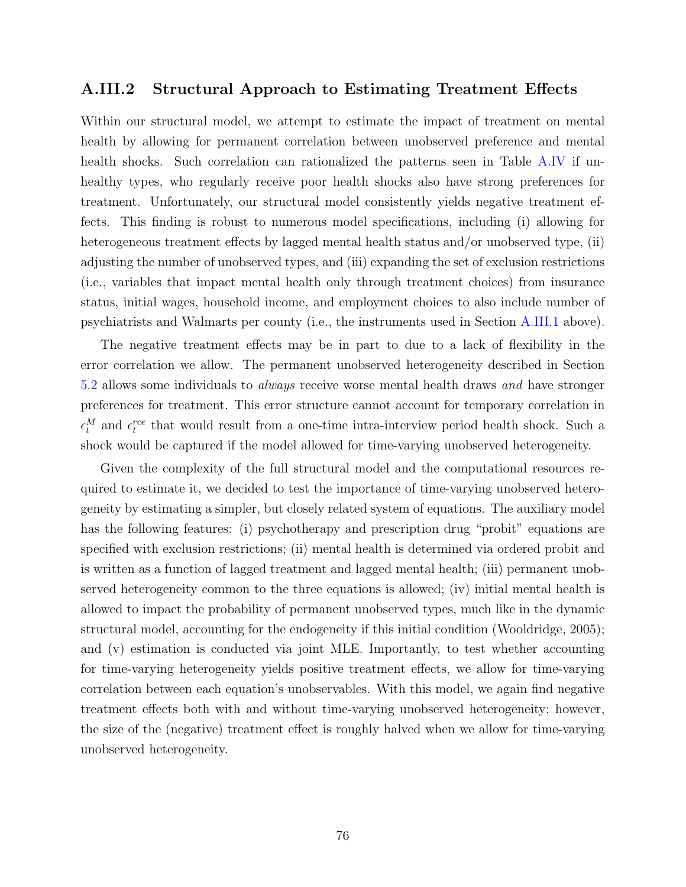## A.III.2 Structural Approach to Estimating Treatment Effects

Within our structural model, we attempt to estimate the impact of treatment on mental health by allowing for permanent correlation between unobserved preference and mental health shocks. Such correlation can rationalized the patterns seen in Table [A.IV](#page-74-1) if unhealthy types, who regularly receive poor health shocks also have strong preferences for treatment. Unfortunately, our structural model consistently yields negative treatment effects. This finding is robust to numerous model specifications, including (i) allowing for heterogeneous treatment effects by lagged mental health status and/or unobserved type, (ii) adjusting the number of unobserved types, and (iii) expanding the set of exclusion restrictions (i.e., variables that impact mental health only through treatment choices) from insurance status, initial wages, household income, and employment choices to also include number of psychiatrists and Walmarts per county (i.e., the instruments used in Section [A.III.1](#page-71-0) above).

The negative treatment effects may be in part to due to a lack of flexibility in the error correlation we allow. The permanent unobserved heterogeneity described in Section [5.2](#page-26-0) allows some individuals to always receive worse mental health draws and have stronger preferences for treatment. This error structure cannot account for temporary correlation in  $\epsilon_t^M$  and  $\epsilon_t^{rce}$  that would result from a one-time intra-interview period health shock. Such a shock would be captured if the model allowed for time-varying unobserved heterogeneity.

Given the complexity of the full structural model and the computational resources required to estimate it, we decided to test the importance of time-varying unobserved heterogeneity by estimating a simpler, but closely related system of equations. The auxiliary model has the following features: (i) psychotherapy and prescription drug "probit" equations are specified with exclusion restrictions; (ii) mental health is determined via ordered probit and is written as a function of lagged treatment and lagged mental health; (iii) permanent unobserved heterogeneity common to the three equations is allowed; (iv) initial mental health is allowed to impact the probability of permanent unobserved types, much like in the dynamic structural model, accounting for the endogeneity if this initial condition (Wooldridge, [2005\)](#page-94-4); and (v) estimation is conducted via joint MLE. Importantly, to test whether accounting for time-varying heterogeneity yields positive treatment effects, we allow for time-varying correlation between each equation's unobservables. With this model, we again find negative treatment effects both with and without time-varying unobserved heterogeneity; however, the size of the (negative) treatment effect is roughly halved when we allow for time-varying unobserved heterogeneity.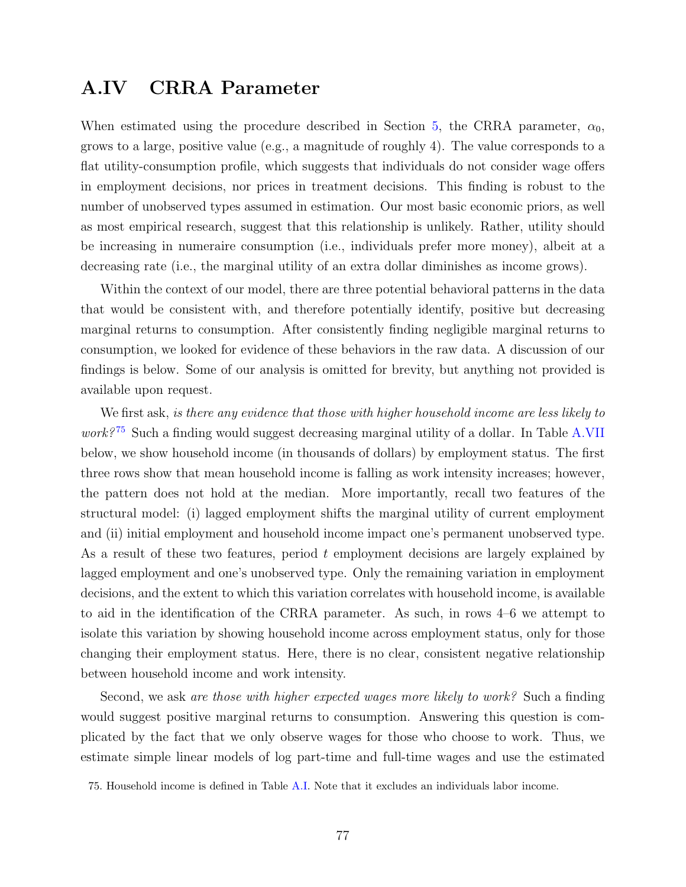## <span id="page-78-1"></span>A.IV CRRA Parameter

When estimated using the procedure described in Section [5,](#page-25-0) the CRRA parameter,  $\alpha_0$ , grows to a large, positive value (e.g., a magnitude of roughly 4). The value corresponds to a flat utility-consumption profile, which suggests that individuals do not consider wage offers in employment decisions, nor prices in treatment decisions. This finding is robust to the number of unobserved types assumed in estimation. Our most basic economic priors, as well as most empirical research, suggest that this relationship is unlikely. Rather, utility should be increasing in numeraire consumption (i.e., individuals prefer more money), albeit at a decreasing rate (i.e., the marginal utility of an extra dollar diminishes as income grows).

Within the context of our model, there are three potential behavioral patterns in the data that would be consistent with, and therefore potentially identify, positive but decreasing marginal returns to consumption. After consistently finding negligible marginal returns to consumption, we looked for evidence of these behaviors in the raw data. A discussion of our findings is below. Some of our analysis is omitted for brevity, but anything not provided is available upon request.

We first ask, is there any evidence that those with higher household income are less likely to *work*?<sup>[75](#page-78-0)</sup> Such a finding would suggest decreasing marginal utility of a dollar. In Table [A.VII](#page-79-0) below, we show household income (in thousands of dollars) by employment status. The first three rows show that mean household income is falling as work intensity increases; however, the pattern does not hold at the median. More importantly, recall two features of the structural model: (i) lagged employment shifts the marginal utility of current employment and (ii) initial employment and household income impact one's permanent unobserved type. As a result of these two features, period  $t$  employment decisions are largely explained by lagged employment and one's unobserved type. Only the remaining variation in employment decisions, and the extent to which this variation correlates with household income, is available to aid in the identification of the CRRA parameter. As such, in rows 4–6 we attempt to isolate this variation by showing household income across employment status, only for those changing their employment status. Here, there is no clear, consistent negative relationship between household income and work intensity.

Second, we ask are those with higher expected wages more likely to work? Such a finding would suggest positive marginal returns to consumption. Answering this question is complicated by the fact that we only observe wages for those who choose to work. Thus, we estimate simple linear models of log part-time and full-time wages and use the estimated

<span id="page-78-0"></span><sup>75.</sup> Household income is defined in Table [A.I.](#page-65-0) Note that it excludes an individuals labor income.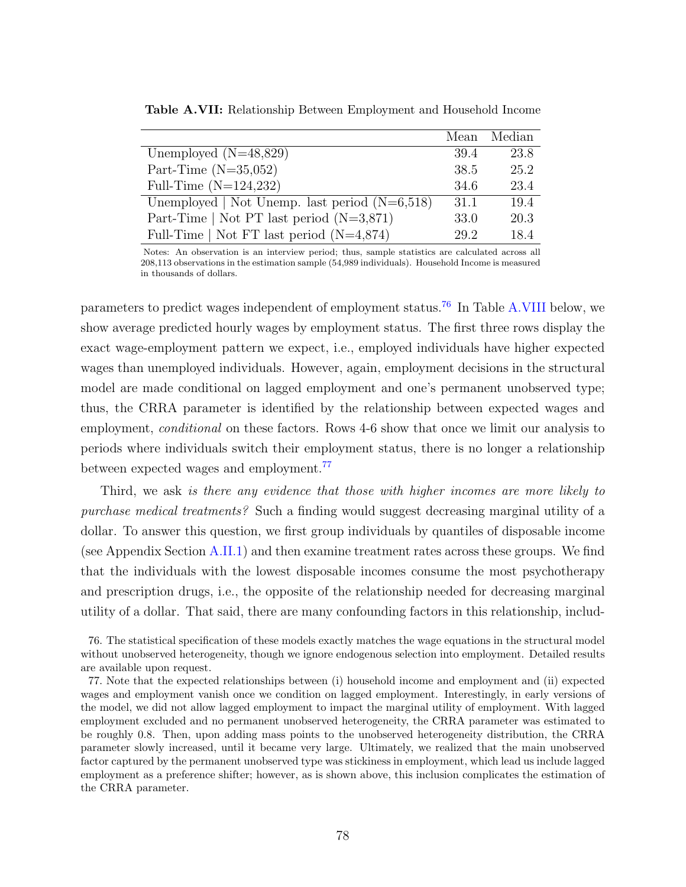|                                                 |      | Mean Median |
|-------------------------------------------------|------|-------------|
| Unemployed $(N=48,829)$                         | 39.4 | 23.8        |
| Part-Time $(N=35,052)$                          | 38.5 | 25.2        |
| Full-Time $(N=124,232)$                         | 34.6 | 23.4        |
| Unemployed   Not Unemp. last period $(N=6,518)$ | 31.1 | 19.4        |
| Part-Time   Not PT last period $(N=3,871)$      | 33.0 | 20.3        |
| Full-Time   Not FT last period $(N=4,874)$      | 29.2 | 18.4        |

<span id="page-79-0"></span>Table A.VII: Relationship Between Employment and Household Income

Notes: An observation is an interview period; thus, sample statistics are calculated across all 208,113 observations in the estimation sample (54,989 individuals). Household Income is measured in thousands of dollars.

parameters to predict wages independent of employment status.[76](#page-79-1) In Table [A.VIII](#page-80-0) below, we show average predicted hourly wages by employment status. The first three rows display the exact wage-employment pattern we expect, i.e., employed individuals have higher expected wages than unemployed individuals. However, again, employment decisions in the structural model are made conditional on lagged employment and one's permanent unobserved type; thus, the CRRA parameter is identified by the relationship between expected wages and employment, *conditional* on these factors. Rows 4-6 show that once we limit our analysis to periods where individuals switch their employment status, there is no longer a relationship between expected wages and employment.<sup>[77](#page-79-2)</sup>

Third, we ask is there any evidence that those with higher incomes are more likely to purchase medical treatments? Such a finding would suggest decreasing marginal utility of a dollar. To answer this question, we first group individuals by quantiles of disposable income (see Appendix Section [A.II.1\)](#page-70-0) and then examine treatment rates across these groups. We find that the individuals with the lowest disposable incomes consume the most psychotherapy and prescription drugs, i.e., the opposite of the relationship needed for decreasing marginal utility of a dollar. That said, there are many confounding factors in this relationship, includ-

<span id="page-79-1"></span><sup>76.</sup> The statistical specification of these models exactly matches the wage equations in the structural model without unobserved heterogeneity, though we ignore endogenous selection into employment. Detailed results are available upon request.

<span id="page-79-2"></span><sup>77.</sup> Note that the expected relationships between (i) household income and employment and (ii) expected wages and employment vanish once we condition on lagged employment. Interestingly, in early versions of the model, we did not allow lagged employment to impact the marginal utility of employment. With lagged employment excluded and no permanent unobserved heterogeneity, the CRRA parameter was estimated to be roughly 0.8. Then, upon adding mass points to the unobserved heterogeneity distribution, the CRRA parameter slowly increased, until it became very large. Ultimately, we realized that the main unobserved factor captured by the permanent unobserved type was stickiness in employment, which lead us include lagged employment as a preference shifter; however, as is shown above, this inclusion complicates the estimation of the CRRA parameter.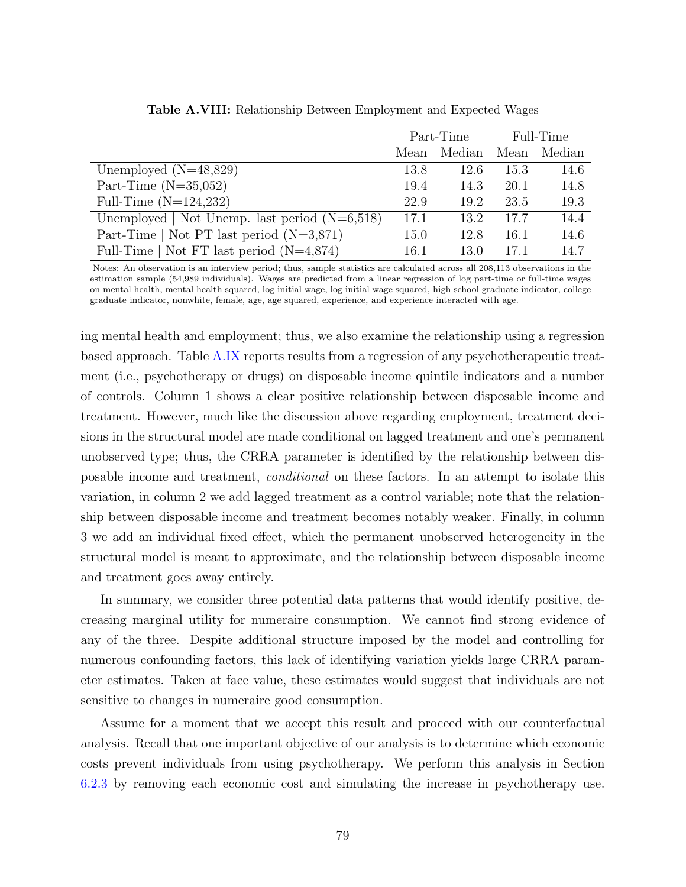<span id="page-80-0"></span>

|                                                 |      | Part-Time |      | Full-Time |
|-------------------------------------------------|------|-----------|------|-----------|
|                                                 | Mean | Median    | Mean | Median    |
| Unemployed $(N=48,829)$                         | 13.8 | 12.6      | 15.3 | 14.6      |
| Part-Time $(N=35,052)$                          | 19.4 | 14.3      | 20.1 | 14.8      |
| Full-Time $(N=124,232)$                         | 22.9 | 19.2      | 23.5 | 19.3      |
| Unemployed   Not Unemp. last period $(N=6,518)$ | 17.1 | 13.2      | 17.7 | 14.4      |
| Part-Time   Not PT last period $(N=3,871)$      | 15.0 | 12.8      | 16.1 | 14.6      |
| Full-Time   Not FT last period $(N=4,874)$      | 16.1 | 13.0      | 17.1 | 14.7      |

Table A.VIII: Relationship Between Employment and Expected Wages

Notes: An observation is an interview period; thus, sample statistics are calculated across all 208,113 observations in the estimation sample (54,989 individuals). Wages are predicted from a linear regression of log part-time or full-time wages on mental health, mental health squared, log initial wage, log initial wage squared, high school graduate indicator, college graduate indicator, nonwhite, female, age, age squared, experience, and experience interacted with age.

ing mental health and employment; thus, we also examine the relationship using a regression based approach. Table [A.IX](#page-81-0) reports results from a regression of any psychotherapeutic treatment (i.e., psychotherapy or drugs) on disposable income quintile indicators and a number of controls. Column 1 shows a clear positive relationship between disposable income and treatment. However, much like the discussion above regarding employment, treatment decisions in the structural model are made conditional on lagged treatment and one's permanent unobserved type; thus, the CRRA parameter is identified by the relationship between disposable income and treatment, conditional on these factors. In an attempt to isolate this variation, in column 2 we add lagged treatment as a control variable; note that the relationship between disposable income and treatment becomes notably weaker. Finally, in column 3 we add an individual fixed effect, which the permanent unobserved heterogeneity in the structural model is meant to approximate, and the relationship between disposable income and treatment goes away entirely.

In summary, we consider three potential data patterns that would identify positive, decreasing marginal utility for numeraire consumption. We cannot find strong evidence of any of the three. Despite additional structure imposed by the model and controlling for numerous confounding factors, this lack of identifying variation yields large CRRA parameter estimates. Taken at face value, these estimates would suggest that individuals are not sensitive to changes in numeraire good consumption.

Assume for a moment that we accept this result and proceed with our counterfactual analysis. Recall that one important objective of our analysis is to determine which economic costs prevent individuals from using psychotherapy. We perform this analysis in Section [6.2.3](#page-39-0) by removing each economic cost and simulating the increase in psychotherapy use.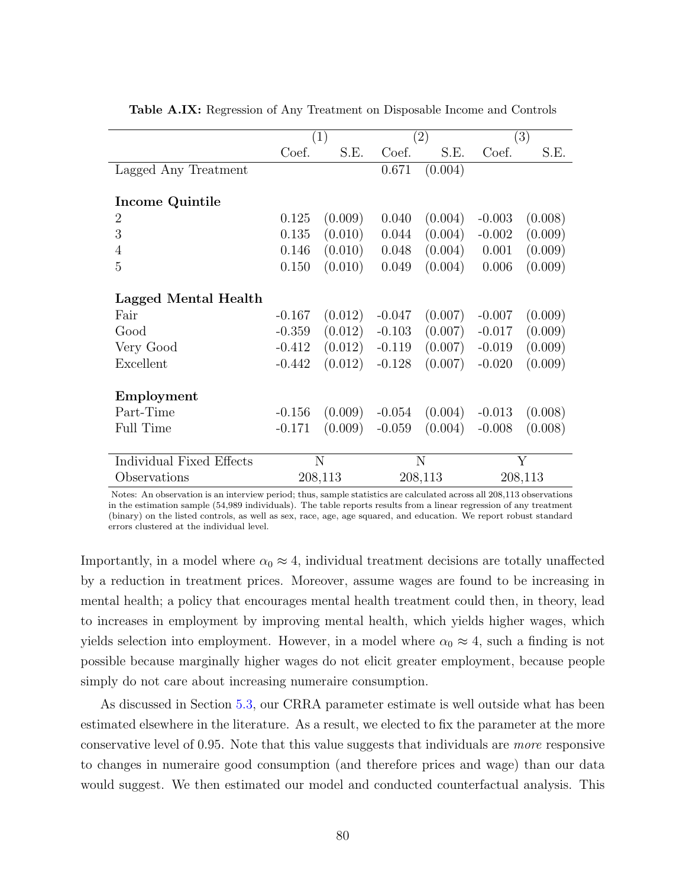|                          |          | (1)     |          | $\left( 2\right)$ |          | (3)     |
|--------------------------|----------|---------|----------|-------------------|----------|---------|
|                          | Coef.    | S.E.    | Coef.    | S.E.              | Coef.    | S.E.    |
| Lagged Any Treatment     |          |         | 0.671    | (0.004)           |          |         |
|                          |          |         |          |                   |          |         |
| Income Quintile          |          |         |          |                   |          |         |
| $\overline{2}$           | 0.125    | (0.009) | 0.040    | (0.004)           | $-0.003$ | (0.008) |
| 3                        | 0.135    | (0.010) | 0.044    | (0.004)           | $-0.002$ | (0.009) |
| 4                        | 0.146    | (0.010) | 0.048    | (0.004)           | 0.001    | (0.009) |
| 5                        | 0.150    | (0.010) | 0.049    | (0.004)           | 0.006    | (0.009) |
|                          |          |         |          |                   |          |         |
| Lagged Mental Health     |          |         |          |                   |          |         |
| Fair                     | $-0.167$ | (0.012) | $-0.047$ | (0.007)           | $-0.007$ | (0.009) |
| Good                     | $-0.359$ | (0.012) | $-0.103$ | (0.007)           | $-0.017$ | (0.009) |
| Very Good                | $-0.412$ | (0.012) | $-0.119$ | (0.007)           | $-0.019$ | (0.009) |
| Excellent                | $-0.442$ | (0.012) | $-0.128$ | (0.007)           | $-0.020$ | (0.009) |
|                          |          |         |          |                   |          |         |
| Employment               |          |         |          |                   |          |         |
| Part-Time                | $-0.156$ | (0.009) | $-0.054$ | (0.004)           | $-0.013$ | (0.008) |
| <b>Full Time</b>         | $-0.171$ | (0.009) | $-0.059$ | (0.004)           | $-0.008$ | (0.008) |
|                          |          |         |          |                   |          |         |
| Individual Fixed Effects |          | N       |          | N                 |          | Y       |
| Observations             |          | 208,113 |          | 208,113           |          | 208,113 |

<span id="page-81-0"></span>Table A.IX: Regression of Any Treatment on Disposable Income and Controls

Notes: An observation is an interview period; thus, sample statistics are calculated across all 208,113 observations in the estimation sample (54,989 individuals). The table reports results from a linear regression of any treatment (binary) on the listed controls, as well as sex, race, age, age squared, and education. We report robust standard errors clustered at the individual level.

Importantly, in a model where  $\alpha_0 \approx 4$ , individual treatment decisions are totally unaffected by a reduction in treatment prices. Moreover, assume wages are found to be increasing in mental health; a policy that encourages mental health treatment could then, in theory, lead to increases in employment by improving mental health, which yields higher wages, which yields selection into employment. However, in a model where  $\alpha_0 \approx 4$ , such a finding is not possible because marginally higher wages do not elicit greater employment, because people simply do not care about increasing numeraire consumption.

As discussed in Section [5.3,](#page-27-0) our CRRA parameter estimate is well outside what has been estimated elsewhere in the literature. As a result, we elected to fix the parameter at the more conservative level of 0.95. Note that this value suggests that individuals are more responsive to changes in numeraire good consumption (and therefore prices and wage) than our data would suggest. We then estimated our model and conducted counterfactual analysis. This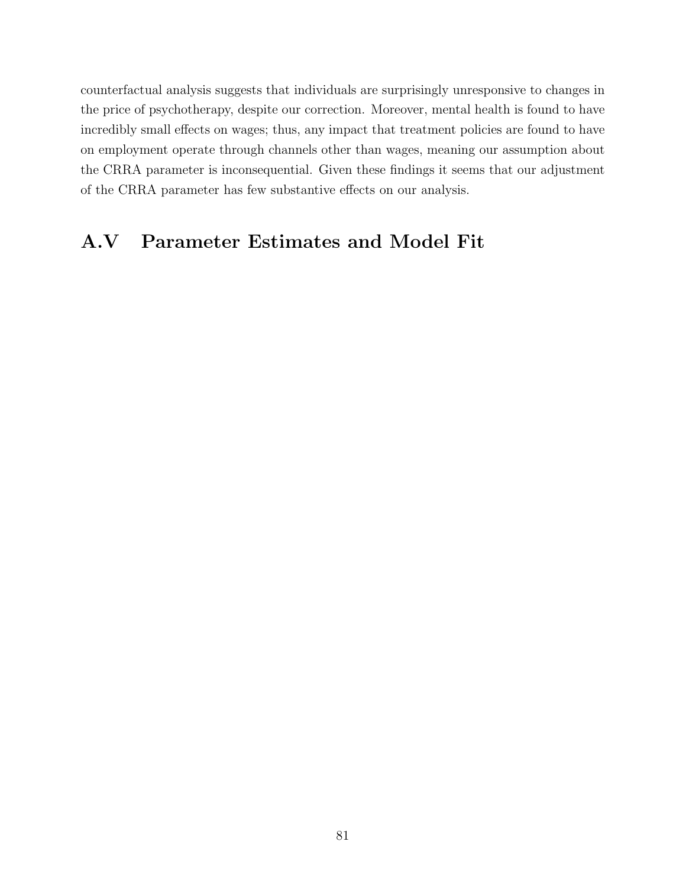counterfactual analysis suggests that individuals are surprisingly unresponsive to changes in the price of psychotherapy, despite our correction. Moreover, mental health is found to have incredibly small effects on wages; thus, any impact that treatment policies are found to have on employment operate through channels other than wages, meaning our assumption about the CRRA parameter is inconsequential. Given these findings it seems that our adjustment of the CRRA parameter has few substantive effects on our analysis.

## A.V Parameter Estimates and Model Fit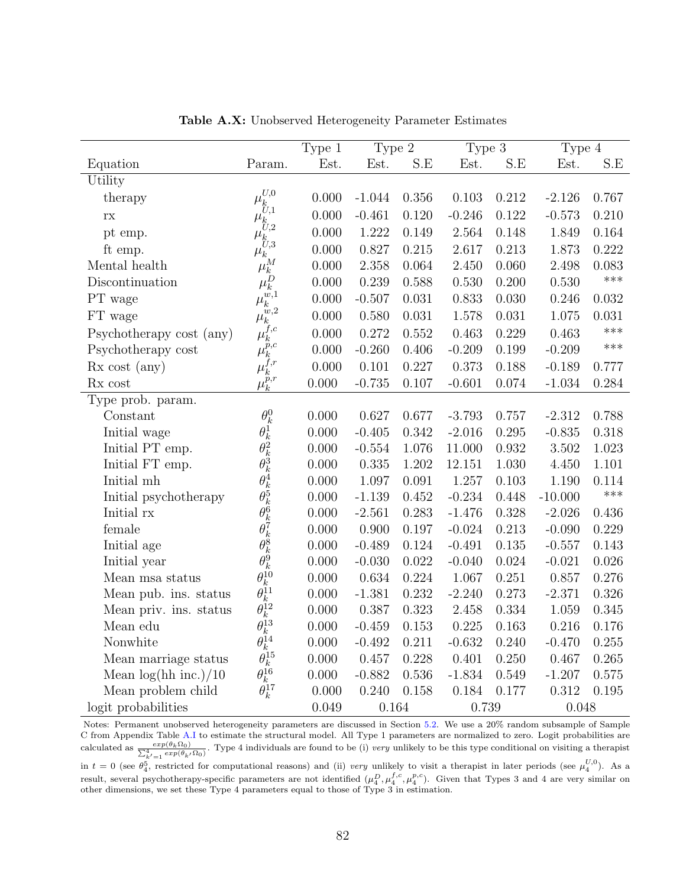|                          |                                                                                                      | Type 1 | Type 2   |       | Type 3   |       | Type 4    |       |
|--------------------------|------------------------------------------------------------------------------------------------------|--------|----------|-------|----------|-------|-----------|-------|
| Equation                 | Param.                                                                                               | Est.   | Est.     | S.E   | Est.     | S.E   | Est.      | S.E   |
| Utility                  |                                                                                                      |        |          |       |          |       |           |       |
| therapy                  | U,0                                                                                                  | 0.000  | $-1.044$ | 0.356 | 0.103    | 0.212 | $-2.126$  | 0.767 |
| $\Gamma\mathrm{X}$       | $\mu_{\stackrel{\phantom{.}}{U},1}^{\phantom{\ast}}$                                                 | 0.000  | $-0.461$ | 0.120 | $-0.246$ | 0.122 | $-0.573$  | 0.210 |
| pt emp.                  | $\mu_{\stackrel{\phantom{.}}{U},2}^{\scriptscriptstyle\mathsf{L}}$                                   | 0.000  | 1.222    | 0.149 | 2.564    | 0.148 | 1.849     | 0.164 |
| ft emp.                  | $\mu_{\stackrel{\phantom{.}}{U},3}^{\phantom{\ast}}$<br>$\mu_k$                                      | 0.000  | 0.827    | 0.215 | 2.617    | 0.213 | 1.873     | 0.222 |
| Mental health            |                                                                                                      | 0.000  | 2.358    | 0.064 | 2.450    | 0.060 | 2.498     | 0.083 |
| Discontinuation          | $\mu_k^M$                                                                                            | 0.000  | 0.239    | 0.588 | 0.530    | 0.200 | 0.530     | ***   |
| PT wage                  | $\mu_k^{w,1}$                                                                                        | 0.000  | $-0.507$ | 0.031 | 0.833    | 0.030 | 0.246     | 0.032 |
| FT wage                  | $\dddot{w}$ ,2<br>$\mu_k^-$                                                                          | 0.000  | 0.580    | 0.031 | 1.578    | 0.031 | 1.075     | 0.031 |
| Psychotherapy cost (any) | $\mu_k^{f,c}$                                                                                        | 0.000  | 0.272    | 0.552 | 0.463    | 0.229 | 0.463     | ***   |
| Psychotherapy cost       | $\mu_k^{\widetilde{p},c}$                                                                            | 0.000  | $-0.260$ | 0.406 | $-0.209$ | 0.199 | $-0.209$  | ***   |
| $Rx \, cost \, (any)$    | $\mu_k^{f,r}$                                                                                        | 0.000  | 0.101    | 0.227 | 0.373    | 0.188 | $-0.189$  | 0.777 |
| Rx cost                  | $\mu_k^{\widetilde{p},r}$                                                                            | 0.000  | $-0.735$ | 0.107 | $-0.601$ | 0.074 | $-1.034$  | 0.284 |
| Type prob. param.        |                                                                                                      |        |          |       |          |       |           |       |
| Constant                 | $\theta_k^0$                                                                                         | 0.000  | 0.627    | 0.677 | $-3.793$ | 0.757 | $-2.312$  | 0.788 |
| Initial wage             |                                                                                                      | 0.000  | $-0.405$ | 0.342 | $-2.016$ | 0.295 | $-0.835$  | 0.318 |
| Initial PT emp.          |                                                                                                      | 0.000  | $-0.554$ | 1.076 | 11.000   | 0.932 | 3.502     | 1.023 |
| Initial FT emp.          | $\theta_k^1 \theta_k^2 \theta_k^3 \theta_k^4 \theta_k^5 \theta_k^6 \theta_k^7 \theta_k^8 \theta_k^8$ | 0.000  | 0.335    | 1.202 | 12.151   | 1.030 | 4.450     | 1.101 |
| Initial mh               |                                                                                                      | 0.000  | 1.097    | 0.091 | 1.257    | 0.103 | 1.190     | 0.114 |
| Initial psychotherapy    |                                                                                                      | 0.000  | $-1.139$ | 0.452 | $-0.234$ | 0.448 | $-10.000$ | ***   |
| Initial rx               |                                                                                                      | 0.000  | $-2.561$ | 0.283 | $-1.476$ | 0.328 | $-2.026$  | 0.436 |
| female                   |                                                                                                      | 0.000  | 0.900    | 0.197 | $-0.024$ | 0.213 | $-0.090$  | 0.229 |
| Initial age              |                                                                                                      | 0.000  | $-0.489$ | 0.124 | $-0.491$ | 0.135 | $-0.557$  | 0.143 |
| Initial year             | $\theta_k^9$                                                                                         | 0.000  | $-0.030$ | 0.022 | $-0.040$ | 0.024 | $-0.021$  | 0.026 |
| Mean msa status          | $\theta_k^{\hat{10}}$                                                                                | 0.000  | 0.634    | 0.224 | 1.067    | 0.251 | 0.857     | 0.276 |
| Mean pub. ins. status    | $\overset{\scriptscriptstyle{0}}{\theta_{k}^{11}}\theta_{k}^{12}$                                    | 0.000  | $-1.381$ | 0.232 | $-2.240$ | 0.273 | $-2.371$  | 0.326 |
| Mean priv. ins. status   |                                                                                                      | 0.000  | 0.387    | 0.323 | 2.458    | 0.334 | 1.059     | 0.345 |
| Mean edu                 |                                                                                                      | 0.000  | $-0.459$ | 0.153 | 0.225    | 0.163 | 0.216     | 0.176 |
| Nonwhite                 |                                                                                                      | 0.000  | $-0.492$ | 0.211 | $-0.632$ | 0.240 | $-0.470$  | 0.255 |
| Mean marriage status     |                                                                                                      | 0.000  | 0.457    | 0.228 | 0.401    | 0.250 | 0.467     | 0.265 |
| Mean $log(hh$ inc.)/10   |                                                                                                      | 0.000  | $-0.882$ | 0.536 | $-1.834$ | 0.549 | $-1.207$  | 0.575 |
| Mean problem child       | $\theta_k^{13} \theta_k^{14} \theta_k^{15} \theta_k^{16} \theta_k^{16} \theta_k^{17}$                | 0.000  | 0.240    | 0.158 | 0.184    | 0.177 | 0.312     | 0.195 |
| logit probabilities      |                                                                                                      | 0.049  | 0.164    |       | 0.739    |       | 0.048     |       |

Table A.X: Unobserved Heterogeneity Parameter Estimates

Notes: Permanent unobserved heterogeneity parameters are discussed in Section [5.2.](#page-26-0) We use a 20% random subsample of Sample C from Appendix Table [A.I](#page-65-0) to estimate the structural model. All Type 1 parameters are normalized to zero. Logit probabilities are calculated as  $\frac{exp(\theta_k \Omega_0)}{\sum_{k'=1}^{4} exp(\theta_{k'} \Omega_0)}$ . Type 4 individuals are found to be (i) very unlikely to be this type conditional on visiting a therapist in  $t = 0$  (see  $\theta_4^5$ , restricted for computational reasons) and (ii) very unlikely to visit a therapist in later periods (see  $\mu_4^{U,0}$ ). As a result, several psychotherapy-specific parameters are not identified  $(\mu_4^D, \mu_4^{f,c}, \mu_4^{p,c})$ . Given that Types 3 and 4 are very similar on other dimensions, we set these Type 4 parameters equal to those of Type 3 in estimation.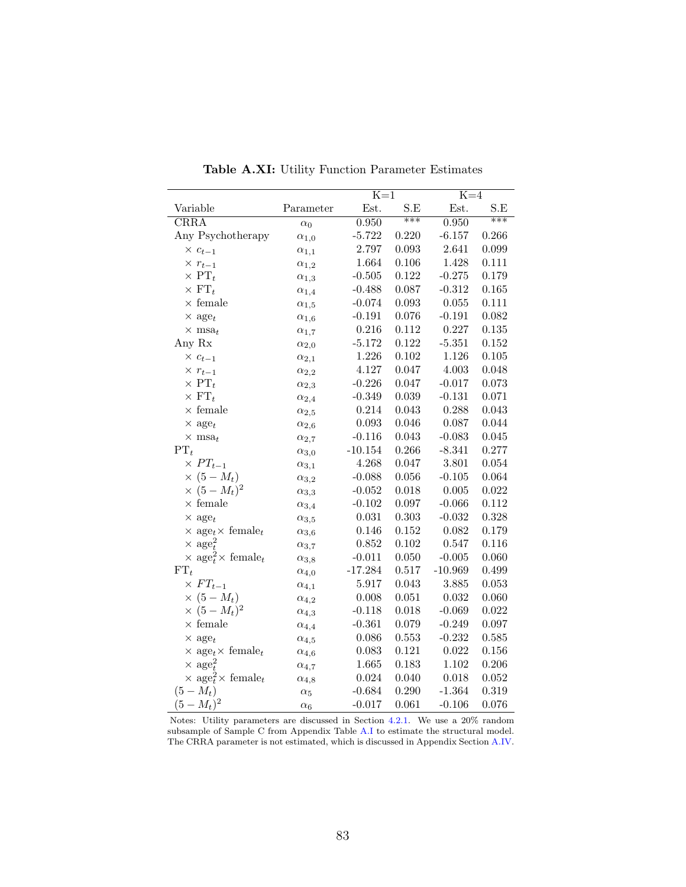|                                                        |                | $K=1$     |       | $K=4$     |       |
|--------------------------------------------------------|----------------|-----------|-------|-----------|-------|
| Variable                                               | Parameter      | Est.      | S.E   | Est.      | S.E   |
| CRRA                                                   | $\alpha_0$     | 0.950     | ***   | 0.950     | $***$ |
| Any Psychotherapy                                      | $\alpha_{1,0}$ | $-5.722$  | 0.220 | $-6.157$  | 0.266 |
| $\times c_{t-1}$                                       | $\alpha_{1,1}$ | 2.797     | 0.093 | 2.641     | 0.099 |
| $\times r_{t-1}$                                       | $\alpha_{1,2}$ | 1.664     | 0.106 | 1.428     | 0.111 |
| $\times$ PT <sub>t</sub>                               | $\alpha_{1,3}$ | $-0.505$  | 0.122 | $-0.275$  | 0.179 |
| $\times$ FT <sub>t</sub>                               | $\alpha_{1,4}$ | $-0.488$  | 0.087 | $-0.312$  | 0.165 |
| $\times$ female                                        | $\alpha_{1,5}$ | $-0.074$  | 0.093 | 0.055     | 0.111 |
| $\times$ age <sub>t</sub>                              | $\alpha_{1,6}$ | $-0.191$  | 0.076 | $-0.191$  | 0.082 |
| $\times$ msa <sub>t</sub>                              | $\alpha_{1,7}$ | 0.216     | 0.112 | 0.227     | 0.135 |
| Any Rx                                                 | $\alpha_{2,0}$ | $-5.172$  | 0.122 | $-5.351$  | 0.152 |
| $\times c_{t-1}$                                       | $\alpha_{2,1}$ | 1.226     | 0.102 | 1.126     | 0.105 |
| $\times r_{t-1}$                                       | $\alpha_{2,2}$ | 4.127     | 0.047 | 4.003     | 0.048 |
| $\times$ PT <sub>t</sub>                               | $\alpha_{2,3}$ | $-0.226$  | 0.047 | $-0.017$  | 0.073 |
| $\times$ FT <sub>t</sub>                               | $\alpha_{2,4}$ | $-0.349$  | 0.039 | $-0.131$  | 0.071 |
| $\times$ female                                        | $\alpha_{2,5}$ | 0.214     | 0.043 | 0.288     | 0.043 |
| $\times$ age <sub>t</sub>                              | $\alpha_{2,6}$ | 0.093     | 0.046 | 0.087     | 0.044 |
| $\times$ msa <sub>t</sub>                              | $\alpha_{2,7}$ | $-0.116$  | 0.043 | $-0.083$  | 0.045 |
| $PT_t$                                                 | $\alpha_{3,0}$ | $-10.154$ | 0.266 | $-8.341$  | 0.277 |
| $\times PT_{t-1}$                                      | $\alpha_{3,1}$ | 4.268     | 0.047 | 3.801     | 0.054 |
| $\times$ (5 – $M_t$ )                                  | $\alpha_{3,2}$ | $-0.088$  | 0.056 | $-0.105$  | 0.064 |
| $\times (5-M_t)^2$                                     | $\alpha_{3,3}$ | $-0.052$  | 0.018 | 0.005     | 0.022 |
| $\times$ female                                        | $\alpha_{3,4}$ | $-0.102$  | 0.097 | $-0.066$  | 0.112 |
| $\times$ age <sub>t</sub>                              | $\alpha_{3,5}$ | 0.031     | 0.303 | $-0.032$  | 0.328 |
| $\times$ age <sub>t</sub> $\times$ female <sub>t</sub> | $\alpha_{3,6}$ | 0.146     | 0.152 | 0.082     | 0.179 |
| $\times$ age <sup>2</sup>                              | $\alpha_{3,7}$ | 0.852     | 0.102 | 0.547     | 0.116 |
| $\times$ age <sup>2</sup> $\times$ female <sub>t</sub> | $\alpha_{3,8}$ | $-0.011$  | 0.050 | $-0.005$  | 0.060 |
| $FT_t$                                                 | $\alpha_{4,0}$ | $-17.284$ | 0.517 | $-10.969$ | 0.499 |
| $\times FT_{t-1}$                                      | $\alpha_{4,1}$ | 5.917     | 0.043 | 3.885     | 0.053 |
| $\times$ (5 – $M_t$ )                                  | $\alpha_{4,2}$ | 0.008     | 0.051 | 0.032     | 0.060 |
| $\times (5-M_t)^2$                                     | $\alpha_{4,3}$ | $-0.118$  | 0.018 | $-0.069$  | 0.022 |
| $\times$ female                                        | $\alpha_{4,4}$ | $-0.361$  | 0.079 | $-0.249$  | 0.097 |
| $\times$ age <sub>t</sub>                              | $\alpha_{4,5}$ | $0.086\,$ | 0.553 | $-0.232$  | 0.585 |
| $\times$ age <sub>t</sub> $\times$ female <sub>t</sub> | $\alpha_{4,6}$ | 0.083     | 0.121 | 0.022     | 0.156 |
| $\times$ age <sup>2</sup>                              | $\alpha_{4,7}$ | 1.665     | 0.183 | 1.102     | 0.206 |
| $\times$ age <sup>2</sup> $\times$ female <sub>t</sub> | $\alpha_{4,8}$ | 0.024     | 0.040 | 0.018     | 0.052 |
| $(5 - M_t)$                                            | $\alpha_5$     | $-0.684$  | 0.290 | $-1.364$  | 0.319 |
| $(5-M_t)^2$                                            | $\alpha_6$     | $-0.017$  | 0.061 | $-0.106$  | 0.076 |

Table A.XI: Utility Function Parameter Estimates

Notes: Utility parameters are discussed in Section [4.2.1.](#page-20-0) We use a 20% random subsample of Sample C from Appendix Table [A.I](#page-65-0) to estimate the structural model. The CRRA parameter is not estimated, which is discussed in Appendix Section [A.IV.](#page-78-1)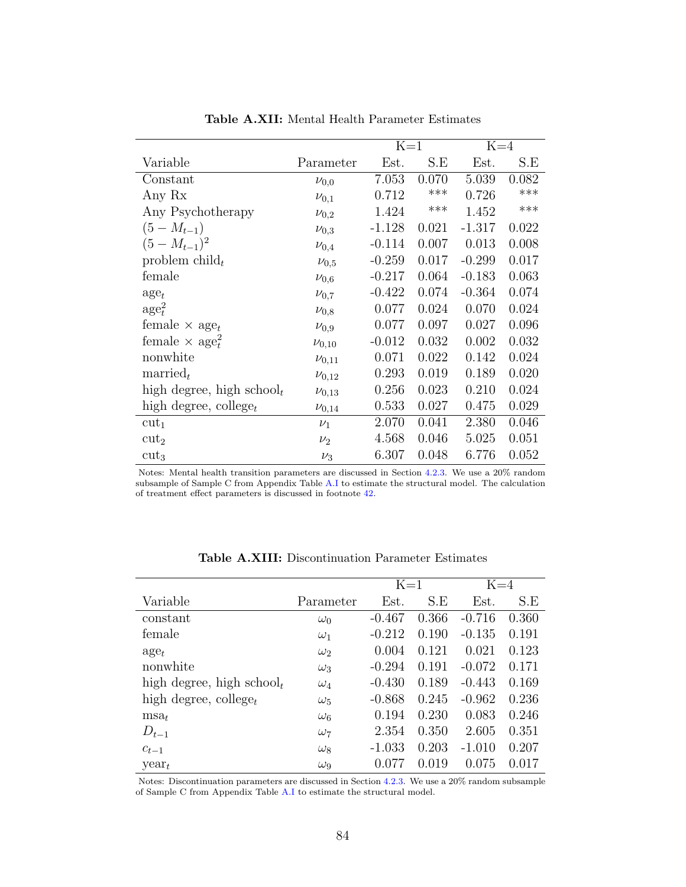|                                   |              | $K=1$    |       | $K=4$    |       |
|-----------------------------------|--------------|----------|-------|----------|-------|
| Variable                          | Parameter    | Est.     | S.E   | Est.     | S.E   |
| Constant                          | $\nu_{0,0}$  | 7.053    | 0.070 | 5.039    | 0.082 |
| Any Rx                            | $\nu_{0,1}$  | 0.712    | ***   | 0.726    | ***   |
| Any Psychotherapy                 | $\nu_{0,2}$  | 1.424    | ***   | 1.452    | ***   |
| $(5-M_{t-1})$                     | $\nu_{0,3}$  | $-1.128$ | 0.021 | $-1.317$ | 0.022 |
| $(5-M_{t-1})^2$                   | $\nu_{0,4}$  | $-0.114$ | 0.007 | 0.013    | 0.008 |
| problem child <sub>t</sub>        | $\nu_{0,5}$  | $-0.259$ | 0.017 | $-0.299$ | 0.017 |
| female                            | $\nu_{0,6}$  | $-0.217$ | 0.064 | $-0.183$ | 0.063 |
| $\mathrm{age}_t$                  | $\nu_{0,7}$  | $-0.422$ | 0.074 | $-0.364$ | 0.074 |
| $\rm age_t^2$                     | $\nu_{0,8}$  | 0.077    | 0.024 | 0.070    | 0.024 |
| female $\times$ age <sub>t</sub>  | $\nu_{0,9}$  | 0.077    | 0.097 | 0.027    | 0.096 |
| female $\times$ age <sup>2</sup>  | $\nu_{0,10}$ | $-0.012$ | 0.032 | 0.002    | 0.032 |
| nonwhite                          | $\nu_{0,11}$ | 0.071    | 0.022 | 0.142    | 0.024 |
| $\text{married}_t$                | $\nu_{0,12}$ | 0.293    | 0.019 | 0.189    | 0.020 |
| high degree, high school $_t$     | $\nu_{0,13}$ | 0.256    | 0.023 | 0.210    | 0.024 |
| high degree, college <sub>t</sub> | $\nu_{0,14}$ | 0.533    | 0.027 | 0.475    | 0.029 |
| $cut_1$                           | $\nu_1$      | 2.070    | 0.041 | 2.380    | 0.046 |
| $cut_2$                           | $\nu_2$      | 4.568    | 0.046 | 5.025    | 0.051 |
| $cut_3$                           | $\nu_3$      | 6.307    | 0.048 | 6.776    | 0.052 |

Table A.XII: Mental Health Parameter Estimates

Notes: Mental health transition parameters are discussed in Section [4.2.3.](#page-22-0) We use a 20% random subsample of Sample C from Appendix Table [A.I](#page-65-0) to estimate the structural model. The calculation of treatment effect parameters is discussed in footnote [42.](#page-28-0)

| Parameter        | Est.     | S.E   | Est.     | S.E   |
|------------------|----------|-------|----------|-------|
| $\omega_0$       | $-0.467$ | 0.366 | $-0.716$ | 0.360 |
| $\omega_1$       | $-0.212$ | 0.190 | $-0.135$ | 0.191 |
| $\omega_2$       | 0.004    | 0.121 | 0.021    | 0.123 |
| $\omega_3$       | $-0.294$ | 0.191 | $-0.072$ | 0.171 |
| $\omega_4$       | $-0.430$ | 0.189 | $-0.443$ | 0.169 |
| $\omega_5$       | $-0.868$ | 0.245 | $-0.962$ | 0.236 |
| $\omega_{6}$     | 0.194    | 0.230 | 0.083    | 0.246 |
| $\omega_7$       | 2.354    | 0.350 | 2.605    | 0.351 |
| $\omega_8$       | $-1.033$ | 0.203 | $-1.010$ | 0.207 |
| $\omega_{\rm Q}$ | 0.077    | 0.019 | 0.075    | 0.017 |
|                  |          |       | $K=1$    | $K=4$ |

Table A.XIII: Discontinuation Parameter Estimates

Notes: Discontinuation parameters are discussed in Section [4.2.3.](#page-22-0) We use a 20% random subsample of Sample C from Appendix Table [A.I](#page-65-0) to estimate the structural model.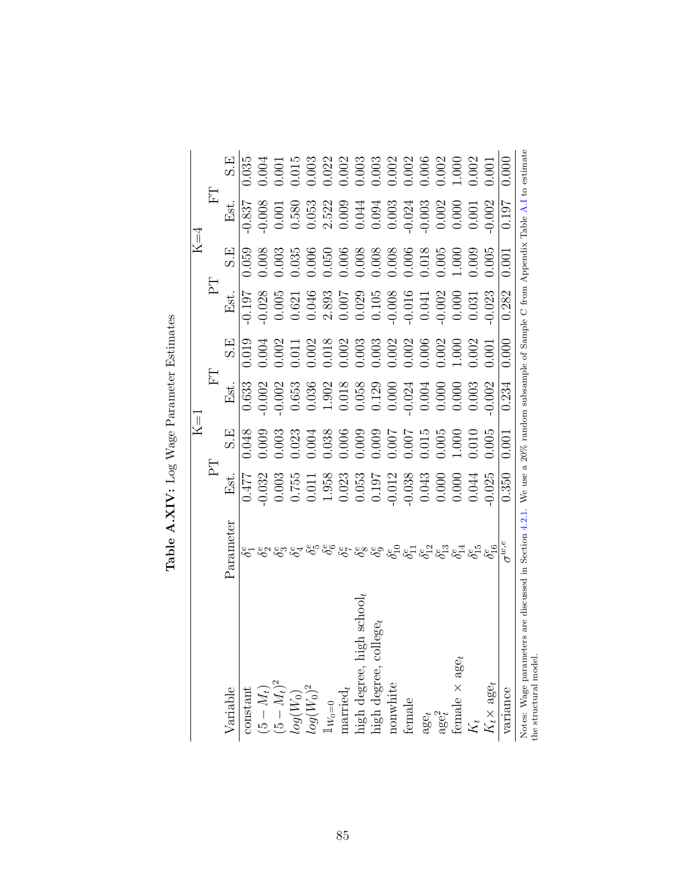|                                                                                      |                                                                                                                          |                                                                                                                                                                                                                                                                                                     | $K=1$                                                                                                                                                                                                                                                                                               |                                                                                                                                                                                                                                                                                               |                                                                                                                                                                                                                                                                                                     |                                                                                                                                                                                                                                                                                                     | $K=4$                                                                                                                                                                                          |                                                                                                                                                                                                                                                                                               |                                                                                                                                                                                                                                                                                                     |
|--------------------------------------------------------------------------------------|--------------------------------------------------------------------------------------------------------------------------|-----------------------------------------------------------------------------------------------------------------------------------------------------------------------------------------------------------------------------------------------------------------------------------------------------|-----------------------------------------------------------------------------------------------------------------------------------------------------------------------------------------------------------------------------------------------------------------------------------------------------|-----------------------------------------------------------------------------------------------------------------------------------------------------------------------------------------------------------------------------------------------------------------------------------------------|-----------------------------------------------------------------------------------------------------------------------------------------------------------------------------------------------------------------------------------------------------------------------------------------------------|-----------------------------------------------------------------------------------------------------------------------------------------------------------------------------------------------------------------------------------------------------------------------------------------------------|------------------------------------------------------------------------------------------------------------------------------------------------------------------------------------------------|-----------------------------------------------------------------------------------------------------------------------------------------------------------------------------------------------------------------------------------------------------------------------------------------------|-----------------------------------------------------------------------------------------------------------------------------------------------------------------------------------------------------------------------------------------------------------------------------------------------------|
|                                                                                      |                                                                                                                          | $\Gamma$                                                                                                                                                                                                                                                                                            |                                                                                                                                                                                                                                                                                                     | E                                                                                                                                                                                                                                                                                             |                                                                                                                                                                                                                                                                                                     | $E_{\rm I}$                                                                                                                                                                                                                                                                                         |                                                                                                                                                                                                | H                                                                                                                                                                                                                                                                                             |                                                                                                                                                                                                                                                                                                     |
| Variable                                                                             | Parameter                                                                                                                | Est.                                                                                                                                                                                                                                                                                                | S.E                                                                                                                                                                                                                                                                                                 | Est.                                                                                                                                                                                                                                                                                          | $\mathrm{S}.\mathrm{E}$                                                                                                                                                                                                                                                                             | Est.                                                                                                                                                                                                                                                                                                | S.E                                                                                                                                                                                            | Est.                                                                                                                                                                                                                                                                                          | S.E                                                                                                                                                                                                                                                                                                 |
| constant                                                                             |                                                                                                                          | 0.477                                                                                                                                                                                                                                                                                               | 0.048                                                                                                                                                                                                                                                                                               | 0.633                                                                                                                                                                                                                                                                                         |                                                                                                                                                                                                                                                                                                     | 0.197                                                                                                                                                                                                                                                                                               |                                                                                                                                                                                                |                                                                                                                                                                                                                                                                                               | 1.035                                                                                                                                                                                                                                                                                               |
|                                                                                      |                                                                                                                          |                                                                                                                                                                                                                                                                                                     |                                                                                                                                                                                                                                                                                                     |                                                                                                                                                                                                                                                                                               |                                                                                                                                                                                                                                                                                                     |                                                                                                                                                                                                                                                                                                     |                                                                                                                                                                                                |                                                                                                                                                                                                                                                                                               |                                                                                                                                                                                                                                                                                                     |
| $(5-M_t)$ $(5-M_t)^2$                                                                |                                                                                                                          |                                                                                                                                                                                                                                                                                                     |                                                                                                                                                                                                                                                                                                     |                                                                                                                                                                                                                                                                                               |                                                                                                                                                                                                                                                                                                     |                                                                                                                                                                                                                                                                                                     |                                                                                                                                                                                                |                                                                                                                                                                                                                                                                                               |                                                                                                                                                                                                                                                                                                     |
| $\log(W_0)$                                                                          |                                                                                                                          | $\begin{array}{l} 0.032 \\ 0.015 \\ 0.011 \\ 0.000 \\ 0.011 \\ 0.000 \\ 0.000 \\ 0.000 \\ 0.000 \\ 0.000 \\ 0.000 \\ 0.000 \\ 0.000 \\ 0.000 \\ 0.000 \\ 0.000 \\ 0.000 \\ 0.000 \\ 0.000 \\ 0.000 \\ 0.000 \\ 0.000 \\ 0.000 \\ 0.000 \\ 0.000 \\ 0.000 \\ 0.000 \\ 0.000 \\ 0.000 \\ 0.000 \\ 0.$ | $\begin{array}{l} 0.009 \\ 0.003 \\ 0.003 \\ 0.000 \\ 0.000 \\ 0.000 \\ 0.000 \\ 0.000 \\ 0.000 \\ 0.000 \\ 0.000 \\ 0.000 \\ 0.000 \\ 0.000 \\ 0.000 \\ 0.000 \\ 0.000 \\ 0.000 \\ 0.000 \\ 0.000 \\ 0.000 \\ 0.000 \\ 0.000 \\ 0.000 \\ 0.000 \\ 0.000 \\ 0.000 \\ 0.000 \\ 0.000 \\ 0.000 \\ 0.$ | $\begin{array}{l} 002 \\ 0003 \\ 0.653 \\ 0.038 \\ 0.0108 \\ 0.0108 \\ 0.0000 \\ 0.0000 \\ 0.0000 \\ 0.0000 \\ 0.0000 \\ 0.0000 \\ 0.0000 \\ 0.0000 \\ 0.0000 \\ 0.0000 \\ 0.0000 \\ 0.0000 \\ 0.0000 \\ 0.0000 \\ 0.0000 \\ 0.0000 \\ 0.0000 \\ 0.0000 \\ 0.0000 \\ 0.0000 \\ 0.0000 \\ 0.0$ | $\begin{array}{l} 0.019 \\ 0.004 \\ 0.001 \\ 0.011 \\ 0.002 \\ 0.003 \\ 0.003 \\ 0.003 \\ 0.003 \\ 0.003 \\ 0.003 \\ 0.003 \\ 0.003 \\ 0.003 \\ 0.003 \\ 0.003 \\ 0.003 \\ 0.003 \\ 0.003 \\ 0.003 \\ 0.003 \\ 0.003 \\ 0.003 \\ 0.003 \\ 0.003 \\ 0.003 \\ 0.003 \\ 0.003 \\ 0.003 \\ 0.003 \\ 0.$ | $\begin{array}{l} 0.028 \\ 0.005 \\ 0.044 \\ 0.005 \\ 0.004 \\ 0.007 \\ 0.000 \\ 0.000 \\ 0.000 \\ 0.000 \\ 0.000 \\ 0.000 \\ 0.000 \\ 0.001 \\ 0.000 \\ 0.001 \\ 0.000 \\ 0.001 \\ 0.000 \\ 0.001 \\ 0.000 \\ 0.001 \\ 0.000 \\ 0.001 \\ 0.000 \\ 0.001 \\ 0.000 \\ 0.001 \\ 0.000 \\ 0.001 \\ 0.$ | $\begin{array}{l} 1.059\\ 1.008\\ 0.003\\ 0.003\\ 0.005\\ 0.006\\ 0.006\\ 0.008\\ 0.008\\ 0.008\\ 0.008\\ 0.008\\ 0.008\\ 0.008\\ 0.008\\ 0.005\\ 0.005\\ 1.000\\ 1.000\\ 1.000\\ \end{array}$ | $\begin{array}{l} 837 \\ 0.008 \\ 0.001 \\ 0.001 \\ 0.0000 \\ 0.001 \\ 0.0000 \\ 0.0000 \\ 0.0000 \\ 0.0000 \\ 0.0000 \\ 0.0000 \\ 0.0000 \\ 0.0000 \\ 0.0000 \\ 0.0000 \\ 0.0000 \\ 0.0000 \\ 0.0000 \\ 0.0000 \\ 0.0000 \\ 0.0000 \\ 0.0000 \\ 0.0000 \\ 0.0000 \\ 0.0000 \\ 0.0000 \\ 0.0$ | $\begin{array}{l} 1.004 \\ 1.0101 \\ 1.003 \\ 1.003 \\ 1.003 \\ 1.003 \\ 1.003 \\ 1.003 \\ 1.003 \\ 1.003 \\ 1.003 \\ 1.003 \\ 1.003 \\ 1.003 \\ 1.000 \\ 1.000 \\ 1.000 \\ 1.000 \\ 1.000 \\ 1.000 \\ 1.000 \\ 1.000 \\ 1.000 \\ 1.000 \\ 1.000 \\ 1.000 \\ 1.000 \\ 1.000 \\ 1.000 \\ 1.000 \\ 1$ |
| $\log (W_0)^2$                                                                       |                                                                                                                          |                                                                                                                                                                                                                                                                                                     |                                                                                                                                                                                                                                                                                                     |                                                                                                                                                                                                                                                                                               |                                                                                                                                                                                                                                                                                                     |                                                                                                                                                                                                                                                                                                     |                                                                                                                                                                                                |                                                                                                                                                                                                                                                                                               |                                                                                                                                                                                                                                                                                                     |
|                                                                                      |                                                                                                                          |                                                                                                                                                                                                                                                                                                     |                                                                                                                                                                                                                                                                                                     |                                                                                                                                                                                                                                                                                               |                                                                                                                                                                                                                                                                                                     |                                                                                                                                                                                                                                                                                                     |                                                                                                                                                                                                |                                                                                                                                                                                                                                                                                               |                                                                                                                                                                                                                                                                                                     |
|                                                                                      |                                                                                                                          |                                                                                                                                                                                                                                                                                                     |                                                                                                                                                                                                                                                                                                     |                                                                                                                                                                                                                                                                                               |                                                                                                                                                                                                                                                                                                     |                                                                                                                                                                                                                                                                                                     |                                                                                                                                                                                                |                                                                                                                                                                                                                                                                                               |                                                                                                                                                                                                                                                                                                     |
| igh school,                                                                          |                                                                                                                          |                                                                                                                                                                                                                                                                                                     |                                                                                                                                                                                                                                                                                                     |                                                                                                                                                                                                                                                                                               |                                                                                                                                                                                                                                                                                                     |                                                                                                                                                                                                                                                                                                     |                                                                                                                                                                                                |                                                                                                                                                                                                                                                                                               |                                                                                                                                                                                                                                                                                                     |
| $1\rm{W}_0=0$ married,<br>married,<br>high degree, high sch<br>high degree, college, |                                                                                                                          |                                                                                                                                                                                                                                                                                                     |                                                                                                                                                                                                                                                                                                     |                                                                                                                                                                                                                                                                                               |                                                                                                                                                                                                                                                                                                     |                                                                                                                                                                                                                                                                                                     |                                                                                                                                                                                                |                                                                                                                                                                                                                                                                                               |                                                                                                                                                                                                                                                                                                     |
| nonwhite                                                                             |                                                                                                                          |                                                                                                                                                                                                                                                                                                     |                                                                                                                                                                                                                                                                                                     |                                                                                                                                                                                                                                                                                               |                                                                                                                                                                                                                                                                                                     |                                                                                                                                                                                                                                                                                                     |                                                                                                                                                                                                |                                                                                                                                                                                                                                                                                               |                                                                                                                                                                                                                                                                                                     |
| female                                                                               |                                                                                                                          |                                                                                                                                                                                                                                                                                                     |                                                                                                                                                                                                                                                                                                     |                                                                                                                                                                                                                                                                                               |                                                                                                                                                                                                                                                                                                     |                                                                                                                                                                                                                                                                                                     |                                                                                                                                                                                                |                                                                                                                                                                                                                                                                                               |                                                                                                                                                                                                                                                                                                     |
| $\mathrm{age}_{t}$                                                                   |                                                                                                                          |                                                                                                                                                                                                                                                                                                     |                                                                                                                                                                                                                                                                                                     |                                                                                                                                                                                                                                                                                               |                                                                                                                                                                                                                                                                                                     |                                                                                                                                                                                                                                                                                                     |                                                                                                                                                                                                |                                                                                                                                                                                                                                                                                               |                                                                                                                                                                                                                                                                                                     |
| $\mathrm{age}_t^2$                                                                   |                                                                                                                          |                                                                                                                                                                                                                                                                                                     |                                                                                                                                                                                                                                                                                                     |                                                                                                                                                                                                                                                                                               |                                                                                                                                                                                                                                                                                                     |                                                                                                                                                                                                                                                                                                     |                                                                                                                                                                                                |                                                                                                                                                                                                                                                                                               |                                                                                                                                                                                                                                                                                                     |
| female $\times$ age <sub>t</sub>                                                     |                                                                                                                          |                                                                                                                                                                                                                                                                                                     |                                                                                                                                                                                                                                                                                                     |                                                                                                                                                                                                                                                                                               |                                                                                                                                                                                                                                                                                                     |                                                                                                                                                                                                                                                                                                     |                                                                                                                                                                                                |                                                                                                                                                                                                                                                                                               |                                                                                                                                                                                                                                                                                                     |
| $K_t$                                                                                |                                                                                                                          |                                                                                                                                                                                                                                                                                                     |                                                                                                                                                                                                                                                                                                     |                                                                                                                                                                                                                                                                                               | 0.002                                                                                                                                                                                                                                                                                               |                                                                                                                                                                                                                                                                                                     | 0.009                                                                                                                                                                                          |                                                                                                                                                                                                                                                                                               |                                                                                                                                                                                                                                                                                                     |
| $K_t \times \text{age}_t$                                                            | <u> ಜಿ</u> ಂಗ್ಡ್ ಸ್ಟ್ರೀನ್ ಸ್ಟ್ರೀನ್ಸ್ ಸ್ಟ್ರೀನ್ಸ್ ಸ್ಟ್ರೀನ್ಸ್ ಸ್ಟ್ರೀನ್ಸ್ ಸ್ಟ್ರೀನ್ಸ್ ಸ್ಟ್ರೀನ್ಸ್ ಸ್ಟ್ರೀನ್ಸ್ ಸ್ಟ್ರೀನ್ಸ್ ಸ್ಟ್ರೀ | 0.025                                                                                                                                                                                                                                                                                               | 0.005                                                                                                                                                                                                                                                                                               |                                                                                                                                                                                                                                                                                               | 00.0                                                                                                                                                                                                                                                                                                | 0.023                                                                                                                                                                                                                                                                                               | 0.005                                                                                                                                                                                          |                                                                                                                                                                                                                                                                                               | 0.001                                                                                                                                                                                                                                                                                               |
| variance                                                                             | $\tau^w$                                                                                                                 | 0.350                                                                                                                                                                                                                                                                                               | 0.001                                                                                                                                                                                                                                                                                               | 0.234                                                                                                                                                                                                                                                                                         | 0.000                                                                                                                                                                                                                                                                                               | 0.282                                                                                                                                                                                                                                                                                               | 0.001                                                                                                                                                                                          | 0.197                                                                                                                                                                                                                                                                                         |                                                                                                                                                                                                                                                                                                     |
| ters<br>Notes: Wage parame<br>the structural model.                                  | are discussed in Section 4.2.1. We use a                                                                                 |                                                                                                                                                                                                                                                                                                     |                                                                                                                                                                                                                                                                                                     |                                                                                                                                                                                                                                                                                               |                                                                                                                                                                                                                                                                                                     | $20\%$ random subsample of Sample C from Appendix Table A.I to estimate                                                                                                                                                                                                                             |                                                                                                                                                                                                |                                                                                                                                                                                                                                                                                               |                                                                                                                                                                                                                                                                                                     |

Table  $\mathbf{A}.\mathbf{XIV:}$  Log Wage Parameter Estimates **Table A.XIV:** Log Wage Parameter Estimates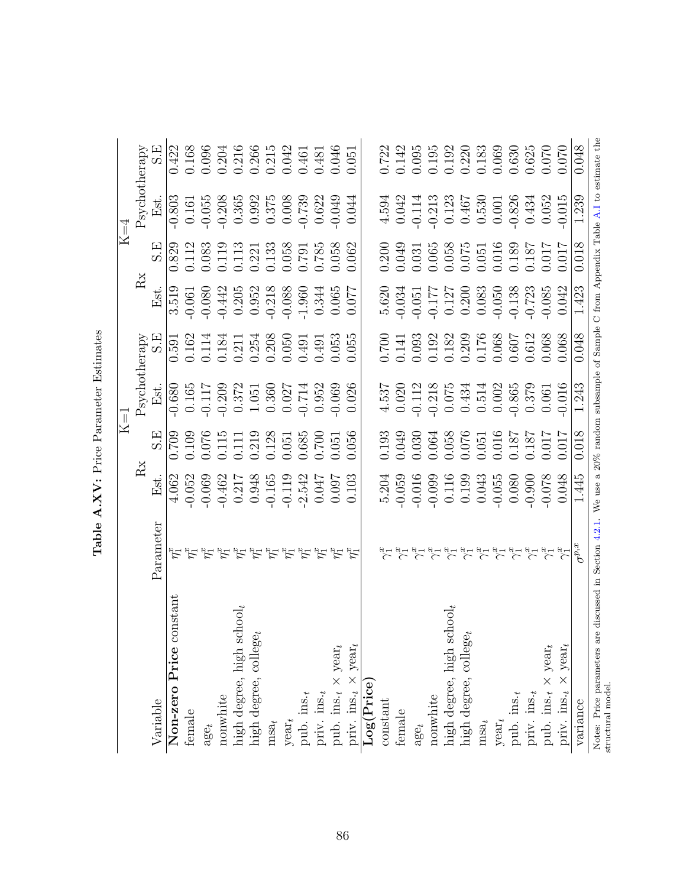|                                                |                                                                                                                                                                                                                                                                                                                                     |                                                                                                               |                                                                                                                                            | $\rm K$ =1                                                                                                                                       |                                                                                                                                                                                                                                                                                                     |                                                                                                                                                                                                                                                                                                       |                                                                                                                       | $\rm K\!\!=\!\!4$                                                                                                                                                                                                                                                     |                                                                                                                                                                                                                                                                                                             |
|------------------------------------------------|-------------------------------------------------------------------------------------------------------------------------------------------------------------------------------------------------------------------------------------------------------------------------------------------------------------------------------------|---------------------------------------------------------------------------------------------------------------|--------------------------------------------------------------------------------------------------------------------------------------------|--------------------------------------------------------------------------------------------------------------------------------------------------|-----------------------------------------------------------------------------------------------------------------------------------------------------------------------------------------------------------------------------------------------------------------------------------------------------|-------------------------------------------------------------------------------------------------------------------------------------------------------------------------------------------------------------------------------------------------------------------------------------------------------|-----------------------------------------------------------------------------------------------------------------------|-----------------------------------------------------------------------------------------------------------------------------------------------------------------------------------------------------------------------------------------------------------------------|-------------------------------------------------------------------------------------------------------------------------------------------------------------------------------------------------------------------------------------------------------------------------------------------------------------|
|                                                |                                                                                                                                                                                                                                                                                                                                     | Rx                                                                                                            |                                                                                                                                            | Psychotherapy                                                                                                                                    |                                                                                                                                                                                                                                                                                                     | Rx                                                                                                                                                                                                                                                                                                    |                                                                                                                       | Psychotherapy                                                                                                                                                                                                                                                         |                                                                                                                                                                                                                                                                                                             |
| Variable                                       | Parameter                                                                                                                                                                                                                                                                                                                           | Est.                                                                                                          | S.E                                                                                                                                        | Est.                                                                                                                                             | S.E                                                                                                                                                                                                                                                                                                 | Est.                                                                                                                                                                                                                                                                                                  | S.E                                                                                                                   | Est.                                                                                                                                                                                                                                                                  | S.E                                                                                                                                                                                                                                                                                                         |
| onstant<br>Non-zero Price c                    |                                                                                                                                                                                                                                                                                                                                     | 4.062                                                                                                         | 0.709                                                                                                                                      | $-0.680$                                                                                                                                         |                                                                                                                                                                                                                                                                                                     | 3.519                                                                                                                                                                                                                                                                                                 | 0.829                                                                                                                 | $-0.803$                                                                                                                                                                                                                                                              |                                                                                                                                                                                                                                                                                                             |
| female                                         |                                                                                                                                                                                                                                                                                                                                     | $-0.052$                                                                                                      | 0.109                                                                                                                                      | 0.165                                                                                                                                            |                                                                                                                                                                                                                                                                                                     | $-0.061$                                                                                                                                                                                                                                                                                              | 0.112                                                                                                                 | 0.161                                                                                                                                                                                                                                                                 | 0.422<br>0.168                                                                                                                                                                                                                                                                                              |
| $\mathrm{age}_{t}$                             |                                                                                                                                                                                                                                                                                                                                     | $-0.069$                                                                                                      |                                                                                                                                            |                                                                                                                                                  |                                                                                                                                                                                                                                                                                                     |                                                                                                                                                                                                                                                                                                       |                                                                                                                       | $-0.055$                                                                                                                                                                                                                                                              |                                                                                                                                                                                                                                                                                                             |
| nonwhite                                       |                                                                                                                                                                                                                                                                                                                                     |                                                                                                               |                                                                                                                                            |                                                                                                                                                  |                                                                                                                                                                                                                                                                                                     |                                                                                                                                                                                                                                                                                                       |                                                                                                                       |                                                                                                                                                                                                                                                                       |                                                                                                                                                                                                                                                                                                             |
| high degree, high $\mathrm{school}_t$          |                                                                                                                                                                                                                                                                                                                                     |                                                                                                               |                                                                                                                                            |                                                                                                                                                  |                                                                                                                                                                                                                                                                                                     |                                                                                                                                                                                                                                                                                                       |                                                                                                                       |                                                                                                                                                                                                                                                                       |                                                                                                                                                                                                                                                                                                             |
| high degree, $\text{collect}_{t}$              | הלי לבי לבי לבי לבי לבי לבי לבי לבי                                                                                                                                                                                                                                                                                                 | $\begin{array}{r} -0.462 \\ -0.217 \\ 0.948 \\ -0.165 \\ -0.119 \\ -0.119 \\ -0.047 \\ -0.007 \\ \end{array}$ | $\begin{array}{l} 0.076 \\ 0.115 \\ 0.111 \\ 0.219 \\ 0.128 \\ 0.651 \\ 0.655 \\ 0.051 \\ 0.051 \\ 0.050 \\ 0.050 \\ 0.056 \\ \end{array}$ | $\begin{array}{c} -0.117 \\ -0.209 \\ 0.372 \\ 1.051 \\ 1.030 \end{array}$                                                                       | $\begin{array}{l} 0.591 \\ 0.162 \\ 0.114 \\ 0.184 \\ 0.211 \\ 0.354 \\ 0.050 \\ 0.050 \\ 0.050 \\ 0.050 \\ 0.055 \\ 0.055 \\ 0.055 \\ \end{array}$                                                                                                                                                 | $\begin{array}{c} -0.080 \\ -0.442 \\ 0.205 \\ 0.303 \\ 0.952 \\ -0.218 \\ 0.088 \\ -0.084 \\ 0.065 \\ 0.077 \\ 0.006 \\ 0.077 \\ 0.007 \\ 0.007 \\ 0.007 \\ 0.008 \\ 0.007 \\ 0.008 \\ 0.007 \\ 0.008 \\ 0.0008 \\ 0.0008 \\ 0.0008 \\ 0.0008 \\ 0.0008 \\ 0.0008 \\ 0.0008 \\ 0.0008 \\ 0.0008 \\ $ | $\begin{array}{c} 0.083 \\ 0.119 \\ 0.113 \\ 0.221 \\ 0.133 \\ 0.058 \\ 0.791 \\ 0.785 \\ 0.058 \\ 0.058 \end{array}$ | $-0.208$<br>$0.365$<br>$0.992$<br>$0.375$<br>$0.008$                                                                                                                                                                                                                  | $\begin{array}{l} 0.096\\ 0.204\\ 0.216\\ 0.266\\ 0.215\\ 0.043\\ 0.045\\ 0.046\\ 0.046\\ 0.051\\ 0.051\\ 0.051\\ 0.051\\ 0.051\\ 0.051\\ 0.051\\ 0.051\\ 0.051\\ 0.051\\ 0.051\\ 0.051\\ 0.051\\ 0.052\\ 0.053\\ 0.053\\ 0.054\\ 0.054\\ 0.055\\ 0.055\\ 0.055\\ 0.$                                       |
| $msa_t$                                        |                                                                                                                                                                                                                                                                                                                                     |                                                                                                               |                                                                                                                                            |                                                                                                                                                  |                                                                                                                                                                                                                                                                                                     |                                                                                                                                                                                                                                                                                                       |                                                                                                                       |                                                                                                                                                                                                                                                                       |                                                                                                                                                                                                                                                                                                             |
| $y$ ear $_t$                                   |                                                                                                                                                                                                                                                                                                                                     |                                                                                                               |                                                                                                                                            |                                                                                                                                                  |                                                                                                                                                                                                                                                                                                     |                                                                                                                                                                                                                                                                                                       |                                                                                                                       |                                                                                                                                                                                                                                                                       |                                                                                                                                                                                                                                                                                                             |
| pub. ins.                                      |                                                                                                                                                                                                                                                                                                                                     |                                                                                                               |                                                                                                                                            | $\begin{array}{c} 0.027 \\ -0.714 \\ 0.952 \\ -0.069 \end{array}$                                                                                |                                                                                                                                                                                                                                                                                                     |                                                                                                                                                                                                                                                                                                       |                                                                                                                       | $-0.739$                                                                                                                                                                                                                                                              |                                                                                                                                                                                                                                                                                                             |
| priv. $ins.t$                                  |                                                                                                                                                                                                                                                                                                                                     |                                                                                                               |                                                                                                                                            |                                                                                                                                                  |                                                                                                                                                                                                                                                                                                     |                                                                                                                                                                                                                                                                                                       |                                                                                                                       | 0.622                                                                                                                                                                                                                                                                 |                                                                                                                                                                                                                                                                                                             |
| pub. ins. $_t \times \text{year}_t$            |                                                                                                                                                                                                                                                                                                                                     |                                                                                                               |                                                                                                                                            |                                                                                                                                                  |                                                                                                                                                                                                                                                                                                     |                                                                                                                                                                                                                                                                                                       |                                                                                                                       | $-0.049$                                                                                                                                                                                                                                                              |                                                                                                                                                                                                                                                                                                             |
| priv. ins. $_{t} \times$ year,                 | $\zeta_1^x$                                                                                                                                                                                                                                                                                                                         |                                                                                                               |                                                                                                                                            | 0.026                                                                                                                                            |                                                                                                                                                                                                                                                                                                     |                                                                                                                                                                                                                                                                                                       | 0.062                                                                                                                 | 0.044                                                                                                                                                                                                                                                                 |                                                                                                                                                                                                                                                                                                             |
| Log(Price)                                     |                                                                                                                                                                                                                                                                                                                                     |                                                                                                               |                                                                                                                                            |                                                                                                                                                  |                                                                                                                                                                                                                                                                                                     |                                                                                                                                                                                                                                                                                                       |                                                                                                                       |                                                                                                                                                                                                                                                                       |                                                                                                                                                                                                                                                                                                             |
| $\mbox{constant}$                              |                                                                                                                                                                                                                                                                                                                                     |                                                                                                               |                                                                                                                                            |                                                                                                                                                  |                                                                                                                                                                                                                                                                                                     |                                                                                                                                                                                                                                                                                                       | 0.200<br>0.049                                                                                                        |                                                                                                                                                                                                                                                                       |                                                                                                                                                                                                                                                                                                             |
| female                                         |                                                                                                                                                                                                                                                                                                                                     | $5.204$<br>$-0.059$<br>$-0.016$<br>$-0.016$                                                                   | 0.193<br>0.049                                                                                                                             |                                                                                                                                                  |                                                                                                                                                                                                                                                                                                     |                                                                                                                                                                                                                                                                                                       |                                                                                                                       |                                                                                                                                                                                                                                                                       |                                                                                                                                                                                                                                                                                                             |
| $\mathrm{age}_{t}$                             |                                                                                                                                                                                                                                                                                                                                     |                                                                                                               | $0.030$<br>$0.064$                                                                                                                         |                                                                                                                                                  |                                                                                                                                                                                                                                                                                                     |                                                                                                                                                                                                                                                                                                       | $0.031$<br>$0.065$                                                                                                    |                                                                                                                                                                                                                                                                       |                                                                                                                                                                                                                                                                                                             |
| nonwhite                                       |                                                                                                                                                                                                                                                                                                                                     |                                                                                                               |                                                                                                                                            |                                                                                                                                                  |                                                                                                                                                                                                                                                                                                     |                                                                                                                                                                                                                                                                                                       |                                                                                                                       |                                                                                                                                                                                                                                                                       |                                                                                                                                                                                                                                                                                                             |
| high degree, high $\mathrm{school}_t$          |                                                                                                                                                                                                                                                                                                                                     |                                                                                                               |                                                                                                                                            |                                                                                                                                                  |                                                                                                                                                                                                                                                                                                     |                                                                                                                                                                                                                                                                                                       |                                                                                                                       |                                                                                                                                                                                                                                                                       |                                                                                                                                                                                                                                                                                                             |
| high degree, $\text{college}_t$                | $\forall x \in \{1,2,3\} \cup \{1,4\} \cup \{1,4\} \cup \{1,4\} \cup \{1,4\} \cup \{1,4\} \cup \{1,4\} \cup \{1,4\} \cup \{1,4\} \cup \{1,4\} \cup \{1,4\} \cup \{1,4\} \cup \{1,4\} \cup \{1,4\} \cup \{1,4\} \cup \{1,4\} \cup \{1,4\} \cup \{1,4\} \cup \{1,4\} \cup \{1,4\} \cup \{1,4\} \cup \{1,4\} \cup \{1,4\} \cup \{1,4\$ | $\begin{array}{c} 0.116 \\ 0.199 \\ 0.043 \\ -0.055 \\ \end{array}$                                           | $\begin{array}{l} 71000 \\ 0.076 \\ 0.016 \\ 0.016 \\ 0.016 \\ 0.187 \\ 781 \\ 0.016 \\ 7 \end{array}$                                     | $\begin{array}{l} 4.537 \\ 0.020 \\ -0.112 \\ 0.075 \\ -0.218 \\ 0.075 \\ -0.030 \\ -0.002 \\ 0.002 \\ -0.003 \\ 0.001 \\ -0.001 \\ \end{array}$ | $\begin{array}{l} 0.700 \\ 0.141 \\ 0.093 \\ 0.192 \\ 0.192 \\ 0.209 \\ 0.176 \\ 0.060 \\ 0.607 \\ 0.603 \\ 0.603 \\ 0.603 \\ 0.608 \\ 0.608 \\ 0.608 \\ 0.608 \\ 0.608 \\ 0.608 \\ 0.608 \\ 0.608 \\ 0.608 \\ 0.608 \\ 0.608 \\ 0.608 \\ 0.608 \\ 0.608 \\ 0.608 \\ 0.608 \\ 0.608 \\ 0.608 \\ 0.$ | $\begin{array}{l} 5.620 \\ -0.034 \\ -0.051 \\ -0.177 \\ 0.200 \\ -0.177 \\ 0.033 \\ -0.050 \\ -0.050 \\ -0.050 \\ -0.050 \\ -0.085 \\ \end{array}$                                                                                                                                                   | $\begin{array}{l} 71000 \\ 0.055 \\ 0.016 \\ 0.016 \\ 0.016 \\ 0.016 \\ 0.016 \\ 0.017 \\ \end{array}$                | $\begin{array}{l} 4.594\\ 0.042\\ 0.114\\ 0.040\\ 0.123\\ 0.046\\ 0.05\\ 0.001\\ 0.043\\ 0.001\\ 0.000\\ 0.001\\ 0.001\\ 0.001\\ 0.015\\ 0.015\\ 0.015\\ 0.019\\ 0.019\\ 0.019\\ 0.019\\ 0.019\\ 0.019\\ 0.019\\ 0.019\\ 0.019\\ 0.019\\ 0.019\\ 0.019\\ 0.019\\ 0.0$ | $\begin{array}{l} 0.722 \\ 0.142 \\ 0.095 \\ 0.195 \\ 0.195 \\ 0.192 \\ 0.20 \\ 0.63 \\ 0.63 \\ 0.67 \\ 0.07 \\ 0.00 \\ 0.00 \\ 0.00 \\ 0.00 \\ 0.00 \\ 0.00 \\ 0.00 \\ 0.00 \\ 0.00 \\ 0.00 \\ 0.00 \\ 0.00 \\ 0.00 \\ 0.00 \\ 0.00 \\ 0.00 \\ 0.00 \\ 0.00 \\ 0.00 \\ 0.00 \\ 0.00 \\ 0.00 \\ 0.00 \\ 0.$ |
| $\mathrm{msa}_t$                               |                                                                                                                                                                                                                                                                                                                                     |                                                                                                               |                                                                                                                                            |                                                                                                                                                  |                                                                                                                                                                                                                                                                                                     |                                                                                                                                                                                                                                                                                                       |                                                                                                                       |                                                                                                                                                                                                                                                                       |                                                                                                                                                                                                                                                                                                             |
| year $_t$                                      |                                                                                                                                                                                                                                                                                                                                     |                                                                                                               |                                                                                                                                            |                                                                                                                                                  |                                                                                                                                                                                                                                                                                                     |                                                                                                                                                                                                                                                                                                       |                                                                                                                       |                                                                                                                                                                                                                                                                       |                                                                                                                                                                                                                                                                                                             |
| pub. ins.                                      |                                                                                                                                                                                                                                                                                                                                     |                                                                                                               |                                                                                                                                            |                                                                                                                                                  |                                                                                                                                                                                                                                                                                                     |                                                                                                                                                                                                                                                                                                       |                                                                                                                       |                                                                                                                                                                                                                                                                       |                                                                                                                                                                                                                                                                                                             |
| priv. $ins_t$                                  |                                                                                                                                                                                                                                                                                                                                     |                                                                                                               |                                                                                                                                            |                                                                                                                                                  |                                                                                                                                                                                                                                                                                                     |                                                                                                                                                                                                                                                                                                       |                                                                                                                       |                                                                                                                                                                                                                                                                       |                                                                                                                                                                                                                                                                                                             |
| pub. ins. $_{t} \times$ year,                  |                                                                                                                                                                                                                                                                                                                                     | $-0.900$<br>$-0.078$                                                                                          |                                                                                                                                            |                                                                                                                                                  |                                                                                                                                                                                                                                                                                                     |                                                                                                                                                                                                                                                                                                       |                                                                                                                       |                                                                                                                                                                                                                                                                       |                                                                                                                                                                                                                                                                                                             |
| $y$ ear $_t$<br>priv. ins. $_t \times$         |                                                                                                                                                                                                                                                                                                                                     | 0.048                                                                                                         | 0.017                                                                                                                                      | 0.016                                                                                                                                            | 0.068                                                                                                                                                                                                                                                                                               | 0.042                                                                                                                                                                                                                                                                                                 | 710(                                                                                                                  |                                                                                                                                                                                                                                                                       |                                                                                                                                                                                                                                                                                                             |
| variance                                       | $\sigma^{p,\overline{x}}$                                                                                                                                                                                                                                                                                                           | .445                                                                                                          | 0.018                                                                                                                                      | .243                                                                                                                                             | 0.048                                                                                                                                                                                                                                                                                               | 1423                                                                                                                                                                                                                                                                                                  |                                                                                                                       | .239                                                                                                                                                                                                                                                                  | 1.048                                                                                                                                                                                                                                                                                                       |
| Notes: Price parameters a<br>structural model. | e discussed in Section 4.2.1. We use a 20% random subsample of Sample C from Appendix Table A.I to estimate the                                                                                                                                                                                                                     |                                                                                                               |                                                                                                                                            |                                                                                                                                                  |                                                                                                                                                                                                                                                                                                     |                                                                                                                                                                                                                                                                                                       |                                                                                                                       |                                                                                                                                                                                                                                                                       |                                                                                                                                                                                                                                                                                                             |

Table A.XV: Price Parameter Estimates Table A.XV: Price Parameter Estimates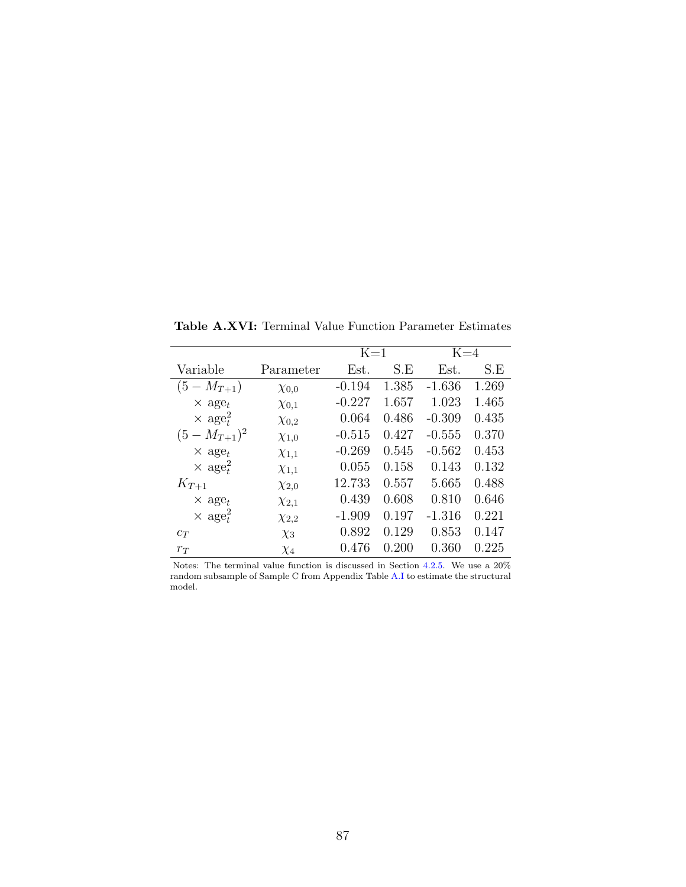|                           |              | $K=1$    |       | $K=4$    |       |
|---------------------------|--------------|----------|-------|----------|-------|
| Variable                  | Parameter    | Est.     | S.E   | Est.     | S.E   |
| $(5-M_{T+1})$             | $\chi_{0,0}$ | $-0.194$ | 1.385 | $-1.636$ | 1.269 |
| $\times$ age <sub>t</sub> | $\chi_{0,1}$ | $-0.227$ | 1.657 | 1.023    | 1.465 |
| $\times$ age <sup>2</sup> | $\chi_{0,2}$ | 0.064    | 0.486 | $-0.309$ | 0.435 |
| $(5-M_{T+1})^2$           | $\chi_{1,0}$ | $-0.515$ | 0.427 | $-0.555$ | 0.370 |
| $\times$ age <sub>t</sub> | $\chi_{1,1}$ | $-0.269$ | 0.545 | $-0.562$ | 0.453 |
| $\times$ age <sup>2</sup> | $\chi_{1,1}$ | 0.055    | 0.158 | 0.143    | 0.132 |
| $K_{T+1}$                 | $\chi_{2,0}$ | 12.733   | 0.557 | 5.665    | 0.488 |
| $\times$ age <sub>t</sub> | $\chi_{2,1}$ | 0.439    | 0.608 | 0.810    | 0.646 |
| $\times$ age <sup>2</sup> | $\chi_{2,2}$ | $-1.909$ | 0.197 | $-1.316$ | 0.221 |
| $c_T$                     | $\chi_3$     | 0.892    | 0.129 | 0.853    | 0.147 |
| $r_T$                     | $\chi_4$     | 0.476    | 0.200 | 0.360    | 0.225 |

Table A.XVI: Terminal Value Function Parameter Estimates

Notes: The terminal value function is discussed in Section [4.2.5.](#page-24-0) We use a  $20\%$ random subsample of Sample C from Appendix Table [A.I](#page-65-0) to estimate the structural model.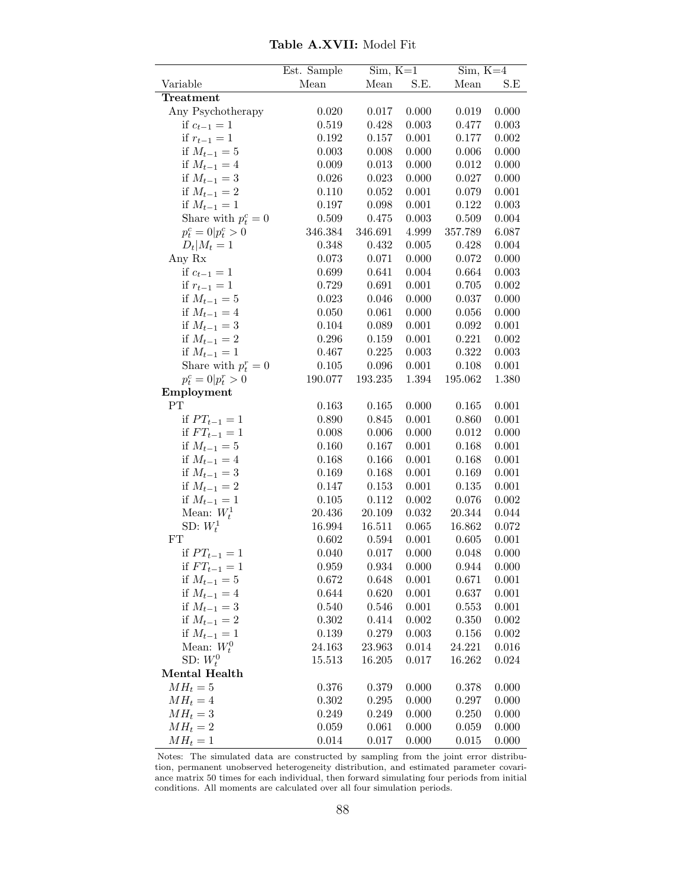|                             | Est. Sample | $\overline{\text{Sim}, K=1}$ |           | $Sim, K=4$ |                |
|-----------------------------|-------------|------------------------------|-----------|------------|----------------|
| Variable                    | Mean        | Mean                         | S.E.      | Mean       | $\mathbf{S.E}$ |
| Treatment                   |             |                              |           |            |                |
| Any Psychotherapy           | 0.020       | 0.017                        | 0.000     | 0.019      | 0.000          |
| if $c_{t-1} = 1$            | 0.519       | 0.428                        | 0.003     | 0.477      | 0.003          |
| if $r_{t-1} = 1$            | 0.192       | 0.157                        | 0.001     | 0.177      | 0.002          |
| if $M_{t-1} = 5$            | 0.003       | 0.008                        | 0.000     | 0.006      | 0.000          |
| if $M_{t-1} = 4$            | 0.009       | 0.013                        | 0.000     | 0.012      | 0.000          |
| if $M_{t-1} = 3$            | 0.026       | 0.023                        | 0.000     | 0.027      | 0.000          |
| if $M_{t-1} = 2$            | 0.110       | 0.052                        | 0.001     | 0.079      | 0.001          |
| if $M_{t-1} = 1$            | 0.197       | 0.098                        | 0.001     | 0.122      | 0.003          |
| Share with $p_t^c = 0$      | 0.509       | 0.475                        | 0.003     | 0.509      | 0.004          |
| $p_t^c = 0 \vert p_t^c > 0$ | 346.384     | 346.691                      | 4.999     | 357.789    | 6.087          |
| $D_t M_t=1$                 | 0.348       | 0.432                        | 0.005     | 0.428      | 0.004          |
| Any Rx                      | 0.073       | 0.071                        | 0.000     | 0.072      | 0.000          |
| if $c_{t-1} = 1$            | 0.699       | 0.641                        | 0.004     | 0.664      | 0.003          |
| if $r_{t-1} = 1$            | 0.729       | 0.691                        | $0.001\,$ | 0.705      | 0.002          |
| if $M_{t-1} = 5$            | 0.023       | 0.046                        | 0.000     | 0.037      | 0.000          |
| if $M_{t-1} = 4$            | 0.050       | 0.061                        | 0.000     | 0.056      | 0.000          |
| if $M_{t-1} = 3$            | 0.104       | 0.089                        | 0.001     | 0.092      | 0.001          |
| if $M_{t-1} = 2$            | 0.296       | 0.159                        | 0.001     | 0.221      | 0.002          |
| if $M_{t-1} = 1$            | 0.467       | 0.225                        | 0.003     | 0.322      | 0.003          |
| Share with $p_t^r = 0$      | 0.105       | 0.096                        | 0.001     | 0.108      | 0.001          |
| $p_t^c = 0 \vert p_t^r > 0$ | 190.077     | 193.235                      | 1.394     | 195.062    | 1.380          |
| Employment                  |             |                              |           |            |                |
| PT                          | 0.163       | 0.165                        | 0.000     | 0.165      | 0.001          |
| if $PT_{t-1} = 1$           | 0.890       | 0.845                        | 0.001     | 0.860      | 0.001          |
| if $FT_{t-1} = 1$           | 0.008       | 0.006                        | 0.000     | 0.012      | 0.000          |
| if $M_{t-1} = 5$            | 0.160       | 0.167                        | 0.001     | 0.168      | 0.001          |
| if $M_{t-1} = 4$            | 0.168       | 0.166                        | 0.001     | 0.168      | 0.001          |
| if $M_{t-1} = 3$            | 0.169       | 0.168                        | 0.001     | 0.169      | 0.001          |
| if $M_{t-1} = 2$            | 0.147       | 0.153                        | 0.001     | 0.135      | 0.001          |
| if $M_{t-1} = 1$            | 0.105       | 0.112                        | 0.002     | 0.076      | 0.002          |
| Mean: $W_t^1$               | 20.436      | 20.109                       | 0.032     | 20.344     | 0.044          |
| SD: $W_t^1$                 | 16.994      | 16.511                       | 0.065     | 16.862     | 0.072          |
| FT                          | 0.602       | 0.594                        | 0.001     | 0.605      | 0.001          |
| if $PT_{t-1} = 1$           | 0.040       | 0.017                        | 0.000     | 0.048      | 0.000          |
| if $FT_{t-1} = 1$           | 0.959       | 0.934                        | 0.000     | 0.944      | 0.000          |
| if $M_{t-1} = 5$            | 0.672       | 0.648                        | 0.001     | 0.671      | 0.001          |
| if $M_{t-1} = 4$            | 0.644       | 0.620                        | 0.001     | 0.637      | 0.001          |
| if $M_{t-1} = 3$            | 0.540       | 0.546                        | 0.001     | 0.553      | 0.001          |
| if $M_{t-1} = 2$            | 0.302       | 0.414                        | 0.002     | 0.350      | 0.002          |
| if $M_{t-1} = 1$            | $0.139\,$   | 0.279                        | 0.003     | 0.156      | 0.002          |
| Mean: $W_t^0$               | 24.163      | 23.963                       | 0.014     | 24.221     | 0.016          |
| SD: $W_t^0$                 | 15.513      | 16.205                       | 0.017     | 16.262     | 0.024          |
| Mental Health               |             |                              |           |            |                |
| $MH_t=5$                    | 0.376       | 0.379                        | 0.000     | 0.378      | 0.000          |
| $MH_t = 4$                  | 0.302       | 0.295                        | 0.000     | 0.297      | 0.000          |
| $MH_t=3$                    | 0.249       | 0.249                        | 0.000     | 0.250      | 0.000          |
| $MH_t = 2$                  | 0.059       | 0.061                        | 0.000     | 0.059      | 0.000          |
| $MH_t = 1$                  | 0.014       | 0.017                        | 0.000     | 0.015      | 0.000          |

Table A.XVII: Model Fit

Notes: The simulated data are constructed by sampling from the joint error distribution, permanent unobserved heterogeneity distribution, and estimated parameter covariance matrix 50 times for each individual, then forward simulating four periods from initial conditions. All moments are calculated over all four simulation periods.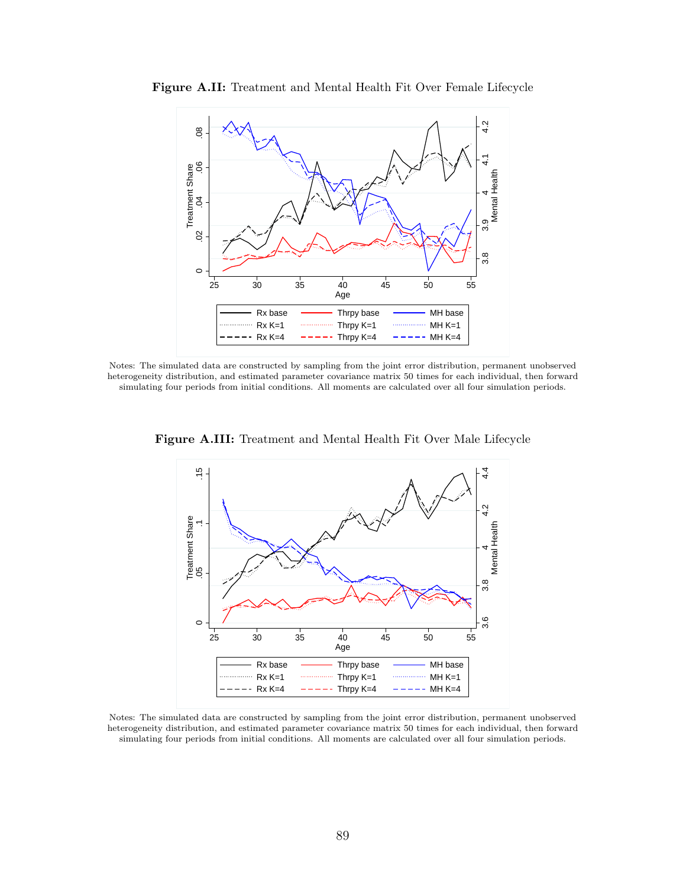

Figure A.II: Treatment and Mental Health Fit Over Female Lifecycle

Notes: The simulated data are constructed by sampling from the joint error distribution, permanent unobserved heterogeneity distribution, and estimated parameter covariance matrix 50 times for each individual, then forward simulating four periods from initial conditions. All moments are calculated over all four simulation periods.



Figure A.III: Treatment and Mental Health Fit Over Male Lifecycle

Notes: The simulated data are constructed by sampling from the joint error distribution, permanent unobserved heterogeneity distribution, and estimated parameter covariance matrix 50 times for each individual, then forward simulating four periods from initial conditions. All moments are calculated over all four simulation periods.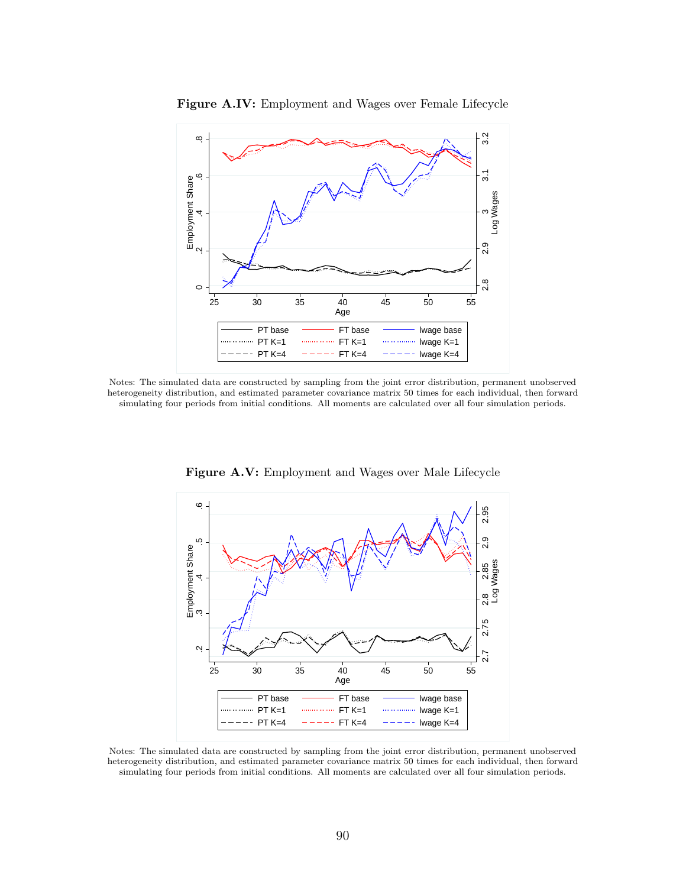

Figure A.IV: Employment and Wages over Female Lifecycle

Notes: The simulated data are constructed by sampling from the joint error distribution, permanent unobserved heterogeneity distribution, and estimated parameter covariance matrix 50 times for each individual, then forward simulating four periods from initial conditions. All moments are calculated over all four simulation periods.



Figure A.V: Employment and Wages over Male Lifecycle

Notes: The simulated data are constructed by sampling from the joint error distribution, permanent unobserved heterogeneity distribution, and estimated parameter covariance matrix 50 times for each individual, then forward simulating four periods from initial conditions. All moments are calculated over all four simulation periods.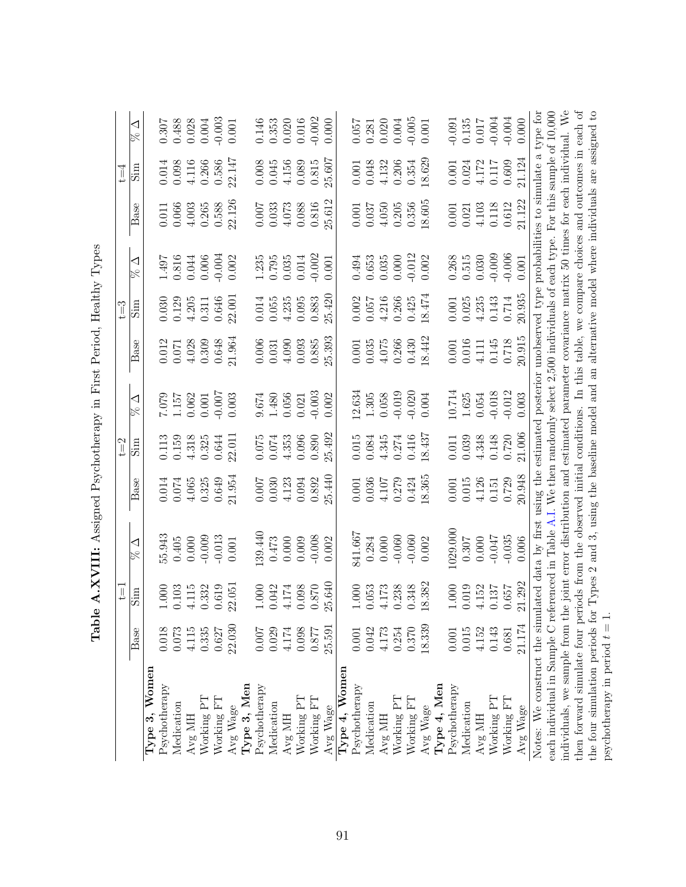|                                                                                                                                        |        | $\overline{\mathbb{I}}$ |                                                                                                    |        | $t = 2$            |                 |         | $t = 3$   |                |           | $t = 4$   |                |
|----------------------------------------------------------------------------------------------------------------------------------------|--------|-------------------------|----------------------------------------------------------------------------------------------------|--------|--------------------|-----------------|---------|-----------|----------------|-----------|-----------|----------------|
|                                                                                                                                        | Base   | $\sin$                  | ◁                                                                                                  | Base   | $\sin$             | ◁               | Base    | mig       | ◁<br>$\approx$ | Base      | mig       | ◁              |
| Women<br>Type 3,                                                                                                                       |        |                         |                                                                                                    |        |                    |                 |         |           |                |           |           |                |
| Psychotherapy                                                                                                                          | 0.018  | 1.000                   | 55.943                                                                                             | 0.014  | 0.113              |                 | 0.012   | 0.030     |                | 0.011     | 0.014     | 0.307          |
| Medication                                                                                                                             | 0.073  | 0.103                   | 0.405                                                                                              | 0.074  | 0.159              | 7.079<br>1.157  | 0.071   | 0.129     | 1.497<br>0.816 | 0.066     | 0.098     | 0.488          |
| Avg MH                                                                                                                                 | 4.115  | 4.115                   | 0.000                                                                                              | 4.065  | 4.318              | 0.062           | 4.028   | 4.205     | 0.044          | 4.003     | 4.116     | 0.028          |
| Working PT                                                                                                                             | 0.335  | 0.332                   | $-0.009$                                                                                           | 0.325  | 0.325              | $0.001\,$       | 0.309   | $\!0.311$ | 0.006          | 0.265     | 0.266     | 0.004          |
| Working FT                                                                                                                             | 0.627  | 0.619                   | $-0.013$                                                                                           | 0.649  | 0.644              | $-0.007$        | 0.648   | 0.646     | 0.004          | 0.588     | 0.586     | 0.003          |
| Avg Wage                                                                                                                               | 22.030 | 22.051                  | 0.001                                                                                              | 21.954 | 22.011             | 0.003           | 21.964  | 22.001    | 0.002          | 22.126    | 22.147    | 0.001          |
| Type 3, Men                                                                                                                            |        |                         |                                                                                                    |        |                    |                 |         |           |                |           |           |                |
| Psychotherapy                                                                                                                          | 0.007  | 1.000                   | 139.440                                                                                            | 0.007  | 0.075              | 0.674           | 0.006   | 0.014     | 1.235          | 0.007     | 0.008     |                |
| Medication                                                                                                                             | 0.029  | 0.042                   | 0.473                                                                                              | 0.030  | 0.074              | 1.480           | 0.031   | 0.055     | 0.795          | 0.033     | 0.045     | 0.146<br>0.353 |
| Avg MH                                                                                                                                 | 4.174  | 4.174                   | 0.000                                                                                              | 4.123  | 4.353              | 0.056           | 4.090   | 4.235     | 0.035          | 4.073     | 4.156     | 0.020          |
| Working PT                                                                                                                             | 0.098  | 0.098                   | 0.009                                                                                              | 0.094  | 0.096              | 0.021           | 0.093   | $0.095\,$ | 0.014          | 0.088     | 0.089     | 0.016          |
| Working FT                                                                                                                             | 0.877  | 0.870                   | $-0.008$                                                                                           | 0.892  | 0.890              | $-0.003$        | 0.885   | 0.883     | $-0.002$       | 0.816     | 0.815     | $-0.002$       |
| Avg Wage                                                                                                                               | 25.591 | 25.640                  | 0.002                                                                                              | 25.440 | 25.492             | 0.002           | 25.393  | 25.420    | 0.001          | 25.612    | 25.607    | 0.000          |
| $\rm{Women}$<br>Type $4,$                                                                                                              |        |                         |                                                                                                    |        |                    |                 |         |           |                |           |           |                |
| Psychotherapy                                                                                                                          | 0.001  | $1.000\,$               | 841.667                                                                                            | 0.001  | 0.015              |                 | 0.001   | 0.002     |                | 0.001     | 0.001     | 0.057          |
| Medication                                                                                                                             | 0.042  | 0.053                   | 0.284                                                                                              | 0.036  | 0.084              | 12.634<br>1.305 | 0.035   | 0.057     | 0.494<br>0.653 | 0.037     | 0.048     | 0.281          |
| Avg MH                                                                                                                                 | 4.173  | 4.173                   | 0.000                                                                                              | 4.107  | $4.345$<br>$0.274$ | 0.058           | 4.075   | 4.216     | 0.035          | 4.050     | 4.132     | 0.020          |
| Working PT                                                                                                                             | 0.254  | 0.238                   | $-0.060$                                                                                           | 0.279  |                    | $-0.019$        | 0.266   | 0.266     | 0.000          | 0.205     | 0.206     | 0.004          |
| Working FT                                                                                                                             | 0.370  | 0.348                   | $-0.060$                                                                                           | 0.424  | 0.416              | $-0.020$        | 0.430   | 0.425     | $-0.012$       | 0.356     | 0.354     | 0.005          |
| Avg Wage                                                                                                                               | 18.339 | .8.382                  | 0.002                                                                                              | 18.365 | 18.437             | 0.004           | 18.442  | 18.474    | 0.002          | 18.605    | 18.629    | 0.001          |
| Type 4, Men                                                                                                                            |        |                         |                                                                                                    |        |                    |                 |         |           |                |           |           |                |
| Psychotherapy                                                                                                                          | 0.001  | 1.000                   | 1029.000                                                                                           | 0.001  | 0.011              | 10.714          | 0.001   | 0.001     | 0.268          | 0.001     | 0.001     | $-0.091$       |
| Medication                                                                                                                             | 0.015  | 0.019                   | 0.307                                                                                              | 0.015  | 0.039              | 1.625           | 0.016   | 0.025     | 0.515          | 0.021     | 0.024     | 0.135          |
| Avg MH                                                                                                                                 | 4.152  | 4.152                   | 0.000                                                                                              | 4.126  | 4.348              | 0.054           | 4.111   | 4.235     | 0.030          | 4.103     | 4.172     | 0.017          |
| Working PT                                                                                                                             | 0.143  | 0.137                   | -0.047                                                                                             | 0.151  | 0.148              | $-0.018$        | 0.145   | 0.143     | $-0.009$       | 0.118     | $0.117\,$ | $-0.004$       |
| Working FT                                                                                                                             | 0.681  | 0.657                   | $-0.035$                                                                                           | 0.729  | 0.720              | $-0.012$        | $0.718$ | $0.714\,$ | $-0.006$       | $0.612\,$ | 0.609     | $-0.004$       |
| Avg Wage                                                                                                                               | 21.174 | 21.292                  | 0.006                                                                                              | 20.948 | 21.006             | 0.003           | 20.915  | 20.935    | 0.001          | 21.122    | 21.124    | 0.000          |
| Notes: We construct the simulated data by first using the estimated posterior unobserved type probabilities to simulate a type for     |        |                         |                                                                                                    |        |                    |                 |         |           |                |           |           |                |
| each individual in Sample C referenced in Table A.I. We then randomly select 2,500 individuals of each type. For this sample of 10,000 |        |                         |                                                                                                    |        |                    |                 |         |           |                |           |           |                |
| individuals, we sample from the joint error distribution and estimated parameter covariance matrix 50 times for each individual. We    |        |                         |                                                                                                    |        |                    |                 |         |           |                |           |           |                |
| then forward simulate four periods from the observed initial conditions. In this table, we compare choices and outcomes in each of     |        |                         |                                                                                                    |        |                    |                 |         |           |                |           |           |                |
| the four simulation periods for                                                                                                        |        |                         | Types 2 and 3, using the baseline model and an alternative model where individuals are assigned to |        |                    |                 |         |           |                |           |           |                |
| psychotherapy in period $t = 1$ .                                                                                                      |        |                         |                                                                                                    |        |                    |                 |         |           |                |           |           |                |

Table A.XVIII: Assigned Psychotherapy in First Period, Healthy Types Table A.XVIII: Assigned Psychotherapy in First Period, Healthy Types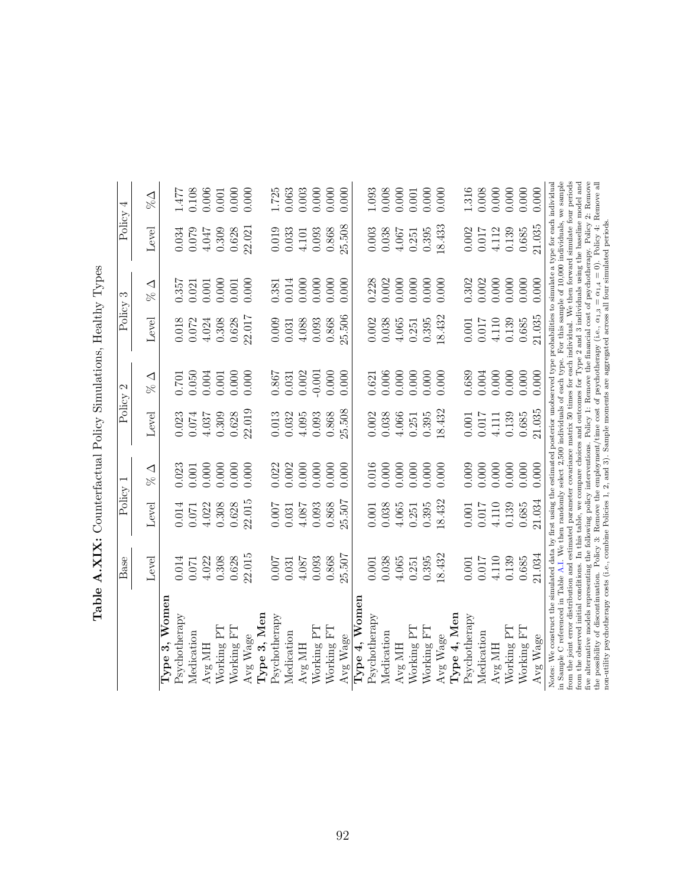|                                                                                                                                                                                                                                                                                                                                                                                                                                                                                                                                                                                                                                                                                                                                                             | Base      | Policy |               | Policy    | 2                       | Policy    | S                   | Policy | 4                         |
|-------------------------------------------------------------------------------------------------------------------------------------------------------------------------------------------------------------------------------------------------------------------------------------------------------------------------------------------------------------------------------------------------------------------------------------------------------------------------------------------------------------------------------------------------------------------------------------------------------------------------------------------------------------------------------------------------------------------------------------------------------------|-----------|--------|---------------|-----------|-------------------------|-----------|---------------------|--------|---------------------------|
|                                                                                                                                                                                                                                                                                                                                                                                                                                                                                                                                                                                                                                                                                                                                                             | Level     | Level  | $\%$ $\Delta$ | Level     | $\frac{\infty}{\infty}$ | Level     | $\frac{\Delta}{\%}$ | Level  | $\mathbb{Z}^{\mathbb{Z}}$ |
| Type 3, Women                                                                                                                                                                                                                                                                                                                                                                                                                                                                                                                                                                                                                                                                                                                                               |           |        |               |           |                         |           |                     |        |                           |
| Psychotherapy                                                                                                                                                                                                                                                                                                                                                                                                                                                                                                                                                                                                                                                                                                                                               | 0.014     | 0.014  | 0.023         | 0.023     | $0.701\,$               | 0.018     | 0.357               | 0.034  | 1.477                     |
| Medication                                                                                                                                                                                                                                                                                                                                                                                                                                                                                                                                                                                                                                                                                                                                                  | $0.071\,$ | 0.071  | 0.001         | 0.074     | 0.050                   | 0.072     | 0.021               | 0.079  | 0.108                     |
| Avg MH                                                                                                                                                                                                                                                                                                                                                                                                                                                                                                                                                                                                                                                                                                                                                      | 4.022     | 4.022  | 0.000         | 4.037     | 0.004                   | 4.024     | 0.001               | 4.047  | 0.006                     |
| Working PT                                                                                                                                                                                                                                                                                                                                                                                                                                                                                                                                                                                                                                                                                                                                                  | 0.308     | 0.308  | 0.000         | 0.309     | 0.001                   | 0.308     | 0.000               | 0.309  | 0.001                     |
| Working FT                                                                                                                                                                                                                                                                                                                                                                                                                                                                                                                                                                                                                                                                                                                                                  | 0.628     | 0.628  | 0.000         | 0.628     | 0.000                   | 0.628     | 0.001               | 0.628  | 0.000                     |
| Avg Wage                                                                                                                                                                                                                                                                                                                                                                                                                                                                                                                                                                                                                                                                                                                                                    | 22.015    | 22.015 | 0.000         | 22.019    | 0.000                   | 22.017    | 0.000               | 22.021 | 0.000                     |
| Type 3, Men                                                                                                                                                                                                                                                                                                                                                                                                                                                                                                                                                                                                                                                                                                                                                 |           |        |               |           |                         |           |                     |        |                           |
| Psychotherapy                                                                                                                                                                                                                                                                                                                                                                                                                                                                                                                                                                                                                                                                                                                                               | 0.007     | 0.007  | 0.022         | 0.013     | 1980                    | 0.009     | 0.381               | 0.019  | 1.725                     |
| Medication                                                                                                                                                                                                                                                                                                                                                                                                                                                                                                                                                                                                                                                                                                                                                  | 0.031     | 0.031  | 0.002         | 0.032     | 0.031                   | 0.031     | 0.014               | 0.033  | 0.063                     |
| Avg MH                                                                                                                                                                                                                                                                                                                                                                                                                                                                                                                                                                                                                                                                                                                                                      | 4.087     | 4.087  | 0.000         | 4.095     | 0.002                   | 4.088     | 0.000               | 4.101  | 0.003                     |
| Working PT                                                                                                                                                                                                                                                                                                                                                                                                                                                                                                                                                                                                                                                                                                                                                  | 0.093     | 0.093  | 0.000         | 0.093     | $-0.001$                | 0.093     | 0.000               | 0.093  | 0.000                     |
| Working FT                                                                                                                                                                                                                                                                                                                                                                                                                                                                                                                                                                                                                                                                                                                                                  | 0.868     | 0.868  | 0.000         | 0.868     | 0.000                   | 0.868     | 0.000               | 0.868  | 0.000                     |
| Avg Wage                                                                                                                                                                                                                                                                                                                                                                                                                                                                                                                                                                                                                                                                                                                                                    | 25.507    | 25.507 | 0.000         | 25.508    | 0.000                   | 25.506    | 0.000               | 25.508 | 0.000                     |
| Type 4, Women                                                                                                                                                                                                                                                                                                                                                                                                                                                                                                                                                                                                                                                                                                                                               |           |        |               |           |                         |           |                     |        |                           |
| Psychotherapy                                                                                                                                                                                                                                                                                                                                                                                                                                                                                                                                                                                                                                                                                                                                               | $0.001\,$ | 0.001  | 0.016         | $0.002$   | 0.621                   | $0.002\,$ | 0.228               | 0.003  | 1.093                     |
| Medication                                                                                                                                                                                                                                                                                                                                                                                                                                                                                                                                                                                                                                                                                                                                                  | 0.038     | 0.038  | 0.000         | 0.038     | 0.006                   | 0.038     | 0.002               | 0.038  | 0.008                     |
| Avg MH                                                                                                                                                                                                                                                                                                                                                                                                                                                                                                                                                                                                                                                                                                                                                      | 4.065     | 4.065  | 0.000         | 4.066     | 0.000                   | 4.065     | 0.000               | 4.067  | 0.000                     |
| Working PT                                                                                                                                                                                                                                                                                                                                                                                                                                                                                                                                                                                                                                                                                                                                                  | 0.251     | 0.251  | 0.000         | 0.251     | 0.000                   | 0.251     | 0.000               | 0.251  | 0.001                     |
| Working FT                                                                                                                                                                                                                                                                                                                                                                                                                                                                                                                                                                                                                                                                                                                                                  | 0.395     | 0.395  | 0.000         | 0.395     | 0.000                   | 0.395     | 0.000               | 0.395  | 0.000                     |
| Avg Wage                                                                                                                                                                                                                                                                                                                                                                                                                                                                                                                                                                                                                                                                                                                                                    | 18.432    | 18.432 | 0.000         | 18.432    | 0.000                   | 18.432    | 0.000               | 18.433 | 0.000                     |
| Type 4, Men                                                                                                                                                                                                                                                                                                                                                                                                                                                                                                                                                                                                                                                                                                                                                 |           |        |               |           |                         |           |                     |        |                           |
| Psychotherapy                                                                                                                                                                                                                                                                                                                                                                                                                                                                                                                                                                                                                                                                                                                                               | 0.001     | 0.001  | 0.009         | $0.001\,$ | 0.689                   | $0.001\,$ | 0.302               | 0.002  | 1.316                     |
| Medication                                                                                                                                                                                                                                                                                                                                                                                                                                                                                                                                                                                                                                                                                                                                                  | 0.017     | 0.017  | 0.000         | 0.017     | $0.004\,$               | 0.017     | 0.002               | 0.017  | 0.008                     |
| Avg MH                                                                                                                                                                                                                                                                                                                                                                                                                                                                                                                                                                                                                                                                                                                                                      | 4.110     | 4.110  | 0.000         | 4.111     | 0.000                   | 4.110     | 0.000               | 4.112  | 0.000                     |
| Working PT                                                                                                                                                                                                                                                                                                                                                                                                                                                                                                                                                                                                                                                                                                                                                  | 0.139     | 0.139  | 0.000         | 0.139     | 0.000                   | 0.139     | 0.000               | 0.139  | 0.000                     |
| Working FT                                                                                                                                                                                                                                                                                                                                                                                                                                                                                                                                                                                                                                                                                                                                                  | 0.685     | 0.685  | 0.000         | 0.685     | 0.000                   | 0.685     | 0.000               | 0.685  | 0.000                     |
| Avg Wage                                                                                                                                                                                                                                                                                                                                                                                                                                                                                                                                                                                                                                                                                                                                                    | 21.034    | 21.034 | 0.000         | 21.035    | 0.000                   | 21.035    | 0.000               | 21.035 | 0.000                     |
| in Sample C referenced in Table A.I. We then randomly select 2,500 individuals of each type. For this sample of 10,000 individuals, we sample<br>from the joint error distribution and estimated parameter covariance matrix 50 times for each individual. We then forward simulate four periods<br>from the observed initial conditions. In this table, we compare choices and outcomes for Type 2 and 3 individuals using the baseline model and<br>five alternative models representing the following policy interventions. Policy 1: Remove the financial cost of psychotherapy. Policy 2: Remove<br>Notes: We construct the simulated data by first using the estimated posterior unobserved type probabilities to simulate a type for each individual |           |        |               |           |                         |           |                     |        |                           |
| the possibility of discontinuation. Policy 3: Remove the employment/time cost of psychotherapy (i.e., $\alpha_{1,3} = \alpha_{1,4} = 0$ ). Policy 4: Remove all<br>non-utility psychotherapy costs (i.e., combine Policies 1, 2, and 3). Sample moments are aggregated across all four simulated periods.                                                                                                                                                                                                                                                                                                                                                                                                                                                   |           |        |               |           |                         |           |                     |        |                           |

| ٢<br>د<br>ı<br>ĺ                                   |
|----------------------------------------------------|
| l<br>֖֖֖֢ׅ֖֖ׅׅׅ֖֚֚֚֚֚֚֚֚֚֚֚֚֚֚֚֚֚֚֚֡֬֝֝֝֝֬֝֬֓<br>l |
| i<br>Ì                                             |
| l<br>J<br>I                                        |
| Č                                                  |
| <br> <br> <br>ı                                    |
| l                                                  |